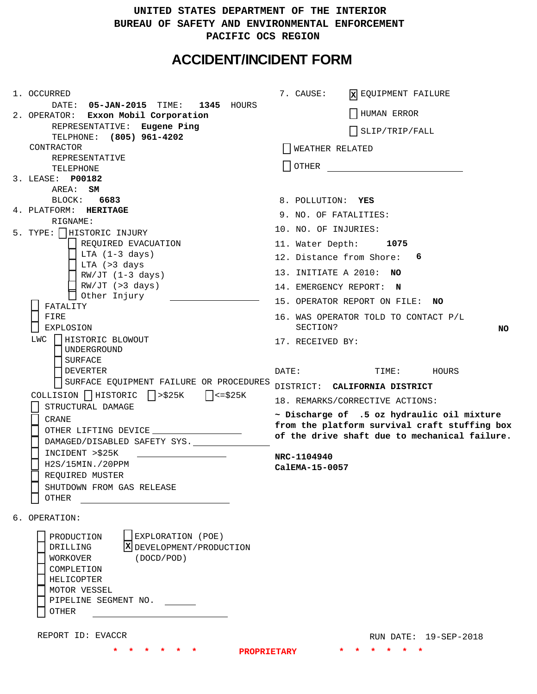| 1. OCCURRED<br>DATE: 05-JAN-2015 TIME:<br><b>1345 HOURS</b><br>2. OPERATOR: Exxon Mobil Corporation<br>REPRESENTATIVE: Eugene Ping<br>TELPHONE: (805) 961-4202<br>CONTRACTOR<br>REPRESENTATIVE<br>TELEPHONE<br>3. LEASE: P00182 | 7. CAUSE:<br><b>X</b> EQUIPMENT FAILURE<br>HUMAN ERROR<br>SLIP/TRIP/FALL<br>WEATHER RELATED<br>OTHER                                                                          |
|---------------------------------------------------------------------------------------------------------------------------------------------------------------------------------------------------------------------------------|-------------------------------------------------------------------------------------------------------------------------------------------------------------------------------|
| AREA:<br>SM<br>BLOCK:<br>6683                                                                                                                                                                                                   | 8. POLLUTION: YES                                                                                                                                                             |
| 4. PLATFORM: HERITAGE                                                                                                                                                                                                           | 9. NO. OF FATALITIES:                                                                                                                                                         |
| RIGNAME:                                                                                                                                                                                                                        |                                                                                                                                                                               |
| 5. TYPE: HISTORIC INJURY                                                                                                                                                                                                        | 10. NO. OF INJURIES:                                                                                                                                                          |
| REQUIRED EVACUATION<br>$LTA$ $(1-3 \text{ days})$                                                                                                                                                                               | 11. Water Depth:<br>1075                                                                                                                                                      |
| LTA (>3 days                                                                                                                                                                                                                    | 12. Distance from Shore:<br>- 6                                                                                                                                               |
| $RW/JT$ (1-3 days)                                                                                                                                                                                                              | 13. INITIATE A 2010: NO                                                                                                                                                       |
| $RW/JT$ (>3 days)                                                                                                                                                                                                               | 14. EMERGENCY REPORT: N                                                                                                                                                       |
| Other Injury<br>FATALITY                                                                                                                                                                                                        | 15. OPERATOR REPORT ON FILE:<br>NO.                                                                                                                                           |
| FIRE                                                                                                                                                                                                                            | 16. WAS OPERATOR TOLD TO CONTACT P/L                                                                                                                                          |
| EXPLOSION                                                                                                                                                                                                                       | SECTION?<br>NO.                                                                                                                                                               |
| HISTORIC BLOWOUT<br>LWC                                                                                                                                                                                                         | 17. RECEIVED BY:                                                                                                                                                              |
| UNDERGROUND                                                                                                                                                                                                                     |                                                                                                                                                                               |
| <b>SURFACE</b><br><b>DEVERTER</b>                                                                                                                                                                                               | DATE:<br>TIME: HOURS                                                                                                                                                          |
| SURFACE EQUIPMENT FAILURE OR PROCEDURES                                                                                                                                                                                         |                                                                                                                                                                               |
| COLLISION $\bigcap$ HISTORIC $\bigcap$ >\$25K<br>$<=$ \$25K                                                                                                                                                                     | DISTRICT: CALIFORNIA DISTRICT                                                                                                                                                 |
| STRUCTURAL DAMAGE                                                                                                                                                                                                               | 18. REMARKS/CORRECTIVE ACTIONS:                                                                                                                                               |
| CRANE<br>OTHER LIFTING DEVICE ____________________<br>DAMAGED/DISABLED SAFETY SYS.<br>INCIDENT >\$25K<br>H2S/15MIN./20PPM<br>REQUIRED MUSTER<br>SHUTDOWN FROM GAS RELEASE<br>OTHER                                              | ~ Discharge of .5 oz hydraulic oil mixture<br>from the platform survival craft stuffing box<br>of the drive shaft due to mechanical failure.<br>NRC-1104940<br>CalEMA-15-0057 |
| 6. OPERATION:                                                                                                                                                                                                                   |                                                                                                                                                                               |
| EXPLORATION (POE)<br>PRODUCTION<br>X DEVELOPMENT / PRODUCTION<br>DRILLING<br>WORKOVER<br>(DOCD/POD)<br>COMPLETION<br>HELICOPTER<br>MOTOR VESSEL<br>PIPELINE SEGMENT NO.<br>OTHER                                                |                                                                                                                                                                               |
| REPORT ID: EVACCR                                                                                                                                                                                                               | RUN DATE: 19-SEP-2018                                                                                                                                                         |
| * * * *<br><b>PROPRIETARY</b>                                                                                                                                                                                                   | $\star$<br>$\star$ $\star$                                                                                                                                                    |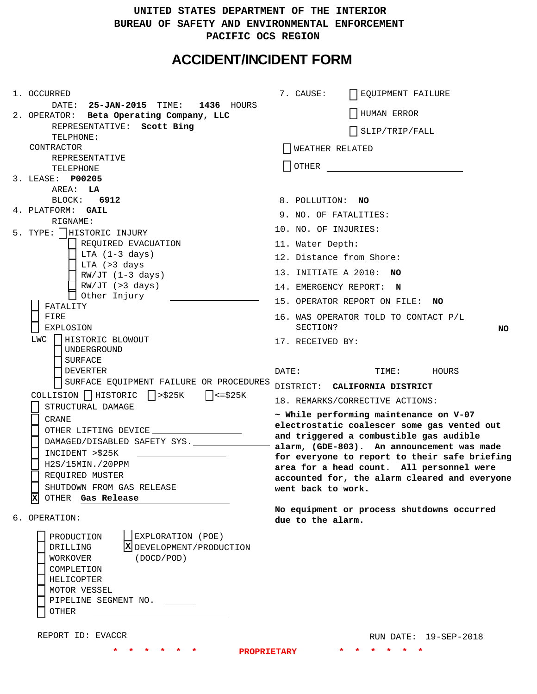| 1. OCCURRED<br>DATE: 25-JAN-2015 TIME:<br><b>1436</b> HOURS<br>2. OPERATOR: Beta Operating Company, LLC<br>REPRESENTATIVE: Scott Bing                                                           | EQUIPMENT FAILURE<br>7. CAUSE:<br>HUMAN ERROR<br>SLIP/TRIP/FALL                                                                                                                                                                                                                                                                                     |
|-------------------------------------------------------------------------------------------------------------------------------------------------------------------------------------------------|-----------------------------------------------------------------------------------------------------------------------------------------------------------------------------------------------------------------------------------------------------------------------------------------------------------------------------------------------------|
| TELPHONE:<br>CONTRACTOR<br>REPRESENTATIVE<br>TELEPHONE<br>3. LEASE: P00205                                                                                                                      | WEATHER RELATED<br>OTHER                                                                                                                                                                                                                                                                                                                            |
| AREA: LA<br>6912<br>BLOCK:                                                                                                                                                                      | 8. POLLUTION: NO                                                                                                                                                                                                                                                                                                                                    |
| 4. PLATFORM: GAIL                                                                                                                                                                               | 9. NO. OF FATALITIES:                                                                                                                                                                                                                                                                                                                               |
| RIGNAME:<br>5. TYPE:   HISTORIC INJURY<br>REQUIRED EVACUATION<br>$LTA$ $(1-3 \text{ days})$                                                                                                     | 10. NO. OF INJURIES:<br>11. Water Depth:                                                                                                                                                                                                                                                                                                            |
| LTA (>3 days<br>$RW/JT$ (1-3 days)<br>$RW/JT$ (>3 days)                                                                                                                                         | 12. Distance from Shore:<br>13. INITIATE A 2010: NO<br>14. EMERGENCY REPORT: N                                                                                                                                                                                                                                                                      |
| Other Injury<br>FATALITY<br>FIRE                                                                                                                                                                | 15. OPERATOR REPORT ON FILE:<br>NO<br>16. WAS OPERATOR TOLD TO CONTACT P/L                                                                                                                                                                                                                                                                          |
| EXPLOSION<br>HISTORIC BLOWOUT<br>LWC<br>UNDERGROUND<br><b>SURFACE</b><br>DEVERTER                                                                                                               | SECTION?<br>NO.<br>17. RECEIVED BY:<br>$\texttt{DATE}:$<br>TIME:<br>HOURS                                                                                                                                                                                                                                                                           |
| SURFACE EQUIPMENT FAILURE OR PROCEDURES<br>COLLISION HISTORIC $\bigcap$ >\$25K<br>  $\le$ = \$25K<br>STRUCTURAL DAMAGE                                                                          | DISTRICT:<br>CALIFORNIA DISTRICT<br>18. REMARKS/CORRECTIVE ACTIONS:                                                                                                                                                                                                                                                                                 |
| CRANE<br>OTHER LIFTING DEVICE _____________________<br>DAMAGED/DISABLED SAFETY SYS.<br>INCIDENT >\$25K<br>H2S/15MIN./20PPM<br>REQUIRED MUSTER<br>SHUTDOWN FROM GAS RELEASE<br>OTHER Gas Release | ~ While performing maintenance on V-07<br>electrostatic coalescer some gas vented out<br>and triggered a combustible gas audible<br>alarm, (GDE-803). An announcement was made<br>for everyone to report to their safe briefing<br>area for a head count. All personnel were<br>accounted for, the alarm cleared and everyone<br>went back to work. |
| 6. OPERATION:                                                                                                                                                                                   | No equipment or process shutdowns occurred<br>due to the alarm.                                                                                                                                                                                                                                                                                     |
| EXPLORATION (POE)<br>PRODUCTION<br>X DEVELOPMENT / PRODUCTION<br>DRILLING<br>WORKOVER<br>(DOCD/POD)<br>COMPLETION<br>HELICOPTER<br>MOTOR VESSEL<br>PIPELINE SEGMENT NO.<br>OTHER                |                                                                                                                                                                                                                                                                                                                                                     |
| REPORT ID: EVACCR                                                                                                                                                                               | RUN DATE: 19-SEP-2018                                                                                                                                                                                                                                                                                                                               |
| <b>PROPRIETARY</b>                                                                                                                                                                              | $\star$<br>$\star$ $\star$                                                                                                                                                                                                                                                                                                                          |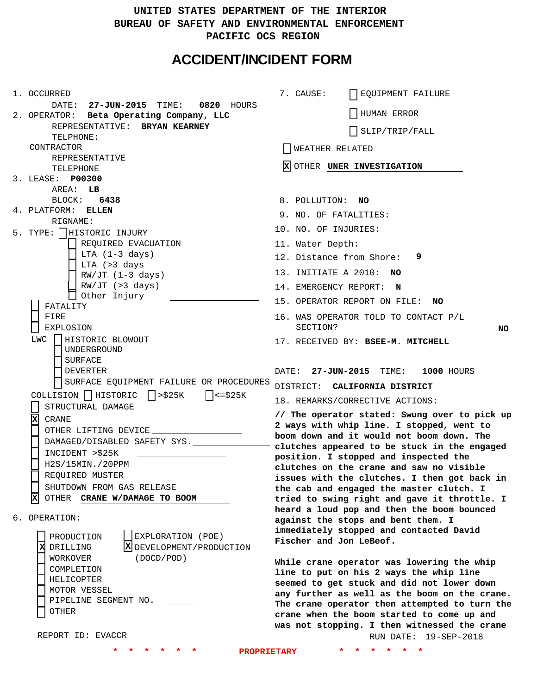| 1. OCCURRED                                                         | EQUIPMENT FAILURE<br>7. CAUSE:                                                              |
|---------------------------------------------------------------------|---------------------------------------------------------------------------------------------|
| 27-JUN-2015 TIME:<br>0820 HOURS<br>DATE:                            |                                                                                             |
| 2. OPERATOR: Beta Operating Company, LLC                            | HUMAN ERROR                                                                                 |
| REPRESENTATIVE: BRYAN KEARNEY                                       | SLIP/TRIP/FALL                                                                              |
| TELPHONE:                                                           |                                                                                             |
| CONTRACTOR                                                          | WEATHER RELATED                                                                             |
| REPRESENTATIVE<br>TELEPHONE                                         | X OTHER UNER INVESTIGATION                                                                  |
| 3. LEASE: P00300                                                    |                                                                                             |
| AREA: LB                                                            |                                                                                             |
| BLOCK:<br>6438                                                      | 8. POLLUTION: NO                                                                            |
| 4. PLATFORM: ELLEN                                                  | 9. NO. OF FATALITIES:                                                                       |
| RIGNAME:                                                            |                                                                                             |
| 5. TYPE:     HISTORIC INJURY                                        | 10. NO. OF INJURIES:                                                                        |
| REQUIRED EVACUATION                                                 | 11. Water Depth:                                                                            |
| $LTA$ $(1-3 \text{ days})$                                          | 12. Distance from Shore:<br>9                                                               |
| LTA (>3 days<br>$RW/JT$ (1-3 days)                                  | 13. INITIATE A 2010: NO                                                                     |
| $RW/JT$ (>3 days)                                                   | 14. EMERGENCY REPORT: N                                                                     |
| Other Injury                                                        |                                                                                             |
| FATALITY                                                            | 15. OPERATOR REPORT ON FILE: NO                                                             |
| FIRE                                                                | 16. WAS OPERATOR TOLD TO CONTACT P/L                                                        |
| EXPLOSION                                                           | SECTION?<br>NO.                                                                             |
| LWC     HISTORIC BLOWOUT                                            | 17. RECEIVED BY: BSEE-M. MITCHELL                                                           |
| UNDERGROUND<br><b>SURFACE</b>                                       |                                                                                             |
| DEVERTER                                                            | DATE: 27-JUN-2015 TIME:<br><b>1000 HOURS</b>                                                |
| SURFACE EQUIPMENT FAILURE OR PROCEDURES                             |                                                                                             |
| COLLISION HISTORIC $\bigcap$ >\$25K<br>  $\left  \right $ < = \$25K | DISTRICT: CALIFORNIA DISTRICT                                                               |
| STRUCTURAL DAMAGE                                                   | 18. REMARKS/CORRECTIVE ACTIONS:                                                             |
| x <br>CRANE                                                         | // The operator stated: Swung over to pick up                                               |
|                                                                     | 2 ways with whip line. I stopped, went to                                                   |
| DAMAGED/DISABLED SAFETY SYS.                                        | boom down and it would not boom down. The<br>clutches appeared to be stuck in the engaged   |
| INCIDENT >\$25K                                                     | position. I stopped and inspected the                                                       |
| H2S/15MIN./20PPM                                                    | clutches on the crane and saw no visible                                                    |
| REQUIRED MUSTER                                                     | issues with the clutches. I then got back in                                                |
| SHUTDOWN FROM GAS RELEASE                                           | the cab and engaged the master clutch. I                                                    |
| x<br>OTHER CRANE W/DAMAGE TO BOOM                                   | tried to swing right and gave it throttle. I                                                |
| 6. OPERATION:                                                       | heard a loud pop and then the boom bounced                                                  |
|                                                                     | against the stops and bent them. I<br>immediately stopped and contacted David               |
| EXPLORATION (POE)<br>PRODUCTION                                     | Fischer and Jon LeBeof.                                                                     |
| x<br>X DEVELOPMENT/PRODUCTION<br>DRILLING                           |                                                                                             |
| WORKOVER<br>(DOCD/POD)                                              | While crane operator was lowering the whip                                                  |
| COMPLETION<br>HELICOPTER                                            | line to put on his 2 ways the whip line                                                     |
| MOTOR VESSEL                                                        | seemed to get stuck and did not lower down                                                  |
| PIPELINE SEGMENT NO.                                                | any further as well as the boom on the crane.                                               |
| OTHER                                                               | The crane operator then attempted to turn the<br>crane when the boom started to come up and |
|                                                                     | was not stopping. I then witnessed the crane                                                |
| REPORT ID: EVACCR                                                   | RUN DATE: 19-SEP-2018                                                                       |
| <b>PROPRIETARY</b>                                                  | $\star$<br>*<br>$\star$                                                                     |
|                                                                     |                                                                                             |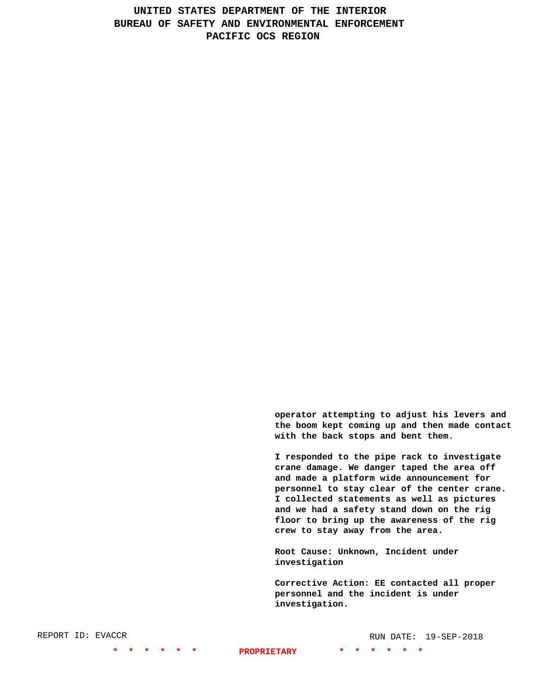**operator attempting to adjust his levers and the boom kept coming up and then made contact with the back stops and bent them.**

**I responded to the pipe rack to investigate crane damage. We danger taped the area off and made a platform wide announcement for personnel to stay clear of the center crane. I collected statements as well as pictures and we had a safety stand down on the rig floor to bring up the awareness of the rig crew to stay away from the area.**

**Root Cause: Unknown, Incident under investigation**

**Corrective Action: EE contacted all proper personnel and the incident is under investigation.**

REPORT ID: EVACCR **RUN DATE: 19-SEP-2018**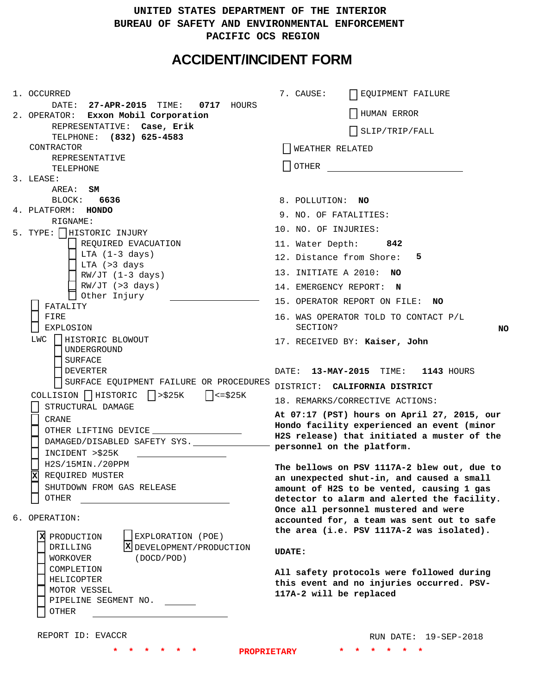| 1. OCCURRED                                                        | EQUIPMENT FAILURE<br>7. CAUSE:                                                           |
|--------------------------------------------------------------------|------------------------------------------------------------------------------------------|
| 0717 HOURS<br>DATE: $27 - APR - 2015$ TIME:                        | HUMAN ERROR                                                                              |
| 2. OPERATOR: Exxon Mobil Corporation<br>REPRESENTATIVE: Case, Erik |                                                                                          |
| TELPHONE: (832) 625-4583                                           | SLIP/TRIP/FALL                                                                           |
| CONTRACTOR                                                         | WEATHER RELATED                                                                          |
| REPRESENTATIVE                                                     |                                                                                          |
| TELEPHONE                                                          | OTHER                                                                                    |
| 3. LEASE:                                                          |                                                                                          |
| AREA: SM                                                           |                                                                                          |
| BLOCK:<br>6636<br>4. PLATFORM: HONDO                               | 8. POLLUTION: NO                                                                         |
| RIGNAME:                                                           | 9. NO. OF FATALITIES:                                                                    |
| 5. TYPE: HISTORIC INJURY                                           | 10. NO. OF INJURIES:                                                                     |
| REQUIRED EVACUATION                                                | 11. Water Depth:<br>842                                                                  |
| $LTA$ $(1-3 \text{ days})$                                         | 12. Distance from Shore:<br>5                                                            |
| LTA (>3 days                                                       |                                                                                          |
| $RW/JT$ (1-3 days)                                                 | 13. INITIATE A 2010: NO                                                                  |
| $RW/JT$ (>3 days)                                                  | 14. EMERGENCY REPORT: N                                                                  |
| Other Injury<br>FATALITY                                           | 15. OPERATOR REPORT ON FILE: NO                                                          |
| FIRE                                                               | 16. WAS OPERATOR TOLD TO CONTACT P/L                                                     |
| EXPLOSION                                                          | SECTION?<br>NO.                                                                          |
| LWC<br>  HISTORIC BLOWOUT                                          | 17. RECEIVED BY: Kaiser, John                                                            |
| UNDERGROUND                                                        |                                                                                          |
| SURFACE                                                            |                                                                                          |
| DEVERTER                                                           | DATE: 13-MAY-2015 TIME: 1143 HOURS                                                       |
| SURFACE EQUIPMENT FAILURE OR PROCEDURES                            | DISTRICT: CALIFORNIA DISTRICT                                                            |
| COLLISION HISTORIC $\bigcap$ >\$25K<br>$\vert$ <= \$25K            | 18. REMARKS/CORRECTIVE ACTIONS:                                                          |
| STRUCTURAL DAMAGE                                                  | At 07:17 (PST) hours on April 27, 2015, our                                              |
| CRANE                                                              | Hondo facility experienced an event (minor                                               |
| OTHER LIFTING DEVICE ___________________                           | H2S release) that initiated a muster of the                                              |
| DAMAGED/DISABLED SAFETY SYS.                                       | personnel on the platform.                                                               |
| INCIDENT >\$25K<br>H2S/15MIN./20PPM                                |                                                                                          |
| REQUIRED MUSTER                                                    | The bellows on PSV 1117A-2 blew out, due to                                              |
| SHUTDOWN FROM GAS RELEASE                                          | an unexpected shut-in, and caused a small                                                |
| OTHER                                                              | amount of H2S to be vented, causing 1 gas<br>detector to alarm and alerted the facility. |
|                                                                    | Once all personnel mustered and were                                                     |
| 6. OPERATION:                                                      | accounted for, a team was sent out to safe                                               |
| EXPLORATION (POE)<br>X.                                            | the area (i.e. PSV 1117A-2 was isolated).                                                |
| PRODUCTION<br>X DEVELOPMENT / PRODUCTION<br>DRILLING               |                                                                                          |
| <b>WORKOVER</b><br>(DOCD/POD)                                      | <b>UDATE:</b>                                                                            |
| COMPLETION                                                         |                                                                                          |
| HELICOPTER                                                         | All safety protocols were followed during<br>this event and no injuries occurred. PSV-   |
| MOTOR VESSEL                                                       | 117A-2 will be replaced                                                                  |
| PIPELINE SEGMENT NO.                                               |                                                                                          |
| OTHER                                                              |                                                                                          |
|                                                                    |                                                                                          |
| REPORT ID: EVACCR                                                  | RUN DATE: 19-SEP-2018                                                                    |
| <b>PROPRIETARY</b><br>$\star$ .<br>$\star$ .<br>*                  | $\ast$<br>$\star$                                                                        |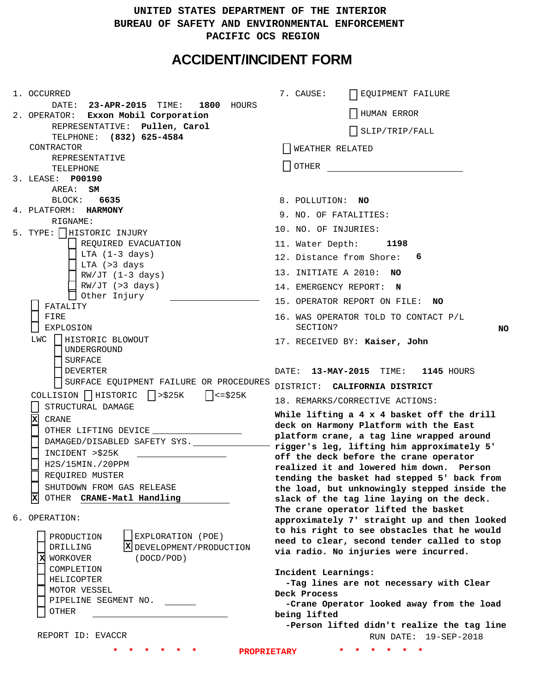| 1. OCCURRED                                                           | EQUIPMENT FAILURE<br>7. CAUSE:                                                              |
|-----------------------------------------------------------------------|---------------------------------------------------------------------------------------------|
| DATE: 23-APR-2015 TIME:<br><b>1800 HOURS</b>                          | HUMAN ERROR                                                                                 |
| 2. OPERATOR: Exxon Mobil Corporation<br>REPRESENTATIVE: Pullen, Carol |                                                                                             |
| TELPHONE: (832) 625-4584                                              | SLIP/TRIP/FALL                                                                              |
| CONTRACTOR                                                            | WEATHER RELATED                                                                             |
| REPRESENTATIVE                                                        |                                                                                             |
| TELEPHONE                                                             | OTHER                                                                                       |
| 3. LEASE: P00190                                                      |                                                                                             |
| AREA:<br>SM<br><b>BLOCK: 6635</b>                                     | 8. POLLUTION: NO                                                                            |
| 4. PLATFORM: HARMONY                                                  |                                                                                             |
| RIGNAME:                                                              | 9. NO. OF FATALITIES:                                                                       |
| 5. TYPE: HISTORIC INJURY                                              | 10. NO. OF INJURIES:                                                                        |
| REQUIRED EVACUATION                                                   | 11. Water Depth:<br>1198                                                                    |
| $LTA$ $(1-3 \text{ days})$                                            | 12. Distance from Shore:<br>-6                                                              |
| LTA (>3 days<br>$RW/JT$ (1-3 days)                                    | 13. INITIATE A 2010: NO                                                                     |
| $RW/JT$ (>3 days)                                                     | 14. EMERGENCY REPORT: N                                                                     |
| Other Injury                                                          |                                                                                             |
| FATALITY                                                              | 15. OPERATOR REPORT ON FILE: NO                                                             |
| FIRE                                                                  | 16. WAS OPERATOR TOLD TO CONTACT P/L                                                        |
| <b>EXPLOSION</b>                                                      | SECTION?<br>NO.                                                                             |
| HISTORIC BLOWOUT<br>LWC<br>UNDERGROUND                                | 17. RECEIVED BY: Kaiser, John                                                               |
| <b>SURFACE</b>                                                        |                                                                                             |
| DEVERTER                                                              | DATE: 13-MAY-2015 TIME:<br><b>1145 HOURS</b>                                                |
| SURFACE EQUIPMENT FAILURE OR PROCEDURES                               | DISTRICT: CALIFORNIA DISTRICT                                                               |
| COLLISION HISTORIC $\bigcap$ >\$25K<br>  $\left  \right $ < = \$25K   | 18. REMARKS/CORRECTIVE ACTIONS:                                                             |
| STRUCTURAL DAMAGE                                                     |                                                                                             |
| 囨<br>CRANE                                                            | While lifting a 4 x 4 basket off the drill<br>deck on Harmony Platform with the East        |
|                                                                       | platform crane, a tag line wrapped around                                                   |
|                                                                       |                                                                                             |
| INCIDENT >\$25K<br>H2S/15MIN./20PPM                                   | off the deck before the crane operator                                                      |
| REQUIRED MUSTER                                                       | realized it and lowered him down. Person                                                    |
| SHUTDOWN FROM GAS RELEASE                                             | tending the basket had stepped 5' back from<br>the load, but unknowingly stepped inside the |
| ⊠<br>OTHER CRANE-Matl Handling                                        | slack of the tag line laying on the deck.                                                   |
|                                                                       | The crane operator lifted the basket                                                        |
| 6. OPERATION:                                                         | approximately 7' straight up and then looked                                                |
| EXPLORATION (POE)<br>PRODUCTION                                       | to his right to see obstacles that he would                                                 |
| X DEVELOPMENT / PRODUCTION<br>DRILLING                                | need to clear, second tender called to stop<br>via radio. No injuries were incurred.        |
| WORKOVER<br>(DOCD/POD)                                                |                                                                                             |
| COMPLETION                                                            | Incident Learnings:                                                                         |
| HELICOPTER                                                            | -Tag lines are not necessary with Clear                                                     |
| MOTOR VESSEL<br>PIPELINE SEGMENT NO.                                  | Deck Process                                                                                |
| OTHER                                                                 | -Crane Operator looked away from the load<br>being lifted                                   |
|                                                                       | -Person lifted didn't realize the tag line                                                  |
| REPORT ID: EVACCR                                                     | RUN DATE: 19-SEP-2018                                                                       |
| * * * * *<br><b>PROPRIETARY</b>                                       | $\star$<br>*<br>*.                                                                          |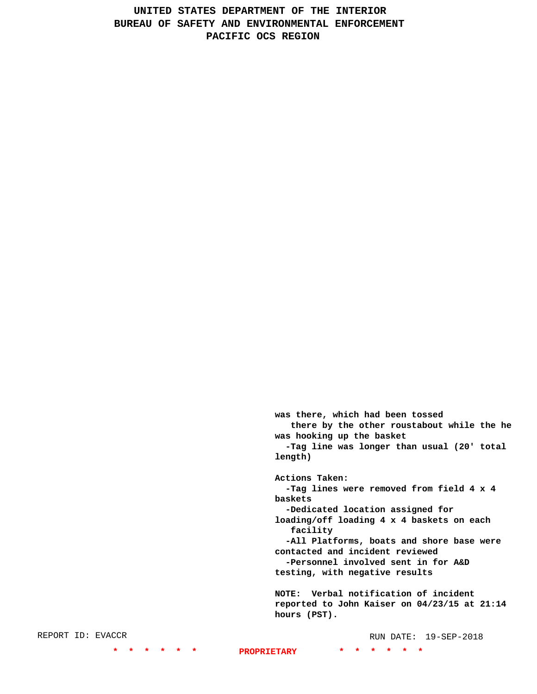**was there, which had been tossed there by the other roustabout while the he was hooking up the basket -Tag line was longer than usual (20' total length) Actions Taken: -Tag lines were removed from field 4 x 4 baskets -Dedicated location assigned for loading/off loading 4 x 4 baskets on each facility -All Platforms, boats and shore base were contacted and incident reviewed -Personnel involved sent in for A&D testing, with negative results** 

**NOTE: Verbal notification of incident reported to John Kaiser on 04/23/15 at 21:14 hours (PST).**

REPORT ID: EVACCR RUN DATE: 19-SEP-2018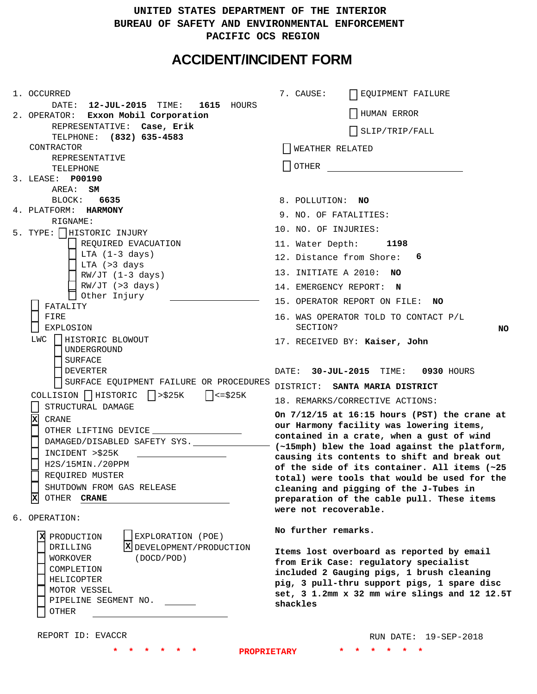## **ACCIDENT/INCIDENT FORM**

| 1. OCCURRED                                                                            | 7. CAUSE:                | EQUIPMENT FAILURE                                                                            |
|----------------------------------------------------------------------------------------|--------------------------|----------------------------------------------------------------------------------------------|
| DATE: 12-JUL-2015 TIME:<br><b>1615</b> HOURS<br>2. OPERATOR: Exxon Mobil Corporation   |                          | HUMAN ERROR                                                                                  |
| REPRESENTATIVE: Case, Erik                                                             |                          | SLIP/TRIP/FALL                                                                               |
| TELPHONE: (832) 635-4583                                                               |                          |                                                                                              |
| CONTRACTOR<br>REPRESENTATIVE                                                           | WEATHER RELATED          |                                                                                              |
| TELEPHONE                                                                              | OTHER                    |                                                                                              |
| 3. LEASE: P00190                                                                       |                          |                                                                                              |
| AREA:<br>SM                                                                            |                          |                                                                                              |
| <b>BLOCK: 6635</b><br>4. PLATFORM: HARMONY                                             | 8. POLLUTION: NO         |                                                                                              |
| RIGNAME:                                                                               | 9. NO. OF FATALITIES:    |                                                                                              |
| 5. TYPE: HISTORIC INJURY                                                               | 10. NO. OF INJURIES:     |                                                                                              |
| REQUIRED EVACUATION                                                                    | 11. Water Depth:         | 1198                                                                                         |
| $LTA$ $(1-3 \text{ days})$                                                             | 12. Distance from Shore: | 6                                                                                            |
| LTA (>3 days<br>$RW/JT$ (1-3 days)                                                     | 13. INITIATE A 2010: NO  |                                                                                              |
| $RW/JT$ (>3 days)                                                                      | 14. EMERGENCY REPORT: N  |                                                                                              |
| Other Injury                                                                           |                          | 15. OPERATOR REPORT ON FILE: NO                                                              |
| FATALITY<br>FIRE                                                                       |                          | 16. WAS OPERATOR TOLD TO CONTACT P/L                                                         |
| <b>EXPLOSION</b>                                                                       | SECTION?                 | NO.                                                                                          |
| HISTORIC BLOWOUT<br>LWC                                                                |                          | 17. RECEIVED BY: Kaiser, John                                                                |
| UNDERGROUND                                                                            |                          |                                                                                              |
| <b>SURFACE</b><br><b>DEVERTER</b>                                                      | DATE:                    | 30-JUL-2015 TIME:<br><b>0930 HOURS</b>                                                       |
| SURFACE EQUIPMENT FAILURE OR PROCEDURES                                                |                          | DISTRICT: SANTA MARIA DISTRICT                                                               |
| COLLISION HISTORIC $\bigcap$ >\$25K<br>$ $ $ $ < = \$25K                               |                          |                                                                                              |
| STRUCTURAL DAMAGE                                                                      |                          | 18. REMARKS/CORRECTIVE ACTIONS:                                                              |
| x <br>CRANE                                                                            |                          | On $7/12/15$ at $16:15$ hours (PST) the crane at<br>our Harmony facility was lowering items, |
| OTHER LIFTING DEVICE ___________________                                               |                          | contained in a crate, when a gust of wind                                                    |
| DAMAGED/DISABLED SAFETY SYS. ____________ (~15mph) blew the load against the platform, |                          |                                                                                              |
| INCIDENT >\$25K<br>H2S/15MIN./20PPM                                                    |                          | causing its contents to shift and break out                                                  |
| REQUIRED MUSTER                                                                        |                          | of the side of its container. All items (~25<br>total) were tools that would be used for the |
| SHUTDOWN FROM GAS RELEASE                                                              |                          | cleaning and pigging of the J-Tubes in                                                       |
| OTHER <b>CRANE</b>                                                                     |                          | preparation of the cable pull. These items                                                   |
| 6. OPERATION:                                                                          | were not recoverable.    |                                                                                              |
|                                                                                        | No further remarks.      |                                                                                              |
| EXPLORATION (POE)<br>x<br>PRODUCTION                                                   |                          |                                                                                              |
| X DEVELOPMENT / PRODUCTION<br>DRILLING<br>WORKOVER<br>(DOCD/POD)                       |                          | Items lost overboard as reported by email                                                    |
| COMPLETION                                                                             |                          | from Erik Case: regulatory specialist<br>included 2 Gauging pigs, 1 brush cleaning           |
| HELICOPTER                                                                             |                          | pig, 3 pull-thru support pigs, 1 spare disc                                                  |
| MOTOR VESSEL                                                                           |                          | set, 3 1.2mm x 32 mm wire slings and 12 12.5T                                                |
| PIPELINE SEGMENT NO.<br>OTHER                                                          | shackles                 |                                                                                              |
|                                                                                        |                          |                                                                                              |
| REPORT ID: EVACCR                                                                      |                          | RUN DATE: 19-SEP-2018                                                                        |
|                                                                                        |                          |                                                                                              |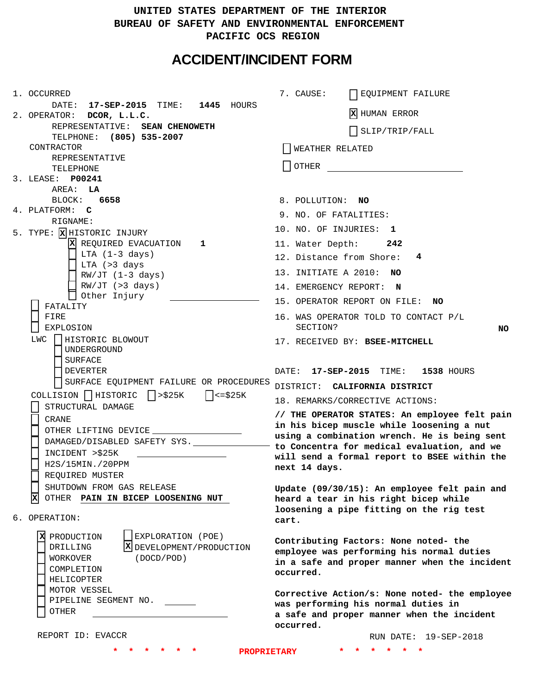| 1. OCCURRED                                                                              | EQUIPMENT FAILURE<br>7. CAUSE:                                                                                                           |
|------------------------------------------------------------------------------------------|------------------------------------------------------------------------------------------------------------------------------------------|
| DATE: 17-SEP-2015 TIME:<br><b>1445</b> HOURS                                             | <b>X</b> HUMAN ERROR                                                                                                                     |
| 2. OPERATOR: DCOR, L.L.C.<br>REPRESENTATIVE: SEAN CHENOWETH                              |                                                                                                                                          |
| TELPHONE: (805) 535-2007                                                                 | SLIP/TRIP/FALL                                                                                                                           |
| CONTRACTOR                                                                               | WEATHER RELATED                                                                                                                          |
| REPRESENTATIVE                                                                           |                                                                                                                                          |
| TELEPHONE                                                                                | OTHER                                                                                                                                    |
| 3. LEASE: P00241                                                                         |                                                                                                                                          |
| AREA: LA                                                                                 |                                                                                                                                          |
| BLOCK:<br>6658<br>4. PLATFORM: C                                                         | 8. POLLUTION: NO                                                                                                                         |
| RIGNAME:                                                                                 | 9. NO. OF FATALITIES:                                                                                                                    |
| 5. TYPE: X HISTORIC INJURY                                                               | 10. NO. OF INJURIES: 1                                                                                                                   |
| X REQUIRED EVACUATION<br>1                                                               | 11. Water Depth:<br>242                                                                                                                  |
| $LTA$ $(1-3 \text{ days})$                                                               | 12. Distance from Shore:<br>$\overline{4}$                                                                                               |
| LTA (>3 days                                                                             |                                                                                                                                          |
| $RW/JT$ (1-3 days)                                                                       | 13. INITIATE A 2010: NO                                                                                                                  |
| $RW/JT$ (>3 days)<br>Other Injury                                                        | 14. EMERGENCY REPORT: N                                                                                                                  |
| FATALITY                                                                                 | 15. OPERATOR REPORT ON FILE: NO                                                                                                          |
| FIRE                                                                                     | 16. WAS OPERATOR TOLD TO CONTACT P/L                                                                                                     |
| <b>EXPLOSION</b>                                                                         | SECTION?<br>NO.                                                                                                                          |
| LWC<br>HISTORIC BLOWOUT                                                                  | 17. RECEIVED BY: BSEE-MITCHELL                                                                                                           |
| UNDERGROUND                                                                              |                                                                                                                                          |
| <b>SURFACE</b>                                                                           |                                                                                                                                          |
| DEVERTER                                                                                 | DATE: 17-SEP-2015 TIME: 1538 HOURS                                                                                                       |
| SURFACE EQUIPMENT FAILURE OR PROCEDURES                                                  | DISTRICT: CALIFORNIA DISTRICT                                                                                                            |
| COLLISION $\bigcap$ HISTORIC $\bigcap$ >\$25K<br>$ \cdot $ <= \$25K<br>STRUCTURAL DAMAGE | 18. REMARKS/CORRECTIVE ACTIONS:                                                                                                          |
| CRANE                                                                                    | // THE OPERATOR STATES: An employee felt pain                                                                                            |
| OTHER LIFTING DEVICE ___________________                                                 | in his bicep muscle while loosening a nut                                                                                                |
|                                                                                          | using a combination wrench. He is being sent<br>DAMAGED/DISABLED SAFETY SYS. _______________ to Concentra for medical evaluation, and we |
| INCIDENT >\$25K                                                                          | will send a formal report to BSEE within the                                                                                             |
| H2S/15MIN./20PPM                                                                         | next 14 days.                                                                                                                            |
| REQUIRED MUSTER                                                                          |                                                                                                                                          |
| SHUTDOWN FROM GAS RELEASE                                                                | Update (09/30/15): An employee felt pain and                                                                                             |
| OTHER PAIN IN BICEP LOOSENING NUT<br>ΙXΙ                                                 | heard a tear in his right bicep while                                                                                                    |
| 6. OPERATION:                                                                            | loosening a pipe fitting on the rig test<br>cart.                                                                                        |
| x<br>EXPLORATION (POE)<br>PRODUCTION                                                     |                                                                                                                                          |
| X DEVELOPMENT / PRODUCTION<br>DRILLING                                                   | Contributing Factors: None noted- the<br>employee was performing his normal duties                                                       |
| WORKOVER<br>(DOCD/POD)                                                                   | in a safe and proper manner when the incident                                                                                            |
| COMPLETION                                                                               | occurred.                                                                                                                                |
| HELICOPTER                                                                               |                                                                                                                                          |
| MOTOR VESSEL<br>PIPELINE SEGMENT NO.                                                     | Corrective Action/s: None noted- the employee                                                                                            |
| OTHER                                                                                    | was performing his normal duties in                                                                                                      |
|                                                                                          | a safe and proper manner when the incident<br>occurred.                                                                                  |
| REPORT ID: EVACCR                                                                        | RUN DATE: 19-SEP-2018                                                                                                                    |
|                                                                                          |                                                                                                                                          |
|                                                                                          | <b>PROPRIETARY</b>                                                                                                                       |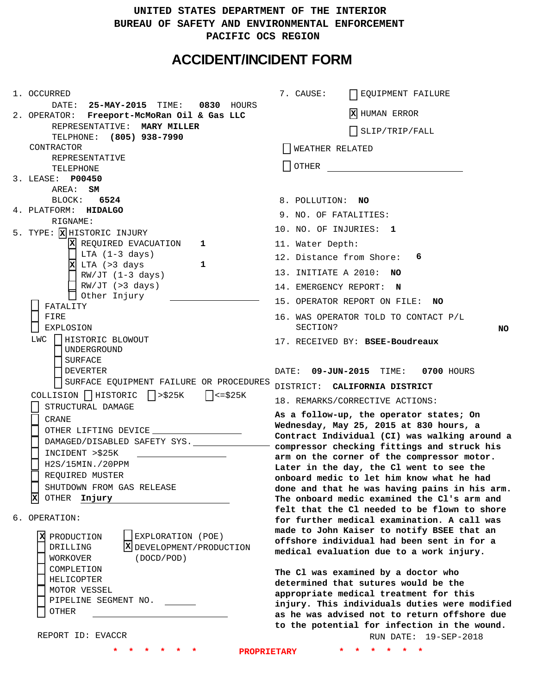| 1. OCCURRED                                                               | EQUIPMENT FAILURE<br>7. CAUSE:                                                               |
|---------------------------------------------------------------------------|----------------------------------------------------------------------------------------------|
| DATE: $25-MAY-2015$ TIME:<br><b>0830 HOURS</b>                            | <b>X</b> HUMAN ERROR                                                                         |
| 2. OPERATOR: Freeport-McMoRan Oil & Gas LLC                               |                                                                                              |
| REPRESENTATIVE: MARY MILLER<br>TELPHONE: (805) 938-7990                   | SLIP/TRIP/FALL                                                                               |
| CONTRACTOR                                                                | WEATHER RELATED                                                                              |
| REPRESENTATIVE                                                            |                                                                                              |
| TELEPHONE                                                                 | OTHER                                                                                        |
| 3. LEASE: P00450                                                          |                                                                                              |
| AREA: SM                                                                  |                                                                                              |
| <b>BLOCK: 6524</b>                                                        | 8. POLLUTION: NO                                                                             |
| 4. PLATFORM: HIDALGO<br>RIGNAME:                                          | 9. NO. OF FATALITIES:                                                                        |
| 5. TYPE: X HISTORIC INJURY                                                | 10. NO. OF INJURIES: 1                                                                       |
| X REQUIRED EVACUATION<br>$\mathbf{1}$                                     | 11. Water Depth:                                                                             |
| $LTA$ $(1-3 \text{ days})$                                                | 12. Distance from Shore:<br>- 6                                                              |
| $ X $ LTA (>3 days<br>1                                                   |                                                                                              |
| $RW/JT$ (1-3 days)                                                        | 13. INITIATE A 2010: NO                                                                      |
| $RW/JT$ (>3 days)                                                         | 14. EMERGENCY REPORT: N                                                                      |
| Other Injury                                                              | 15. OPERATOR REPORT ON FILE: NO                                                              |
| FATALITY<br>FIRE                                                          | 16. WAS OPERATOR TOLD TO CONTACT P/L                                                         |
| <b>EXPLOSION</b>                                                          | SECTION?<br>NO.                                                                              |
| LWC<br>    HISTORIC BLOWOUT                                               | 17. RECEIVED BY: BSEE-Boudreaux                                                              |
| UNDERGROUND                                                               |                                                                                              |
| <b>SURFACE</b>                                                            |                                                                                              |
| DEVERTER                                                                  | DATE: 09-JUN-2015 TIME:<br>0700 HOURS                                                        |
| SURFACE EQUIPMENT FAILURE OR PROCEDURES                                   | DISTRICT: CALIFORNIA DISTRICT                                                                |
| COLLISION HISTORIC $\bigcap$ >\$25K<br>$ \cdot $ <= \$25K                 | 18. REMARKS/CORRECTIVE ACTIONS:                                                              |
| STRUCTURAL DAMAGE                                                         |                                                                                              |
| CRANE                                                                     | As a follow-up, the operator states; On<br>Wednesday, May 25, 2015 at 830 hours, a           |
|                                                                           | Contract Individual (CI) was walking around a                                                |
| DAMAGED/DISABLED SAFETY SYS.                                              | compressor checking fittings and struck his                                                  |
| INCIDENT >\$25K                                                           | arm on the corner of the compressor motor.                                                   |
| H2S/15MIN./20PPM<br>REQUIRED MUSTER                                       | Later in the day, the Cl went to see the                                                     |
| SHUTDOWN FROM GAS RELEASE                                                 | onboard medic to let him know what he had                                                    |
| x<br>OTHER Injury                                                         | done and that he was having pains in his arm.<br>The onboard medic examined the Cl's arm and |
|                                                                           | felt that the Cl needed to be flown to shore                                                 |
| 6. OPERATION:                                                             | for further medical examination. A call was                                                  |
|                                                                           | made to John Kaiser to notify BSEE that an                                                   |
| EXPLORATION (POE)<br>PRODUCTION<br>X DEVELOPMENT / PRODUCTION<br>DRILLING | offshore individual had been sent in for a                                                   |
| WORKOVER<br>(DOCD/POD)                                                    | medical evaluation due to a work injury.                                                     |
| COMPLETION                                                                |                                                                                              |
| HELICOPTER                                                                | The Cl was examined by a doctor who<br>determined that sutures would be the                  |
| MOTOR VESSEL                                                              | appropriate medical treatment for this                                                       |
| PIPELINE SEGMENT NO.                                                      | injury. This individuals duties were modified                                                |
| OTHER                                                                     | as he was advised not to return offshore due                                                 |
|                                                                           | to the potential for infection in the wound.                                                 |
| REPORT ID: EVACCR                                                         | RUN DATE: 19-SEP-2018                                                                        |
|                                                                           | <b>PROPRIETARY</b>                                                                           |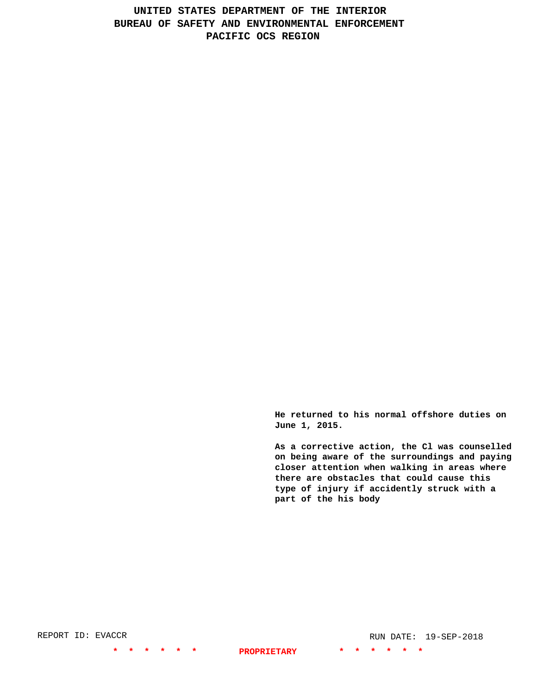**He returned to his normal offshore duties on June 1, 2015.**

**As a corrective action, the Cl was counselled on being aware of the surroundings and paying closer attention when walking in areas where there are obstacles that could cause this type of injury if accidently struck with a part of the his body**

**\* \* \* \* \* \* PROPRIETARY \* \* \* \* \* \***

REPORT ID: EVACCR RUN DATE: 19-SEP-2018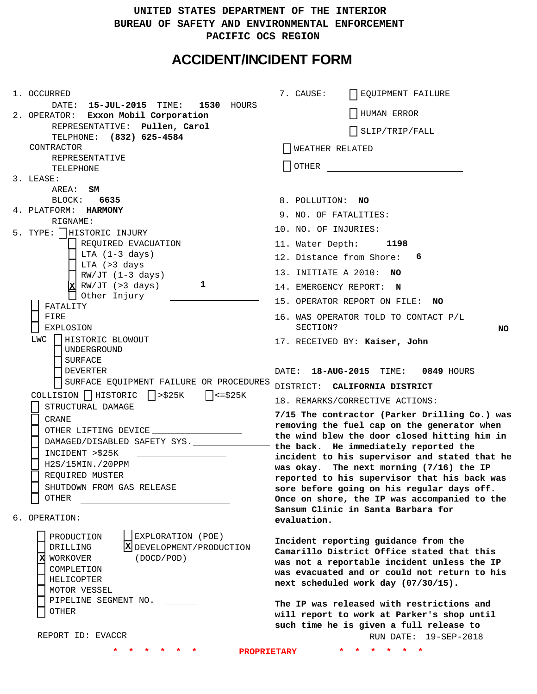| 1. OCCURRED                                               | EQUIPMENT FAILURE<br>7. CAUSE:                                                             |
|-----------------------------------------------------------|--------------------------------------------------------------------------------------------|
| DATE: 15-JUL-2015 TIME:<br><b>1530 HOURS</b>              |                                                                                            |
| 2. OPERATOR: Exxon Mobil Corporation                      | HUMAN ERROR                                                                                |
| REPRESENTATIVE: Pullen, Carol<br>TELPHONE: (832) 625-4584 | SLIP/TRIP/FALL                                                                             |
| CONTRACTOR                                                | WEATHER RELATED                                                                            |
| REPRESENTATIVE                                            |                                                                                            |
| TELEPHONE                                                 | OTHER                                                                                      |
| 3. LEASE:                                                 |                                                                                            |
| AREA:<br>SM                                               |                                                                                            |
| 6635<br>BLOCK:                                            | 8. POLLUTION: NO                                                                           |
| 4. PLATFORM: HARMONY<br>RIGNAME:                          | 9. NO. OF FATALITIES:                                                                      |
| 5. TYPE:   HISTORIC INJURY                                | 10. NO. OF INJURIES:                                                                       |
| REQUIRED EVACUATION                                       | 11. Water Depth:<br>1198                                                                   |
| $LTA$ $(1-3 \text{ days})$                                | 12. Distance from Shore:<br>- 6                                                            |
| LTA (>3 days                                              |                                                                                            |
| $RW/JT$ (1-3 days)                                        | 13. INITIATE A 2010: NO                                                                    |
| $RW/JT$ (>3 days)<br>$\mathbf{1}$<br>씰                    | 14. EMERGENCY REPORT: N                                                                    |
| Other Injury<br>FATALITY                                  | 15. OPERATOR REPORT ON FILE: NO                                                            |
| FIRE                                                      | 16. WAS OPERATOR TOLD TO CONTACT P/L                                                       |
| <b>EXPLOSION</b>                                          | SECTION?<br>NO.                                                                            |
| LWC<br>    HISTORIC BLOWOUT                               | 17. RECEIVED BY: Kaiser, John                                                              |
| UNDERGROUND                                               |                                                                                            |
| <b>SURFACE</b>                                            |                                                                                            |
| DEVERTER                                                  | DATE: 18-AUG-2015 TIME:<br><b>0849 HOURS</b>                                               |
| SURFACE EQUIPMENT FAILURE OR PROCEDURES                   | DISTRICT: CALIFORNIA DISTRICT                                                              |
| COLLISION HISTORIC $\bigcap$ >\$25K<br>$ \cdot $ <= \$25K | 18. REMARKS/CORRECTIVE ACTIONS:                                                            |
| STRUCTURAL DAMAGE                                         | 7/15 The contractor (Parker Drilling Co.) was                                              |
| CRANE                                                     | removing the fuel cap on the generator when                                                |
| OTHER LIFTING DEVICE __________________                   | the wind blew the door closed hitting him in                                               |
| DAMAGED/DISABLED SAFETY SYS.<br>INCIDENT >\$25K           | the back. He immediately reported the                                                      |
| H2S/15MIN./20PPM                                          | incident to his supervisor and stated that he                                              |
| REQUIRED MUSTER                                           | was okay. The next morning (7/16) the IP                                                   |
| SHUTDOWN FROM GAS RELEASE                                 | reported to his supervisor that his back was<br>sore before going on his regular days off. |
| OTHER                                                     | Once on shore, the IP was accompanied to the                                               |
|                                                           | Sansum Clinic in Santa Barbara for                                                         |
| 6. OPERATION:                                             | evaluation.                                                                                |
| EXPLORATION (POE)<br>PRODUCTION                           |                                                                                            |
| X DEVELOPMENT / PRODUCTION<br>DRILLING                    | Incident reporting guidance from the<br>Camarillo District Office stated that this         |
| (DOCD/POD)<br>WORKOVER                                    | was not a reportable incident unless the IP                                                |
| COMPLETION                                                | was evacuated and or could not return to his                                               |
| HELICOPTER                                                | next scheduled work day (07/30/15).                                                        |
| MOTOR VESSEL                                              |                                                                                            |
| PIPELINE SEGMENT NO.                                      | The IP was released with restrictions and                                                  |
| OTHER                                                     | will report to work at Parker's shop until                                                 |
|                                                           | such time he is given a full release to                                                    |
| REPORT ID: EVACCR                                         | RUN DATE: 19-SEP-2018                                                                      |
|                                                           | <b>PROPRIETARY</b>                                                                         |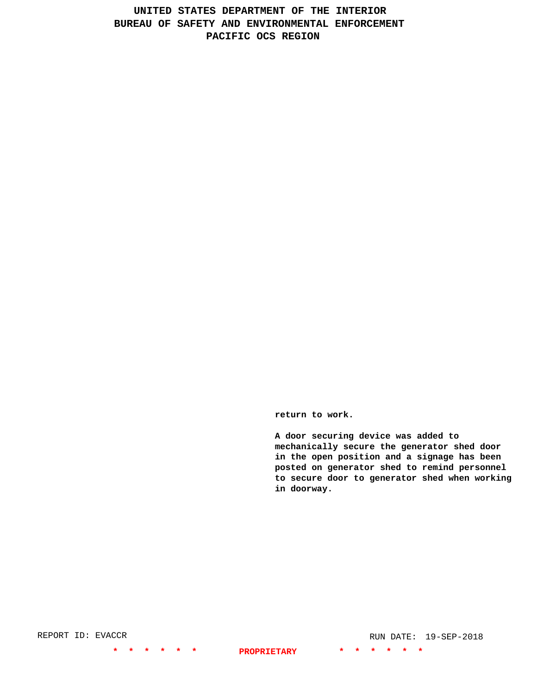**return to work.** 

**A door securing device was added to mechanically secure the generator shed door in the open position and a signage has been posted on generator shed to remind personnel to secure door to generator shed when working in doorway.**

**\* \* \* \* \* \* PROPRIETARY \* \* \* \* \* \***

REPORT ID: EVACCR RUN DATE: 19-SEP-2018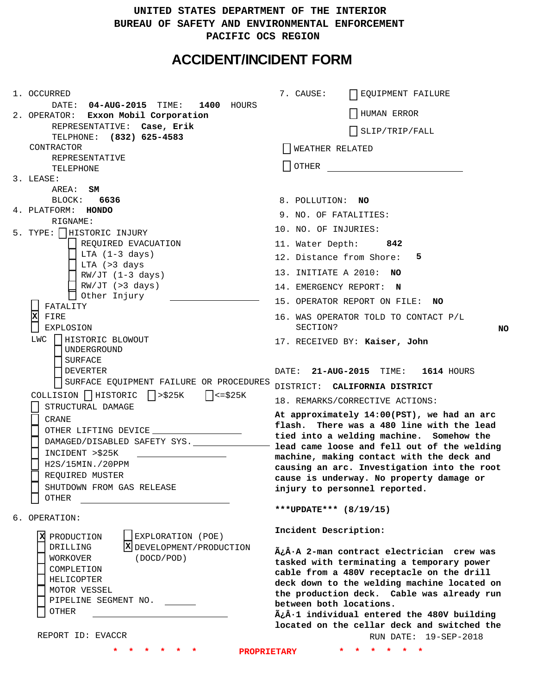| 1. OCCURRED                                                        | EQUIPMENT FAILURE<br>7. CAUSE:                                                          |
|--------------------------------------------------------------------|-----------------------------------------------------------------------------------------|
| DATE: 04-AUG-2015 TIME:<br><b>1400 HOURS</b>                       | HUMAN ERROR                                                                             |
| 2. OPERATOR: Exxon Mobil Corporation<br>REPRESENTATIVE: Case, Erik |                                                                                         |
| TELPHONE: (832) 625-4583                                           | SLIP/TRIP/FALL                                                                          |
| CONTRACTOR                                                         | WEATHER RELATED                                                                         |
| REPRESENTATIVE                                                     | OTHER                                                                                   |
| TELEPHONE<br>3. LEASE:                                             |                                                                                         |
| AREA:<br>SM                                                        |                                                                                         |
| <b>BLOCK: 6636</b>                                                 | 8. POLLUTION: NO                                                                        |
| 4. PLATFORM: HONDO                                                 | 9. NO. OF FATALITIES:                                                                   |
| RIGNAME:                                                           | 10. NO. OF INJURIES:                                                                    |
| 5. TYPE: HISTORIC INJURY<br>REQUIRED EVACUATION                    | 11. Water Depth: 842                                                                    |
| $LTA$ $(1-3 \text{ days})$                                         | 12. Distance from Shore:<br>5                                                           |
| $LTA$ (>3 days                                                     |                                                                                         |
| $RW/JT$ (1-3 days)                                                 | 13. INITIATE A 2010: NO                                                                 |
| $RW/JT$ (>3 days)                                                  | 14. EMERGENCY REPORT: N                                                                 |
| Other Injury<br>FATALITY                                           | 15. OPERATOR REPORT ON FILE: NO                                                         |
| ⊠<br>FIRE                                                          | 16. WAS OPERATOR TOLD TO CONTACT P/L                                                    |
| <b>EXPLOSION</b>                                                   | SECTION?<br>NO.                                                                         |
| <b>LWC</b><br>HISTORIC BLOWOUT                                     | 17. RECEIVED BY: Kaiser, John                                                           |
| UNDERGROUND                                                        |                                                                                         |
| <b>SURFACE</b><br>DEVERTER                                         | DATE: 21-AUG-2015 TIME:<br><b>1614 HOURS</b>                                            |
| SURFACE EQUIPMENT FAILURE OR PROCEDURES                            | DISTRICT: CALIFORNIA DISTRICT                                                           |
| COLLISION HISTORIC $\bigcap$ >\$25K<br>$ \cdot $ <= \$25K          |                                                                                         |
| STRUCTURAL DAMAGE                                                  | 18. REMARKS/CORRECTIVE ACTIONS:                                                         |
| CRANE                                                              | At approximately 14:00(PST), we had an arc                                              |
| OTHER LIFTING DEVICE ____________________                          | flash. There was a 480 line with the lead<br>tied into a welding machine. Somehow the   |
| DAMAGED/DISABLED SAFETY SYS.                                       | lead came loose and fell out of the welding                                             |
| INCIDENT >\$25K                                                    | machine, making contact with the deck and                                               |
| H2S/15MIN./20PPM<br>REOUIRED MUSTER                                | causing an arc. Investigation into the root                                             |
| SHUTDOWN FROM GAS RELEASE                                          | cause is underway. No property damage or<br>injury to personnel reported.               |
| OTHER                                                              |                                                                                         |
|                                                                    | ***UPDATE*** (8/19/15)                                                                  |
| 6. OPERATION:                                                      |                                                                                         |
| EXPLORATION (POE)<br>ΙX<br>PRODUCTION                              | Incident Description:                                                                   |
| X DEVELOPMENT/PRODUCTION<br>DRILLING                               | ÿ·A 2-man contract electrician crew was                                                 |
| WORKOVER<br>(DOCD/POD)                                             | tasked with terminating a temporary power                                               |
| COMPLETION                                                         | cable from a 480V receptacle on the drill                                               |
| HELICOPTER                                                         | deck down to the welding machine located on                                             |
| MOTOR VESSEL<br>PIPELINE SEGMENT NO.                               | the production deck. Cable was already run                                              |
| OTHER                                                              | between both locations.                                                                 |
|                                                                    | ÿ·1 individual entered the 480V building<br>located on the cellar deck and switched the |
| REPORT ID: EVACCR                                                  | RUN DATE: 19-SEP-2018                                                                   |
|                                                                    | <b>PROPRIETARY</b>                                                                      |
|                                                                    |                                                                                         |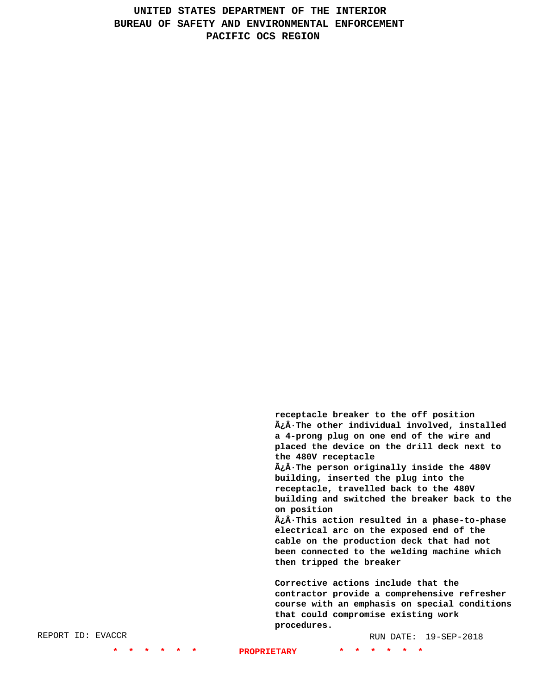**receptacle breaker to the off position ÿ·The other individual involved, installed a 4-prong plug on one end of the wire and placed the device on the drill deck next to the 480V receptacle ÿ·The person originally inside the 480V building, inserted the plug into the receptacle, travelled back to the 480V building and switched the breaker back to the on position ÿ·This action resulted in a phase-to-phase electrical arc on the exposed end of the cable on the production deck that had not been connected to the welding machine which then tripped the breaker** 

**Corrective actions include that the contractor provide a comprehensive refresher course with an emphasis on special conditions that could compromise existing work procedures.** 

REPORT ID: EVACCR **RUN DATE: 19-SEP-2018**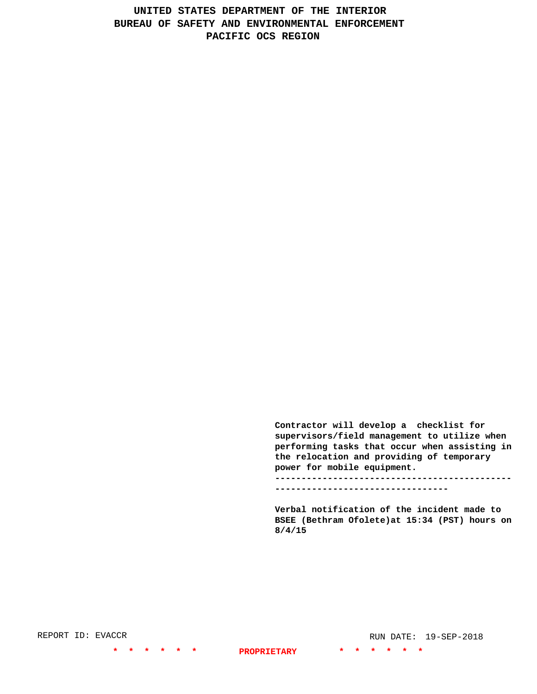**Contractor will develop a checklist for supervisors/field management to utilize when performing tasks that occur when assisting in the relocation and providing of temporary power for mobile equipment.** 

**--------------------------------------------- ---------------------------------**

**Verbal notification of the incident made to BSEE (Bethram Ofolete)at 15:34 (PST) hours on 8/4/15**

REPORT ID: EVACCR RUN DATE: 19-SEP-2018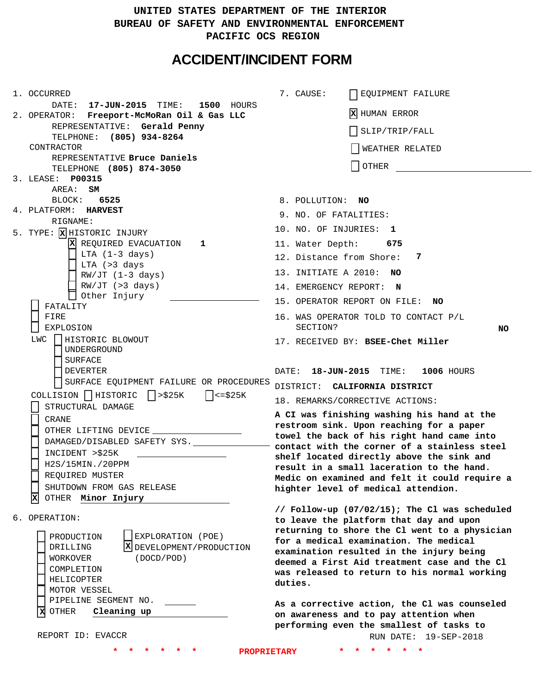| 1. OCCURRED                                                                       | 7. CAUSE:<br>EQUIPMENT FAILURE                                                             |
|-----------------------------------------------------------------------------------|--------------------------------------------------------------------------------------------|
| DATE: 17-JUN-2015 TIME: 1500 HOURS<br>2. OPERATOR: Freeport-McMoRan Oil & Gas LLC | <b>X</b> HUMAN ERROR                                                                       |
| REPRESENTATIVE: Gerald Penny                                                      |                                                                                            |
| TELPHONE: (805) 934-8264                                                          | SLIP/TRIP/FALL                                                                             |
| CONTRACTOR                                                                        | WEATHER RELATED                                                                            |
| REPRESENTATIVE Bruce Daniels                                                      | OTHER                                                                                      |
| TELEPHONE (805) 874-3050<br>3. LEASE: P00315                                      |                                                                                            |
| AREA: SM                                                                          |                                                                                            |
| <b>BLOCK: 6525</b>                                                                | 8. POLLUTION: NO                                                                           |
| 4. PLATFORM: HARVEST                                                              | 9. NO. OF FATALITIES:                                                                      |
| RIGNAME:                                                                          | 10. NO. OF INJURIES: 1                                                                     |
| 5. TYPE: X HISTORIC INJURY                                                        |                                                                                            |
| X REQUIRED EVACUATION<br>$\mathbf{1}$<br>$LTA$ $(1-3 \text{ days})$               | 11. Water Depth:<br>675                                                                    |
| LTA (>3 days                                                                      | 12. Distance from Shore:<br>7                                                              |
| $RW/JT$ (1-3 days)                                                                | 13. INITIATE A 2010: NO                                                                    |
| $RW/JT$ (>3 days)                                                                 | 14. EMERGENCY REPORT: N                                                                    |
| Other Injury                                                                      | 15. OPERATOR REPORT ON FILE: NO                                                            |
| FATALITY                                                                          |                                                                                            |
| FIRE<br>EXPLOSION                                                                 | 16. WAS OPERATOR TOLD TO CONTACT P/L<br>SECTION?                                           |
| HISTORIC BLOWOUT<br>LWC                                                           | NO.                                                                                        |
| UNDERGROUND                                                                       | 17. RECEIVED BY: BSEE-Chet Miller                                                          |
| SURFACE                                                                           |                                                                                            |
| <b>DEVERTER</b>                                                                   | DATE: 18-JUN-2015 TIME:<br><b>1006 HOURS</b>                                               |
| SURFACE EQUIPMENT FAILURE OR PROCEDURES                                           | DISTRICT: CALIFORNIA DISTRICT                                                              |
| COLLISION HISTORIC $\bigcap$ >\$25K<br>  $\left  \right $ < = \$25K               | 18. REMARKS/CORRECTIVE ACTIONS:                                                            |
| STRUCTURAL DAMAGE                                                                 | A CI was finishing washing his hand at the                                                 |
| CRANE                                                                             | restroom sink. Upon reaching for a paper                                                   |
| OTHER LIFTING DEVICE __________________                                           | towel the back of his right hand came into                                                 |
| DAMAGED/DISABLED SAFETY SYS.<br>INCIDENT >\$25K                                   | contact with the corner of a stainless steel                                               |
| H2S/15MIN./20PPM                                                                  | shelf located directly above the sink and                                                  |
| REQUIRED MUSTER                                                                   | result in a small laceration to the hand.<br>Medic on examined and felt it could require a |
| SHUTDOWN FROM GAS RELEASE                                                         | highter level of medical attendion.                                                        |
| OTHER Minor Injury<br>ΙxΙ                                                         |                                                                                            |
|                                                                                   | // Follow-up (07/02/15); The Cl was scheduled                                              |
| 6. OPERATION:                                                                     | to leave the platform that day and upon                                                    |
| EXPLORATION (POE)<br>PRODUCTION                                                   | returning to shore the Cl went to a physician<br>for a medical examination. The medical    |
| X DEVELOPMENT / PRODUCTION<br>DRILLING                                            | examination resulted in the injury being                                                   |
| WORKOVER<br>(DOCD/POD)                                                            | deemed a First Aid treatment case and the Cl                                               |
| COMPLETION                                                                        | was released to return to his normal working                                               |
| HELICOPTER                                                                        | duties.                                                                                    |
| MOTOR VESSEL<br>PIPELINE SEGMENT NO.                                              |                                                                                            |
| Cleaning up<br>OTHER<br>ΙX                                                        | As a corrective action, the Cl was counseled<br>on awareness and to pay attention when     |
|                                                                                   | performing even the smallest of tasks to                                                   |
| REPORT ID: EVACCR                                                                 | RUN DATE: 19-SEP-2018                                                                      |
| <b>PROPRIETARY</b>                                                                |                                                                                            |
|                                                                                   |                                                                                            |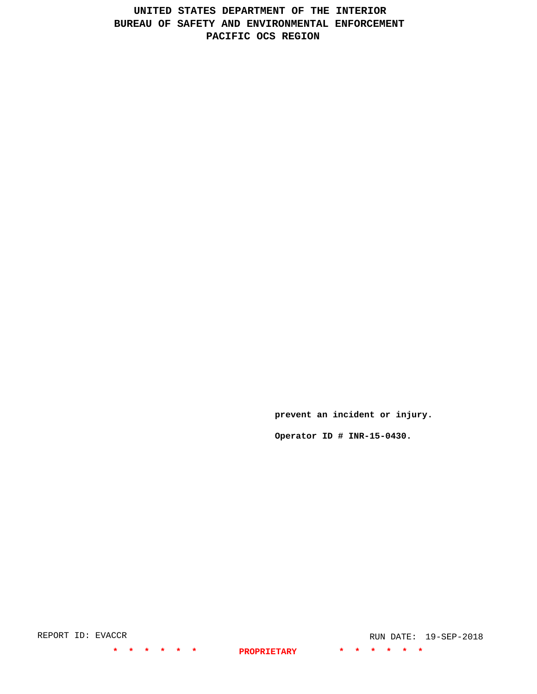**prevent an incident or injury. Operator ID # INR-15-0430.**

REPORT ID: EVACCR RUN DATE: 19-SEP-2018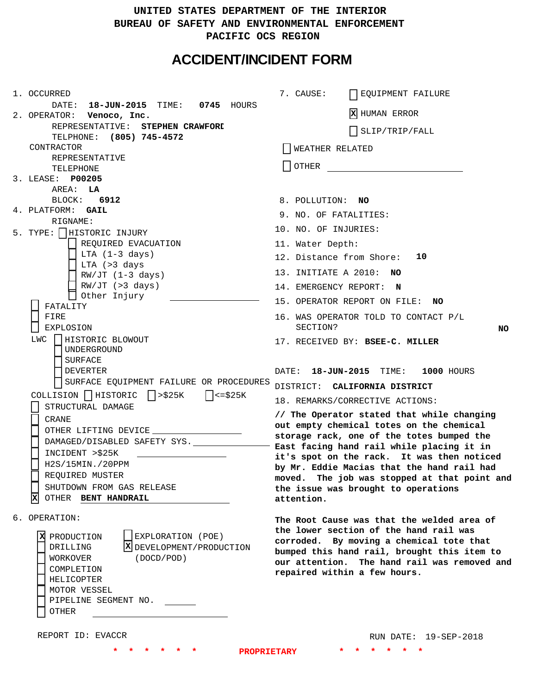| 1. OCCURRED                                                      | EQUIPMENT FAILURE<br>7. CAUSE:                                                        |
|------------------------------------------------------------------|---------------------------------------------------------------------------------------|
| DATE: 18-JUN-2015 TIME: 0745 HOURS                               |                                                                                       |
| 2. OPERATOR: Venoco, Inc.                                        | <b>X</b> HUMAN ERROR                                                                  |
| REPRESENTATIVE: STEPHEN CRAWFORI<br>TELPHONE: (805) 745-4572     | SLIP/TRIP/FALL                                                                        |
| CONTRACTOR                                                       | WEATHER RELATED                                                                       |
| REPRESENTATIVE                                                   |                                                                                       |
| TELEPHONE                                                        | OTHER                                                                                 |
| 3. LEASE: P00205                                                 |                                                                                       |
| AREA: LA                                                         |                                                                                       |
| BLOCK:<br>6912<br>4. PLATFORM: GAIL                              | 8. POLLUTION: NO                                                                      |
| RIGNAME:                                                         | 9. NO. OF FATALITIES:                                                                 |
| 5. TYPE:   HISTORIC INJURY                                       | 10. NO. OF INJURIES:                                                                  |
| REQUIRED EVACUATION                                              | 11. Water Depth:                                                                      |
| $LTA$ $(1-3 \text{ days})$                                       | 12. Distance from Shore:<br>10                                                        |
| LTA (>3 days                                                     | 13. INITIATE A 2010: NO                                                               |
| $RW/JT$ (1-3 days)<br>$RW/JT$ (>3 days)                          |                                                                                       |
| Other Injury                                                     | 14. EMERGENCY REPORT: N                                                               |
| FATALITY                                                         | 15. OPERATOR REPORT ON FILE: NO                                                       |
| FIRE                                                             | 16. WAS OPERATOR TOLD TO CONTACT P/L                                                  |
| <b>EXPLOSION</b>                                                 | SECTION?<br>NO.                                                                       |
| LWC     HISTORIC BLOWOUT                                         | 17. RECEIVED BY: BSEE-C. MILLER                                                       |
| UNDERGROUND<br>SURFACE                                           |                                                                                       |
| <b>DEVERTER</b>                                                  | DATE: 18-JUN-2015 TIME: 1000 HOURS                                                    |
| SURFACE EQUIPMENT FAILURE OR PROCEDURES                          |                                                                                       |
| COLLISION $\bigcap$ HISTORIC $\bigcap$ >\$25K<br>  $\le$ = \$25K | DISTRICT: CALIFORNIA DISTRICT                                                         |
| STRUCTURAL DAMAGE                                                | 18. REMARKS/CORRECTIVE ACTIONS:                                                       |
| CRANE                                                            | // The Operator stated that while changing                                            |
| OTHER LIFTING DEVICE ____________________                        | out empty chemical totes on the chemical<br>storage rack, one of the totes bumped the |
| DAMAGED/DISABLED SAFETY SYS.                                     | East facing hand rail while placing it in                                             |
| INCIDENT >\$25K                                                  | it's spot on the rack. It was then noticed                                            |
| H2S/15MIN./20PPM                                                 | by Mr. Eddie Macias that the hand rail had                                            |
| REQUIRED MUSTER                                                  | moved. The job was stopped at that point and                                          |
| SHUTDOWN FROM GAS RELEASE<br>OTHER BENT HANDRAIL                 | the issue was brought to operations<br>attention.                                     |
|                                                                  |                                                                                       |
| 6. OPERATION:                                                    | The Root Cause was that the welded area of                                            |
| x<br>EXPLORATION (POE)                                           | the lower section of the hand rail was                                                |
| PRODUCTION<br>X DEVELOPMENT / PRODUCTION<br>DRILLING             | corroded. By moving a chemical tote that                                              |
| WORKOVER<br>(DOCD/POD)                                           | bumped this hand rail, brought this item to                                           |
| COMPLETION                                                       | our attention.<br>The hand rail was removed and<br>repaired within a few hours.       |
| HELICOPTER                                                       |                                                                                       |
| MOTOR VESSEL                                                     |                                                                                       |
| PIPELINE SEGMENT NO.                                             |                                                                                       |
| <b>OTHER</b>                                                     |                                                                                       |
| REPORT ID: EVACCR                                                |                                                                                       |
|                                                                  | RUN DATE: 19-SEP-2018                                                                 |
| <b>PROPRIETARY</b>                                               |                                                                                       |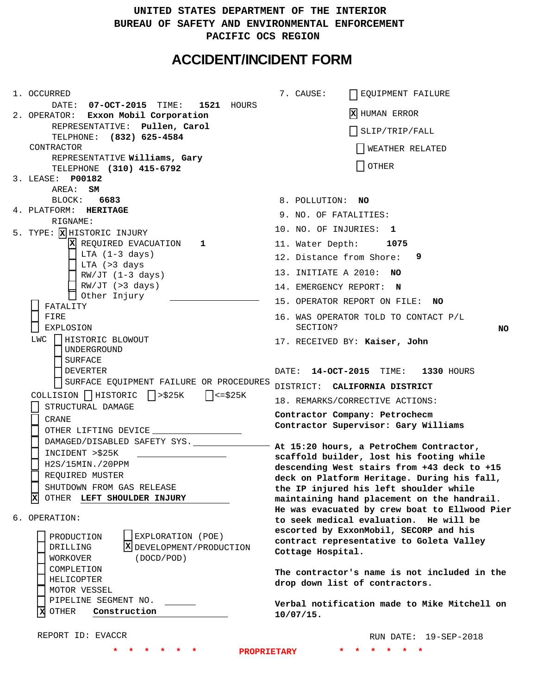## **ACCIDENT/INCIDENT FORM**

| 1. OCCURRED                                                           | EQUIPMENT FAILURE<br>7. CAUSE:                                                             |
|-----------------------------------------------------------------------|--------------------------------------------------------------------------------------------|
| DATE: 07-OCT-2015 TIME:<br><b>1521</b> HOURS                          | <b>X</b> HUMAN ERROR                                                                       |
| 2. OPERATOR: Exxon Mobil Corporation<br>REPRESENTATIVE: Pullen, Carol |                                                                                            |
| TELPHONE: (832) 625-4584                                              | SLIP/TRIP/FALL                                                                             |
| CONTRACTOR                                                            | WEATHER RELATED                                                                            |
| REPRESENTATIVE Williams, Gary                                         | OTHER                                                                                      |
| TELEPHONE (310) 415-6792<br>3. LEASE: P00182                          |                                                                                            |
| AREA:<br>SM                                                           |                                                                                            |
| 6683<br>BLOCK:                                                        | 8. POLLUTION: NO                                                                           |
| 4. PLATFORM: HERITAGE<br>RIGNAME:                                     | 9. NO. OF FATALITIES:                                                                      |
| 5. TYPE: X HISTORIC INJURY                                            | 10. NO. OF INJURIES: 1                                                                     |
| X REQUIRED EVACUATION<br>1                                            | 11. Water Depth:<br>1075                                                                   |
| $LTA$ $(1-3 \text{ days})$                                            | 12. Distance from Shore:<br>- 9                                                            |
| LTA (>3 days<br>$RW/JT$ (1-3 days)                                    | 13. INITIATE A 2010: NO                                                                    |
| $RW/JT$ (>3 days)                                                     | 14. EMERGENCY REPORT: N                                                                    |
| Other Injury                                                          | 15. OPERATOR REPORT ON FILE:<br>NO                                                         |
| FATALITY                                                              |                                                                                            |
| FIRE<br><b>EXPLOSION</b>                                              | 16. WAS OPERATOR TOLD TO CONTACT P/L<br>SECTION?<br>NO.                                    |
| LWC<br>  HISTORIC BLOWOUT                                             | 17. RECEIVED BY: Kaiser, John                                                              |
| UNDERGROUND                                                           |                                                                                            |
| SURFACE                                                               |                                                                                            |
| <b>DEVERTER</b><br>SURFACE EQUIPMENT FAILURE OR PROCEDURES            | DATE: 14-OCT-2015 TIME:<br><b>1330 HOURS</b>                                               |
| COLLISION HISTORIC $\bigcap$ >\$25K<br>$\vert$ $\vert$ <= \$25K       | DISTRICT: CALIFORNIA DISTRICT                                                              |
| STRUCTURAL DAMAGE                                                     | 18. REMARKS/CORRECTIVE ACTIONS:                                                            |
| CRANE                                                                 | Contractor Company: Petrochecm                                                             |
|                                                                       | Contractor Supervisor: Gary Williams                                                       |
| DAMAGED/DISABLED SAFETY SYS.                                          | At 15:20 hours, a PetroChem Contractor,                                                    |
| INCIDENT >\$25K<br>H2S/15MIN./20PPM                                   | scaffold builder, lost his footing while                                                   |
| REQUIRED MUSTER                                                       | descending West stairs from +43 deck to +15<br>deck on Platform Heritage. During his fall, |
| SHUTDOWN FROM GAS RELEASE                                             | the IP injured his left shoulder while                                                     |
| x <br>OTHER LEFT SHOULDER INJURY                                      | maintaining hand placement on the handrail.                                                |
| 6. OPERATION:                                                         | He was evacuated by crew boat to Ellwood Pier                                              |
|                                                                       | to seek medical evaluation. He will be<br>escorted by ExxonMobil, SECORP and his           |
| EXPLORATION (POE)<br>PRODUCTION                                       | contract representative to Goleta Valley                                                   |
| X DEVELOPMENT / PRODUCTION<br>DRILLING<br>WORKOVER<br>(DOCD/POD)      | Cottage Hospital.                                                                          |
| COMPLETION                                                            | The contractor's name is not included in the                                               |
| HELICOPTER                                                            | drop down list of contractors.                                                             |
| MOTOR VESSEL                                                          |                                                                                            |
| PIPELINE SEGMENT NO.<br>OTHER<br>Construction<br>X                    | Verbal notification made to Mike Mitchell on                                               |
|                                                                       | 10/07/15.                                                                                  |
| REPORT ID: EVACCR                                                     | RUN DATE:<br>19-SEP-2018                                                                   |
|                                                                       |                                                                                            |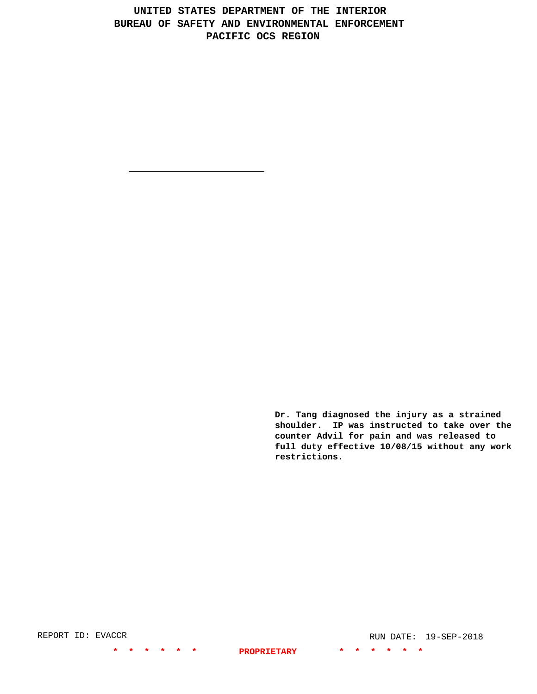**Dr. Tang diagnosed the injury as a strained shoulder. IP was instructed to take over the counter Advil for pain and was released to full duty effective 10/08/15 without any work restrictions.**

REPORT ID: EVACCR RUN DATE: 19-SEP-2018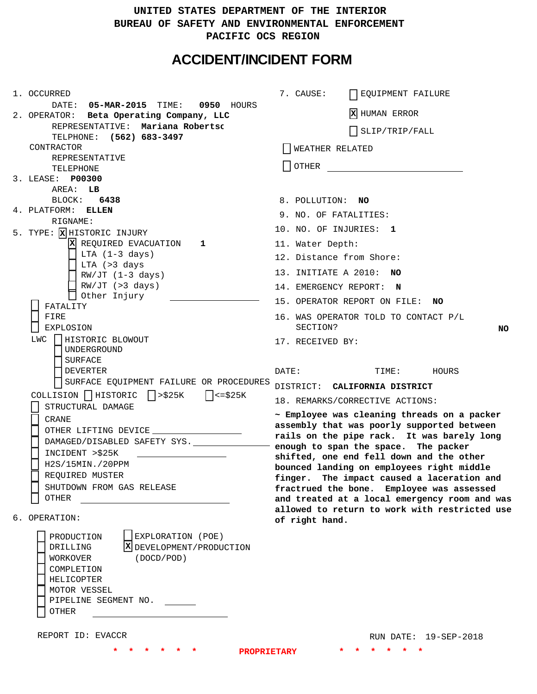| 1. OCCURRED                                                                  | EQUIPMENT FAILURE<br>7. CAUSE:                                                     |
|------------------------------------------------------------------------------|------------------------------------------------------------------------------------|
| <b>0950 HOURS</b><br>DATE: 05-MAR-2015 TIME:                                 | <b>X</b> HUMAN ERROR                                                               |
| 2. OPERATOR: Beta Operating Company, LLC<br>REPRESENTATIVE: Mariana Robertsc |                                                                                    |
| TELPHONE: (562) 683-3497                                                     | SLIP/TRIP/FALL                                                                     |
| CONTRACTOR                                                                   | WEATHER RELATED                                                                    |
| REPRESENTATIVE                                                               |                                                                                    |
| TELEPHONE                                                                    | <b>OTHER</b>                                                                       |
| 3. LEASE: P00300<br>AREA: LB                                                 |                                                                                    |
| BLOCK:<br>6438                                                               | 8. POLLUTION: NO                                                                   |
| 4. PLATFORM: ELLEN                                                           |                                                                                    |
| RIGNAME:                                                                     | 9. NO. OF FATALITIES:                                                              |
| 5. TYPE: X HISTORIC INJURY                                                   | 10. NO. OF INJURIES: 1                                                             |
| <b>X</b> REQUIRED EVACUATION<br>$\mathbf{1}$                                 | 11. Water Depth:                                                                   |
| $LTA$ $(1-3 \text{ days})$                                                   | 12. Distance from Shore:                                                           |
| LTA (>3 days                                                                 | 13. INITIATE A 2010: NO                                                            |
| $RW/JT$ (1-3 days)<br>$RW/JT$ (>3 days)                                      | 14. EMERGENCY REPORT: N                                                            |
| Other Injury                                                                 |                                                                                    |
| FATALITY                                                                     | 15. OPERATOR REPORT ON FILE:<br>NO                                                 |
| FIRE                                                                         | 16. WAS OPERATOR TOLD TO CONTACT P/L                                               |
| EXPLOSION                                                                    | SECTION?<br>NO.                                                                    |
| HISTORIC BLOWOUT<br>LWC                                                      | 17. RECEIVED BY:                                                                   |
| UNDERGROUND<br><b>SURFACE</b>                                                |                                                                                    |
| <b>DEVERTER</b>                                                              | DATE:<br>TIME:<br>HOURS                                                            |
| SURFACE EQUIPMENT FAILURE OR PROCEDURES                                      |                                                                                    |
| COLLISION HISTORIC $\bigcap$ >\$25K<br>  $\le$ = \$25K                       | DISTRICT: CALIFORNIA DISTRICT                                                      |
| STRUCTURAL DAMAGE                                                            | 18. REMARKS/CORRECTIVE ACTIONS:                                                    |
| CRANE                                                                        | ~ Employee was cleaning threads on a packer                                        |
| OTHER LIFTING DEVICE ____________________                                    | assembly that was poorly supported between                                         |
| DAMAGED/DISABLED SAFETY SYS.                                                 | rails on the pipe rack. It was barely long<br>enough to span the space. The packer |
| INCIDENT >\$25K                                                              | shifted, one end fell down and the other                                           |
| H2S/15MIN./20PPM                                                             | bounced landing on employees right middle                                          |
| REQUIRED MUSTER                                                              | finger. The impact caused a laceration and                                         |
| SHUTDOWN FROM GAS RELEASE                                                    | fractrued the bone. Employee was assessed                                          |
| OTHER                                                                        | and treated at a local emergency room and was                                      |
| 6. OPERATION:                                                                | allowed to return to work with restricted use<br>of right hand.                    |
| EXPLORATION (POE)<br>PRODUCTION                                              |                                                                                    |
| X DEVELOPMENT / PRODUCTION<br>DRILLING                                       |                                                                                    |
| WORKOVER<br>(DOCD/POD)                                                       |                                                                                    |
| COMPLETION                                                                   |                                                                                    |
| HELICOPTER                                                                   |                                                                                    |
| MOTOR VESSEL                                                                 |                                                                                    |
| PIPELINE SEGMENT NO.                                                         |                                                                                    |
| OTHER                                                                        |                                                                                    |
| REPORT ID: EVACCR                                                            |                                                                                    |
|                                                                              | RUN DATE: 19-SEP-2018                                                              |
| <b>PROPRIETARY</b>                                                           |                                                                                    |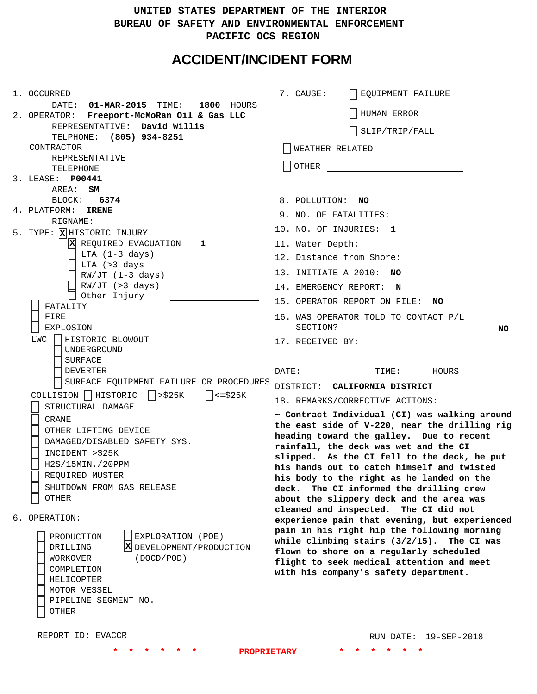| 1. OCCURRED                                                               | EQUIPMENT FAILURE<br>7. CAUSE:                                                          |
|---------------------------------------------------------------------------|-----------------------------------------------------------------------------------------|
| <b>1800 HOURS</b><br>DATE: 01-MAR-2015 TIME:                              | HUMAN ERROR                                                                             |
| 2. OPERATOR: Freeport-McMoRan Oil & Gas LLC                               |                                                                                         |
| REPRESENTATIVE: David Willis<br>TELPHONE: (805) 934-8251                  | SLIP/TRIP/FALL                                                                          |
| CONTRACTOR                                                                | WEATHER RELATED                                                                         |
| REPRESENTATIVE                                                            |                                                                                         |
| TELEPHONE                                                                 | OTHER                                                                                   |
| 3. LEASE: P00441                                                          |                                                                                         |
| AREA:<br>SM                                                               |                                                                                         |
| <b>BLOCK: 6374</b>                                                        | 8. POLLUTION: NO                                                                        |
| 4. PLATFORM: IRENE                                                        | 9. NO. OF FATALITIES:                                                                   |
| RIGNAME:                                                                  | 10. NO. OF INJURIES: 1                                                                  |
| 5. TYPE: X HISTORIC INJURY<br>X REQUIRED EVACUATION<br>$\mathbf{1}$       |                                                                                         |
| $LTA$ $(1-3 \text{ days})$                                                | 11. Water Depth:                                                                        |
| LTA (>3 days                                                              | 12. Distance from Shore:                                                                |
| $RW/JT$ (1-3 days)                                                        | 13. INITIATE A 2010: NO                                                                 |
| $RW/JT$ (>3 days)                                                         | 14. EMERGENCY REPORT: N                                                                 |
| Other Injury                                                              | 15. OPERATOR REPORT ON FILE: NO                                                         |
| FATALITY<br>FIRE                                                          | 16. WAS OPERATOR TOLD TO CONTACT P/L                                                    |
| EXPLOSION                                                                 | SECTION?<br>NO.                                                                         |
| LWC     HISTORIC BLOWOUT                                                  | 17. RECEIVED BY:                                                                        |
| UNDERGROUND                                                               |                                                                                         |
| SURFACE                                                                   |                                                                                         |
| <b>DEVERTER</b>                                                           | DATE:<br>TIME:<br>HOURS                                                                 |
| SURFACE EQUIPMENT FAILURE OR PROCEDURES                                   | DISTRICT: CALIFORNIA DISTRICT                                                           |
| COLLISION $\bigcap$ HISTORIC $\bigcap$ >\$25K<br>$ \cdot $ <= \$25K       | 18. REMARKS/CORRECTIVE ACTIONS:                                                         |
| STRUCTURAL DAMAGE                                                         | ~ Contract Individual (CI) was walking around                                           |
| CRANE                                                                     | the east side of V-220, near the drilling rig                                           |
| OTHER LIFTING DEVICE ____________________<br>DAMAGED/DISABLED SAFETY SYS. | heading toward the galley. Due to recent                                                |
| INCIDENT >\$25K                                                           | rainfall, the deck was wet and the CI                                                   |
| H2S/15MIN./20PPM                                                          | slipped. As the CI fell to the deck, he put                                             |
| REQUIRED MUSTER                                                           | his hands out to catch himself and twisted<br>his body to the right as he landed on the |
| SHUTDOWN FROM GAS RELEASE                                                 | The CI informed the drilling crew<br>deck.                                              |
| OTHER                                                                     | about the slippery deck and the area was                                                |
|                                                                           | cleaned and inspected. The CI did not                                                   |
| 6. OPERATION:                                                             | experience pain that evening, but experienced                                           |
| EXPLORATION (POE)<br>PRODUCTION                                           | pain in his right hip the following morning                                             |
| X DEVELOPMENT/PRODUCTION<br>DRILLING                                      | while climbing stairs (3/2/15). The CI was                                              |
| WORKOVER<br>(DOCD/POD)                                                    | flown to shore on a regularly scheduled<br>flight to seek medical attention and meet    |
| COMPLETION                                                                | with his company's safety department.                                                   |
| HELICOPTER                                                                |                                                                                         |
| MOTOR VESSEL                                                              |                                                                                         |
| PIPELINE SEGMENT NO.                                                      |                                                                                         |
| OTHER                                                                     |                                                                                         |
| REPORT ID: EVACCR                                                         |                                                                                         |
|                                                                           | RUN DATE: 19-SEP-2018                                                                   |
| <b>PROPRIETARY</b>                                                        |                                                                                         |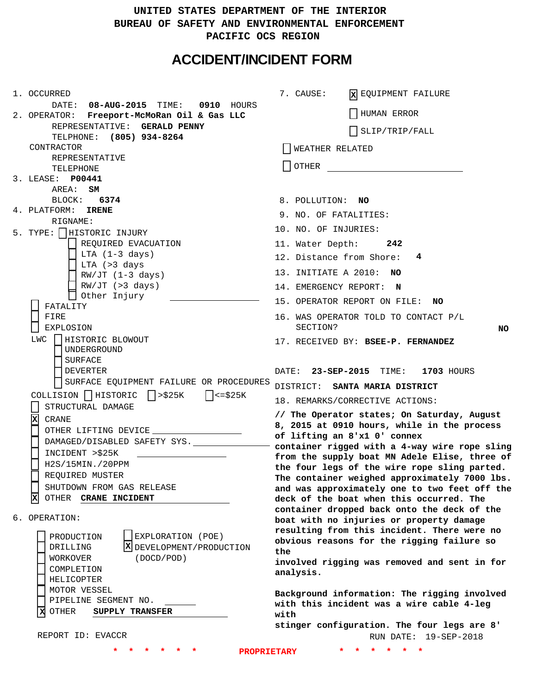| 1. OCCURRED                                           | <b>X</b> EQUIPMENT FAILURE<br>7. CAUSE:           |
|-------------------------------------------------------|---------------------------------------------------|
| DATE: 08-AUG-2015 TIME:<br><b>0910 HOURS</b>          |                                                   |
| 2. OPERATOR: Freeport-McMoRan Oil & Gas LLC           | HUMAN ERROR                                       |
| REPRESENTATIVE: GERALD PENNY                          | SLIP/TRIP/FALL                                    |
| TELPHONE: (805) 934-8264                              |                                                   |
| CONTRACTOR<br>REPRESENTATIVE                          | WEATHER RELATED                                   |
| TELEPHONE                                             | OTHER                                             |
| 3. LEASE: P00441                                      |                                                   |
| AREA: SM                                              |                                                   |
| BLOCK:<br>6374                                        | 8. POLLUTION: NO                                  |
| 4. PLATFORM: IRENE                                    |                                                   |
| RIGNAME:                                              | 9. NO. OF FATALITIES:                             |
| 5. TYPE: HISTORIC INJURY                              | 10. NO. OF INJURIES:                              |
| REQUIRED EVACUATION                                   | 11. Water Depth:<br>242                           |
| $LTA$ $(1-3 \text{ days})$                            | 12. Distance from Shore:<br>4                     |
| LTA (>3 days                                          |                                                   |
| $RW/JT$ (1-3 days)                                    | 13. INITIATE A 2010: NO                           |
| $RW/JT$ (>3 days)                                     | 14. EMERGENCY REPORT: N                           |
| Other Injury                                          | 15. OPERATOR REPORT ON FILE: NO                   |
| FATALITY                                              |                                                   |
| FIRE                                                  | 16. WAS OPERATOR TOLD TO CONTACT P/L              |
| EXPLOSION                                             | SECTION?<br>NO.                                   |
| HISTORIC BLOWOUT<br>LWC                               | 17. RECEIVED BY: BSEE-P. FERNANDEZ                |
| UNDERGROUND                                           |                                                   |
| <b>SURFACE</b><br><b>DEVERTER</b>                     | DATE: $23-SEP-2015$ TIME:                         |
| SURFACE EQUIPMENT FAILURE OR PROCEDURES               | <b>1703 HOURS</b>                                 |
|                                                       | DISTRICT: SANTA MARIA DISTRICT                    |
| COLLISION HISTORIC $\bigcap$ >\$25K $\bigcap$ <=\$25K | 18. REMARKS/CORRECTIVE ACTIONS:                   |
| STRUCTURAL DAMAGE                                     | // The Operator states; On Saturday, August       |
| x <br>CRANE                                           | 8, 2015 at 0910 hours, while in the process       |
| OTHER LIFTING DEVICE ___________________              | of lifting an 8'x1 0' connex                      |
| DAMAGED/DISABLED SAFETY SYS.                          | container rigged with a 4-way wire rope sling     |
| INCIDENT >\$25K                                       | from the supply boat MN Adele Elise, three of     |
| H2S/15MIN./20PPM                                      | the four legs of the wire rope sling parted.      |
| REQUIRED MUSTER                                       | The container weighed approximately 7000 lbs.     |
| SHUTDOWN FROM GAS RELEASE                             | and was approximately one to two feet off the     |
| lxl<br>OTHER CRANE INCIDENT                           | deck of the boat when this occurred. The          |
| 6. OPERATION:                                         | container dropped back onto the deck of the       |
|                                                       | boat with no injuries or property damage          |
| EXPLORATION (POE)<br>PRODUCTION                       | resulting from this incident. There were no       |
| X DEVELOPMENT / PRODUCTION<br>DRILLING                | obvious reasons for the rigging failure so<br>the |
| WORKOVER<br>(DOCD/POD)                                | involved rigging was removed and sent in for      |
| COMPLETION                                            | analysis.                                         |
| HELICOPTER                                            |                                                   |
| MOTOR VESSEL                                          | Background information: The rigging involved      |
| PIPELINE SEGMENT NO.                                  | with this incident was a wire cable 4-leg         |
| OTHER<br>SUPPLY TRANSFER<br>져                         | with                                              |
|                                                       | stinger configuration. The four legs are 8'       |
| REPORT ID: EVACCR                                     | RUN DATE: 19-SEP-2018                             |
| <b>PROPRIETARY</b>                                    |                                                   |
|                                                       |                                                   |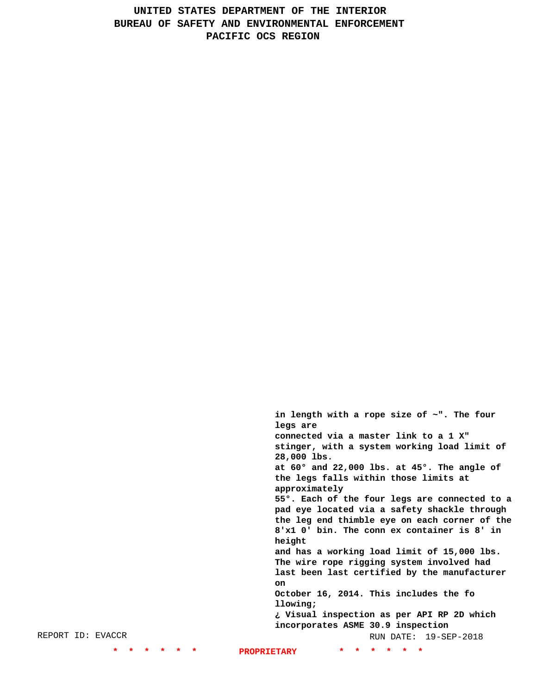REPORT ID: EVACCR RUN DATE: 19-SEP-2018 **\* \* \* \* \* \* PROPRIETARY \* \* \* \* \* \* in length with a rope size of ~". The four legs are connected via a master link to a 1 X" stinger, with a system working load limit of 28,000 lbs. at 60° and 22,000 lbs. at 45°. The angle of the legs falls within those limits at approximately 55°. Each of the four legs are connected to a pad eye located via a safety shackle through the leg end thimble eye on each corner of the 8'x1 0' bin. The conn ex container is 8' in height and has a working load limit of 15,000 lbs. The wire rope rigging system involved had last been last certified by the manufacturer on October 16, 2014. This includes the fo llowing; ¿ Visual inspection as per API RP 2D which incorporates ASME 30.9 inspection**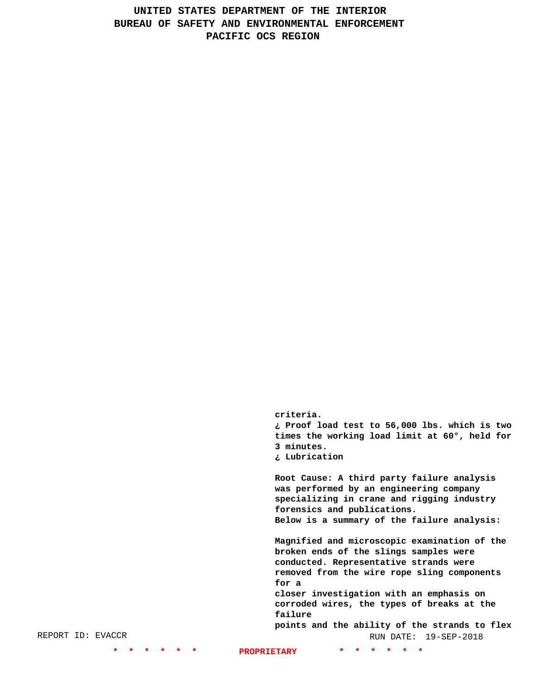REPORT ID: EVACCR **RUN DATE: 19-SEP-2018 \* \* \* \* \* \* PROPRIETARY \* \* \* \* \* \* criteria. ¿ Proof load test to 56,000 lbs. which is two times the working load limit at 60°, held for 3 minutes. ¿ Lubrication Root Cause: A third party failure analysis was performed by an engineering company specializing in crane and rigging industry forensics and publications. Below is a summary of the failure analysis: Magnified and microscopic examination of the broken ends of the slings samples were conducted. Representative strands were removed from the wire rope sling components for a closer investigation with an emphasis on corroded wires, the types of breaks at the failure points and the ability of the strands to flex**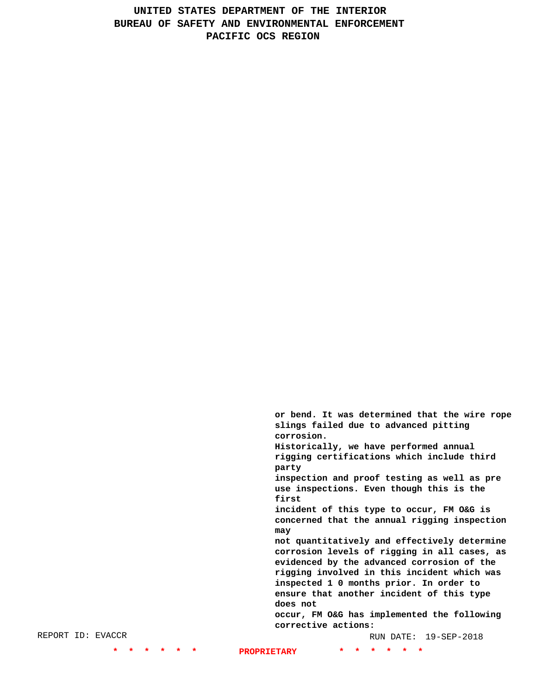REPORT ID: EVACCR **RUN DATE: 19-SEP-2018 or bend. It was determined that the wire rope slings failed due to advanced pitting corrosion. Historically, we have performed annual rigging certifications which include third party inspection and proof testing as well as pre use inspections. Even though this is the first incident of this type to occur, FM O&G is concerned that the annual rigging inspection may not quantitatively and effectively determine corrosion levels of rigging in all cases, as evidenced by the advanced corrosion of the rigging involved in this incident which was inspected 1 0 months prior. In order to ensure that another incident of this type does not occur, FM O&G has implemented the following corrective actions:**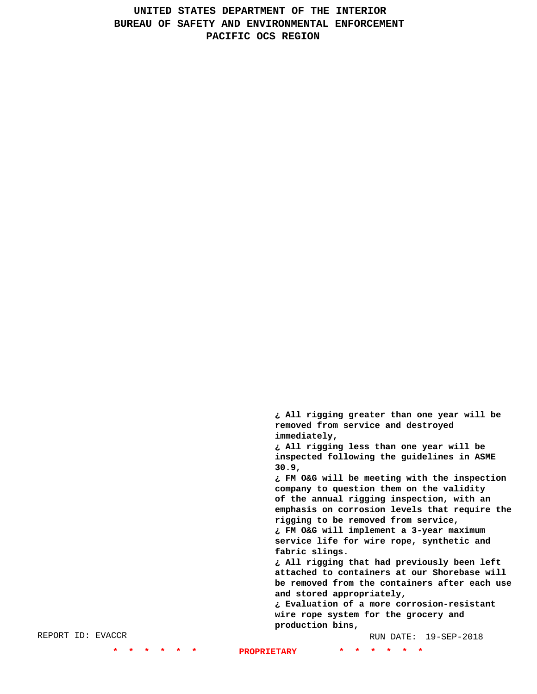**immediately, ¿ All rigging less than one year will be inspected following the guidelines in ASME 30.9, ¿ FM O&G will be meeting with the inspection company to question them on the validity of the annual rigging inspection, with an emphasis on corrosion levels that require the rigging to be removed from service, ¿ FM O&G will implement a 3-year maximum service life for wire rope, synthetic and fabric slings. ¿ All rigging that had previously been left attached to containers at our Shorebase will be removed from the containers after each use and stored appropriately, ¿ Evaluation of a more corrosion-resistant** 

**¿ All rigging greater than one year will be** 

**removed from service and destroyed**

**wire rope system for the grocery and production bins,**

REPORT ID: EVACCR **RUN DATE: 19-SEP-2018**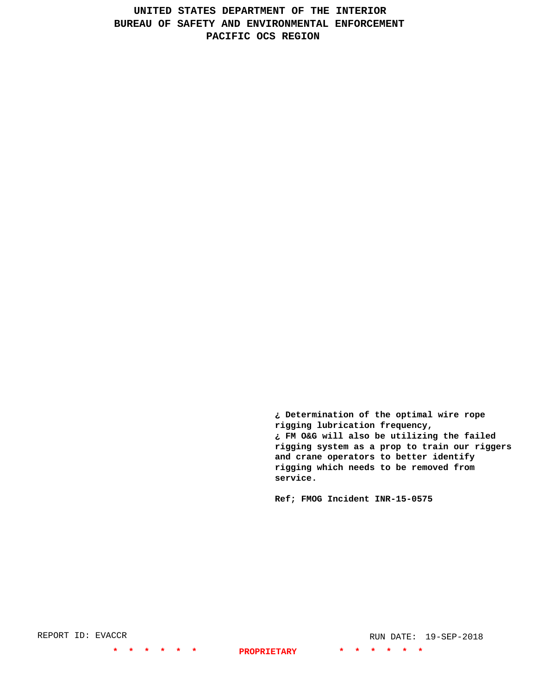**¿ Determination of the optimal wire rope rigging lubrication frequency, ¿ FM O&G will also be utilizing the failed rigging system as a prop to train our riggers and crane operators to better identify rigging which needs to be removed from service.**

**Ref; FMOG Incident INR-15-0575**

**\* \* \* \* \* \* PROPRIETARY \* \* \* \* \* \***

REPORT ID: EVACCR RUN DATE: 19-SEP-2018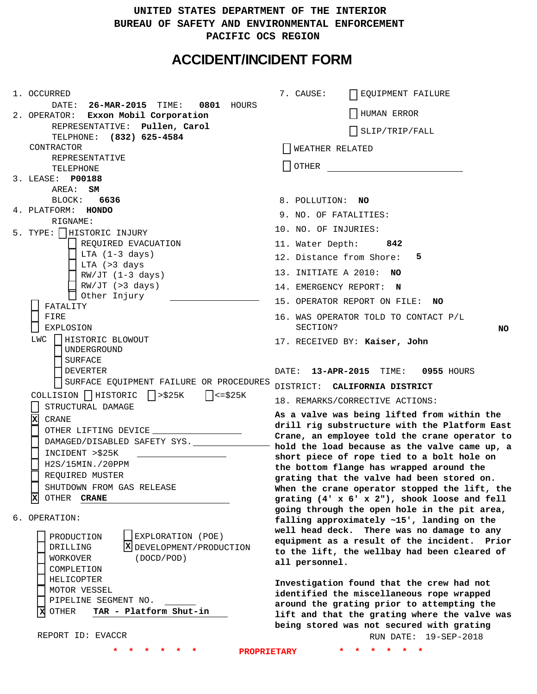| 1. OCCURRED                                                                       | EQUIPMENT FAILURE<br>7. CAUSE:                                                              |
|-----------------------------------------------------------------------------------|---------------------------------------------------------------------------------------------|
| DATE: 26-MAR-2015 TIME:<br><b>0801 HOURS</b>                                      |                                                                                             |
| 2. OPERATOR: Exxon Mobil Corporation                                              | HUMAN ERROR                                                                                 |
| REPRESENTATIVE: Pullen, Carol                                                     | SLIP/TRIP/FALL                                                                              |
| TELPHONE: (832) 625-4584                                                          |                                                                                             |
| CONTRACTOR<br>REPRESENTATIVE                                                      | WEATHER RELATED                                                                             |
| TELEPHONE                                                                         | OTHER                                                                                       |
| 3. LEASE: P00188                                                                  |                                                                                             |
| AREA:<br>SM                                                                       |                                                                                             |
| 6636<br>BLOCK:                                                                    | 8. POLLUTION: NO                                                                            |
| 4. PLATFORM: HONDO                                                                | 9. NO. OF FATALITIES:                                                                       |
| RIGNAME:                                                                          |                                                                                             |
| 5. TYPE: HISTORIC INJURY                                                          | 10. NO. OF INJURIES:                                                                        |
| REQUIRED EVACUATION                                                               | 11. Water Depth:<br>842                                                                     |
| $LTA$ $(1-3 \text{ days})$                                                        | 12. Distance from Shore:<br>5                                                               |
| LTA (>3 days                                                                      | 13. INITIATE A 2010:                                                                        |
| $RW/JT$ (1-3 days)                                                                | NO.                                                                                         |
| $RW/JT$ (>3 days)                                                                 | 14. EMERGENCY REPORT: N                                                                     |
| Other Injury<br>FATALITY                                                          | 15. OPERATOR REPORT ON FILE: NO                                                             |
| FIRE                                                                              | 16. WAS OPERATOR TOLD TO CONTACT P/L                                                        |
| <b>EXPLOSION</b>                                                                  | SECTION?<br>NO.                                                                             |
| LWC<br>HISTORIC BLOWOUT                                                           |                                                                                             |
| UNDERGROUND                                                                       | 17. RECEIVED BY: Kaiser, John                                                               |
| <b>SURFACE</b>                                                                    |                                                                                             |
| <b>DEVERTER</b>                                                                   | DATE: 13-APR-2015 TIME:<br><b>0955 HOURS</b>                                                |
| SURFACE EQUIPMENT FAILURE OR PROCEDURES                                           | DISTRICT: CALIFORNIA DISTRICT                                                               |
| COLLISION $\bigcap$ HISTORIC $\bigcap$ >\$25K<br>$\sqrt{\left  \right }$ <= \$25K |                                                                                             |
| STRUCTURAL DAMAGE                                                                 | 18. REMARKS/CORRECTIVE ACTIONS:                                                             |
| ⊠<br>CRANE                                                                        | As a valve was being lifted from within the                                                 |
| OTHER LIFTING DEVICE ____________________                                         | drill rig substructure with the Platform East                                               |
| DAMAGED/DISABLED SAFETY SYS.                                                      | Crane, an employee told the crane operator to                                               |
| INCIDENT >\$25K                                                                   | hold the load because as the valve came up, a<br>short piece of rope tied to a bolt hole on |
| H2S/15MIN./20PPM                                                                  | the bottom flange has wrapped around the                                                    |
| REOUIRED MUSTER                                                                   | grating that the valve had been stored on.                                                  |
| SHUTDOWN FROM GAS RELEASE                                                         | When the crane operator stopped the lift, the                                               |
| x<br>OTHER CRANE                                                                  | grating (4' x 6' x 2"), shook loose and fell                                                |
|                                                                                   | going through the open hole in the pit area,                                                |
| 6. OPERATION:                                                                     | falling approximately ~15', landing on the                                                  |
| EXPLORATION (POE)<br>PRODUCTION                                                   | well head deck. There was no damage to any                                                  |
| X DEVELOPMENT/PRODUCTION<br>DRILLING                                              | equipment as a result of the incident. Prior                                                |
| WORKOVER<br>(DOCD/POD)                                                            | to the lift, the wellbay had been cleared of                                                |
| COMPLETION                                                                        | all personnel.                                                                              |
| HELICOPTER                                                                        |                                                                                             |
| MOTOR VESSEL                                                                      | Investigation found that the crew had not<br>identified the miscellaneous rope wrapped      |
| PIPELINE SEGMENT NO.                                                              | around the grating prior to attempting the                                                  |
| OTHER<br>TAR - Platform Shut-in<br>x                                              | lift and that the grating where the valve was                                               |
|                                                                                   | being stored was not secured with grating                                                   |
| REPORT ID: EVACCR                                                                 | RUN DATE: 19-SEP-2018                                                                       |
|                                                                                   |                                                                                             |
| <b>PROPRIETARY</b>                                                                |                                                                                             |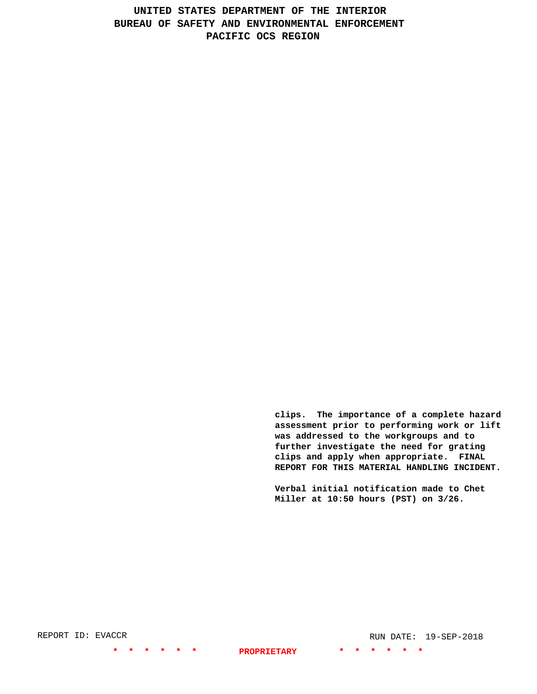**clips. The importance of a complete hazard assessment prior to performing work or lift was addressed to the workgroups and to further investigate the need for grating clips and apply when appropriate. FINAL REPORT FOR THIS MATERIAL HANDLING INCIDENT.** 

**Verbal initial notification made to Chet Miller at 10:50 hours (PST) on 3/26.**

**\* \* \* \* \* \* PROPRIETARY \* \* \* \* \* \***

REPORT ID: EVACCR RUN DATE: 19-SEP-2018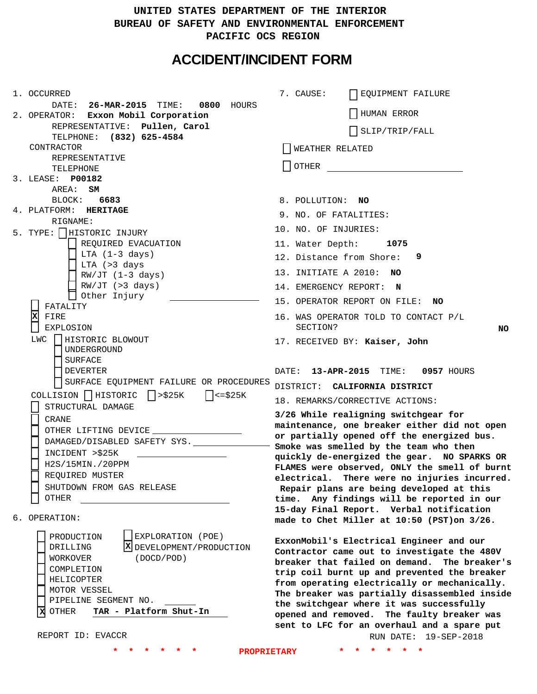| 1. OCCURRED                                                     | EQUIPMENT FAILURE<br>7. CAUSE:                                                                  |
|-----------------------------------------------------------------|-------------------------------------------------------------------------------------------------|
| DATE: 26-MAR-2015 TIME:<br>0800 HOURS                           |                                                                                                 |
| 2. OPERATOR: Exxon Mobil Corporation                            | HUMAN ERROR                                                                                     |
| REPRESENTATIVE: Pullen, Carol<br>TELPHONE: (832) 625-4584       | SLIP/TRIP/FALL                                                                                  |
| CONTRACTOR                                                      | WEATHER RELATED                                                                                 |
| REPRESENTATIVE                                                  |                                                                                                 |
| TELEPHONE                                                       | OTHER                                                                                           |
| 3. LEASE: P00182                                                |                                                                                                 |
| AREA:<br>SM                                                     |                                                                                                 |
| 6683<br>BLOCK:                                                  | 8. POLLUTION: NO                                                                                |
| 4. PLATFORM:<br><b>HERITAGE</b>                                 | 9. NO. OF FATALITIES:                                                                           |
| RIGNAME:                                                        | 10. NO. OF INJURIES:                                                                            |
| 5. TYPE: HISTORIC INJURY                                        |                                                                                                 |
| REQUIRED EVACUATION<br>$LTA$ $(1-3 \text{ days})$               | 11. Water Depth:<br>1075                                                                        |
| LTA (>3 days                                                    | 12. Distance from Shore:<br>9                                                                   |
| $RW/JT$ (1-3 days)                                              | 13. INITIATE A 2010:<br>NO.                                                                     |
| $RW/JT$ (>3 days)                                               | 14. EMERGENCY REPORT:<br>N                                                                      |
| Other Injury                                                    | 15. OPERATOR REPORT ON FILE: NO                                                                 |
| FATALITY<br> x<br>FIRE                                          | 16. WAS OPERATOR TOLD TO CONTACT P/L                                                            |
| EXPLOSION                                                       | SECTION?<br>NO                                                                                  |
| LWC<br>HISTORIC BLOWOUT                                         | 17. RECEIVED BY: Kaiser, John                                                                   |
| UNDERGROUND                                                     |                                                                                                 |
| SURFACE                                                         |                                                                                                 |
| <b>DEVERTER</b>                                                 | DATE: 13-APR-2015 TIME:<br>0957 HOURS                                                           |
| SURFACE EQUIPMENT FAILURE OR PROCEDURES                         | DISTRICT: CALIFORNIA DISTRICT                                                                   |
| COLLISION HISTORIC $\bigcap$ >\$25K<br>$\vert$ $\vert$ <= \$25K | 18. REMARKS/CORRECTIVE ACTIONS:                                                                 |
| STRUCTURAL DAMAGE                                               | 3/26 While realigning switchgear for                                                            |
| <b>CRANE</b>                                                    | maintenance, one breaker either did not open                                                    |
|                                                                 | or partially opened off the energized bus.                                                      |
| DAMAGED/DISABLED SAFETY SYS.                                    | Smoke was smelled by the team who then                                                          |
| INCIDENT >\$25K                                                 | quickly de-energized the gear. NO SPARKS OR                                                     |
| H2S/15MIN./20PPM                                                | FLAMES were observed, ONLY the smell of burnt                                                   |
| REQUIRED MUSTER                                                 | electrical. There were no injuries incurred.                                                    |
| SHUTDOWN FROM GAS RELEASE                                       | Repair plans are being developed at this                                                        |
| OTHER                                                           | Any findings will be reported in our<br>time.<br>15-day Final Report. Verbal notification       |
| 6. OPERATION:                                                   | made to Chet Miller at 10:50 (PST) on 3/26.                                                     |
| EXPLORATION (POE)<br>PRODUCTION                                 |                                                                                                 |
| X DEVELOPMENT / PRODUCTION<br>DRILLING                          | ExxonMobil's Electrical Engineer and our                                                        |
| WORKOVER<br>(DOCD/POD)                                          | Contractor came out to investigate the 480V                                                     |
| COMPLETION                                                      | breaker that failed on demand.<br>The breaker's<br>trip coil burnt up and prevented the breaker |
| HELICOPTER                                                      | from operating electrically or mechanically.                                                    |
| MOTOR VESSEL                                                    | The breaker was partially disassembled inside                                                   |
| PIPELINE SEGMENT NO.                                            | the switchgear where it was successfully                                                        |
| TAR - Platform Shut-In<br>OTHER<br>l x                          | opened and removed. The faulty breaker was                                                      |
|                                                                 | sent to LFC for an overhaul and a spare put                                                     |
| REPORT ID: EVACCR                                               | RUN DATE: 19-SEP-2018                                                                           |
|                                                                 | <b>PROPRIETARY</b>                                                                              |
|                                                                 |                                                                                                 |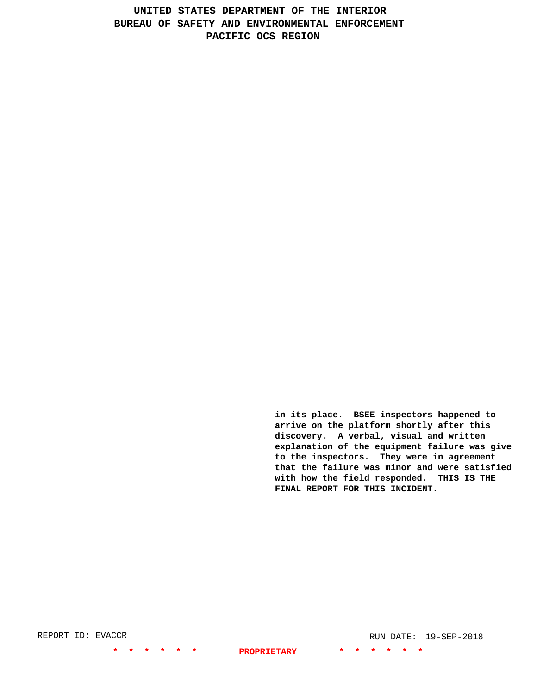**in its place. BSEE inspectors happened to arrive on the platform shortly after this discovery. A verbal, visual and written explanation of the equipment failure was give to the inspectors. They were in agreement that the failure was minor and were satisfied with how the field responded. THIS IS THE FINAL REPORT FOR THIS INCIDENT.**

REPORT ID: EVACCR RUN DATE: 19-SEP-2018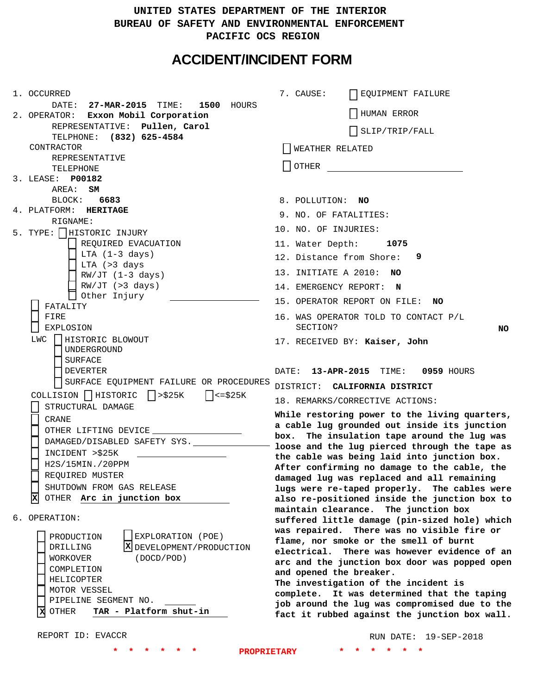## **ACCIDENT/INCIDENT FORM**

| 1. OCCURRED                                                                             | 7. CAUSE:<br>EQUIPMENT FAILURE                                                               |
|-----------------------------------------------------------------------------------------|----------------------------------------------------------------------------------------------|
| DATE: $27$ -MAR-2015 TIME:<br><b>1500 HOURS</b><br>2. OPERATOR: Exxon Mobil Corporation | HUMAN ERROR                                                                                  |
| REPRESENTATIVE: Pullen, Carol                                                           |                                                                                              |
| TELPHONE: (832) 625-4584                                                                | SLIP/TRIP/FALL                                                                               |
| CONTRACTOR                                                                              | WEATHER RELATED                                                                              |
| REPRESENTATIVE<br>TELEPHONE                                                             | OTHER                                                                                        |
| 3. LEASE: P00182                                                                        |                                                                                              |
| AREA:<br>SM                                                                             |                                                                                              |
| 6683<br>BLOCK:                                                                          | 8. POLLUTION: NO                                                                             |
| 4. PLATFORM:<br><b>HERITAGE</b>                                                         | 9. NO. OF FATALITIES:                                                                        |
| RIGNAME:                                                                                | 10. NO. OF INJURIES:                                                                         |
| 5. TYPE:   HISTORIC INJURY<br>REQUIRED EVACUATION                                       | 11. Water Depth:<br>1075                                                                     |
| $LTA$ $(1-3 \text{ days})$                                                              | 12. Distance from Shore:<br>9                                                                |
| LTA (>3 days                                                                            |                                                                                              |
| $RW/JT$ (1-3 days)                                                                      | 13. INITIATE A 2010: NO                                                                      |
| $RW/JT$ (>3 days)                                                                       | 14. EMERGENCY REPORT: N                                                                      |
| Other Injury<br>FATALITY                                                                | 15. OPERATOR REPORT ON FILE: NO                                                              |
| FIRE<br><b>EXPLOSION</b>                                                                | 16. WAS OPERATOR TOLD TO CONTACT P/L<br>SECTION?<br>NO.                                      |
| LWC<br>HISTORIC BLOWOUT                                                                 | 17. RECEIVED BY: Kaiser, John                                                                |
| UNDERGROUND                                                                             |                                                                                              |
| SURFACE                                                                                 |                                                                                              |
| <b>DEVERTER</b>                                                                         | DATE: 13-APR-2015 TIME:<br><b>0959 HOURS</b>                                                 |
| SURFACE EQUIPMENT FAILURE OR PROCEDURES                                                 | DISTRICT: CALIFORNIA DISTRICT                                                                |
| COLLISION HISTORIC $\bigcap$ >\$25K<br>$\vert$ $\vert$ <= \$25K<br>STRUCTURAL DAMAGE    | 18. REMARKS/CORRECTIVE ACTIONS:                                                              |
| $\sf{CRANE}$                                                                            | While restoring power to the living quarters,                                                |
| OTHER LIFTING DEVICE ____________________                                               | a cable lug grounded out inside its junction                                                 |
| DAMAGED/DISABLED SAFETY SYS.                                                            | box. The insulation tape around the lug was                                                  |
| INCIDENT >\$25K                                                                         | loose and the lug pierced through the tape as<br>the cable was being laid into junction box. |
| H2S/15MIN./20PPM                                                                        | After confirming no damage to the cable, the                                                 |
| REQUIRED MUSTER                                                                         | damaged lug was replaced and all remaining                                                   |
| SHUTDOWN FROM GAS RELEASE                                                               | lugs were re-taped properly. The cables were                                                 |
| x<br>OTHER Arc in junction box                                                          | also re-positioned inside the junction box to                                                |
| 6. OPERATION:                                                                           | maintain clearance. The junction box<br>suffered little damage (pin-sized hole) which        |
|                                                                                         | was repaired. There was no visible fire or                                                   |
| EXPLORATION (POE)<br>PRODUCTION                                                         | flame, nor smoke or the smell of burnt                                                       |
| X DEVELOPMENT / PRODUCTION<br>DRILLING<br>WORKOVER<br>(DOCD/POD)                        | There was however evidence of an<br>electrical.                                              |
| COMPLETION                                                                              | arc and the junction box door was popped open                                                |
| HELICOPTER                                                                              | and opened the breaker.<br>The investigation of the incident is                              |
| MOTOR VESSEL                                                                            | complete. It was determined that the taping                                                  |
| PIPELINE SEGMENT NO.                                                                    | job around the lug was compromised due to the                                                |
| TAR - Platform shut-in<br>OTHER<br>l x                                                  | fact it rubbed against the junction box wall.                                                |
|                                                                                         |                                                                                              |
| REPORT ID: EVACCR                                                                       | RUN DATE: 19-SEP-2018                                                                        |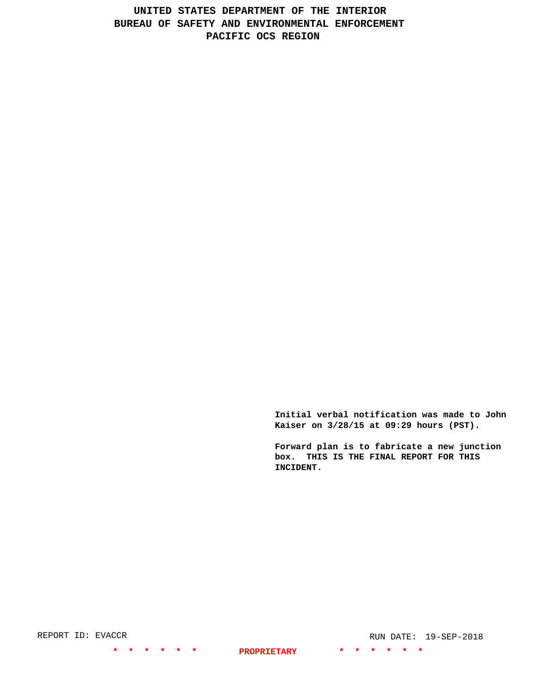**Initial verbal notification was made to John Kaiser on 3/28/15 at 09:29 hours (PST).** 

**Forward plan is to fabricate a new junction box. THIS IS THE FINAL REPORT FOR THIS INCIDENT.**

REPORT ID: EVACCR RUN DATE: 19-SEP-2018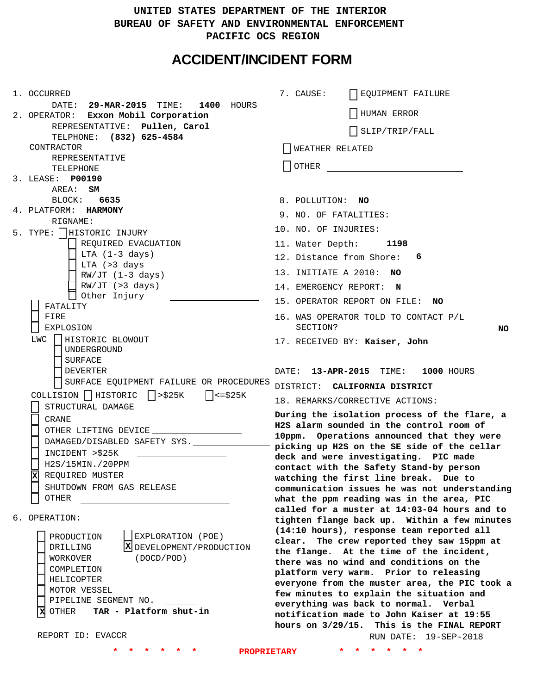| 1. OCCURRED                                                     | EQUIPMENT FAILURE<br>7. CAUSE:                                                               |
|-----------------------------------------------------------------|----------------------------------------------------------------------------------------------|
| DATE: 29-MAR-2015 TIME:<br><b>1400 HOURS</b>                    |                                                                                              |
| 2. OPERATOR: Exxon Mobil Corporation                            | HUMAN ERROR                                                                                  |
| REPRESENTATIVE: Pullen, Carol<br>TELPHONE: (832) 625-4584       | SLIP/TRIP/FALL                                                                               |
| CONTRACTOR                                                      | WEATHER RELATED                                                                              |
| REPRESENTATIVE                                                  |                                                                                              |
| TELEPHONE                                                       | OTHER                                                                                        |
| 3. LEASE: P00190                                                |                                                                                              |
| AREA:<br>SM                                                     |                                                                                              |
| 6635<br>BLOCK:                                                  | 8. POLLUTION: NO                                                                             |
| 4. PLATFORM: HARMONY                                            | 9. NO. OF FATALITIES:                                                                        |
| RIGNAME:                                                        | 10. NO. OF INJURIES:                                                                         |
| 5. TYPE: HISTORIC INJURY                                        |                                                                                              |
| REQUIRED EVACUATION<br>$LTA$ $(1-3 \text{ days})$               | 11. Water Depth: 1198                                                                        |
| LTA (>3 days                                                    | 12. Distance from Shore:<br>- 6                                                              |
| $RW/JT$ (1-3 days)                                              | 13. INITIATE A 2010: NO                                                                      |
| $RW/JT$ (>3 days)                                               | 14. EMERGENCY REPORT: N                                                                      |
| Other Injury                                                    | 15. OPERATOR REPORT ON FILE: NO                                                              |
| FATALITY                                                        |                                                                                              |
| FIRE                                                            | 16. WAS OPERATOR TOLD TO CONTACT P/L                                                         |
| <b>EXPLOSION</b>                                                | SECTION?<br>NO.                                                                              |
| LWC<br>HISTORIC BLOWOUT<br>UNDERGROUND                          | 17. RECEIVED BY: Kaiser, John                                                                |
| SURFACE                                                         |                                                                                              |
| DEVERTER                                                        | DATE: 13-APR-2015 TIME:<br><b>1000 HOURS</b>                                                 |
| SURFACE EQUIPMENT FAILURE OR PROCEDURES                         | DISTRICT: CALIFORNIA DISTRICT                                                                |
| COLLISION HISTORIC $\bigcap$ >\$25K<br>$\vert$ $\vert$ <= \$25K |                                                                                              |
| STRUCTURAL DAMAGE                                               | 18. REMARKS/CORRECTIVE ACTIONS:                                                              |
| CRANE                                                           | During the isolation process of the flare, a                                                 |
| OTHER LIFTING DEVICE                                            | H2S alarm sounded in the control room of<br>10ppm. Operations announced that they were       |
| DAMAGED/DISABLED SAFETY SYS.                                    | picking up H2S on the SE side of the cellar                                                  |
| INCIDENT >\$25K                                                 | deck and were investigating. PIC made                                                        |
| H2S/15MIN./20PPM                                                | contact with the Safety Stand-by person                                                      |
| lx<br>REOUIRED MUSTER                                           | watching the first line break. Due to                                                        |
| SHUTDOWN FROM GAS RELEASE                                       | communication issues he was not understanding                                                |
| OTHER                                                           | what the ppm reading was in the area, PIC                                                    |
| 6. OPERATION:                                                   | called for a muster at 14:03-04 hours and to<br>tighten flange back up. Within a few minutes |
|                                                                 | (14:10 hours), response team reported all                                                    |
| EXPLORATION (POE)<br>PRODUCTION                                 | The crew reported they saw 15ppm at<br>clear.                                                |
| X DEVELOPMENT / PRODUCTION<br>DRILLING                          | the flange. At the time of the incident,                                                     |
| WORKOVER<br>(DOCD/POD)                                          | there was no wind and conditions on the                                                      |
| COMPLETION<br>HELICOPTER                                        | platform very warm. Prior to releasing                                                       |
| MOTOR VESSEL                                                    | everyone from the muster area, the PIC took a                                                |
| PIPELINE SEGMENT NO.                                            | few minutes to explain the situation and<br>everything was back to normal. Verbal            |
| TAR - Platform shut-in<br>OTHER<br>x                            | notification made to John Kaiser at 19:55                                                    |
|                                                                 | hours on 3/29/15. This is the FINAL REPORT                                                   |
| REPORT ID: EVACCR                                               | RUN DATE: 19-SEP-2018                                                                        |
|                                                                 | <b>PROPRIETARY</b>                                                                           |
|                                                                 |                                                                                              |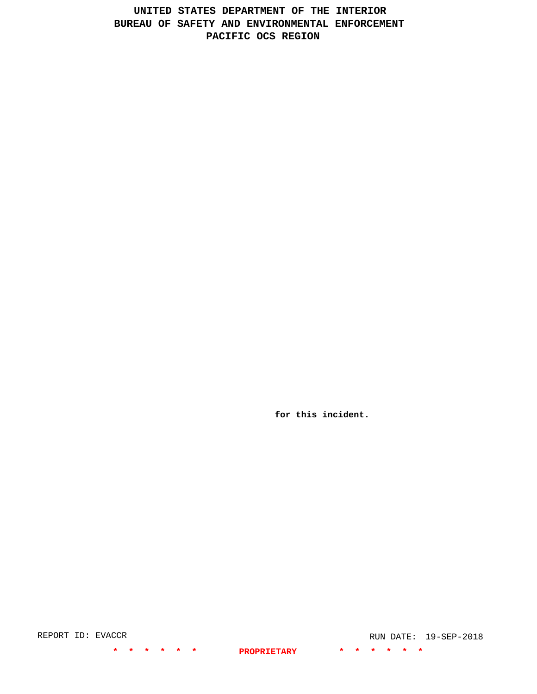**for this incident.**

**\* \* \* \* \* \* PROPRIETARY \* \* \* \* \* \***

REPORT ID: EVACCR RUN DATE: 19-SEP-2018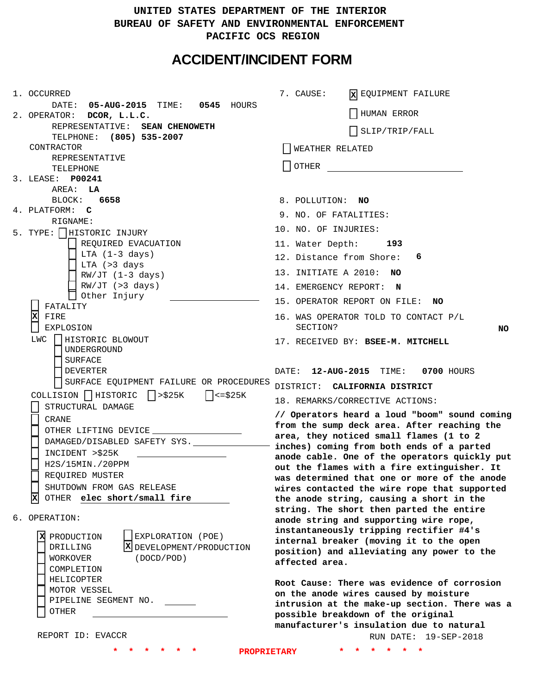| 1. OCCURRED                                                | 7. CAUSE:<br><b>x</b> EQUIPMENT FAILURE                                                |
|------------------------------------------------------------|----------------------------------------------------------------------------------------|
| DATE: 05-AUG-2015 TIME: 0545 HOURS                         | HUMAN ERROR                                                                            |
| 2. OPERATOR: DCOR, L.L.C.                                  |                                                                                        |
| REPRESENTATIVE: SEAN CHENOWETH<br>TELPHONE: (805) 535-2007 | SLIP/TRIP/FALL                                                                         |
| CONTRACTOR                                                 | WEATHER RELATED                                                                        |
| REPRESENTATIVE                                             |                                                                                        |
| TELEPHONE                                                  | OTHER                                                                                  |
| 3. LEASE: P00241                                           |                                                                                        |
| AREA: LA                                                   |                                                                                        |
| <b>BLOCK: 6658</b>                                         | 8. POLLUTION: NO                                                                       |
| 4. PLATFORM: C<br>RIGNAME:                                 | 9. NO. OF FATALITIES:                                                                  |
| 5. TYPE: HISTORIC INJURY                                   | 10. NO. OF INJURIES:                                                                   |
| REQUIRED EVACUATION                                        | 11. Water Depth:<br>193                                                                |
| $LTA$ $(1-3 days)$                                         | 12. Distance from Shore:<br>- 6                                                        |
| LTA (>3 days                                               |                                                                                        |
| $RW/JT$ (1-3 days)                                         | 13. INITIATE A 2010: NO                                                                |
| $RW/JT$ (>3 days)                                          | 14. EMERGENCY REPORT: N                                                                |
| Other Injury                                               | 15. OPERATOR REPORT ON FILE: NO                                                        |
| FATALITY<br>$\mathbf{x}$                                   |                                                                                        |
| FIRE<br>EXPLOSION                                          | 16. WAS OPERATOR TOLD TO CONTACT P/L<br>SECTION?                                       |
| HISTORIC BLOWOUT<br>LWC                                    | NO.                                                                                    |
| UNDERGROUND                                                | 17. RECEIVED BY: BSEE-M. MITCHELL                                                      |
| <b>SURFACE</b>                                             |                                                                                        |
| DEVERTER                                                   | DATE: 12-AUG-2015 TIME:<br><b>0700 HOURS</b>                                           |
| SURFACE EQUIPMENT FAILURE OR PROCEDURES                    | DISTRICT: CALIFORNIA DISTRICT                                                          |
| COLLISION HISTORIC $\bigcap$ >\$25K<br>$ \cdot $ <= \$25K  | 18. REMARKS/CORRECTIVE ACTIONS:                                                        |
| STRUCTURAL DAMAGE                                          |                                                                                        |
| CRANE                                                      | // Operators heard a loud "boom" sound coming                                          |
| OTHER LIFTING DEVICE __________________                    | from the sump deck area. After reaching the<br>area, they noticed small flames (1 to 2 |
| DAMAGED/DISABLED SAFETY SYS.                               | inches) coming from both ends of a parted                                              |
| INCIDENT >\$25K                                            | anode cable. One of the operators quickly put                                          |
| H2S/15MIN./20PPM                                           | out the flames with a fire extinguisher. It                                            |
| REQUIRED MUSTER                                            | was determined that one or more of the anode                                           |
| SHUTDOWN FROM GAS RELEASE                                  | wires contacted the wire rope that supported                                           |
| ⊠<br>OTHER elec short/small fire                           | the anode string, causing a short in the                                               |
| 6. OPERATION:                                              | string. The short then parted the entire<br>anode string and supporting wire rope,     |
|                                                            | instantaneously tripping rectifier #4's                                                |
| EXPLORATION (POE)<br>x<br>PRODUCTION                       | internal breaker (moving it to the open                                                |
| X DEVELOPMENT / PRODUCTION<br>DRILLING                     | position) and alleviating any power to the                                             |
| WORKOVER<br>(DOCD/POD)                                     | affected area.                                                                         |
| COMPLETION<br>HELICOPTER                                   |                                                                                        |
| MOTOR VESSEL                                               | Root Cause: There was evidence of corrosion                                            |
| PIPELINE SEGMENT NO.                                       | on the anode wires caused by moisture                                                  |
| OTHER                                                      | intrusion at the make-up section. There was a                                          |
|                                                            | possible breakdown of the original<br>manufacturer's insulation due to natural         |
| REPORT ID: EVACCR                                          | RUN DATE: 19-SEP-2018                                                                  |
|                                                            |                                                                                        |
|                                                            | <b>PROPRIETARY</b>                                                                     |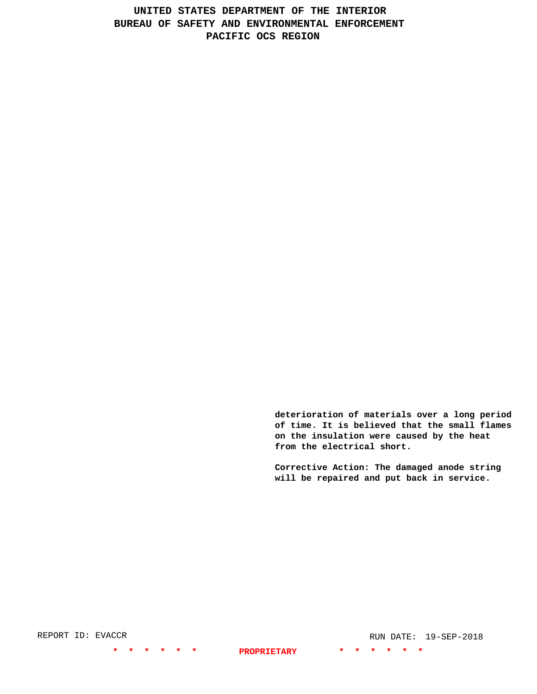**deterioration of materials over a long period of time. It is believed that the small flames on the insulation were caused by the heat from the electrical short.**

**Corrective Action: The damaged anode string will be repaired and put back in service.** 

**\* \* \* \* \* \* PROPRIETARY \* \* \* \* \* \***

REPORT ID: EVACCR RUN DATE: 19-SEP-2018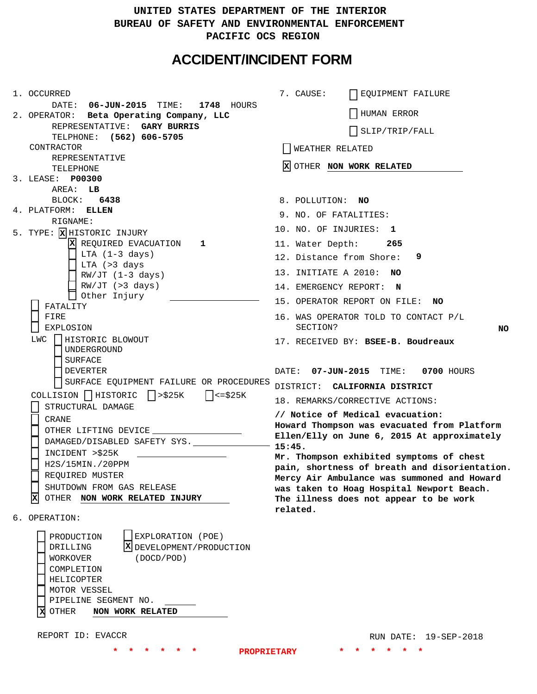| REPORT ID: EVACCR<br>$\star$<br><b>PROPRIETARY</b>                                                                                                                                                                                                                                                                                                                                                                                                                                                                                                                                         | RUN DATE: 19-SEP-2018<br>$\star$<br>$\star$<br>$\star$                                                                                                                                                                                                                                                                                                                                                                                                                                                                                                                                                                                                                                                                             |
|--------------------------------------------------------------------------------------------------------------------------------------------------------------------------------------------------------------------------------------------------------------------------------------------------------------------------------------------------------------------------------------------------------------------------------------------------------------------------------------------------------------------------------------------------------------------------------------------|------------------------------------------------------------------------------------------------------------------------------------------------------------------------------------------------------------------------------------------------------------------------------------------------------------------------------------------------------------------------------------------------------------------------------------------------------------------------------------------------------------------------------------------------------------------------------------------------------------------------------------------------------------------------------------------------------------------------------------|
| EXPLORATION (POE)<br>PRODUCTION<br>X DEVELOPMENT / PRODUCTION<br>DRILLING<br>WORKOVER<br>(DOCD/POD)<br>COMPLETION<br>HELICOPTER<br>MOTOR VESSEL<br>PIPELINE SEGMENT NO.<br>OTHER<br>NON WORK RELATED                                                                                                                                                                                                                                                                                                                                                                                       |                                                                                                                                                                                                                                                                                                                                                                                                                                                                                                                                                                                                                                                                                                                                    |
| 6. OPERATION:                                                                                                                                                                                                                                                                                                                                                                                                                                                                                                                                                                              |                                                                                                                                                                                                                                                                                                                                                                                                                                                                                                                                                                                                                                                                                                                                    |
| $LTA$ $(1-3 \text{ days})$<br>LTA (>3 days<br>$RW/JT$ (1-3 days)<br>$RW/JT$ (>3 days)<br>Other Injury<br>FATALITY<br>FIRE<br>EXPLOSION<br><b>LWC</b><br>HISTORIC BLOWOUT<br>UNDERGROUND<br><b>SURFACE</b><br><b>DEVERTER</b><br>SURFACE EQUIPMENT FAILURE OR PROCEDURES<br>COLLISION HISTORIC $\bigcap$ >\$25K<br>$\vert$ $\vert$ <= \$25K<br>STRUCTURAL DAMAGE<br><b>CRANE</b><br>OTHER LIFTING DEVICE ____________________<br>DAMAGED/DISABLED SAFETY SYS.<br>INCIDENT >\$25K<br>H2S/15MIN./20PPM<br>REQUIRED MUSTER<br>SHUTDOWN FROM GAS RELEASE<br>lx<br>OTHER NON WORK RELATED INJURY | 12. Distance from Shore:<br>9<br>13. INITIATE A 2010: NO<br>14. EMERGENCY REPORT: N<br>15. OPERATOR REPORT ON FILE:<br>NO<br>16. WAS OPERATOR TOLD TO CONTACT P/L<br>SECTION?<br>NO.<br>17. RECEIVED BY: BSEE-B. Boudreaux<br>DATE: 07-JUN-2015 TIME:<br>0700 HOURS<br>DISTRICT: CALIFORNIA DISTRICT<br>18. REMARKS/CORRECTIVE ACTIONS:<br>// Notice of Medical evacuation:<br>Howard Thompson was evacuated from Platform<br>Ellen/Elly on June 6, 2015 At approximately<br>15:45.<br>Mr. Thompson exhibited symptoms of chest<br>pain, shortness of breath and disorientation.<br>Mercy Air Ambulance was summoned and Howard<br>was taken to Hoag Hospital Newport Beach.<br>The illness does not appear to be work<br>related. |
| RIGNAME:<br>5. TYPE: X HISTORIC INJURY<br><b>X</b> REQUIRED EVACUATION<br>$\mathbf{1}$                                                                                                                                                                                                                                                                                                                                                                                                                                                                                                     | 10. NO. OF INJURIES:<br>$\mathbf{1}$<br>11. Water Depth:<br>265                                                                                                                                                                                                                                                                                                                                                                                                                                                                                                                                                                                                                                                                    |
| AREA: LB<br>6438<br>BLOCK:<br>4. PLATFORM: ELLEN                                                                                                                                                                                                                                                                                                                                                                                                                                                                                                                                           | 8. POLLUTION: NO<br>9. NO. OF FATALITIES:                                                                                                                                                                                                                                                                                                                                                                                                                                                                                                                                                                                                                                                                                          |
| REPRESENTATIVE<br>TELEPHONE<br>3. LEASE: P00300                                                                                                                                                                                                                                                                                                                                                                                                                                                                                                                                            | WEATHER RELATED<br><b>X</b> OTHER NON WORK RELATED                                                                                                                                                                                                                                                                                                                                                                                                                                                                                                                                                                                                                                                                                 |
| TELPHONE: (562) 606-5705<br>CONTRACTOR                                                                                                                                                                                                                                                                                                                                                                                                                                                                                                                                                     | SLIP/TRIP/FALL                                                                                                                                                                                                                                                                                                                                                                                                                                                                                                                                                                                                                                                                                                                     |
| DATE: 06-JUN-2015 TIME:<br>2. OPERATOR: Beta Operating Company, LLC<br>REPRESENTATIVE: GARY BURRIS                                                                                                                                                                                                                                                                                                                                                                                                                                                                                         | HUMAN ERROR                                                                                                                                                                                                                                                                                                                                                                                                                                                                                                                                                                                                                                                                                                                        |
| 1. OCCURRED<br>1748 HOURS                                                                                                                                                                                                                                                                                                                                                                                                                                                                                                                                                                  | 7. CAUSE:<br>EQUIPMENT FAILURE                                                                                                                                                                                                                                                                                                                                                                                                                                                                                                                                                                                                                                                                                                     |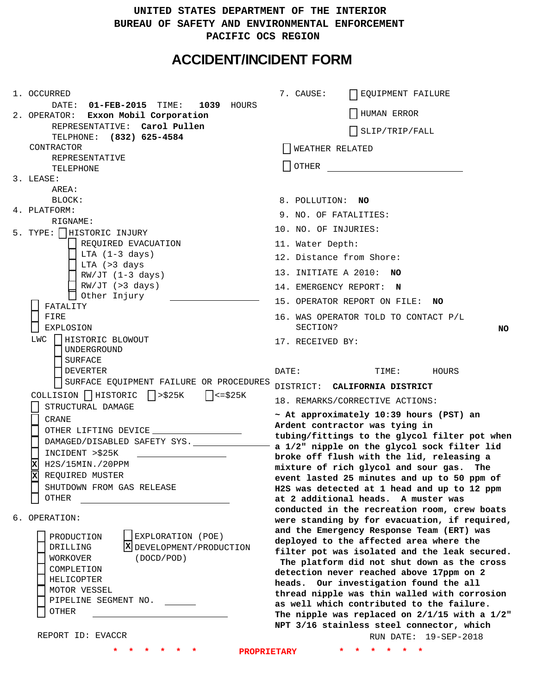| 1. OCCURRED                                                                   | EQUIPMENT FAILURE<br>7. CAUSE:                                                                |
|-------------------------------------------------------------------------------|-----------------------------------------------------------------------------------------------|
| DATE: 01-FEB-2015 TIME:<br>1039 HOURS<br>2. OPERATOR: Exxon Mobil Corporation | HUMAN ERROR                                                                                   |
| REPRESENTATIVE: Carol Pullen                                                  |                                                                                               |
| TELPHONE: (832) 625-4584                                                      | SLIP/TRIP/FALL                                                                                |
| CONTRACTOR                                                                    | WEATHER RELATED                                                                               |
| REPRESENTATIVE<br>TELEPHONE                                                   | OTHER                                                                                         |
| 3. LEASE:                                                                     |                                                                                               |
| AREA:                                                                         |                                                                                               |
| BLOCK:<br>4. PLATFORM:                                                        | 8. POLLUTION: NO                                                                              |
| RIGNAME:                                                                      | 9. NO. OF FATALITIES:                                                                         |
| 5. TYPE: HISTORIC INJURY                                                      | 10. NO. OF INJURIES:                                                                          |
| REQUIRED EVACUATION                                                           | 11. Water Depth:                                                                              |
| $LTA$ $(1-3 \text{ days})$                                                    | 12. Distance from Shore:                                                                      |
| $LTA$ (>3 days<br>$RW/JT$ (1-3 days)                                          | 13. INITIATE A 2010: NO                                                                       |
| $RW/JT$ (>3 days)                                                             | 14. EMERGENCY REPORT: N                                                                       |
| Other Injury                                                                  | 15. OPERATOR REPORT ON FILE: NO                                                               |
| FATALITY<br>FIRE                                                              | 16. WAS OPERATOR TOLD TO CONTACT P/L                                                          |
| EXPLOSION                                                                     | SECTION?<br>NO.                                                                               |
| LWC<br>HISTORIC BLOWOUT                                                       | 17. RECEIVED BY:                                                                              |
| UNDERGROUND                                                                   |                                                                                               |
| <b>SURFACE</b><br>DEVERTER                                                    | DATE:<br>TIME:<br>HOURS                                                                       |
| SURFACE EQUIPMENT FAILURE OR PROCEDURES                                       |                                                                                               |
| COLLISION $\bigcap$ HISTORIC $\bigcap$ >\$25K<br>$\vert$ $\vert$ <= \$25K     | DISTRICT: CALIFORNIA DISTRICT                                                                 |
| STRUCTURAL DAMAGE                                                             | 18. REMARKS/CORRECTIVE ACTIONS:                                                               |
| CRANE                                                                         | ~ At approximately 10:39 hours (PST) an<br>Ardent contractor was tying in                     |
| OTHER LIFTING DEVICE ____________________                                     | tubing/fittings to the glycol filter pot when                                                 |
| DAMAGED/DISABLED SAFETY SYS.                                                  | a 1/2" nipple on the glycol sock filter lid                                                   |
| INCIDENT >\$25K<br>x<br>H2S/15MIN./20PPM                                      | broke off flush with the lid, releasing a                                                     |
| lxl<br>REQUIRED MUSTER                                                        | mixture of rich glycol and sour gas. The<br>event lasted 25 minutes and up to 50 ppm of       |
| SHUTDOWN FROM GAS RELEASE                                                     | H2S was detected at 1 head and up to 12 ppm                                                   |
| OTHER                                                                         | at 2 additional heads. A muster was                                                           |
| 6. OPERATION:                                                                 | conducted in the recreation room, crew boats<br>were standing by for evacuation, if required, |
| EXPLORATION (POE)<br>PRODUCTION                                               | and the Emergency Response Team (ERT) was<br>deployed to the affected area where the          |
| X DEVELOPMENT / PRODUCTION<br>DRILLING                                        | filter pot was isolated and the leak secured.                                                 |
| WORKOVER<br>(DOCD/POD)                                                        | The platform did not shut down as the cross                                                   |
| COMPLETION<br>HELICOPTER                                                      | detection never reached above 17ppm on 2                                                      |
| MOTOR VESSEL                                                                  | heads. Our investigation found the all<br>thread nipple was thin walled with corrosion        |
| PIPELINE SEGMENT NO.                                                          | as well which contributed to the failure.                                                     |
| OTHER                                                                         | The nipple was replaced on 2/1/15 with a 1/2"                                                 |
|                                                                               | NPT 3/16 stainless steel connector, which                                                     |
| REPORT ID: EVACCR                                                             | RUN DATE: 19-SEP-2018                                                                         |
|                                                                               | <b>PROPRIETARY</b>                                                                            |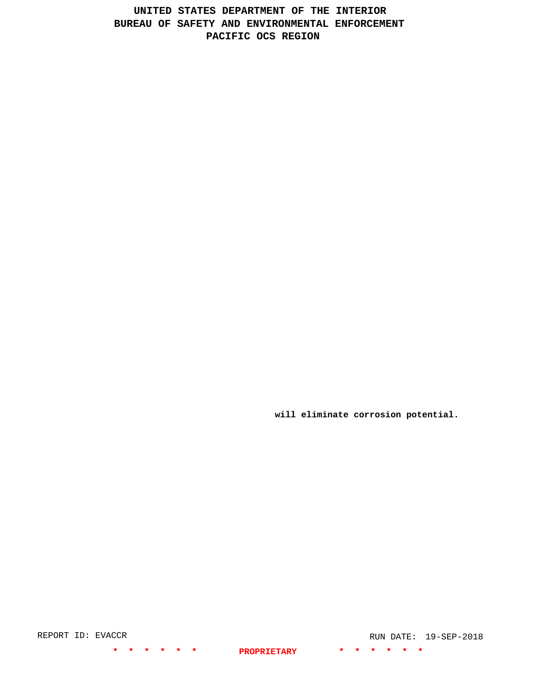**will eliminate corrosion potential.**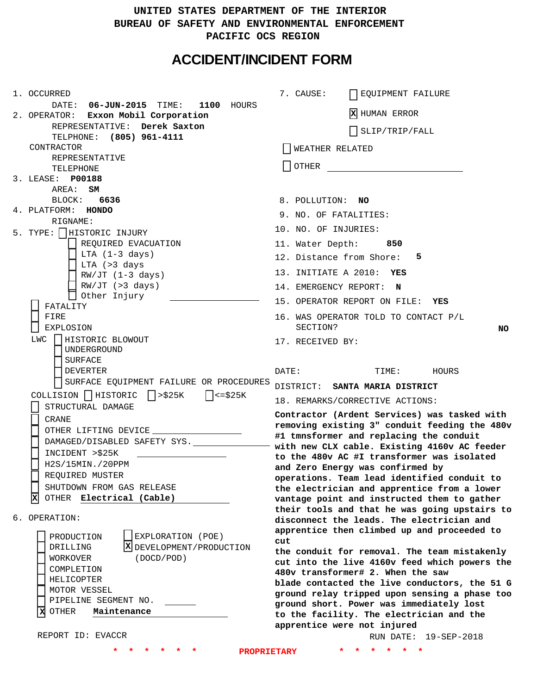| 1. OCCURRED                                                          | EQUIPMENT FAILURE<br>7. CAUSE:                                                             |
|----------------------------------------------------------------------|--------------------------------------------------------------------------------------------|
| DATE: 06-JUN-2015 TIME:<br><b>1100 HOURS</b>                         | <b>X</b> HUMAN ERROR                                                                       |
| 2. OPERATOR: Exxon Mobil Corporation<br>REPRESENTATIVE: Derek Saxton |                                                                                            |
| TELPHONE: (805) 961-4111                                             | SLIP/TRIP/FALL                                                                             |
| CONTRACTOR                                                           | WEATHER RELATED                                                                            |
| REPRESENTATIVE                                                       |                                                                                            |
| TELEPHONE                                                            | OTHER                                                                                      |
| 3. LEASE: P00188                                                     |                                                                                            |
| AREA:<br>SM                                                          |                                                                                            |
| <b>BLOCK: 6636</b>                                                   | 8. POLLUTION: NO                                                                           |
| 4. PLATFORM: HONDO                                                   | 9. NO. OF FATALITIES:                                                                      |
| RIGNAME:                                                             | 10. NO. OF INJURIES:                                                                       |
| 5. TYPE: HISTORIC INJURY                                             |                                                                                            |
| REQUIRED EVACUATION                                                  | 11. Water Depth: 850                                                                       |
| $LTA$ $(1-3 \text{ days})$<br>$LTA$ (>3 days                         | 12. Distance from Shore:<br>-5                                                             |
| $RW/JT$ (1-3 days)                                                   | 13. INITIATE A 2010: YES                                                                   |
| $RW/JT$ (>3 days)                                                    | 14. EMERGENCY REPORT: N                                                                    |
| Other Injury                                                         |                                                                                            |
| FATALITY                                                             | 15. OPERATOR REPORT ON FILE: YES                                                           |
| FIRE                                                                 | 16. WAS OPERATOR TOLD TO CONTACT P/L                                                       |
| EXPLOSION                                                            | SECTION?<br>NO.                                                                            |
| LWC<br>  HISTORIC BLOWOUT                                            | 17. RECEIVED BY:                                                                           |
| UNDERGROUND                                                          |                                                                                            |
| <b>SURFACE</b>                                                       |                                                                                            |
| DEVERTER                                                             | DATE:<br>TIME:<br>HOURS                                                                    |
| SURFACE EQUIPMENT FAILURE OR PROCEDURES                              | DISTRICT: SANTA MARIA DISTRICT                                                             |
| COLLISION HISTORIC $\bigcap$ >\$25K<br>$ \cdot  \leq$ = $$25K$       | 18. REMARKS/CORRECTIVE ACTIONS:                                                            |
| STRUCTURAL DAMAGE                                                    | Contractor (Ardent Services) was tasked with                                               |
| CRANE                                                                | removing existing 3" conduit feeding the 480v                                              |
| OTHER LIFTING DEVICE ____________________                            | #1 tmnsformer and replacing the conduit                                                    |
| DAMAGED/DISABLED SAFETY SYS.                                         | - with new CLX cable. Existing 4160v AC feeder                                             |
| INCIDENT >\$25K<br>H2S/15MIN./20PPM                                  | to the 480v AC #I transformer was isolated                                                 |
| REQUIRED MUSTER                                                      | and Zero Energy was confirmed by                                                           |
| SHUTDOWN FROM GAS RELEASE                                            | operations. Team lead identified conduit to                                                |
| lxl<br>OTHER Electrical (Cable)                                      | the electrician and apprentice from a lower<br>vantage point and instructed them to gather |
|                                                                      | their tools and that he was going upstairs to                                              |
| 6. OPERATION:                                                        | disconnect the leads. The electrician and                                                  |
|                                                                      | apprentice then climbed up and proceeded to                                                |
| EXPLORATION (POE)<br>PRODUCTION                                      | cut                                                                                        |
| X DEVELOPMENT / PRODUCTION<br>DRILLING<br>WORKOVER<br>(DOCD/POD)     | the conduit for removal. The team mistakenly                                               |
| COMPLETION                                                           | cut into the live 4160v feed which powers the                                              |
| HELICOPTER                                                           | 480v transformer# 2. When the saw                                                          |
| MOTOR VESSEL                                                         | blade contacted the live conductors, the 51 G                                              |
| PIPELINE SEGMENT NO.                                                 | ground relay tripped upon sensing a phase too                                              |
| Maintenance<br>OTHER<br>X                                            | ground short. Power was immediately lost<br>to the facility. The electrician and the       |
|                                                                      | apprentice were not injured                                                                |
| REPORT ID: EVACCR                                                    | RUN DATE: 19-SEP-2018                                                                      |
|                                                                      |                                                                                            |
| <b>PROPRIETARY</b>                                                   |                                                                                            |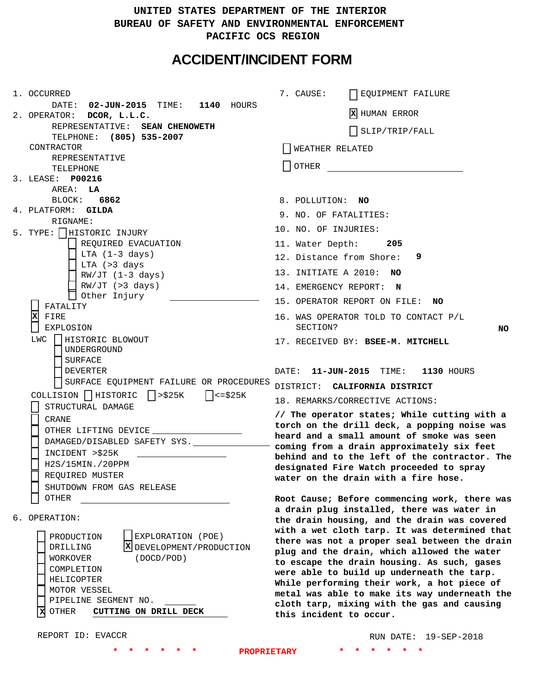| 1. OCCURRED                                                  | EQUIPMENT FAILURE<br>7. CAUSE:                                                                |
|--------------------------------------------------------------|-----------------------------------------------------------------------------------------------|
| DATE: 02-JUN-2015 TIME:<br><b>1140</b> HOURS                 | <b>X</b> HUMAN ERROR                                                                          |
| 2. OPERATOR: DCOR, L.L.C.<br>REPRESENTATIVE: SEAN CHENOWETH  |                                                                                               |
| TELPHONE: (805) 535-2007                                     | SLIP/TRIP/FALL                                                                                |
| CONTRACTOR                                                   | WEATHER RELATED                                                                               |
| REPRESENTATIVE                                               |                                                                                               |
| TELEPHONE                                                    | OTHER                                                                                         |
| 3. LEASE: P00216                                             |                                                                                               |
| AREA: LA<br><b>BLOCK: 6862</b>                               |                                                                                               |
| 4. PLATFORM: GILDA                                           | 8. POLLUTION: NO                                                                              |
| RIGNAME:                                                     | 9. NO. OF FATALITIES:                                                                         |
| 5. TYPE: HISTORIC INJURY                                     | 10. NO. OF INJURIES:                                                                          |
| REQUIRED EVACUATION                                          | 11. Water Depth:<br>205                                                                       |
| $LTA$ $(1-3 \text{ days})$                                   | 12. Distance from Shore:<br>9                                                                 |
| LTA (>3 days                                                 | 13. INITIATE A 2010: NO                                                                       |
| $RW/JT$ (1-3 days)                                           |                                                                                               |
| $RW/JT$ (>3 days)<br>Other Injury                            | 14. EMERGENCY REPORT: N                                                                       |
| FATALITY                                                     | 15. OPERATOR REPORT ON FILE: NO                                                               |
| x <br>FIRE                                                   | 16. WAS OPERATOR TOLD TO CONTACT P/L                                                          |
| <b>EXPLOSION</b>                                             | SECTION?<br>NO.                                                                               |
| LWC<br>HISTORIC BLOWOUT                                      | 17. RECEIVED BY: BSEE-M. MITCHELL                                                             |
| UNDERGROUND                                                  |                                                                                               |
| <b>SURFACE</b>                                               |                                                                                               |
| DEVERTER<br>SURFACE EQUIPMENT FAILURE OR PROCEDURES          | DATE: 11-JUN-2015 TIME:<br><b>1130 HOURS</b>                                                  |
| COLLISION HISTORIC $\bigcap$ >\$25K<br>$\sqrt{\frac{25K}{}}$ | DISTRICT: CALIFORNIA DISTRICT                                                                 |
| STRUCTURAL DAMAGE                                            | 18. REMARKS/CORRECTIVE ACTIONS:                                                               |
| CRANE                                                        | // The operator states; While cutting with a                                                  |
| OTHER LIFTING DEVICE ____________________                    | torch on the drill deck, a popping noise was                                                  |
| DAMAGED/DISABLED SAFETY SYS.                                 | heard and a small amount of smoke was seen                                                    |
| INCIDENT >\$25K                                              | coming from a drain approximately six feet<br>behind and to the left of the contractor. The   |
| H2S/15MIN./20PPM                                             | designated Fire Watch proceeded to spray                                                      |
| REQUIRED MUSTER                                              | water on the drain with a fire hose.                                                          |
| SHUTDOWN FROM GAS RELEASE                                    |                                                                                               |
| OTHER                                                        | Root Cause; Before commencing work, there was                                                 |
| 6. OPERATION:                                                | a drain plug installed, there was water in                                                    |
|                                                              | the drain housing, and the drain was covered<br>with a wet cloth tarp. It was determined that |
| EXPLORATION (POE)<br>PRODUCTION                              | there was not a proper seal between the drain                                                 |
| DRILLING<br><b>X</b> DEVELOPMENT / PRODUCTION                | plug and the drain, which allowed the water                                                   |
| WORKOVER<br>(DOCD/POD)                                       | to escape the drain housing. As such, gases                                                   |
| COMPLETION                                                   | were able to build up underneath the tarp.                                                    |
| HELICOPTER<br>MOTOR VESSEL                                   | While performing their work, a hot piece of                                                   |
| PIPELINE SEGMENT NO.                                         | metal was able to make its way underneath the                                                 |
| lx <br>OTHER<br>CUTTING ON DRILL DECK                        | cloth tarp, mixing with the gas and causing<br>this incident to occur.                        |
|                                                              |                                                                                               |
| REPORT ID: EVACCR                                            | RUN DATE: 19-SEP-2018                                                                         |
| <b>PROPRIETARY</b>                                           |                                                                                               |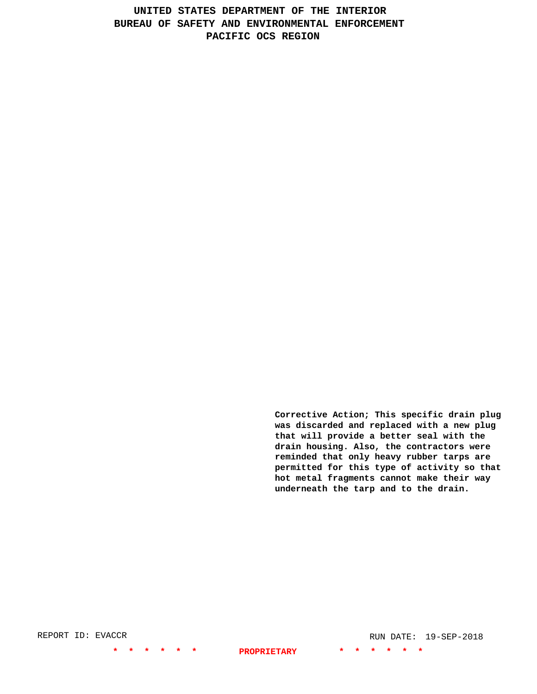**Corrective Action; This specific drain plug was discarded and replaced with a new plug that will provide a better seal with the drain housing. Also, the contractors were reminded that only heavy rubber tarps are permitted for this type of activity so that hot metal fragments cannot make their way underneath the tarp and to the drain.**

REPORT ID: EVACCR RUN DATE: 19-SEP-2018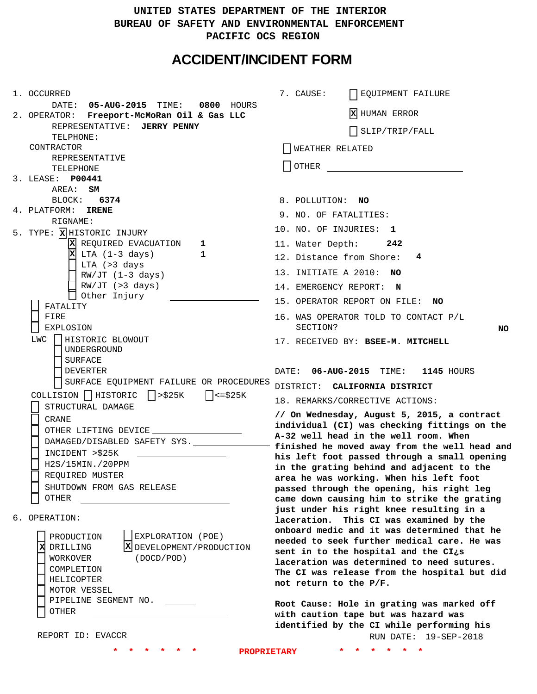| 1. OCCURRED                                                      | 7. CAUSE:<br>EQUIPMENT FAILURE                                                           |
|------------------------------------------------------------------|------------------------------------------------------------------------------------------|
| DATE: 05-AUG-2015 TIME:<br><b>0800 HOURS</b>                     |                                                                                          |
| 2. OPERATOR: Freeport-McMoRan Oil & Gas LLC                      | <b>X</b> HUMAN ERROR                                                                     |
| REPRESENTATIVE: JERRY PENNY<br>TELPHONE:                         | SLIP/TRIP/FALL                                                                           |
| CONTRACTOR                                                       | WEATHER RELATED                                                                          |
| REPRESENTATIVE                                                   |                                                                                          |
| TELEPHONE                                                        | OTHER                                                                                    |
| 3. LEASE: P00441                                                 |                                                                                          |
| AREA:<br>SM<br>BLOCK: 6374                                       |                                                                                          |
| 4. PLATFORM:<br><b>IRENE</b>                                     | 8. POLLUTION: NO                                                                         |
| RIGNAME:                                                         | 9. NO. OF FATALITIES:                                                                    |
| 5. TYPE: X HISTORIC INJURY                                       | 10. NO. OF INJURIES: 1                                                                   |
| X REQUIRED EVACUATION 1                                          | 11. Water Depth:<br>242                                                                  |
| $ X $ LTA (1-3 days)<br>1                                        | 12. Distance from Shore:<br>- 4                                                          |
| LTA (>3 days                                                     |                                                                                          |
| $RW/JT$ (1-3 days)                                               | 13. INITIATE A 2010: NO                                                                  |
| $RW/JT$ (>3 days)                                                | 14. EMERGENCY REPORT: N                                                                  |
| Other Injury<br>FATALITY                                         | 15. OPERATOR REPORT ON FILE: NO                                                          |
| FIRE                                                             | 16. WAS OPERATOR TOLD TO CONTACT P/L                                                     |
| EXPLOSION                                                        | SECTION?<br>NO.                                                                          |
| HISTORIC BLOWOUT<br>LWC                                          | 17. RECEIVED BY: BSEE-M. MITCHELL                                                        |
| UNDERGROUND                                                      |                                                                                          |
| <b>SURFACE</b>                                                   |                                                                                          |
| DEVERTER                                                         | DATE: 06-AUG-2015 TIME:<br><b>1145 HOURS</b>                                             |
| SURFACE EQUIPMENT FAILURE OR PROCEDURES                          | DISTRICT: CALIFORNIA DISTRICT                                                            |
| COLLISION HISTORIC $\bigcap$ >\$25K<br>$\left  \right $ <= \$25K | 18. REMARKS/CORRECTIVE ACTIONS:                                                          |
| STRUCTURAL DAMAGE                                                | // On Wednesday, August 5, 2015, a contract                                              |
| CRANE                                                            | individual (CI) was checking fittings on the                                             |
| OTHER LIFTING DEVICE ____________________                        | A-32 well head in the well room. When                                                    |
|                                                                  | DAMAGED/DISABLED SAFETY SYS. _____________ finished he moved away from the well head and |
| INCIDENT >\$25K                                                  | his left foot passed through a small opening                                             |
| H2S/15MIN./20PPM<br>REQUIRED MUSTER                              | in the grating behind and adjacent to the                                                |
| SHUTDOWN FROM GAS RELEASE                                        | area he was working. When his left foot                                                  |
| OTHER                                                            | passed through the opening, his right leg                                                |
|                                                                  | came down causing him to strike the grating<br>just under his right knee resulting in a  |
| 6. OPERATION:                                                    | This CI was examined by the<br>laceration.                                               |
|                                                                  | onboard medic and it was determined that he                                              |
| EXPLORATION (POE)<br>PRODUCTION                                  | needed to seek further medical care. He was                                              |
| 져<br>X DEVELOPMENT / PRODUCTION<br>DRILLING                      | sent in to the hospital and the CI¿s                                                     |
| (DOCD/POD)<br>WORKOVER                                           | laceration was determined to need sutures.                                               |
| COMPLETION<br><b>HELICOPTER</b>                                  | The CI was release from the hospital but did                                             |
| MOTOR VESSEL                                                     | not return to the P/F.                                                                   |
| PIPELINE SEGMENT NO.                                             |                                                                                          |
| OTHER                                                            | Root Cause: Hole in grating was marked off<br>with caution tape but was hazard was       |
|                                                                  | identified by the CI while performing his                                                |
| REPORT ID: EVACCR                                                | RUN DATE: 19-SEP-2018                                                                    |
|                                                                  |                                                                                          |
|                                                                  | <b>PROPRIETARY</b>                                                                       |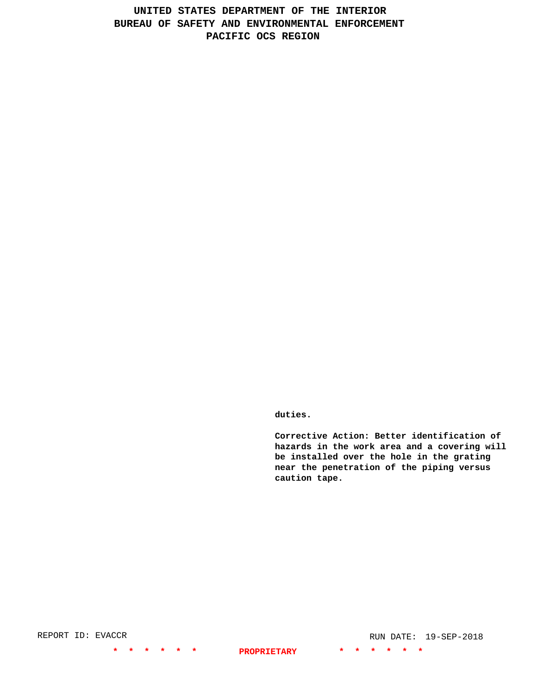**duties.**

**Corrective Action: Better identification of hazards in the work area and a covering will be installed over the hole in the grating near the penetration of the piping versus caution tape.**

REPORT ID: EVACCR RUN DATE: 19-SEP-2018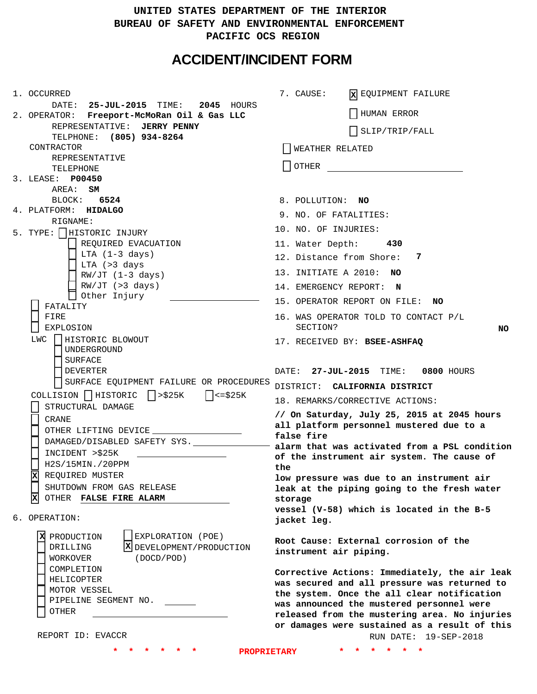| PIPELINE SEGMENT NO.<br>OTHER<br>REPORT ID: EVACCR                                                                                                                        | the system. Once the all clear notification<br>was announced the mustered personnel were<br>released from the mustering area. No injuries<br>or damages were sustained as a result of this<br>RUN DATE: 19-SEP-2018<br>$\star$<br>$\star$ |
|---------------------------------------------------------------------------------------------------------------------------------------------------------------------------|-------------------------------------------------------------------------------------------------------------------------------------------------------------------------------------------------------------------------------------------|
| x<br>EXPLORATION (POE)<br>PRODUCTION<br><b>X</b> DEVELOPMENT / PRODUCTION<br>DRILLING<br><b>WORKOVER</b><br>(DOCD/POD)<br>COMPLETION<br><b>HELICOPTER</b><br>MOTOR VESSEL | Root Cause: External corrosion of the<br>instrument air piping.<br>Corrective Actions: Immediately, the air leak<br>was secured and all pressure was returned to                                                                          |
| 6. OPERATION:                                                                                                                                                             | vessel (V-58) which is located in the B-5<br>jacket leg.                                                                                                                                                                                  |
| H2S/15MIN./20PPM<br>v<br>REQUIRED MUSTER<br>SHUTDOWN FROM GAS RELEASE<br> x <br>OTHER FALSE FIRE ALARM                                                                    | the<br>low pressure was due to an instrument air<br>leak at the piping going to the fresh water<br>storage                                                                                                                                |
| CRANE<br>OTHER LIFTING DEVICE __________________<br>DAMAGED/DISABLED SAFETY SYS.<br>INCIDENT >\$25K                                                                       | // On Saturday, July 25, 2015 at 2045 hours<br>all platform personnel mustered due to a<br>false fire<br>alarm that was activated from a PSL condition<br>of the instrument air system. The cause of                                      |
| SURFACE<br>DEVERTER<br>SURFACE EQUIPMENT FAILURE OR PROCEDURES<br>COLLISION $\bigcap$ HISTORIC $\bigcap$ >\$25K<br>$\bigcap$ <= \$25K<br>STRUCTURAL DAMAGE                | DATE: 27-JUL-2015 TIME: 0800 HOURS<br>DISTRICT: CALIFORNIA DISTRICT<br>18. REMARKS/CORRECTIVE ACTIONS:                                                                                                                                    |
| HISTORIC BLOWOUT<br>LWC<br>UNDERGROUND                                                                                                                                    | 17. RECEIVED BY: BSEE-ASHFAQ                                                                                                                                                                                                              |
| Other Injury<br>FATALITY<br>FIRE<br>EXPLOSION                                                                                                                             | 15. OPERATOR REPORT ON FILE: NO<br>16. WAS OPERATOR TOLD TO CONTACT P/L<br>SECTION?<br>NO.                                                                                                                                                |
| $LTA$ $(1-3 \text{ days})$<br>$LTA$ (>3 days<br>$RW/JT$ (1-3 days)<br>$RW/JT$ (>3 days)                                                                                   | 12. Distance from Shore:<br>7<br>13. INITIATE A 2010: NO<br>14. EMERGENCY REPORT: N                                                                                                                                                       |
| RIGNAME:<br>5. TYPE: HISTORIC INJURY<br>REQUIRED EVACUATION                                                                                                               | 10. NO. OF INJURIES:<br>11. Water Depth: 430                                                                                                                                                                                              |
| AREA: SM<br>BLOCK:<br>6524<br>4. PLATFORM: HIDALGO                                                                                                                        | 8. POLLUTION: NO<br>9. NO. OF FATALITIES:                                                                                                                                                                                                 |
| CONTRACTOR<br>REPRESENTATIVE<br>TELEPHONE<br>3. LEASE: P00450                                                                                                             | WEATHER RELATED<br>OTHER                                                                                                                                                                                                                  |
| 2. OPERATOR: Freeport-McMoRan Oil & Gas LLC<br>REPRESENTATIVE: JERRY PENNY<br>TELPHONE: (805) 934-8264                                                                    | HUMAN ERROR<br>SLIP/TRIP/FALL                                                                                                                                                                                                             |
| 1. OCCURRED<br>DATE: 25-JUL-2015 TIME:<br><b>2045</b> HOURS                                                                                                               | <b>X</b> EQUIPMENT FAILURE<br>7. CAUSE:                                                                                                                                                                                                   |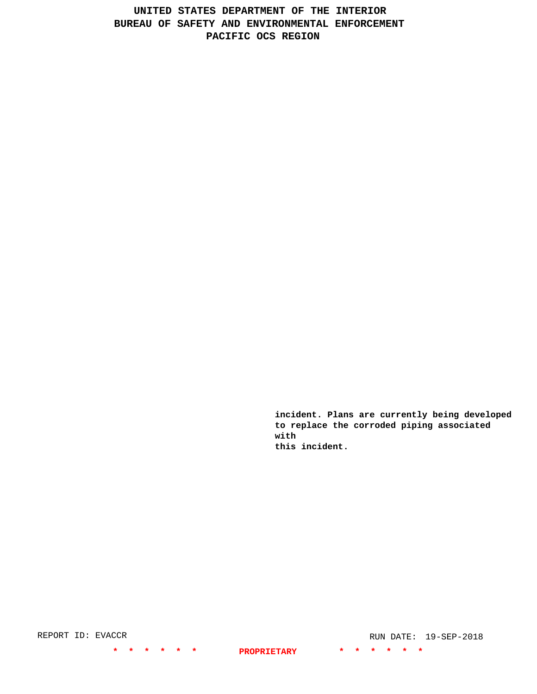**incident. Plans are currently being developed to replace the corroded piping associated with this incident.**

**\* \* \* \* \* \* PROPRIETARY \* \* \* \* \* \***

REPORT ID: EVACCR RUN DATE: 19-SEP-2018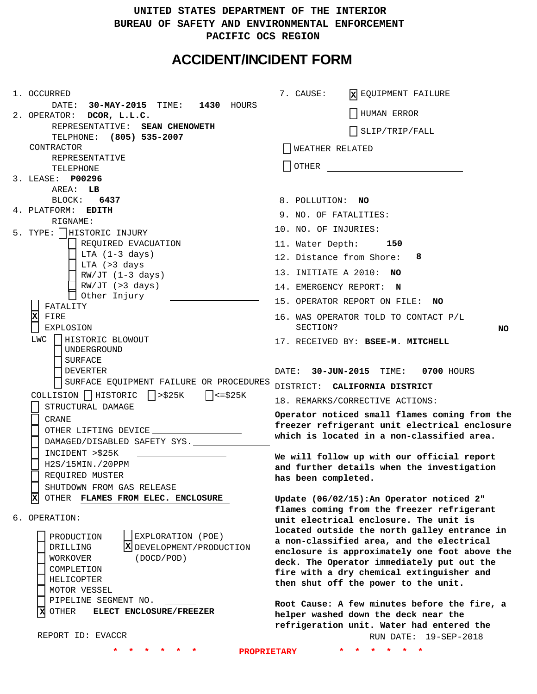| 1. OCCURRED                                                               | <b>X</b> EQUIPMENT FAILURE<br>7. CAUSE:                                                        |
|---------------------------------------------------------------------------|------------------------------------------------------------------------------------------------|
| <b>1430 HOURS</b><br>DATE: 30-MAY-2015 TIME:                              |                                                                                                |
| 2. OPERATOR: DCOR, L.L.C.                                                 | HUMAN ERROR                                                                                    |
| REPRESENTATIVE: SEAN CHENOWETH                                            | SLIP/TRIP/FALL                                                                                 |
| TELPHONE: (805) 535-2007<br>CONTRACTOR                                    |                                                                                                |
| REPRESENTATIVE                                                            | WEATHER RELATED                                                                                |
| TELEPHONE                                                                 | OTHER                                                                                          |
| 3. LEASE: P00296                                                          |                                                                                                |
| AREA: LB                                                                  |                                                                                                |
| BLOCK:<br>6437                                                            | 8. POLLUTION: NO                                                                               |
| 4. PLATFORM: EDITH                                                        | 9. NO. OF FATALITIES:                                                                          |
| RIGNAME:<br>5. TYPE: HISTORIC INJURY                                      | 10. NO. OF INJURIES:                                                                           |
| REQUIRED EVACUATION                                                       | 11. Water Depth:<br>150                                                                        |
| $LTA$ $(1-3 \text{ days})$                                                |                                                                                                |
| LTA (>3 days                                                              | 12. Distance from Shore:<br>- 8                                                                |
| $RW/JT$ (1-3 days)                                                        | 13. INITIATE A 2010: NO                                                                        |
| $RW/JT$ (>3 days)                                                         | 14. EMERGENCY REPORT: N                                                                        |
| Other Injury                                                              | 15. OPERATOR REPORT ON FILE: NO                                                                |
| FATALITY<br> x <br>FIRE                                                   | 16. WAS OPERATOR TOLD TO CONTACT P/L                                                           |
| <b>EXPLOSION</b>                                                          | SECTION?<br>NO.                                                                                |
| LWC<br>HISTORIC BLOWOUT                                                   |                                                                                                |
| UNDERGROUND                                                               | 17. RECEIVED BY: BSEE-M. MITCHELL                                                              |
| <b>SURFACE</b>                                                            |                                                                                                |
| <b>DEVERTER</b>                                                           | DATE: 30-JUN-2015 TIME:<br>0700 HOURS                                                          |
| SURFACE EQUIPMENT FAILURE OR PROCEDURES                                   | DISTRICT: CALIFORNIA DISTRICT                                                                  |
| COLLISION HISTORIC $\bigcap$ >\$25K<br>$\vert$ $\vert$ <= \$25K           | 18. REMARKS/CORRECTIVE ACTIONS:                                                                |
| STRUCTURAL DAMAGE                                                         |                                                                                                |
| CRANE                                                                     | Operator noticed small flames coming from the<br>freezer refrigerant unit electrical enclosure |
| OTHER LIFTING DEVICE ____________________                                 | which is located in a non-classified area.                                                     |
| DAMAGED/DISABLED SAFETY SYS.                                              |                                                                                                |
| INCIDENT >\$25K                                                           | We will follow up with our official report                                                     |
| H2S/15MIN./20PPM                                                          | and further details when the investigation                                                     |
| REQUIRED MUSTER                                                           | has been completed.                                                                            |
| SHUTDOWN FROM GAS RELEASE<br>OTHER FLAMES FROM ELEC. ENCLOSURE            | Update (06/02/15): An Operator noticed 2"                                                      |
|                                                                           | flames coming from the freezer refrigerant                                                     |
| 6. OPERATION:                                                             | unit electrical enclosure. The unit is                                                         |
|                                                                           | located outside the north galley entrance in                                                   |
| EXPLORATION (POE)<br>PRODUCTION<br>X DEVELOPMENT / PRODUCTION<br>DRILLING | a non-classified area, and the electrical                                                      |
| WORKOVER<br>(DOCD/POD)                                                    | enclosure is approximately one foot above the                                                  |
| COMPLETION                                                                | deck. The Operator immediately put out the                                                     |
| HELICOPTER                                                                | fire with a dry chemical extinguisher and<br>then shut off the power to the unit.              |
| MOTOR VESSEL                                                              |                                                                                                |
| PIPELINE SEGMENT NO.                                                      | Root Cause: A few minutes before the fire, a                                                   |
| OTHER<br>ELECT ENCLOSURE/FREEZER<br>x                                     | helper washed down the deck near the                                                           |
|                                                                           | refrigeration unit. Water had entered the                                                      |
| REPORT ID: EVACCR                                                         | RUN DATE: 19-SEP-2018                                                                          |
| <b>PROPRIETARY</b>                                                        | $\star$<br>*.                                                                                  |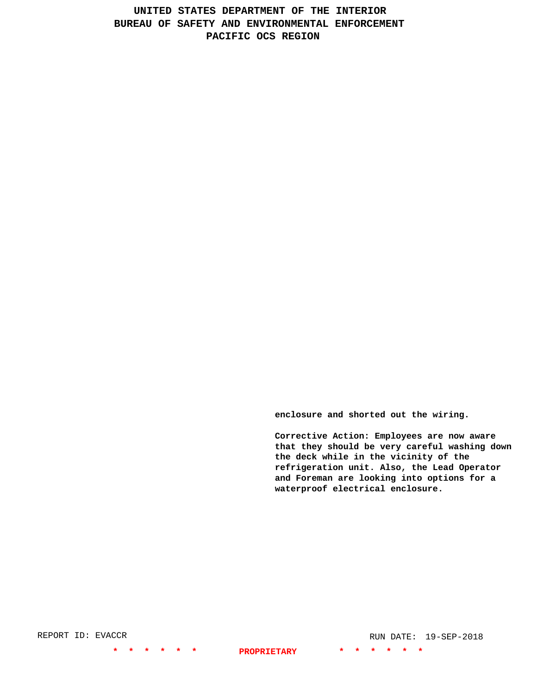**enclosure and shorted out the wiring.**

**Corrective Action: Employees are now aware that they should be very careful washing down the deck while in the vicinity of the refrigeration unit. Also, the Lead Operator and Foreman are looking into options for a waterproof electrical enclosure.**

**\* \* \* \* \* \* PROPRIETARY \* \* \* \* \* \***

REPORT ID: EVACCR RUN DATE: 19-SEP-2018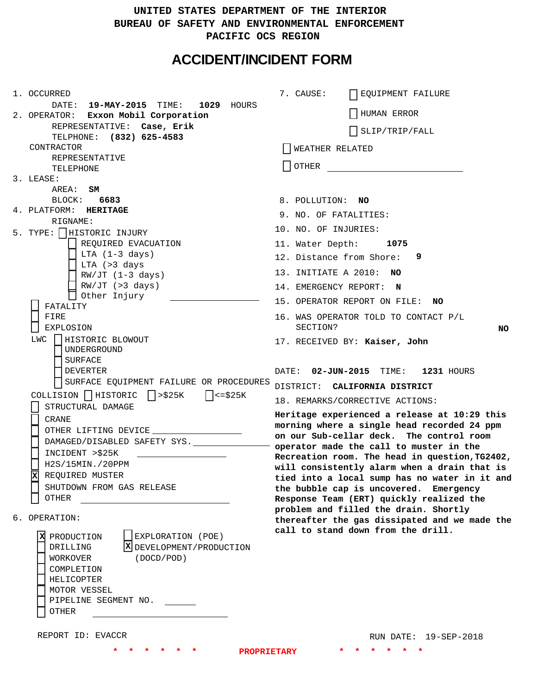| 1. OCCURRED                                                        | □ EQUIPMENT FAILURE<br>7. CAUSE:                                                               |
|--------------------------------------------------------------------|------------------------------------------------------------------------------------------------|
| DATE: 19-MAY-2015 TIME:<br><b>1029 HOURS</b>                       | HUMAN ERROR                                                                                    |
| 2. OPERATOR: Exxon Mobil Corporation<br>REPRESENTATIVE: Case, Erik |                                                                                                |
| TELPHONE: (832) 625-4583                                           | SLIP/TRIP/FALL                                                                                 |
| CONTRACTOR                                                         | WEATHER RELATED                                                                                |
| REPRESENTATIVE                                                     |                                                                                                |
| TELEPHONE                                                          | OTHER                                                                                          |
| 3. LEASE:                                                          |                                                                                                |
| AREA:<br>SM<br>6683<br>BLOCK:                                      |                                                                                                |
| 4. PLATFORM: HERITAGE                                              | 8. POLLUTION: NO                                                                               |
| RIGNAME:                                                           | 9. NO. OF FATALITIES:                                                                          |
| 5. TYPE:   HISTORIC INJURY                                         | 10. NO. OF INJURIES:                                                                           |
| REQUIRED EVACUATION                                                | 11. Water Depth:<br>1075                                                                       |
| $LTA$ $(1-3 days)$                                                 | 12. Distance from Shore:<br>- 9                                                                |
| $LTA$ (>3 days                                                     | 13. INITIATE A 2010: NO                                                                        |
| $RW/JT$ (1-3 days)                                                 |                                                                                                |
| $RW/JT$ (>3 days)<br>Other Injury                                  | 14. EMERGENCY REPORT: N                                                                        |
| FATALITY                                                           | 15. OPERATOR REPORT ON FILE: NO                                                                |
| FIRE                                                               | 16. WAS OPERATOR TOLD TO CONTACT P/L                                                           |
| <b>EXPLOSION</b>                                                   | SECTION?<br>NO.                                                                                |
| HISTORIC BLOWOUT<br>LWC                                            | 17. RECEIVED BY: Kaiser, John                                                                  |
| UNDERGROUND                                                        |                                                                                                |
| <b>SURFACE</b>                                                     |                                                                                                |
| DEVERTER<br>SURFACE EQUIPMENT FAILURE OR PROCEDURES                | DATE: 02-JUN-2015 TIME:<br>1231 HOURS                                                          |
| COLLISION $\bigcap$ HISTORIC $\bigcap$ >\$25K                      | DISTRICT: CALIFORNIA DISTRICT                                                                  |
| $ \cdot $ <= \$25K<br>STRUCTURAL DAMAGE                            | 18. REMARKS/CORRECTIVE ACTIONS:                                                                |
|                                                                    | Heritage experienced a release at 10:29 this                                                   |
| CRANE                                                              | morning where a single head recorded 24 ppm                                                    |
| DAMAGED/DISABLED SAFETY SYS.                                       | on our Sub-cellar deck. The control room                                                       |
| INCIDENT >\$25K                                                    | operator made the call to muster in the                                                        |
| H2S/15MIN./20PPM                                                   | Recreation room. The head in question, TG2402,<br>will consistently alarm when a drain that is |
| lv<br>REQUIRED MUSTER                                              | tied into a local sump has no water in it and                                                  |
| SHUTDOWN FROM GAS RELEASE                                          | the bubble cap is uncovered. Emergency                                                         |
| OTHER                                                              | Response Team (ERT) quickly realized the                                                       |
| 6. OPERATION:                                                      | problem and filled the drain. Shortly<br>thereafter the gas dissipated and we made the         |
| ∣x∣<br>EXPLORATION (POE)<br>PRODUCTION                             | call to stand down from the drill.                                                             |
| X DEVELOPMENT / PRODUCTION<br>DRILLING                             |                                                                                                |
| (DOCD/POD)<br>WORKOVER                                             |                                                                                                |
| COMPLETION                                                         |                                                                                                |
| HELICOPTER                                                         |                                                                                                |
| MOTOR VESSEL                                                       |                                                                                                |
| PIPELINE SEGMENT NO.                                               |                                                                                                |
| OTHER                                                              |                                                                                                |
| REPORT ID: EVACCR                                                  | RUN DATE: 19-SEP-2018                                                                          |
|                                                                    | <b>PROPRIETARY</b>                                                                             |
|                                                                    |                                                                                                |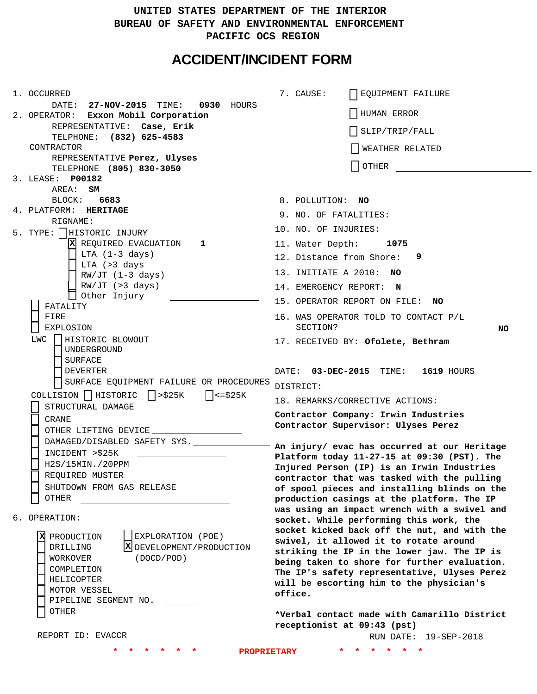| 1. OCCURRED                                            | EQUIPMENT FAILURE<br>7. CAUSE:                                                              |
|--------------------------------------------------------|---------------------------------------------------------------------------------------------|
| DATE: 27-NOV-2015 TIME:<br>0930 HOURS                  |                                                                                             |
| 2. OPERATOR: Exxon Mobil Corporation                   | HUMAN ERROR                                                                                 |
| REPRESENTATIVE: Case, Erik                             | SLIP/TRIP/FALL                                                                              |
| TELPHONE: (832) 625-4583                               |                                                                                             |
| CONTRACTOR<br>REPRESENTATIVE Perez, Ulyses             | WEATHER RELATED                                                                             |
| TELEPHONE (805) 830-3050                               | OTHER                                                                                       |
| 3. LEASE: P00182                                       |                                                                                             |
| AREA: SM                                               |                                                                                             |
| BLOCK:<br>6683                                         | 8. POLLUTION:<br>NO                                                                         |
| 4. PLATFORM: HERITAGE                                  | 9. NO. OF FATALITIES:                                                                       |
| RIGNAME:                                               | 10. NO. OF INJURIES:                                                                        |
| 5. TYPE: HISTORIC INJURY<br>X REQUIRED EVACUATION<br>1 | 1075                                                                                        |
| $LTA$ $(1-3 \text{ days})$                             | 11. Water Depth:                                                                            |
| LTA (>3 days                                           | 12. Distance from Shore:<br>9                                                               |
| $RW/JT$ (1-3 days)                                     | 13. INITIATE A 2010: NO                                                                     |
| $RW/JT$ (>3 days)                                      | 14. EMERGENCY REPORT: N                                                                     |
| Other Injury                                           | 15. OPERATOR REPORT ON FILE:<br>NO                                                          |
| FATALITY<br>FIRE                                       | 16. WAS OPERATOR TOLD TO CONTACT P/L                                                        |
| <b>EXPLOSION</b>                                       | SECTION?<br>NO.                                                                             |
| LWC<br>  HISTORIC BLOWOUT                              |                                                                                             |
| UNDERGROUND                                            | 17. RECEIVED BY: Ofolete, Bethram                                                           |
| <b>SURFACE</b>                                         |                                                                                             |
| <b>DEVERTER</b>                                        | DATE: 03-DEC-2015 TIME:<br><b>1619 HOURS</b>                                                |
| SURFACE EQUIPMENT FAILURE OR PROCEDURES                | DISTRICT:                                                                                   |
| COLLISION HISTORIC $\bigcap$ >\$25K<br>  $\le$ = \$25K | 18. REMARKS/CORRECTIVE ACTIONS:                                                             |
| STRUCTURAL DAMAGE                                      |                                                                                             |
| CRANE                                                  | Contractor Company: Irwin Industries<br>Contractor Supervisor: Ulyses Perez                 |
|                                                        |                                                                                             |
| DAMAGED/DISABLED SAFETY SYS.                           | An injury/ evac has occurred at our Heritage                                                |
| INCIDENT >\$25K                                        | Platform today 11-27-15 at 09:30 (PST). The                                                 |
| H2S/15MIN./20PPM<br>REQUIRED MUSTER                    | Injured Person (IP) is an Irwin Industries                                                  |
| SHUTDOWN FROM GAS RELEASE                              | contractor that was tasked with the pulling                                                 |
| OTHER                                                  | of spool pieces and installing blinds on the<br>production casings at the platform. The IP  |
|                                                        | was using an impact wrench with a swivel and                                                |
| 6. OPERATION:                                          | socket. While performing this work, the                                                     |
| ΙX<br>EXPLORATION (POE)<br>PRODUCTION                  | socket kicked back off the nut, and with the                                                |
| X DEVELOPMENT / PRODUCTION<br>DRILLING                 | swivel, it allowed it to rotate around                                                      |
| WORKOVER<br>(DOCD/POD)                                 | striking the IP in the lower jaw. The IP is<br>being taken to shore for further evaluation. |
| COMPLETION                                             | The IP's safety representative, Ulyses Perez                                                |
| HELICOPTER                                             | will be escorting him to the physician's                                                    |
| MOTOR VESSEL                                           | office.                                                                                     |
| PIPELINE SEGMENT NO.                                   |                                                                                             |
| OTHER                                                  | *Verbal contact made with Camarillo District                                                |
| REPORT ID: EVACCR                                      | receptionist at 09:43 (pst)                                                                 |
|                                                        | RUN DATE: 19-SEP-2018                                                                       |
| <b>PROPRIETARY</b>                                     |                                                                                             |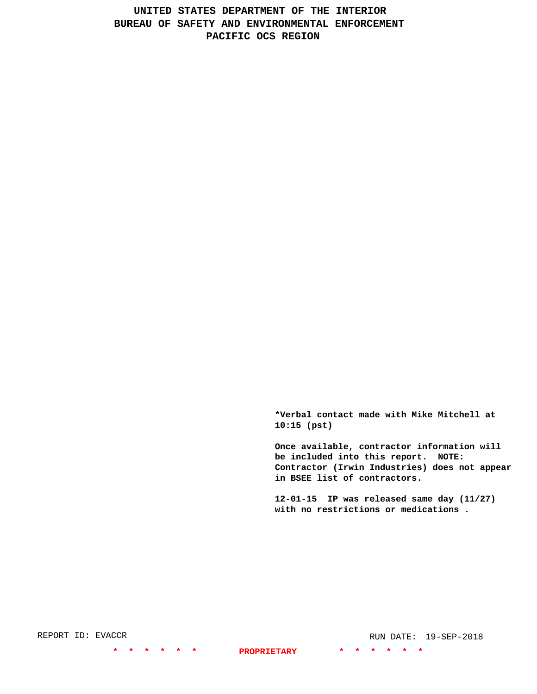**\*Verbal contact made with Mike Mitchell at 10:15 (pst)** 

**Once available, contractor information will be included into this report. NOTE: Contractor (Irwin Industries) does not appear in BSEE list of contractors.** 

**12-01-15 IP was released same day (11/27) with no restrictions or medications .**

REPORT ID: EVACCR RUN DATE: 19-SEP-2018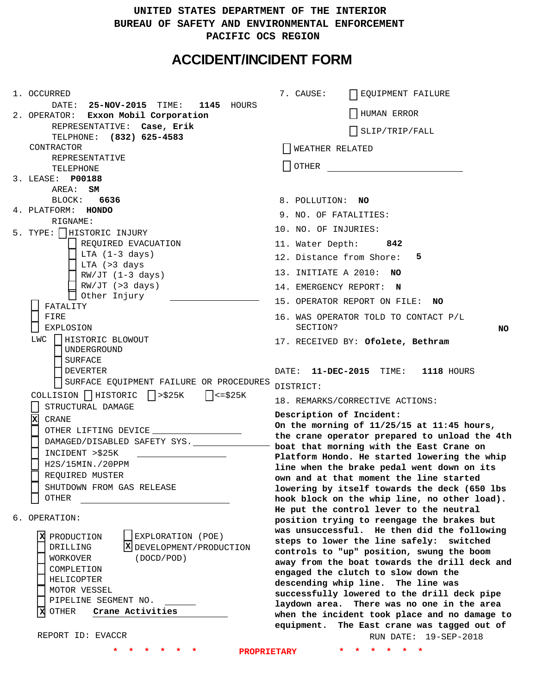| 1. OCCURRED                                                                          | EQUIPMENT FAILURE<br>7. CAUSE:                                                            |
|--------------------------------------------------------------------------------------|-------------------------------------------------------------------------------------------|
| DATE: 25-NOV-2015 TIME:<br><b>1145 HOURS</b><br>2. OPERATOR: Exxon Mobil Corporation | HUMAN ERROR                                                                               |
| REPRESENTATIVE: Case, Erik                                                           |                                                                                           |
| TELPHONE: (832) 625-4583                                                             | SLIP/TRIP/FALL                                                                            |
| CONTRACTOR                                                                           | WEATHER RELATED                                                                           |
| REPRESENTATIVE                                                                       |                                                                                           |
| TELEPHONE                                                                            | OTHER                                                                                     |
| 3. LEASE: P00188<br>AREA:<br>SM                                                      |                                                                                           |
| <b>BLOCK: 6636</b>                                                                   | 8. POLLUTION: NO                                                                          |
| 4. PLATFORM: HONDO                                                                   |                                                                                           |
| RIGNAME:                                                                             | 9. NO. OF FATALITIES:                                                                     |
| 5. TYPE: HISTORIC INJURY                                                             | 10. NO. OF INJURIES:                                                                      |
| REQUIRED EVACUATION                                                                  | 11. Water Depth:<br>842                                                                   |
| $LTA$ $(1-3 \text{ days})$                                                           | 12. Distance from Shore:<br>5.                                                            |
| LTA (>3 days                                                                         | 13. INITIATE A 2010: NO                                                                   |
| $RW/JT$ (1-3 days)<br>$RW/JT$ (>3 days)                                              |                                                                                           |
| Other Injury                                                                         | 14. EMERGENCY REPORT: N                                                                   |
| FATALITY                                                                             | 15. OPERATOR REPORT ON FILE: NO                                                           |
| FIRE                                                                                 | 16. WAS OPERATOR TOLD TO CONTACT P/L                                                      |
| <b>EXPLOSION</b>                                                                     | SECTION?<br>NO.                                                                           |
| HISTORIC BLOWOUT<br>LWC                                                              | 17. RECEIVED BY: Ofolete, Bethram                                                         |
| UNDERGROUND                                                                          |                                                                                           |
| <b>SURFACE</b><br><b>DEVERTER</b>                                                    | DATE: 11-DEC-2015 TIME:<br><b>1118 HOURS</b>                                              |
| SURFACE EQUIPMENT FAILURE OR PROCEDURES                                              |                                                                                           |
| COLLISION HISTORIC $\bigcap$ >\$25K<br>  $\vert$ <= \$25K                            | DISTRICT:                                                                                 |
| STRUCTURAL DAMAGE                                                                    | 18. REMARKS/CORRECTIVE ACTIONS:                                                           |
| 囨<br>CRANE                                                                           | Description of Incident:                                                                  |
|                                                                                      | On the morning of $11/25/15$ at $11:45$ hours,                                            |
| DAMAGED/DISABLED SAFETY SYS.                                                         | the crane operator prepared to unload the 4th<br>boat that morning with the East Crane on |
| INCIDENT >\$25K                                                                      | Platform Hondo. He started lowering the whip                                              |
| H2S/15MIN./20PPM                                                                     | line when the brake pedal went down on its                                                |
| REQUIRED MUSTER                                                                      | own and at that moment the line started                                                   |
| SHUTDOWN FROM GAS RELEASE                                                            | lowering by itself towards the deck (650 lbs                                              |
| OTHER                                                                                | hook block on the whip line, no other load).                                              |
| 6. OPERATION:                                                                        | He put the control lever to the neutral<br>position trying to reengage the brakes but     |
|                                                                                      | was unsuccessful. He then did the following                                               |
| EXPLORATION (POE)<br>l XI<br>PRODUCTION                                              | steps to lower the line safely: switched                                                  |
| X DEVELOPMENT/PRODUCTION<br>DRILLING                                                 | controls to "up" position, swung the boom                                                 |
| WORKOVER<br>(DOCD/POD)<br>COMPLETION                                                 | away from the boat towards the drill deck and                                             |
| HELICOPTER                                                                           | engaged the clutch to slow down the                                                       |
| MOTOR VESSEL                                                                         | descending whip line. The line was<br>successfully lowered to the drill deck pipe         |
| PIPELINE SEGMENT NO.                                                                 | laydown area. There was no one in the area                                                |
| <b>OTHER</b><br>Crane Activities<br>ΙX                                               | when the incident took place and no damage to                                             |
|                                                                                      | equipment. The East crane was tagged out of                                               |
| REPORT ID: EVACCR                                                                    | RUN DATE: 19-SEP-2018                                                                     |
| <b>PROPRIETARY</b>                                                                   |                                                                                           |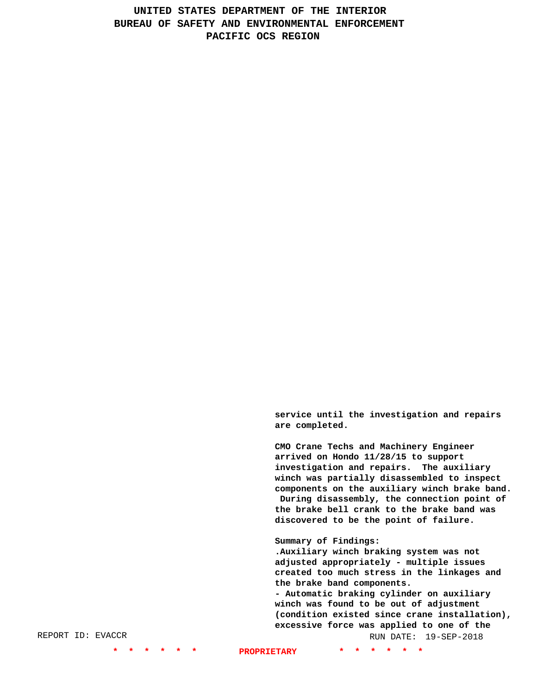**service until the investigation and repairs are completed.** 

**CMO Crane Techs and Machinery Engineer arrived on Hondo 11/28/15 to support investigation and repairs. The auxiliary winch was partially disassembled to inspect components on the auxiliary winch brake band. During disassembly, the connection point of the brake bell crank to the brake band was discovered to be the point of failure.** 

#### **Summary of Findings:**

**.Auxiliary winch braking system was not adjusted appropriately - multiple issues created too much stress in the linkages and the brake band components.** 

REPORT ID: EVACCR **RUN DATE: 19-SEP-2018 - Automatic braking cylinder on auxiliary winch was found to be out of adjustment (condition existed since crane installation), excessive force was applied to one of the**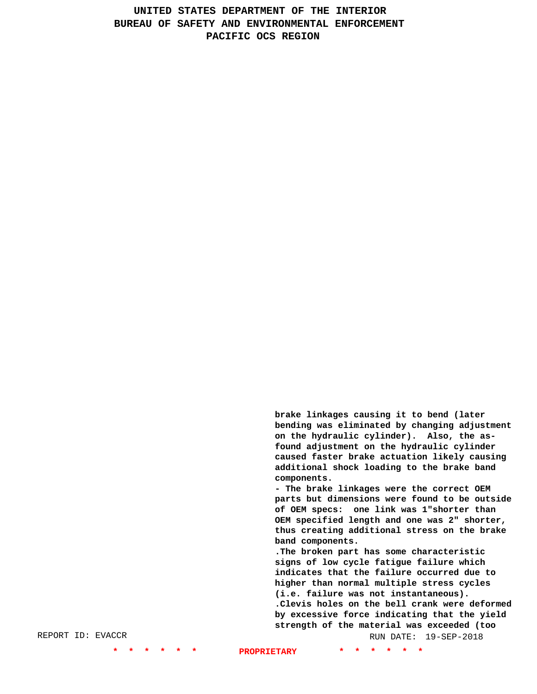**brake linkages causing it to bend (later bending was eliminated by changing adjustment on the hydraulic cylinder). Also, the asfound adjustment on the hydraulic cylinder caused faster brake actuation likely causing additional shock loading to the brake band components.** 

**- The brake linkages were the correct OEM parts but dimensions were found to be outside of OEM specs: one link was 1"shorter than OEM specified length and one was 2" shorter, thus creating additional stress on the brake band components.** 

REPORT ID: EVACCR **RUN DATE: 19-SEP-2018 .The broken part has some characteristic signs of low cycle fatigue failure which indicates that the failure occurred due to higher than normal multiple stress cycles (i.e. failure was not instantaneous). .Clevis holes on the bell crank were deformed by excessive force indicating that the yield strength of the material was exceeded (too**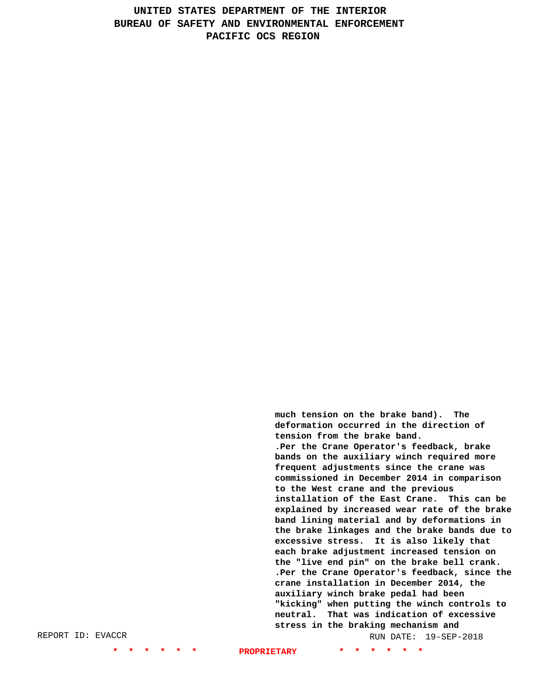REPORT ID: EVACCR **RUN DATE: 19-SEP-2018 much tension on the brake band). The deformation occurred in the direction of tension from the brake band. .Per the Crane Operator's feedback, brake bands on the auxiliary winch required more frequent adjustments since the crane was commissioned in December 2014 in comparison to the West crane and the previous installation of the East Crane. This can be explained by increased wear rate of the brake band lining material and by deformations in the brake linkages and the brake bands due to excessive stress. It is also likely that each brake adjustment increased tension on the "live end pin" on the brake bell crank. .Per the Crane Operator's feedback, since the crane installation in December 2014, the auxiliary winch brake pedal had been "kicking" when putting the winch controls to neutral. That was indication of excessive stress in the braking mechanism and**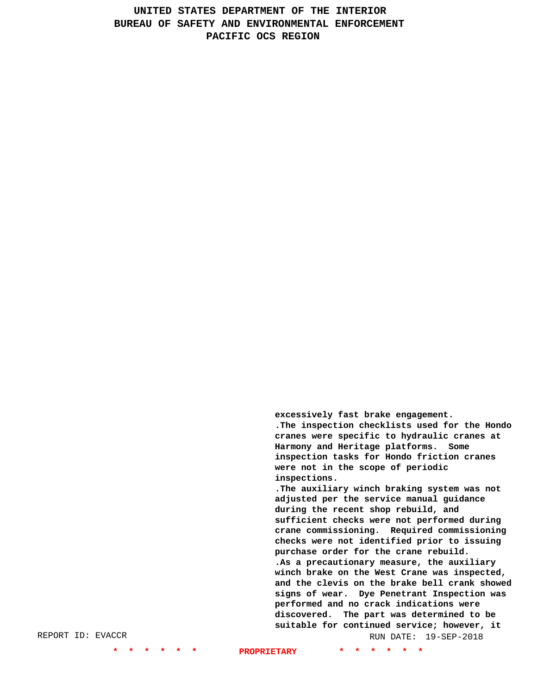**cranes were specific to hydraulic cranes at Harmony and Heritage platforms. Some inspection tasks for Hondo friction cranes were not in the scope of periodic inspections. .The auxiliary winch braking system was not adjusted per the service manual guidance during the recent shop rebuild, and sufficient checks were not performed during crane commissioning. Required commissioning checks were not identified prior to issuing purchase order for the crane rebuild. .As a precautionary measure, the auxiliary winch brake on the West Crane was inspected, and the clevis on the brake bell crank showed signs of wear. Dye Penetrant Inspection was performed and no crack indications were discovered. The part was determined to be suitable for continued service; however, it** 

**.The inspection checklists used for the Hondo**

**excessively fast brake engagement.** 

REPORT ID: EVACCR **RUN DATE: 19-SEP-2018**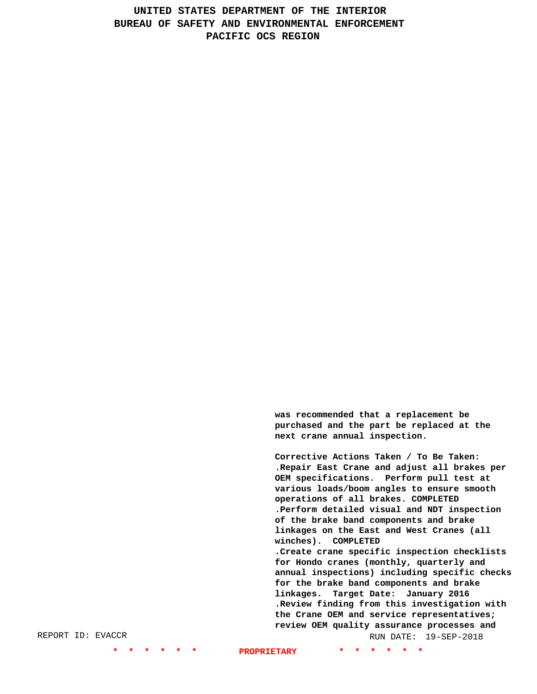**was recommended that a replacement be purchased and the part be replaced at the next crane annual inspection.** 

REPORT ID: EVACCR RUN DATE: 19-SEP-2018 **Corrective Actions Taken / To Be Taken: .Repair East Crane and adjust all brakes per OEM specifications. Perform pull test at various loads/boom angles to ensure smooth operations of all brakes. COMPLETED .Perform detailed visual and NDT inspection of the brake band components and brake linkages on the East and West Cranes (all winches). COMPLETED .Create crane specific inspection checklists for Hondo cranes (monthly, quarterly and annual inspections) including specific checks for the brake band components and brake linkages. Target Date: January 2016 .Review finding from this investigation with the Crane OEM and service representatives; review OEM quality assurance processes and**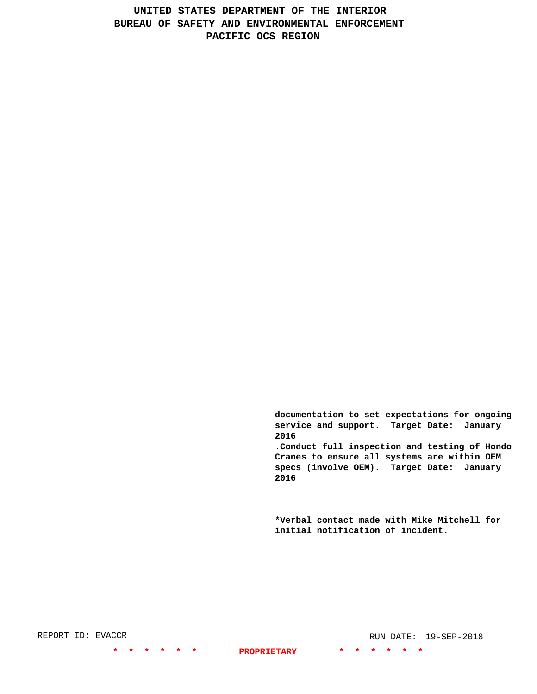**documentation to set expectations for ongoing service and support. Target Date: January 2016 .Conduct full inspection and testing of Hondo Cranes to ensure all systems are within OEM specs (involve OEM). Target Date: January 2016** 

**\*Verbal contact made with Mike Mitchell for initial notification of incident.**

REPORT ID: EVACCR RUN DATE: 19-SEP-2018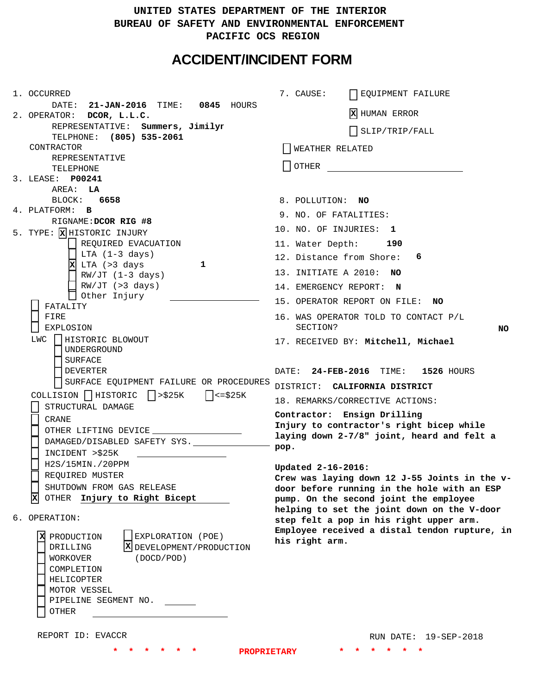| 1. OCCURRED<br>0845 HOURS<br>DATE: $21$ -JAN-2016 TIME:<br>2. OPERATOR: DCOR, L.L.C.<br>REPRESENTATIVE: Summers, Jimilyr                                                                                                                                                                                                                                                                              | EQUIPMENT FAILURE<br>7. CAUSE:<br><b>X</b> HUMAN ERROR<br>SLIP/TRIP/FALL                                                                                                                                                                                                                                                                                                                                                                                       |
|-------------------------------------------------------------------------------------------------------------------------------------------------------------------------------------------------------------------------------------------------------------------------------------------------------------------------------------------------------------------------------------------------------|----------------------------------------------------------------------------------------------------------------------------------------------------------------------------------------------------------------------------------------------------------------------------------------------------------------------------------------------------------------------------------------------------------------------------------------------------------------|
| TELPHONE: (805) 535-2061<br>CONTRACTOR<br>REPRESENTATIVE<br>TELEPHONE<br>3. LEASE: P00241                                                                                                                                                                                                                                                                                                             | WEATHER RELATED<br>OTHER                                                                                                                                                                                                                                                                                                                                                                                                                                       |
| AREA: LA<br>BLOCK:<br>6658<br>4. PLATFORM: B<br>RIGNAME: DCOR RIG #8<br>5. TYPE: X HISTORIC INJURY<br>REQUIRED EVACUATION<br>$LTA$ $(1-3 \text{ days})$<br>K LTA (>3 days<br>1<br>$RW/JT$ (1-3 days)<br>$RW/JT$ (>3 days)<br>Other Injury<br>FATALITY                                                                                                                                                 | 8. POLLUTION: NO<br>9. NO. OF FATALITIES:<br>10. NO. OF INJURIES: 1<br>11. Water Depth:<br>190<br>12. Distance from Shore:<br>- 6<br>13. INITIATE A 2010: NO<br>14. EMERGENCY REPORT: N<br>15. OPERATOR REPORT ON FILE: NO                                                                                                                                                                                                                                     |
| FIRE<br><b>EXPLOSION</b><br>LWC<br>  HISTORIC BLOWOUT<br>UNDERGROUND<br>SURFACE<br>DEVERTER<br>SURFACE EQUIPMENT FAILURE OR PROCEDURES<br>COLLISION HISTORIC $\bigcap$ >\$25K<br>$\bigcap$ <= \$25K<br>STRUCTURAL DAMAGE<br>CRANE<br>OTHER LIFTING DEVICE ____________________<br>DAMAGED/DISABLED SAFETY SYS.<br>INCIDENT >\$25K<br>H2S/15MIN./20PPM<br>REQUIRED MUSTER<br>SHUTDOWN FROM GAS RELEASE | 16. WAS OPERATOR TOLD TO CONTACT P/L<br>SECTION?<br>NO.<br>17. RECEIVED BY: Mitchell, Michael<br>DATE: 24-FEB-2016 TIME: 1526 HOURS<br>DISTRICT: CALIFORNIA DISTRICT<br>18. REMARKS/CORRECTIVE ACTIONS:<br>Contractor: Ensign Drilling<br>Injury to contractor's right bicep while<br>laying down 2-7/8" joint, heard and felt a<br>pop.<br>Updated 2-16-2016:<br>Crew was laying down 12 J-55 Joints in the v-<br>door before running in the hole with an ESP |
| OTHER Injury to Right Bicept<br> x <br>6. OPERATION:<br>EXPLORATION (POE)<br>PRODUCTION<br>X DEVELOPMENT/PRODUCTION<br>DRILLING<br><b>WORKOVER</b><br>(DOCD/POD)<br>COMPLETION<br>HELICOPTER<br>MOTOR VESSEL<br>PIPELINE SEGMENT NO.<br>OTHER                                                                                                                                                         | pump. On the second joint the employee<br>helping to set the joint down on the V-door<br>step felt a pop in his right upper arm.<br>Employee received a distal tendon rupture, in<br>his right arm.                                                                                                                                                                                                                                                            |
| REPORT ID: EVACCR<br><b>PROPRIETARY</b>                                                                                                                                                                                                                                                                                                                                                               | RUN DATE: 19-SEP-2018                                                                                                                                                                                                                                                                                                                                                                                                                                          |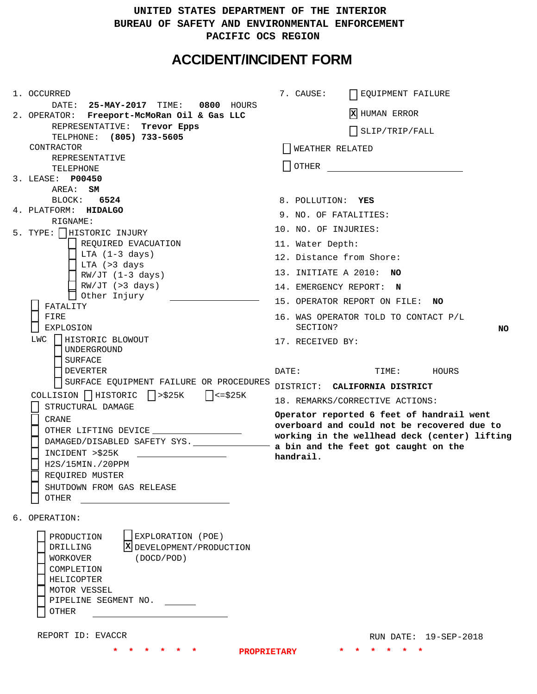| 1. OCCURRED<br>DATE: 25-MAY-2017 TIME:<br>0800 HOURS<br>2. OPERATOR: Freeport-McMoRan Oil & Gas LLC<br>REPRESENTATIVE: Trevor Epps<br>TELPHONE: (805) 733-5605<br>CONTRACTOR<br>REPRESENTATIVE<br>TELEPHONE<br>3. LEASE: P00450<br>AREA:<br>SM | 7. CAUSE:<br>EQUIPMENT FAILURE<br><b>X</b> HUMAN ERROR<br>SLIP/TRIP/FALL<br>WEATHER RELATED<br>OTHER                                                                                           |
|------------------------------------------------------------------------------------------------------------------------------------------------------------------------------------------------------------------------------------------------|------------------------------------------------------------------------------------------------------------------------------------------------------------------------------------------------|
| 6524<br>BLOCK:                                                                                                                                                                                                                                 | 8. POLLUTION: YES                                                                                                                                                                              |
| 4. PLATFORM: HIDALGO                                                                                                                                                                                                                           | 9. NO. OF FATALITIES:                                                                                                                                                                          |
| RIGNAME:<br>5. TYPE: HISTORIC INJURY                                                                                                                                                                                                           | 10. NO. OF INJURIES:                                                                                                                                                                           |
| REQUIRED EVACUATION                                                                                                                                                                                                                            | 11. Water Depth:                                                                                                                                                                               |
| $LTA$ $(1-3 \text{ days})$                                                                                                                                                                                                                     | 12. Distance from Shore:                                                                                                                                                                       |
| LTA (>3 days<br>$RW/JT$ (1-3 days)                                                                                                                                                                                                             | 13. INITIATE A 2010: NO                                                                                                                                                                        |
| $RW/JT$ (>3 days)                                                                                                                                                                                                                              | 14. EMERGENCY REPORT: N                                                                                                                                                                        |
| Other Injury                                                                                                                                                                                                                                   | 15. OPERATOR REPORT ON FILE:<br>NO                                                                                                                                                             |
| FATALITY                                                                                                                                                                                                                                       | 16. WAS OPERATOR TOLD TO CONTACT P/L                                                                                                                                                           |
| FIRE<br><b>EXPLOSION</b>                                                                                                                                                                                                                       | SECTION?<br>NO.                                                                                                                                                                                |
| HISTORIC BLOWOUT<br>LWC                                                                                                                                                                                                                        | 17. RECEIVED BY:                                                                                                                                                                               |
| UNDERGROUND                                                                                                                                                                                                                                    |                                                                                                                                                                                                |
| SURFACE<br>DEVERTER                                                                                                                                                                                                                            | DATA:<br>HOURS                                                                                                                                                                                 |
| SURFACE EQUIPMENT FAILURE OR PROCEDURES                                                                                                                                                                                                        | TIME:                                                                                                                                                                                          |
| COLLISION HISTORIC   >\$25K<br>$\le$ = $$25K$                                                                                                                                                                                                  | DISTRICT:<br>CALIFORNIA DISTRICT                                                                                                                                                               |
| STRUCTURAL DAMAGE                                                                                                                                                                                                                              | 18. REMARKS/CORRECTIVE ACTIONS:                                                                                                                                                                |
| <b>CRANE</b><br>OTHER LIFTING DEVICE _____________________<br>DAMAGED/DISABLED SAFETY SYS.<br>INCIDENT >\$25K<br>H2S/15MIN./20PPM<br>REQUIRED MUSTER<br>SHUTDOWN FROM GAS RELEASE<br>OTHER                                                     | Operator reported 6 feet of handrail went<br>overboard and could not be recovered due to<br>working in the wellhead deck (center) lifting<br>a bin and the feet got caught on the<br>handrail. |
| 6. OPERATION:                                                                                                                                                                                                                                  |                                                                                                                                                                                                |
| EXPLORATION (POE)<br>PRODUCTION<br>X DEVELOPMENT / PRODUCTION<br>DRILLING<br>WORKOVER<br>(DOCD/POD)<br>COMPLETION<br>HELICOPTER<br>MOTOR VESSEL<br>PIPELINE SEGMENT NO.<br>OTHER                                                               |                                                                                                                                                                                                |
| REPORT ID: EVACCR                                                                                                                                                                                                                              | RUN DATE: 19-SEP-2018                                                                                                                                                                          |
| $\begin{array}{cccccccccc} \star & \star & \star & \star \end{array}$<br><b>PROPRIETARY</b>                                                                                                                                                    | $\ast$<br>$\star$ $\star$                                                                                                                                                                      |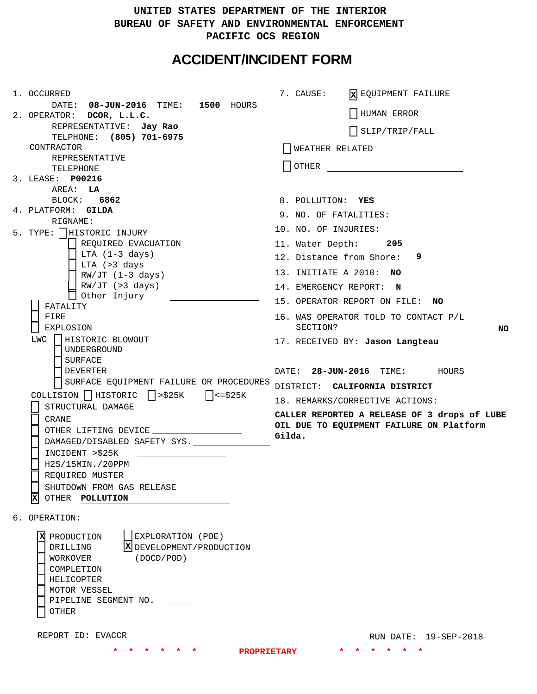| 1. OCCURRED                                           | <b>X</b> EQUIPMENT FAILURE<br>7. CAUSE:      |
|-------------------------------------------------------|----------------------------------------------|
| DATE: 08-JUN-2016 TIME: 1500 HOURS                    |                                              |
| 2. OPERATOR: DCOR, L.L.C.                             | HUMAN ERROR                                  |
| REPRESENTATIVE: Jay Rao                               | SLIP/TRIP/FALL                               |
| TELPHONE: (805) 701-6975<br>CONTRACTOR                |                                              |
| REPRESENTATIVE                                        | WEATHER RELATED                              |
| TELEPHONE                                             | OTHER                                        |
| 3. LEASE: P00216                                      |                                              |
| AREA: LA                                              |                                              |
| BLOCK:<br>6862                                        | 8. POLLUTION: YES                            |
| 4. PLATFORM: GILDA<br>RIGNAME:                        | 9. NO. OF FATALITIES:                        |
| 5. TYPE: HISTORIC INJURY                              | 10. NO. OF INJURIES:                         |
| REQUIRED EVACUATION                                   | 11. Water Depth:<br>205                      |
| $LTA$ $(1-3 \text{ days})$                            | 12. Distance from Shore:<br>- 9              |
| LTA (>3 days                                          |                                              |
| $RW/JT$ (1-3 days)                                    | 13. INITIATE A 2010: NO                      |
| $RW/JT$ (>3 days)<br>Other Injury                     | 14. EMERGENCY REPORT: N                      |
| <b>FATALITY</b>                                       | 15. OPERATOR REPORT ON FILE: NO              |
| FIRE                                                  | 16. WAS OPERATOR TOLD TO CONTACT P/L         |
| EXPLOSION                                             | SECTION?<br>NO.                              |
| LWC<br>  HISTORIC BLOWOUT                             | 17. RECEIVED BY: Jason Langteau              |
| UNDERGROUND                                           |                                              |
| SURFACE<br>DEVERTER                                   |                                              |
| SURFACE EQUIPMENT FAILURE OR PROCEDURES               | DATE: 28-JUN-2016 TIME: HOURS                |
| COLLISION HISTORIC $\bigcap$ >\$25K<br>$\le$ = $$25K$ | DISTRICT: CALIFORNIA DISTRICT                |
| STRUCTURAL DAMAGE                                     | 18. REMARKS/CORRECTIVE ACTIONS:              |
| <b>CRANE</b>                                          | CALLER REPORTED A RELEASE OF 3 drops of LUBE |
| OTHER LIFTING DEVICE ____________________             | OIL DUE TO EQUIPMENT FAILURE ON Platform     |
| DAMAGED/DISABLED SAFETY SYS.                          | Gilda.                                       |
| INCIDENT >\$25K                                       |                                              |
| H2S/15MIN./20PPM                                      |                                              |
| REQUIRED MUSTER                                       |                                              |
| SHUTDOWN FROM GAS RELEASE                             |                                              |
| OTHER POLLUTION                                       |                                              |
| 6. OPERATION:                                         |                                              |
| EXPLORATION (POE)<br>X PRODUCTION                     |                                              |
| X DEVELOPMENT / PRODUCTION<br>DRILLING                |                                              |
| WORKOVER<br>(DOCD/POD)                                |                                              |
| COMPLETION                                            |                                              |
| HELICOPTER                                            |                                              |
| MOTOR VESSEL<br>PIPELINE SEGMENT NO.                  |                                              |
| OTHER                                                 |                                              |
|                                                       |                                              |
| REPORT ID: EVACCR                                     | RUN DATE: 19-SEP-2018                        |
| <b>PROPRIETARY</b>                                    |                                              |
|                                                       |                                              |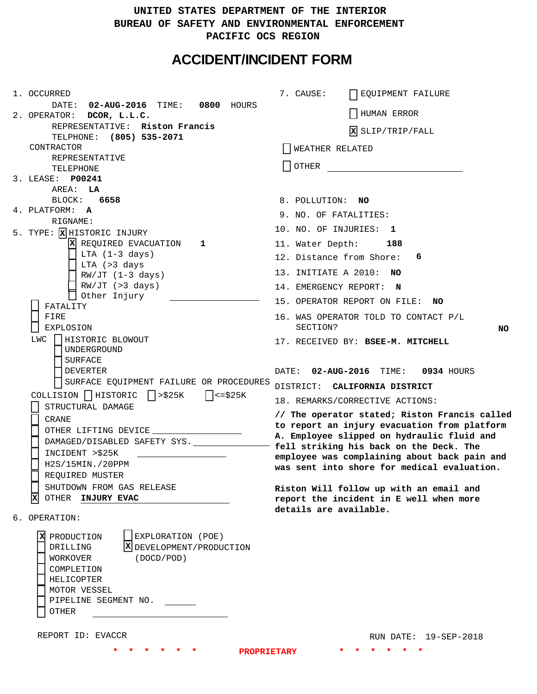| 1. OCCURRED                                                                                                                                                                           | EQUIPMENT FAILURE<br>7. CAUSE:                                                                |
|---------------------------------------------------------------------------------------------------------------------------------------------------------------------------------------|-----------------------------------------------------------------------------------------------|
| DATE: 02-AUG-2016 TIME:<br>0800 HOURS                                                                                                                                                 | HUMAN ERROR                                                                                   |
| 2. OPERATOR: DCOR, L.L.C.<br>REPRESENTATIVE: Riston Francis                                                                                                                           |                                                                                               |
| TELPHONE: (805) 535-2071                                                                                                                                                              | $\vert x \vert$ SLIP/TRIP/FALL                                                                |
| CONTRACTOR                                                                                                                                                                            | WEATHER RELATED                                                                               |
| REPRESENTATIVE                                                                                                                                                                        |                                                                                               |
| TELEPHONE                                                                                                                                                                             | OTHER                                                                                         |
| 3. LEASE: P00241<br>AREA: LA                                                                                                                                                          |                                                                                               |
| BLOCK:<br>6658                                                                                                                                                                        | 8. POLLUTION: NO                                                                              |
| 4. PLATFORM: A                                                                                                                                                                        | 9. NO. OF FATALITIES:                                                                         |
| RIGNAME:                                                                                                                                                                              | 10. NO. OF INJURIES:<br>$\mathbf{1}$                                                          |
| 5. TYPE: X HISTORIC INJURY                                                                                                                                                            |                                                                                               |
| <b>X</b> REQUIRED EVACUATION<br>$\mathbf{1}$<br>$LTA$ $(1-3 \text{ days})$                                                                                                            | 11. Water Depth:<br>188                                                                       |
| LTA (>3 days                                                                                                                                                                          | 12. Distance from Shore:<br>-6                                                                |
| $RW/JT$ (1-3 days)                                                                                                                                                                    | 13. INITIATE A 2010: NO                                                                       |
| $RW/JT$ (>3 days)                                                                                                                                                                     | 14. EMERGENCY REPORT: N                                                                       |
| Other Injury<br>FATALITY                                                                                                                                                              | 15. OPERATOR REPORT ON FILE:<br>NO                                                            |
| FIRE                                                                                                                                                                                  | 16. WAS OPERATOR TOLD TO CONTACT P/L                                                          |
| <b>EXPLOSION</b>                                                                                                                                                                      | SECTION?<br>NO.                                                                               |
| LWC<br>HISTORIC BLOWOUT                                                                                                                                                               | 17. RECEIVED BY: BSEE-M. MITCHELL                                                             |
| UNDERGROUND                                                                                                                                                                           |                                                                                               |
| <b>SURFACE</b><br><b>DEVERTER</b>                                                                                                                                                     | DATE: 02-AUG-2016 TIME: 0934 HOURS                                                            |
| SURFACE EQUIPMENT FAILURE OR PROCEDURES                                                                                                                                               |                                                                                               |
| COLLISION $\bigcap$ HISTORIC $\bigcap$ >\$25K<br>$\vert$ $\vert$ <= \$25K                                                                                                             | DISTRICT: CALIFORNIA DISTRICT                                                                 |
| STRUCTURAL DAMAGE                                                                                                                                                                     | 18. REMARKS/CORRECTIVE ACTIONS:                                                               |
| <b>CRANE</b>                                                                                                                                                                          | // The operator stated; Riston Francis called<br>to report an injury evacuation from platform |
| OTHER LIFTING DEVICE __________________                                                                                                                                               | A. Employee slipped on hydraulic fluid and                                                    |
| DAMAGED/DISABLED SAFETY SYS.                                                                                                                                                          | fell striking his back on the Deck. The                                                       |
| INCIDENT >\$25K<br>H2S/15MIN./20PPM                                                                                                                                                   | employee was complaining about back pain and                                                  |
| REQUIRED MUSTER                                                                                                                                                                       | was sent into shore for medical evaluation.                                                   |
| SHUTDOWN FROM GAS RELEASE                                                                                                                                                             | Riston Will follow up with an email and                                                       |
| OTHER INJURY EVAC                                                                                                                                                                     | report the incident in E well when more                                                       |
| 6. OPERATION:                                                                                                                                                                         | details are available.                                                                        |
| EXPLORATION (POE)<br>x<br>PRODUCTION<br>X DEVELOPMENT / PRODUCTION<br>DRILLING<br>WORKOVER<br>(DOCD/POD)<br>COMPLETION<br>HELICOPTER<br>MOTOR VESSEL<br>PIPELINE SEGMENT NO.<br>OTHER |                                                                                               |
| REPORT ID: EVACCR                                                                                                                                                                     | RUN DATE: 19-SEP-2018                                                                         |
| <b>PROPRIETARY</b>                                                                                                                                                                    |                                                                                               |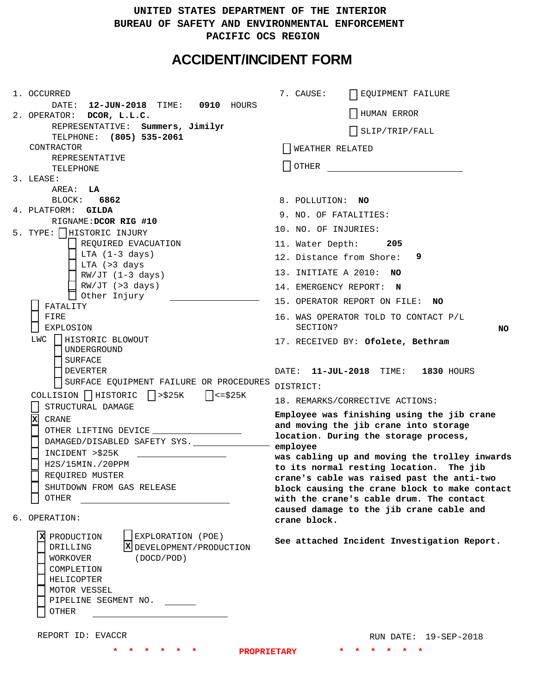| 1. OCCURRED                                                         | EQUIPMENT FAILURE<br>7. CAUSE:                    |
|---------------------------------------------------------------------|---------------------------------------------------|
| DATE: 12-JUN-2018 TIME:<br><b>0910</b> HOURS                        |                                                   |
| 2. OPERATOR: DCOR, L.L.C.                                           | HUMAN ERROR                                       |
| REPRESENTATIVE: Summers, Jimilyr                                    | SLIP/TRIP/FALL                                    |
| TELPHONE: (805) 535-2061<br>CONTRACTOR                              |                                                   |
| REPRESENTATIVE                                                      | WEATHER RELATED                                   |
| TELEPHONE                                                           | OTHER                                             |
| 3. LEASE:                                                           |                                                   |
| AREA: LA                                                            |                                                   |
| BLOCK:<br>6862                                                      | 8. POLLUTION: NO                                  |
| 4. PLATFORM:<br><b>GILDA</b>                                        | 9. NO. OF FATALITIES:                             |
| RIGNAME: DCOR RIG #10                                               | 10. NO. OF INJURIES:                              |
| 5. TYPE:    HISTORIC INJURY                                         |                                                   |
| REQUIRED EVACUATION                                                 | 11. Water Depth:<br>205                           |
| $LTA$ $(1-3 \text{ days})$<br>LTA (>3 days                          | 12. Distance from Shore:<br>9                     |
| $RW/JT$ (1-3 days)                                                  | 13. INITIATE A 2010: NO                           |
| $RW/JT$ (>3 days)                                                   | 14. EMERGENCY REPORT: N                           |
| Other Injury                                                        | 15. OPERATOR REPORT ON FILE: NO                   |
| FATALITY                                                            |                                                   |
| FIRE                                                                | 16. WAS OPERATOR TOLD TO CONTACT P/L              |
| <b>EXPLOSION</b>                                                    | SECTION?<br>NO.                                   |
| LWC     HISTORIC BLOWOUT<br>UNDERGROUND                             | 17. RECEIVED BY: Ofolete, Bethram                 |
| SURFACE                                                             |                                                   |
| DEVERTER                                                            | DATE: 11-JUL-2018 TIME: 1830 HOURS                |
| SURFACE EQUIPMENT FAILURE OR PROCEDURES                             | DISTRICT:                                         |
| COLLISION $\bigcap$ HISTORIC $\bigcap$ >\$25K<br>$ \cdot $ <= \$25K |                                                   |
| STRUCTURAL DAMAGE                                                   | 18. REMARKS/CORRECTIVE ACTIONS:                   |
| x <br>CRANE                                                         | Employee was finishing using the jib crane        |
| OTHER LIFTING DEVICE ____________________                           | and moving the jib crane into storage             |
| DAMAGED/DISABLED SAFETY SYS.                                        | location. During the storage process,<br>employee |
| INCIDENT >\$25K                                                     | was cabling up and moving the trolley inwards     |
| H2S/15MIN./20PPM                                                    | to its normal resting location. The jib           |
| REQUIRED MUSTER                                                     | crane's cable was raised past the anti-two        |
| SHUTDOWN FROM GAS RELEASE                                           | block causing the crane block to make contact     |
| OTHER                                                               | with the crane's cable drum. The contact          |
| 6. OPERATION:                                                       | caused damage to the jib crane cable and          |
|                                                                     | crane block.                                      |
| EXPLORATION (POE)<br>PRODUCTION                                     | See attached Incident Investigation Report.       |
|                                                                     |                                                   |
| X DEVELOPMENT/PRODUCTION<br>DRILLING                                |                                                   |
| <b>WORKOVER</b><br>(DOCD/POD)                                       |                                                   |
| COMPLETION                                                          |                                                   |
| HELICOPTER                                                          |                                                   |
| MOTOR VESSEL                                                        |                                                   |
| PIPELINE SEGMENT NO.<br><b>OTHER</b>                                |                                                   |
|                                                                     |                                                   |
| REPORT ID: EVACCR                                                   |                                                   |
| <b>PROPRIETARY</b>                                                  | RUN DATE: 19-SEP-2018                             |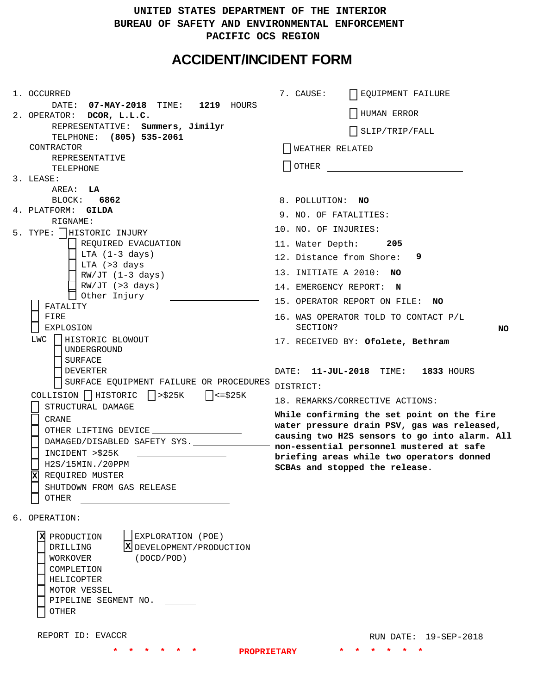| 1. OCCURRED<br>DATE: 07-MAY-2018 TIME:<br>1219 HOURS<br>2. OPERATOR: DCOR, L.L.C.<br>REPRESENTATIVE: Summers, Jimilyr<br>TELPHONE: (805) 535-2061<br>CONTRACTOR<br>REPRESENTATIVE<br>TELEPHONE<br>3. LEASE:                                                                                                                                                        | 7. CAUSE:<br>EQUIPMENT FAILURE<br>HUMAN ERROR<br>SLIP/TRIP/FALL<br>WEATHER RELATED<br>OTHER                                                                                                                                                                                                                                                                                                                         |
|--------------------------------------------------------------------------------------------------------------------------------------------------------------------------------------------------------------------------------------------------------------------------------------------------------------------------------------------------------------------|---------------------------------------------------------------------------------------------------------------------------------------------------------------------------------------------------------------------------------------------------------------------------------------------------------------------------------------------------------------------------------------------------------------------|
| AREA: LA                                                                                                                                                                                                                                                                                                                                                           |                                                                                                                                                                                                                                                                                                                                                                                                                     |
| 6862<br>BLOCK:<br>4. PLATFORM: GILDA                                                                                                                                                                                                                                                                                                                               | 8. POLLUTION: NO                                                                                                                                                                                                                                                                                                                                                                                                    |
| RIGNAME:                                                                                                                                                                                                                                                                                                                                                           | 9. NO. OF FATALITIES:                                                                                                                                                                                                                                                                                                                                                                                               |
| 5. TYPE:   HISTORIC INJURY<br>REQUIRED EVACUATION<br>$LTA$ $(1-3 \text{ days})$<br>LTA (>3 days<br>$RW/JT$ (1-3 days)<br>$RW/JT$ (>3 days)<br>Other Injury                                                                                                                                                                                                         | 10. NO. OF INJURIES:<br>11. Water Depth:<br>205<br>12. Distance from Shore:<br>9<br>13. INITIATE A 2010: NO<br>14. EMERGENCY REPORT: N                                                                                                                                                                                                                                                                              |
| FATALITY                                                                                                                                                                                                                                                                                                                                                           | 15. OPERATOR REPORT ON FILE:<br>NO.                                                                                                                                                                                                                                                                                                                                                                                 |
| FIRE                                                                                                                                                                                                                                                                                                                                                               | 16. WAS OPERATOR TOLD TO CONTACT P/L                                                                                                                                                                                                                                                                                                                                                                                |
| <b>EXPLOSION</b><br>HISTORIC BLOWOUT<br>LWC<br>UNDERGROUND<br><b>SURFACE</b><br>DEVERTER<br>SURFACE EQUIPMENT FAILURE OR PROCEDURES<br>COLLISION HISTORIC $\bigcap$ >\$25K<br>$ $ $ $ $\leq$ = \$25K<br>STRUCTURAL DAMAGE<br>CRANE<br>DAMAGED/DISABLED SAFETY SYS.<br>INCIDENT >\$25K<br>H2S/15MIN./20PPM<br>REQUIRED MUSTER<br>SHUTDOWN FROM GAS RELEASE<br>OTHER | SECTION?<br>NO.<br>17. RECEIVED BY: Ofolete, Bethram<br>DATE: 11-JUL-2018 TIME: 1833 HOURS<br>DISTRICT:<br>18. REMARKS/CORRECTIVE ACTIONS:<br>While confirming the set point on the fire<br>water pressure drain PSV, gas was released,<br>causing two H2S sensors to go into alarm. All<br>non-essential personnel mustered at safe<br>briefing areas while two operators donned<br>SCBAs and stopped the release. |
| 6. OPERATION:                                                                                                                                                                                                                                                                                                                                                      |                                                                                                                                                                                                                                                                                                                                                                                                                     |
| EXPLORATION (POE)<br>X PRODUCTION<br>X DEVELOPMENT / PRODUCTION<br>DRILLING<br>WORKOVER<br>(DOCD/POD)<br>COMPLETION<br>HELICOPTER<br>MOTOR VESSEL<br>PIPELINE SEGMENT NO.<br>OTHER<br>REPORT ID: EVACCR                                                                                                                                                            | RUN DATE: 19-SEP-2018                                                                                                                                                                                                                                                                                                                                                                                               |
|                                                                                                                                                                                                                                                                                                                                                                    |                                                                                                                                                                                                                                                                                                                                                                                                                     |
| <b>PROPRIETARY</b>                                                                                                                                                                                                                                                                                                                                                 |                                                                                                                                                                                                                                                                                                                                                                                                                     |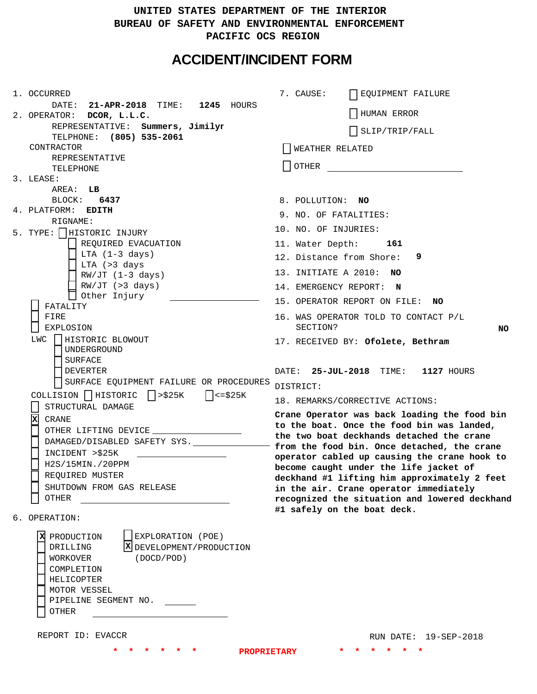| 1. OCCURRED                                                                  | 7. CAUSE:<br>EQUIPMENT FAILURE                                                         |
|------------------------------------------------------------------------------|----------------------------------------------------------------------------------------|
| DATE: $21$ -APR-2018 TIME:<br><b>1245</b> HOURS<br>2. OPERATOR: DCOR, L.L.C. | HUMAN ERROR                                                                            |
| REPRESENTATIVE: Summers, Jimilyr                                             |                                                                                        |
| TELPHONE: (805) 535-2061                                                     | SLIP/TRIP/FALL                                                                         |
| CONTRACTOR                                                                   | WEATHER RELATED                                                                        |
| REPRESENTATIVE<br>TELEPHONE                                                  | OTHER                                                                                  |
| 3. LEASE:                                                                    |                                                                                        |
| AREA: LB                                                                     |                                                                                        |
| BLOCK:<br>6437                                                               | 8. POLLUTION: NO                                                                       |
| 4. PLATFORM: EDITH                                                           | 9. NO. OF FATALITIES:                                                                  |
| RIGNAME:<br>5. TYPE: HISTORIC INJURY                                         | 10. NO. OF INJURIES:                                                                   |
| REQUIRED EVACUATION                                                          | 11. Water Depth:<br>161                                                                |
| $LTA$ $(1-3 \text{ days})$                                                   | 12. Distance from Shore:<br>9                                                          |
| LTA (>3 days                                                                 |                                                                                        |
| $RW/JT$ (1-3 days)                                                           | 13. INITIATE A 2010: NO                                                                |
| $RW/JT$ (>3 days)<br>Other Injury                                            | 14. EMERGENCY REPORT: N                                                                |
| FATALITY                                                                     | 15. OPERATOR REPORT ON FILE: NO                                                        |
| FIRE                                                                         | 16. WAS OPERATOR TOLD TO CONTACT P/L                                                   |
| EXPLOSION                                                                    | SECTION?<br>NO.                                                                        |
| LWC<br>  HISTORIC BLOWOUT                                                    | 17. RECEIVED BY: Ofolete, Bethram                                                      |
| UNDERGROUND<br><b>SURFACE</b>                                                |                                                                                        |
| DEVERTER                                                                     | DATE: 25-JUL-2018 TIME:<br>1127 HOURS                                                  |
| SURFACE EQUIPMENT FAILURE OR PROCEDURES                                      | DISTRICT:                                                                              |
| COLLISION HISTORIC $\bigcap$ >\$25K<br>$\sqrt{\left  \right }$ <= \$25K      | 18. REMARKS/CORRECTIVE ACTIONS:                                                        |
| STRUCTURAL DAMAGE                                                            | Crane Operator was back loading the food bin                                           |
| ⊠<br>CRANE                                                                   | to the boat. Once the food bin was landed,                                             |
|                                                                              | the two boat deckhands detached the crane                                              |
| DAMAGED/DISABLED SAFETY SYS.<br>INCIDENT >\$25K                              | from the food bin. Once detached, the crane                                            |
| H2S/15MIN./20PPM                                                             | operator cabled up causing the crane hook to                                           |
| REOUIRED MUSTER                                                              | become caught under the life jacket of<br>deckhand #1 lifting him approximately 2 feet |
| SHUTDOWN FROM GAS RELEASE                                                    | in the air. Crane operator immediately                                                 |
| OTHER                                                                        | recognized the situation and lowered deckhand                                          |
| 6. OPERATION:                                                                | #1 safely on the boat deck.                                                            |
| $\Box$ EXPLORATION (POE)<br> x                                               |                                                                                        |
| PRODUCTION<br>X DEVELOPMENT / PRODUCTION<br>DRILLING                         |                                                                                        |
| WORKOVER<br>(DOCD/POD)                                                       |                                                                                        |
| COMPLETION                                                                   |                                                                                        |
| HELICOPTER                                                                   |                                                                                        |
| MOTOR VESSEL                                                                 |                                                                                        |
| PIPELINE SEGMENT NO.<br>OTHER                                                |                                                                                        |
|                                                                              |                                                                                        |
| REPORT ID: EVACCR                                                            | RUN DATE: 19-SEP-2018                                                                  |
| <b>PROPRIETARY</b>                                                           |                                                                                        |
|                                                                              |                                                                                        |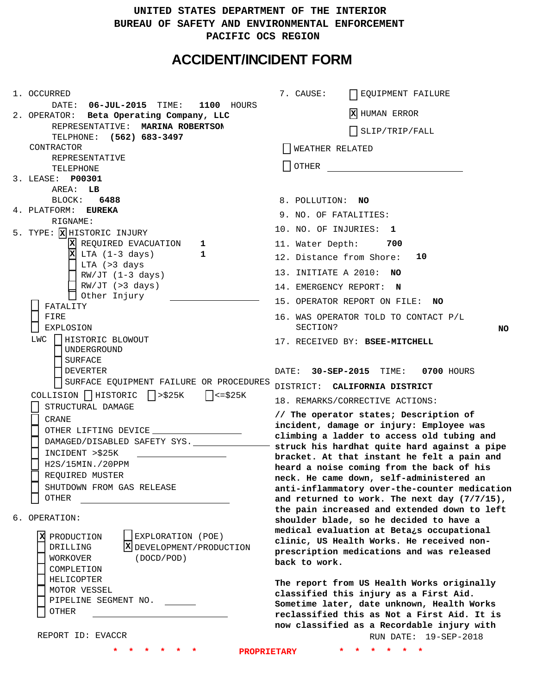| 1. OCCURRED                                                            | 7. CAUSE:<br>EQUIPMENT FAILURE                                                            |
|------------------------------------------------------------------------|-------------------------------------------------------------------------------------------|
| DATE: 06-JUL-2015 TIME:<br><b>1100 HOURS</b>                           |                                                                                           |
| 2. OPERATOR: Beta Operating Company, LLC                               | <b>X</b> HUMAN ERROR                                                                      |
| REPRESENTATIVE: MARINA ROBERTSON                                       | SLIP/TRIP/FALL                                                                            |
| TELPHONE: (562) 683-3497                                               |                                                                                           |
| CONTRACTOR<br>REPRESENTATIVE                                           | WEATHER RELATED                                                                           |
| TELEPHONE                                                              | OTHER                                                                                     |
| 3. LEASE: P00301                                                       |                                                                                           |
| AREA: LB                                                               |                                                                                           |
| BLOCK: 6488                                                            | 8. POLLUTION: NO                                                                          |
| 4. PLATFORM: EUREKA                                                    | 9. NO. OF FATALITIES:                                                                     |
| RIGNAME:                                                               | 10. NO. OF INJURIES: 1                                                                    |
| 5. TYPE: X HISTORIC INJURY                                             |                                                                                           |
| X REQUIRED EVACUATION 1                                                | 11. Water Depth:<br>700                                                                   |
| $\overline{\mathbf{x}}$ LTA (1-3 days)<br>$\mathbf{1}$<br>LTA (>3 days | 12. Distance from Shore:<br>10                                                            |
| $RW/JT$ (1-3 days)                                                     | 13. INITIATE A 2010: NO                                                                   |
| $RW/JT$ (>3 days)                                                      | 14. EMERGENCY REPORT: N                                                                   |
| Other Injury                                                           | 15. OPERATOR REPORT ON FILE: NO                                                           |
| FATALITY                                                               |                                                                                           |
| FIRE                                                                   | 16. WAS OPERATOR TOLD TO CONTACT P/L                                                      |
| <b>EXPLOSION</b>                                                       | SECTION?<br>NO.                                                                           |
| HISTORIC BLOWOUT<br>LWC<br>UNDERGROUND                                 | 17. RECEIVED BY: BSEE-MITCHELL                                                            |
| SURFACE                                                                |                                                                                           |
| DEVERTER                                                               | DATE: 30-SEP-2015 TIME:<br>0700 HOURS                                                     |
| SURFACE EQUIPMENT FAILURE OR PROCEDURES                                | DISTRICT: CALIFORNIA DISTRICT                                                             |
| COLLISION HISTORIC $\bigcap$ >\$25K<br>$\vert$ $\vert$ < = \$25K       | 18. REMARKS/CORRECTIVE ACTIONS:                                                           |
| STRUCTURAL DAMAGE                                                      |                                                                                           |
| CRANE                                                                  | // The operator states; Description of                                                    |
| OTHER LIFTING DEVICE ____________________                              | incident, damage or injury: Employee was<br>climbing a ladder to access old tubing and    |
| DAMAGED/DISABLED SAFETY SYS.                                           | struck his hardhat quite hard against a pipe                                              |
| INCIDENT >\$25K                                                        | bracket. At that instant he felt a pain and                                               |
| H2S/15MIN./20PPM                                                       | heard a noise coming from the back of his                                                 |
| REQUIRED MUSTER                                                        | neck. He came down, self-administered an                                                  |
| SHUTDOWN FROM GAS RELEASE                                              | anti-inflammatory over-the-counter medication                                             |
| OTHER                                                                  | and returned to work. The next day $(7/7/15)$ ,                                           |
| 6. OPERATION:                                                          | the pain increased and extended down to left<br>shoulder blade, so he decided to have a   |
|                                                                        | medical evaluation at Beta¿s occupational                                                 |
| EXPLORATION (POE)<br>PRODUCTION                                        | clinic, US Health Works. He received non-                                                 |
| X DEVELOPMENT / PRODUCTION<br>DRILLING                                 | prescription medications and was released                                                 |
| (DOCD/POD)<br>WORKOVER                                                 | back to work.                                                                             |
| COMPLETION<br>HELICOPTER                                               |                                                                                           |
| MOTOR VESSEL                                                           | The report from US Health Works originally                                                |
| PIPELINE SEGMENT NO.                                                   | classified this injury as a First Aid.                                                    |
| OTHER                                                                  | Sometime later, date unknown, Health Works                                                |
|                                                                        | reclassified this as Not a First Aid. It is<br>now classified as a Recordable injury with |
| REPORT ID: EVACCR                                                      | RUN DATE: 19-SEP-2018                                                                     |
|                                                                        |                                                                                           |
|                                                                        | <b>PROPRIETARY</b>                                                                        |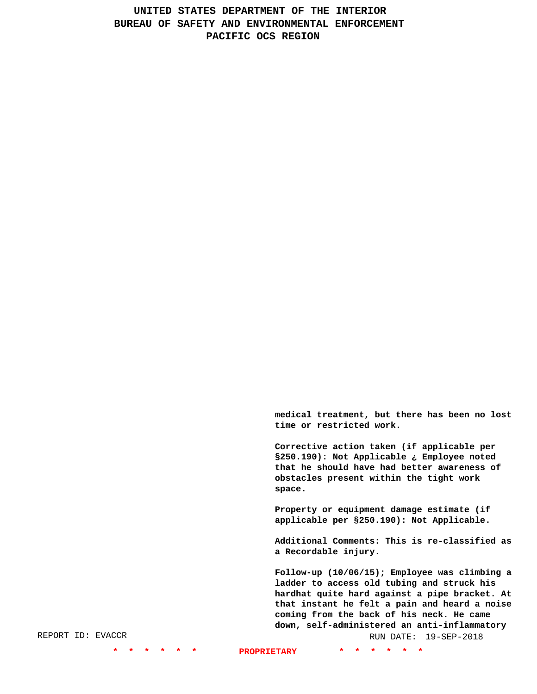**medical treatment, but there has been no lost time or restricted work.**

**Corrective action taken (if applicable per §250.190): Not Applicable ¿ Employee noted that he should have had better awareness of obstacles present within the tight work space.**

**Property or equipment damage estimate (if applicable per §250.190): Not Applicable.**

**Additional Comments: This is re-classified as a Recordable injury.**

REPORT ID: EVACCR RUN DATE: 19-SEP-2018 **Follow-up (10/06/15); Employee was climbing a ladder to access old tubing and struck his hardhat quite hard against a pipe bracket. At that instant he felt a pain and heard a noise coming from the back of his neck. He came down, self-administered an anti-inflammatory**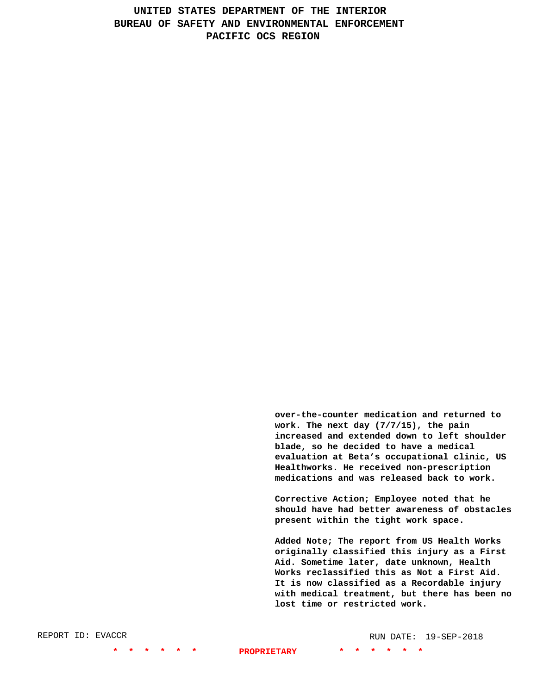**over-the-counter medication and returned to work. The next day (7/7/15), the pain increased and extended down to left shoulder blade, so he decided to have a medical evaluation at Beta's occupational clinic, US Healthworks. He received non-prescription medications and was released back to work.**

**Corrective Action; Employee noted that he should have had better awareness of obstacles present within the tight work space.**

**Added Note; The report from US Health Works originally classified this injury as a First Aid. Sometime later, date unknown, Health Works reclassified this as Not a First Aid. It is now classified as a Recordable injury with medical treatment, but there has been no lost time or restricted work.**

REPORT ID: EVACCR **RUN DATE: 19-SEP-2018**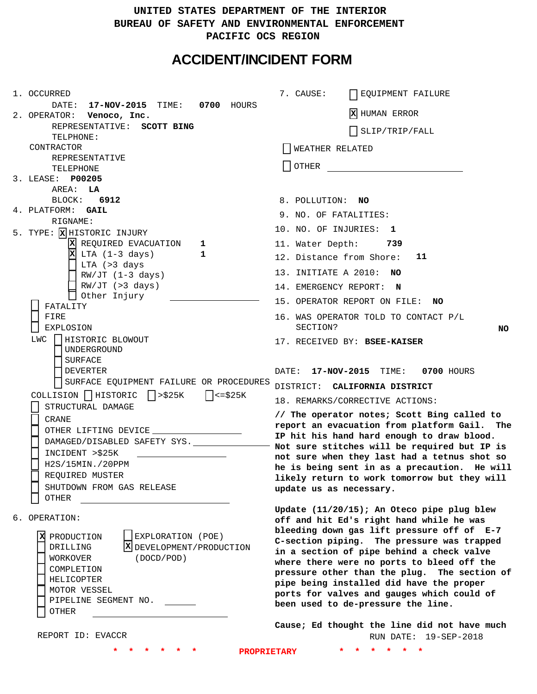| 1. OCCURRED                                                         | □ EQUIPMENT FAILURE<br>7. CAUSE:                                                           |
|---------------------------------------------------------------------|--------------------------------------------------------------------------------------------|
| DATE: 17-NOV-2015 TIME: 0700 HOURS                                  |                                                                                            |
| 2. OPERATOR: Venoco, Inc.                                           | <b>X</b> HUMAN ERROR                                                                       |
| REPRESENTATIVE: SCOTT BING<br>TELPHONE:                             | SLIP/TRIP/FALL                                                                             |
| CONTRACTOR                                                          | WEATHER RELATED                                                                            |
| REPRESENTATIVE                                                      |                                                                                            |
| TELEPHONE                                                           | OTHER                                                                                      |
| 3. LEASE: P00205                                                    |                                                                                            |
| AREA: LA                                                            |                                                                                            |
| <b>BLOCK: 6912</b>                                                  | 8. POLLUTION: NO                                                                           |
| 4. PLATFORM: GAIL                                                   | 9. NO. OF FATALITIES:                                                                      |
| RIGNAME:                                                            | 10. NO. OF INJURIES: 1                                                                     |
| 5. TYPE: X HISTORIC INJURY                                          |                                                                                            |
| X REQUIRED EVACUATION 1<br>$ X $ LTA (1-3 days)<br>1                | 11. Water Depth:<br>739                                                                    |
| LTA (>3 days                                                        | 12. Distance from Shore:<br>11                                                             |
| $RW/JT$ (1-3 days)                                                  | 13. INITIATE A 2010: NO                                                                    |
| $RW/JT$ (>3 days)                                                   | 14. EMERGENCY REPORT: N                                                                    |
| Other Injury                                                        | 15. OPERATOR REPORT ON FILE: NO                                                            |
| FATALITY                                                            |                                                                                            |
| FIRE                                                                | 16. WAS OPERATOR TOLD TO CONTACT P/L                                                       |
| <b>EXPLOSION</b>                                                    | SECTION?<br>NO.                                                                            |
| HISTORIC BLOWOUT<br>LWC                                             | 17. RECEIVED BY: BSEE-KAISER                                                               |
| UNDERGROUND<br><b>SURFACE</b>                                       |                                                                                            |
| <b>DEVERTER</b>                                                     | DATE: 17-NOV-2015 TIME:<br><b>0700 HOURS</b>                                               |
| SURFACE EQUIPMENT FAILURE OR PROCEDURES                             | DISTRICT: CALIFORNIA DISTRICT                                                              |
| COLLISION HISTORIC $\bigcap$ >\$25K<br>  $\left  \right $ < = \$25K |                                                                                            |
| STRUCTURAL DAMAGE                                                   | 18. REMARKS/CORRECTIVE ACTIONS:                                                            |
| CRANE                                                               | // The operator notes; Scott Bing called to                                                |
| OTHER LIFTING DEVICE ____________________                           | report an evacuation from platform Gail. The                                               |
| DAMAGED/DISABLED SAFETY SYS.                                        | IP hit his hand hard enough to draw blood.<br>Not sure stitches will be required but IP is |
| INCIDENT >\$25K                                                     | not sure when they last had a tetnus shot so                                               |
| H2S/15MIN./20PPM                                                    | he is being sent in as a precaution. He will                                               |
| REQUIRED MUSTER                                                     | likely return to work tomorrow but they will                                               |
| SHUTDOWN FROM GAS RELEASE                                           | update us as necessary.                                                                    |
| <b>OTHER</b>                                                        |                                                                                            |
| 6. OPERATION:                                                       | Update (11/20/15); An Oteco pipe plug blew                                                 |
|                                                                     | off and hit Ed's right hand while he was                                                   |
| EXPLORATION (POE)<br>x<br>PRODUCTION                                | bleeding down gas lift pressure off of E-7<br>C-section piping. The pressure was trapped   |
| X DEVELOPMENT / PRODUCTION<br>DRILLING                              | in a section of pipe behind a check valve                                                  |
| WORKOVER<br>(DOCD/POD)                                              | where there were no ports to bleed off the                                                 |
| COMPLETION                                                          | pressure other than the plug. The section of                                               |
| HELICOPTER                                                          | pipe being installed did have the proper                                                   |
| MOTOR VESSEL                                                        | ports for valves and gauges which could of                                                 |
| PIPELINE SEGMENT NO.<br>OTHER                                       | been used to de-pressure the line.                                                         |
|                                                                     |                                                                                            |
| REPORT ID: EVACCR                                                   | Cause; Ed thought the line did not have much                                               |
|                                                                     | RUN DATE: 19-SEP-2018                                                                      |
|                                                                     | <b>PROPRIETARY</b>                                                                         |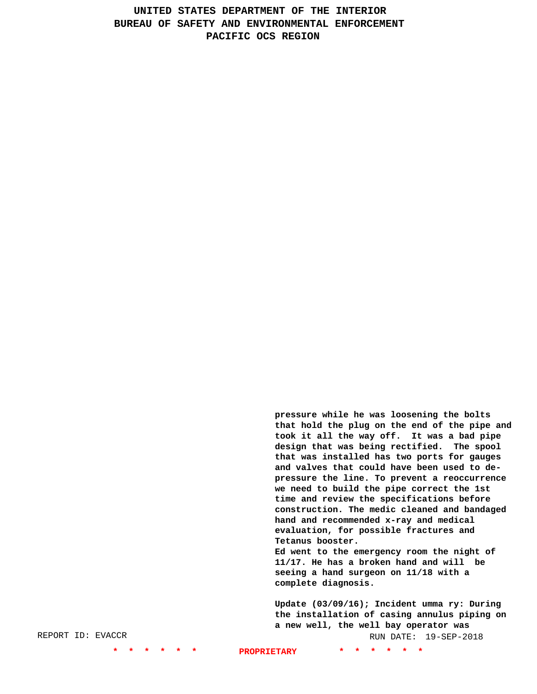**pressure while he was loosening the bolts that hold the plug on the end of the pipe and took it all the way off. It was a bad pipe design that was being rectified. The spool that was installed has two ports for gauges and valves that could have been used to depressure the line. To prevent a reoccurrence we need to build the pipe correct the 1st time and review the specifications before construction. The medic cleaned and bandaged hand and recommended x-ray and medical evaluation, for possible fractures and Tetanus booster. Ed went to the emergency room the night of** 

**11/17. He has a broken hand and will be seeing a hand surgeon on 11/18 with a complete diagnosis.** 

REPORT ID: EVACCR **RUN DATE: 19-SEP-2018 Update (03/09/16); Incident umma ry: During the installation of casing annulus piping on a new well, the well bay operator was**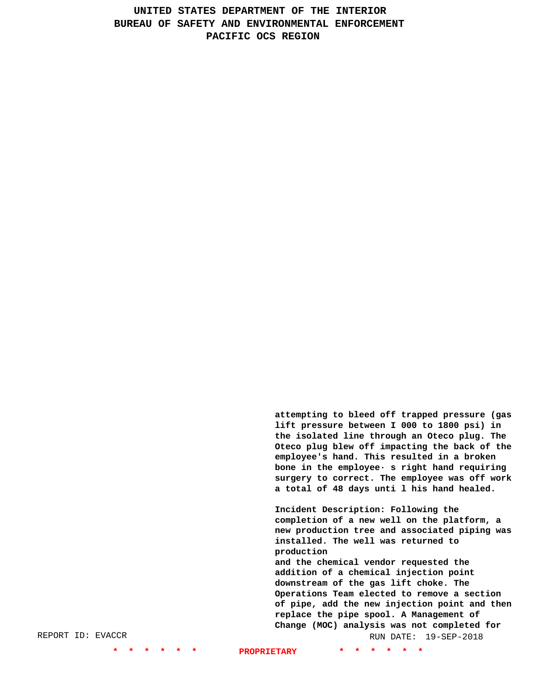**attempting to bleed off trapped pressure (gas lift pressure between I 000 to 1800 psi) in the isolated line through an Oteco plug. The Oteco plug blew off impacting the back of the employee's hand. This resulted in a broken bone in the employee· s right hand requiring surgery to correct. The employee was off work a total of 48 days unti l his hand healed.**

**Incident Description: Following the completion of a new well on the platform, a new production tree and associated piping was installed. The well was returned to production**

REPORT ID: EVACCR **RUN DATE: 19-SEP-2018 and the chemical vendor requested the addition of a chemical injection point downstream of the gas lift choke. The Operations Team elected to remove a section of pipe, add the new injection point and then replace the pipe spool. A Management of Change (MOC) analysis was not completed for**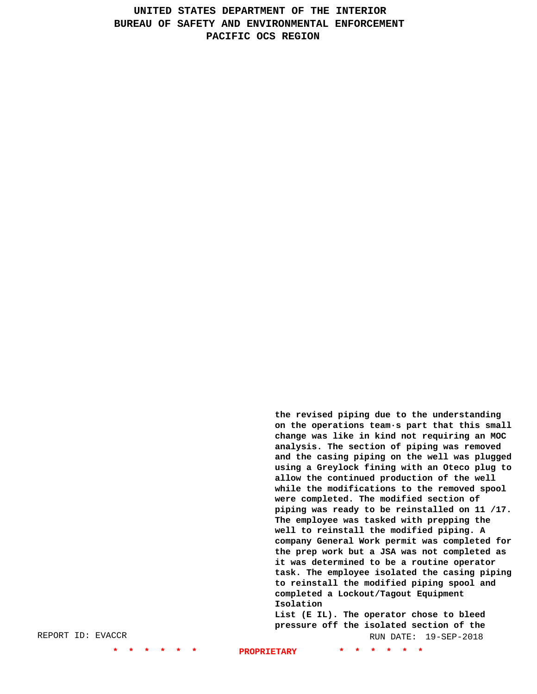**the revised piping due to the understanding on the operations team·s part that this small change was like in kind not requiring an MOC analysis. The section of piping was removed and the casing piping on the well was plugged using a Greylock fining with an Oteco plug to allow the continued production of the well while the modifications to the removed spool were completed. The modified section of piping was ready to be reinstalled on 11 /17. The employee was tasked with prepping the well to reinstall the modified piping. A company General Work permit was completed for the prep work but a JSA was not completed as it was determined to be a routine operator task. The employee isolated the casing piping to reinstall the modified piping spool and completed a Lockout/Tagout Equipment Isolation**

REPORT ID: EVACCR **RUN DATE: 19-SEP-2018 List (E IL). The operator chose to bleed pressure off the isolated section of the**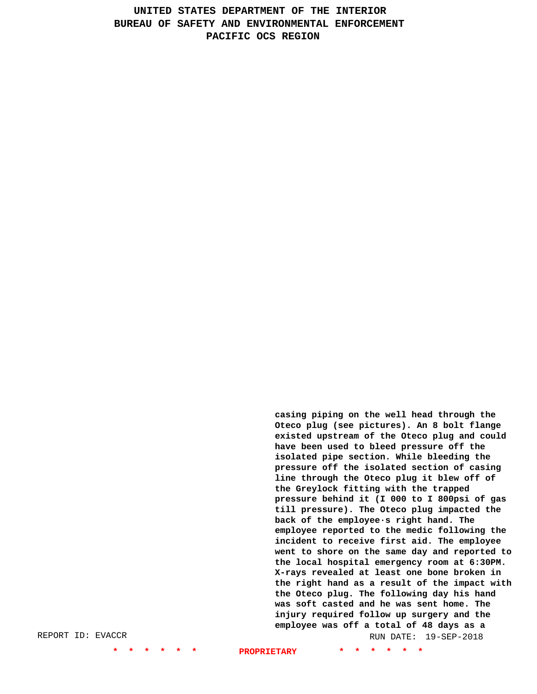REPORT ID: EVACCR **RUN DATE: 19-SEP-2018 casing piping on the well head through the Oteco plug (see pictures). An 8 bolt flange existed upstream of the Oteco plug and could have been used to bleed pressure off the isolated pipe section. While bleeding the pressure off the isolated section of casing line through the Oteco plug it blew off of the Greylock fitting with the trapped pressure behind it (I 000 to I 800psi of gas till pressure). The Oteco plug impacted the back of the employee·s right hand. The employee reported to the medic following the incident to receive first aid. The employee went to shore on the same day and reported to the local hospital emergency room at 6:30PM. X-rays revealed at least one bone broken in the right hand as a result of the impact with the Oteco plug. The following day his hand was soft casted and he was sent home. The injury required follow up surgery and the employee was off a total of 48 days as a**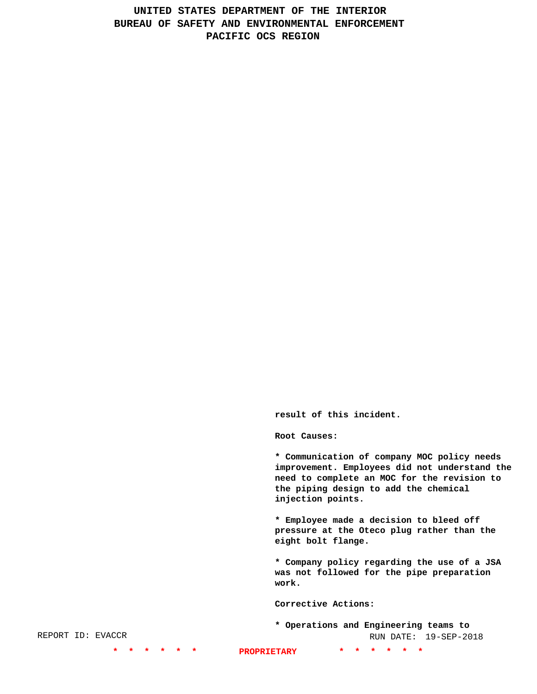**result of this incident.**

**Root Causes:**

**\* Communication of company MOC policy needs improvement. Employees did not understand the need to complete an MOC for the revision to the piping design to add the chemical injection points.**

**\* Employee made a decision to bleed off pressure at the Oteco plug rather than the eight bolt flange.**

**\* Company policy regarding the use of a JSA was not followed for the pipe preparation work.**

**Corrective Actions:**

REPORT ID: EVACCR RUN DATE: 19-SEP-2018 **\* Operations and Engineering teams to**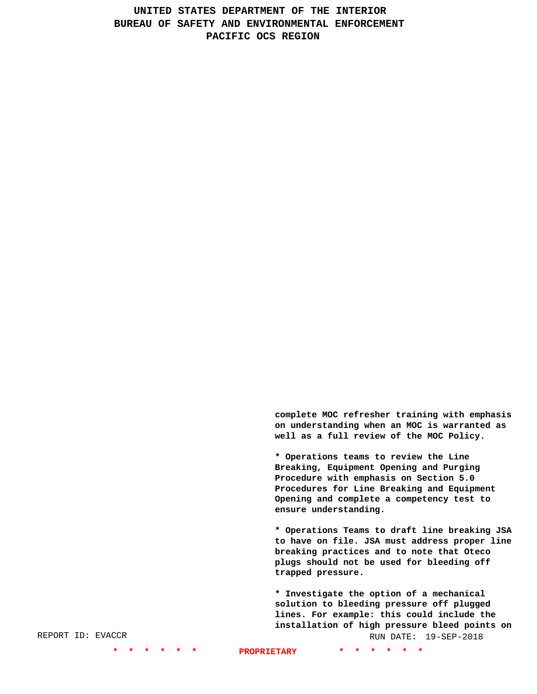**complete MOC refresher training with emphasis on understanding when an MOC is warranted as well as a full review of the MOC Policy.**

**\* Operations teams to review the Line Breaking, Equipment Opening and Purging Procedure with emphasis on Section 5.0 Procedures for Line Breaking and Equipment Opening and complete a competency test to ensure understanding.**

**\* Operations Teams to draft line breaking JSA to have on file. JSA must address proper line breaking practices and to note that Oteco plugs should not be used for bleeding off trapped pressure.**

REPORT ID: EVACCR **RUN DATE: 19-SEP-2018 \* Investigate the option of a mechanical solution to bleeding pressure off plugged lines. For example: this could include the installation of high pressure bleed points on**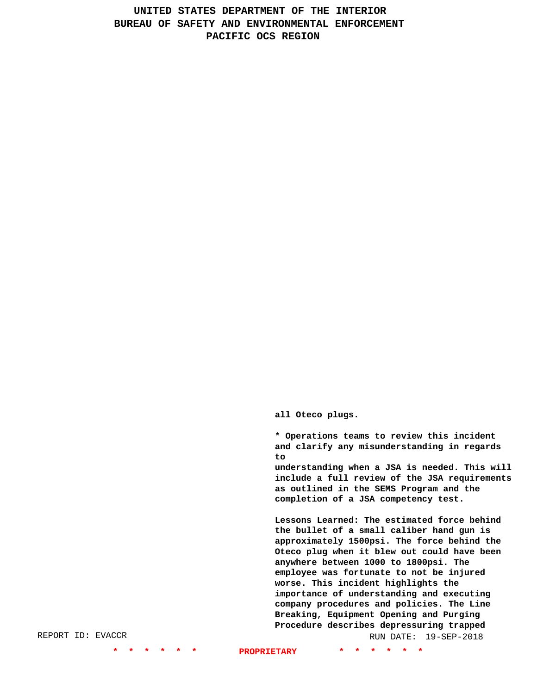**all Oteco plugs.**

**\* Operations teams to review this incident and clarify any misunderstanding in regards to**

**understanding when a JSA is needed. This will include a full review of the JSA requirements as outlined in the SEMS Program and the completion of a JSA competency test.**

REPORT ID: EVACCR **RUN DATE: 19-SEP-2018 Lessons Learned: The estimated force behind the bullet of a small caliber hand gun is approximately 1500psi. The force behind the Oteco plug when it blew out could have been anywhere between 1000 to 1800psi. The employee was fortunate to not be injured worse. This incident highlights the importance of understanding and executing company procedures and policies. The Line Breaking, Equipment Opening and Purging Procedure describes depressuring trapped**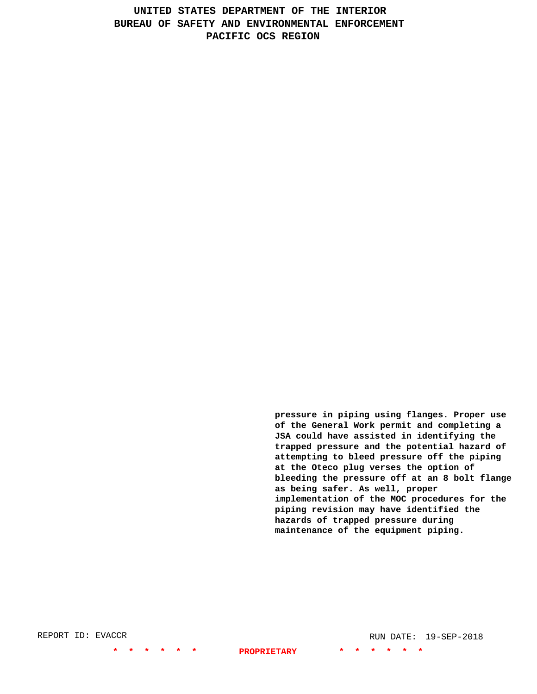**pressure in piping using flanges. Proper use of the General Work permit and completing a JSA could have assisted in identifying the trapped pressure and the potential hazard of attempting to bleed pressure off the piping at the Oteco plug verses the option of bleeding the pressure off at an 8 bolt flange as being safer. As well, proper implementation of the MOC procedures for the piping revision may have identified the hazards of trapped pressure during maintenance of the equipment piping.**

REPORT ID: EVACCR **RUN DATE: 19-SEP-2018 \* \* \* \* \* \* PROPRIETARY \* \* \* \* \* \***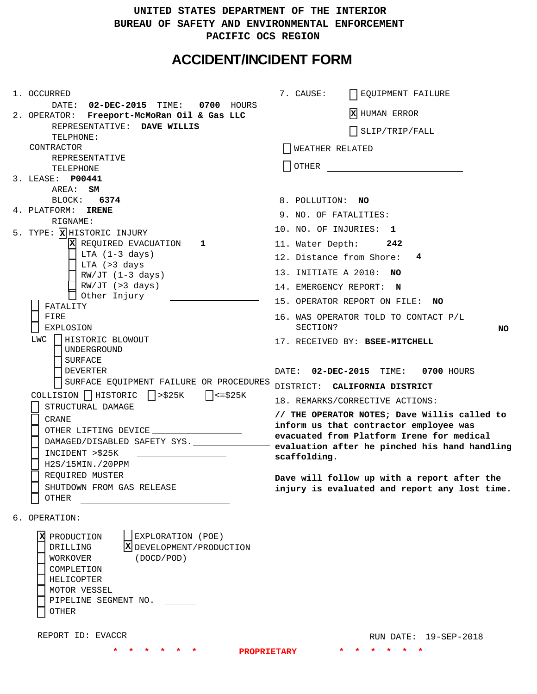| 1. OCCURRED<br>DATE: 02-DEC-2015 TIME:<br>0700 HOURS<br>2. OPERATOR: Freeport-McMoRan Oil & Gas LLC<br>REPRESENTATIVE: DAVE WILLIS<br>TELPHONE:<br>CONTRACTOR<br>REPRESENTATIVE<br>TELEPHONE | EQUIPMENT FAILURE<br>7. CAUSE:<br><b>X</b> HUMAN ERROR<br>SLIP/TRIP/FALL<br>WEATHER RELATED<br>OTHER                                                                                                                                                 |
|----------------------------------------------------------------------------------------------------------------------------------------------------------------------------------------------|------------------------------------------------------------------------------------------------------------------------------------------------------------------------------------------------------------------------------------------------------|
| 3. LEASE: P00441<br>AREA: SM                                                                                                                                                                 |                                                                                                                                                                                                                                                      |
| 6374<br>BLOCK:                                                                                                                                                                               | 8. POLLUTION: NO                                                                                                                                                                                                                                     |
| 4. PLATFORM: IRENE                                                                                                                                                                           | 9. NO. OF FATALITIES:                                                                                                                                                                                                                                |
| RIGNAME:<br>5. TYPE: X HISTORIC INJURY                                                                                                                                                       | 10. NO. OF INJURIES: 1                                                                                                                                                                                                                               |
| X REQUIRED EVACUATION<br>$\mathbf{1}$                                                                                                                                                        | 11. Water Depth:<br>242                                                                                                                                                                                                                              |
| $LTA$ $(1-3 \text{ days})$                                                                                                                                                                   | 12. Distance from Shore:<br>4                                                                                                                                                                                                                        |
| LTA (>3 days                                                                                                                                                                                 | 13. INITIATE A 2010: NO                                                                                                                                                                                                                              |
| $RW/JT$ (1-3 days)<br>$RW/JT$ (>3 days)                                                                                                                                                      |                                                                                                                                                                                                                                                      |
| Other Injury                                                                                                                                                                                 | 14. EMERGENCY REPORT: N                                                                                                                                                                                                                              |
| FATALITY                                                                                                                                                                                     | 15. OPERATOR REPORT ON FILE:<br>NO.                                                                                                                                                                                                                  |
| FIRE                                                                                                                                                                                         | 16. WAS OPERATOR TOLD TO CONTACT P/L                                                                                                                                                                                                                 |
| EXPLOSION                                                                                                                                                                                    | SECTION?<br>NO.                                                                                                                                                                                                                                      |
| LWC<br>HISTORIC BLOWOUT<br>UNDERGROUND<br><b>SURFACE</b><br>DEVERTER<br>SURFACE EQUIPMENT FAILURE OR PROCEDURES<br>COLLISION $\bigcap$ HISTORIC $\bigcap$ >\$25K<br>$\sqrt{\frac{25K}{}}$    | 17. RECEIVED BY: BSEE-MITCHELL<br>DATE: 02-DEC-2015 TIME: 0700 HOURS<br>DISTRICT: CALIFORNIA DISTRICT<br>18. REMARKS/CORRECTIVE ACTIONS:                                                                                                             |
| STRUCTURAL DAMAGE                                                                                                                                                                            | // THE OPERATOR NOTES; Dave Willis called to                                                                                                                                                                                                         |
| <b>CRANE</b><br>OTHER LIFTING DEVICE ___________________<br>DAMAGED/DISABLED SAFETY SYS.<br>INCIDENT >\$25K<br>H2S/15MIN./20PPM<br>REQUIRED MUSTER<br>SHUTDOWN FROM GAS RELEASE<br>OTHER     | inform us that contractor employee was<br>evacuated from Platform Irene for medical<br>evaluation after he pinched his hand handling<br>scaffolding.<br>Dave will follow up with a report after the<br>injury is evaluated and report any lost time. |
| 6. OPERATION:                                                                                                                                                                                |                                                                                                                                                                                                                                                      |
| EXPLORATION (POE)<br>XI.<br>PRODUCTION<br>X DEVELOPMENT / PRODUCTION<br>DRILLING<br>WORKOVER<br>(DOCD/POD)<br>COMPLETION<br>HELICOPTER<br>MOTOR VESSEL<br>PIPELINE SEGMENT NO.<br>OTHER      |                                                                                                                                                                                                                                                      |
| REPORT ID: EVACCR                                                                                                                                                                            | RUN DATE: 19-SEP-2018                                                                                                                                                                                                                                |
| <b>PROPRIETARY</b>                                                                                                                                                                           |                                                                                                                                                                                                                                                      |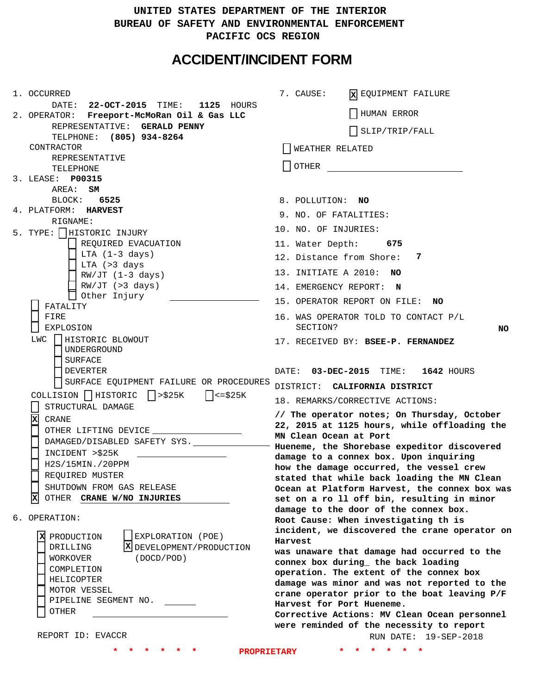| 1. OCCURRED                                                             | <b>X</b> EQUIPMENT FAILURE<br>7. CAUSE:                                            |
|-------------------------------------------------------------------------|------------------------------------------------------------------------------------|
| DATE: 22-OCT-2015 TIME:<br><b>1125 HOURS</b>                            | HUMAN ERROR                                                                        |
| 2. OPERATOR: Freeport-McMoRan Oil & Gas LLC                             |                                                                                    |
| REPRESENTATIVE: GERALD PENNY<br>TELPHONE: (805) 934-8264                | SLIP/TRIP/FALL                                                                     |
| CONTRACTOR                                                              | WEATHER RELATED                                                                    |
| REPRESENTATIVE                                                          |                                                                                    |
| TELEPHONE                                                               | OTHER                                                                              |
| 3. LEASE: P00315                                                        |                                                                                    |
| AREA:<br>SM                                                             |                                                                                    |
| BLOCK:<br>6525                                                          | 8. POLLUTION: NO                                                                   |
| 4. PLATFORM: HARVEST                                                    | 9. NO. OF FATALITIES:                                                              |
| RIGNAME:                                                                | 10. NO. OF INJURIES:                                                               |
| 5. TYPE: HISTORIC INJURY                                                |                                                                                    |
| REQUIRED EVACUATION                                                     | 11. Water Depth: 675                                                               |
| $LTA$ $(1-3 \text{ days})$<br>$LTA$ (>3 days                            | 12. Distance from Shore:<br>-7                                                     |
| $RW/JT$ (1-3 days)                                                      | 13. INITIATE A 2010: NO                                                            |
| $RW/JT$ (>3 days)                                                       | 14. EMERGENCY REPORT: N                                                            |
| Other Injury                                                            |                                                                                    |
| FATALITY                                                                | 15. OPERATOR REPORT ON FILE: NO                                                    |
| FIRE                                                                    | 16. WAS OPERATOR TOLD TO CONTACT P/L                                               |
| <b>EXPLOSION</b>                                                        | SECTION?<br>NO.                                                                    |
| HISTORIC BLOWOUT<br>LWC                                                 | 17. RECEIVED BY: BSEE-P. FERNANDEZ                                                 |
| UNDERGROUND                                                             |                                                                                    |
| <b>SURFACE</b><br>DEVERTER                                              | DATE: 03-DEC-2015 TIME:<br><b>1642 HOURS</b>                                       |
| SURFACE EQUIPMENT FAILURE OR PROCEDURES                                 |                                                                                    |
| COLLISION $\bigcap$ HISTORIC $\bigcap$ >\$25K<br>$ \cdot  \leq$ = \$25K | DISTRICT: CALIFORNIA DISTRICT                                                      |
| STRUCTURAL DAMAGE                                                       | 18. REMARKS/CORRECTIVE ACTIONS:                                                    |
| x <br>CRANE                                                             | // The operator notes; On Thursday, October                                        |
| OTHER LIFTING DEVICE __________________                                 | 22, 2015 at 1125 hours, while offloading the                                       |
| DAMAGED/DISABLED SAFETY SYS.                                            | MN Clean Ocean at Port                                                             |
| INCIDENT >\$25K                                                         | Hueneme, the Shorebase expeditor discovered                                        |
| H2S/15MIN./20PPM                                                        | damage to a connex box. Upon inquiring<br>how the damage occurred, the vessel crew |
| REQUIRED MUSTER                                                         | stated that while back loading the MN Clean                                        |
| SHUTDOWN FROM GAS RELEASE                                               | Ocean at Platform Harvest, the connex box was                                      |
| Ιx<br>OTHER CRANE W/NO INJURIES                                         | set on a ro ll off bin, resulting in minor                                         |
|                                                                         | damage to the door of the connex box.                                              |
| 6. OPERATION:                                                           | Root Cause: When investigating th is                                               |
| ∣x∣<br>EXPLORATION (POE)<br>PRODUCTION                                  | incident, we discovered the crane operator on                                      |
| X DEVELOPMENT / PRODUCTION<br>DRILLING                                  | Harvest                                                                            |
| WORKOVER<br>(DOCD/POD)                                                  | was unaware that damage had occurred to the<br>connex box during_ the back loading |
| COMPLETION                                                              | operation. The extent of the connex box                                            |
| HELICOPTER                                                              | damage was minor and was not reported to the                                       |
| MOTOR VESSEL                                                            | crane operator prior to the boat leaving P/F                                       |
| PIPELINE SEGMENT NO.                                                    | Harvest for Port Hueneme.                                                          |
| OTHER                                                                   | Corrective Actions: MV Clean Ocean personnel                                       |
|                                                                         | were reminded of the necessity to report                                           |
| REPORT ID: EVACCR                                                       | RUN DATE: 19-SEP-2018                                                              |
| <b>PROPRIETARY</b>                                                      | $\star$                                                                            |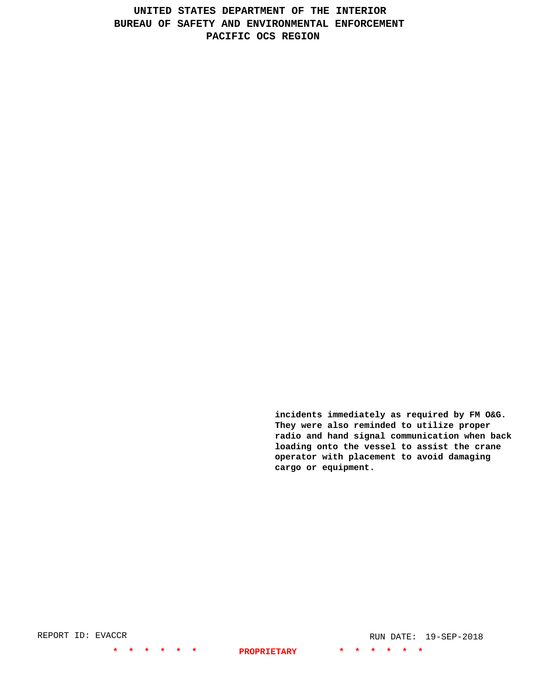**incidents immediately as required by FM O&G. They were also reminded to utilize proper radio and hand signal communication when back loading onto the vessel to assist the crane operator with placement to avoid damaging cargo or equipment.**

**\* \* \* \* \* \* PROPRIETARY \* \* \* \* \* \***

REPORT ID: EVACCR RUN DATE: 19-SEP-2018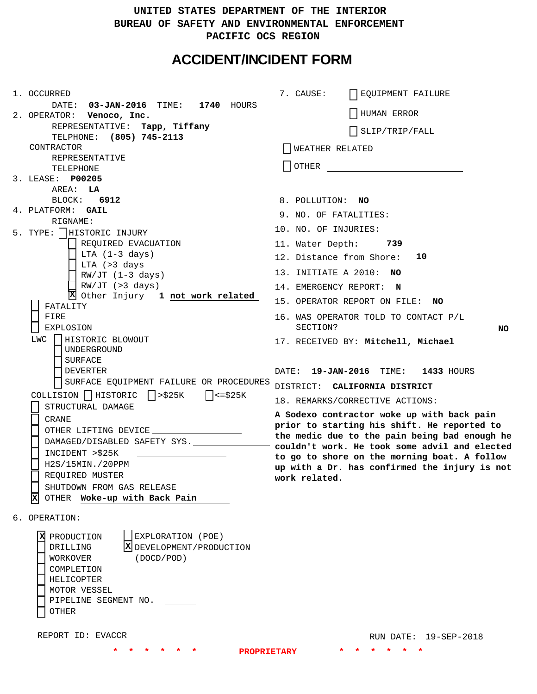| 1. OCCURRED                                                      | EQUIPMENT FAILURE<br>7. CAUSE:                  |
|------------------------------------------------------------------|-------------------------------------------------|
| <b>1740 HOURS</b><br>DATE: 03-JAN-2016 TIME:                     |                                                 |
| 2. OPERATOR: Venoco, Inc.                                        | HUMAN ERROR                                     |
| REPRESENTATIVE: Tapp, Tiffany                                    | SLIP/TRIP/FALL                                  |
| TELPHONE: (805) 745-2113<br>CONTRACTOR                           |                                                 |
| REPRESENTATIVE                                                   | WEATHER RELATED                                 |
| TELEPHONE                                                        | OTHER                                           |
| 3. LEASE: P00205                                                 |                                                 |
| AREA: LA                                                         |                                                 |
| BLOCK:<br>6912                                                   | 8. POLLUTION: NO                                |
| 4. PLATFORM: GAIL                                                | 9. NO. OF FATALITIES:                           |
| RIGNAME:                                                         |                                                 |
| 5. TYPE:    HISTORIC INJURY                                      | 10. NO. OF INJURIES:                            |
| REQUIRED EVACUATION                                              | 11. Water Depth:<br>739                         |
| $LTA$ $(1-3 \text{ days})$                                       | 12. Distance from Shore:<br>10                  |
| $LTA$ (>3 days<br>$RW/JT$ (1-3 days)                             | 13. INITIATE A 2010: NO                         |
| $RW/JT$ (>3 days)                                                | 14. EMERGENCY REPORT: N                         |
| Other Injury 1 not work related                                  |                                                 |
| FATALITY                                                         | 15. OPERATOR REPORT ON FILE:<br>NO              |
| FIRE                                                             | 16. WAS OPERATOR TOLD TO CONTACT P/L            |
| <b>EXPLOSION</b>                                                 | SECTION?<br>NO.                                 |
| LWC<br>  HISTORIC BLOWOUT                                        | 17. RECEIVED BY: Mitchell, Michael              |
| UNDERGROUND                                                      |                                                 |
| SURFACE                                                          |                                                 |
| <b>DEVERTER</b>                                                  | DATE: $19$ -JAN-2016 TIME:<br><b>1433 HOURS</b> |
| SURFACE EQUIPMENT FAILURE OR PROCEDURES                          | DISTRICT: CALIFORNIA DISTRICT                   |
| COLLISION $\bigcap$ HISTORIC $\bigcap$ >\$25K<br>  $\le$ = \$25K | 18. REMARKS/CORRECTIVE ACTIONS:                 |
| STRUCTURAL DAMAGE                                                | A Sodexo contractor woke up with back pain      |
| CRANE                                                            | prior to starting his shift. He reported to     |
| OTHER LIFTING DEVICE ____________________                        | the medic due to the pain being bad enough he   |
| DAMAGED/DISABLED SAFETY SYS.                                     | couldn't work. He took some advil and elected   |
| INCIDENT >\$25K                                                  | to go to shore on the morning boat. A follow    |
| H2S/15MIN./20PPM                                                 | up with a Dr. has confirmed the injury is not   |
| REQUIRED MUSTER                                                  | work related.                                   |
| SHUTDOWN FROM GAS RELEASE<br>OTHER Woke-up with Back Pain        |                                                 |
|                                                                  |                                                 |
| 6. OPERATION:                                                    |                                                 |
|                                                                  |                                                 |
| EXPLORATION (POE)<br>x<br>PRODUCTION                             |                                                 |
| X DEVELOPMENT / PRODUCTION<br>DRILLING<br>(DOCD/POD)             |                                                 |
| WORKOVER<br>COMPLETION                                           |                                                 |
| HELICOPTER                                                       |                                                 |
| MOTOR VESSEL                                                     |                                                 |
| PIPELINE SEGMENT NO.                                             |                                                 |
| <b>OTHER</b>                                                     |                                                 |
|                                                                  |                                                 |
| REPORT ID: EVACCR                                                | RUN DATE: 19-SEP-2018                           |
| <b>PROPRIETARY</b>                                               |                                                 |
|                                                                  |                                                 |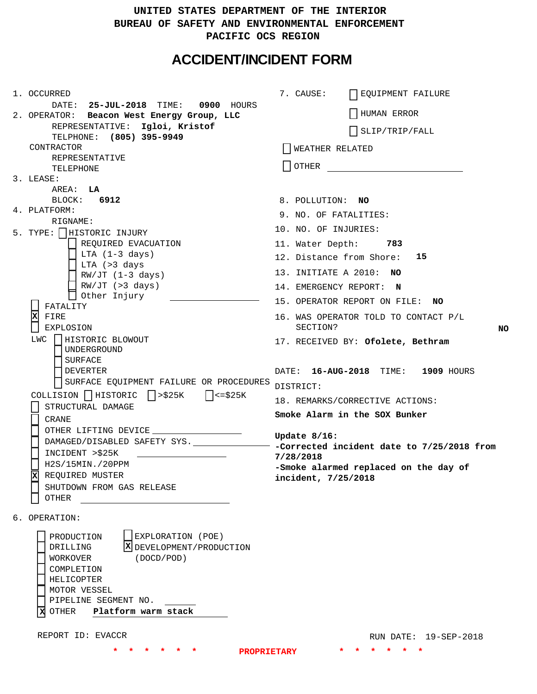| 1. OCCURRED                                                                  | EQUIPMENT FAILURE<br>7. CAUSE:               |
|------------------------------------------------------------------------------|----------------------------------------------|
| DATE: 25-JUL-2018 TIME:<br>0900<br>HOURS                                     | HUMAN ERROR                                  |
| 2. OPERATOR: Beacon West Energy Group, LLC<br>REPRESENTATIVE: Igloi, Kristof |                                              |
| TELPHONE: (805) 395-9949                                                     | SLIP/TRIP/FALL                               |
| CONTRACTOR                                                                   | WEATHER RELATED                              |
| REPRESENTATIVE                                                               |                                              |
| TELEPHONE                                                                    | OTHER                                        |
| 3. LEASE:                                                                    |                                              |
| AREA: LA<br>BLOCK:<br>6912                                                   |                                              |
| 4. PLATFORM:                                                                 | 8. POLLUTION: NO                             |
| RIGNAME:                                                                     | 9. NO. OF FATALITIES:                        |
| 5. TYPE: HISTORIC INJURY                                                     | 10. NO. OF INJURIES:                         |
| REQUIRED EVACUATION                                                          | 11. Water Depth:<br>783                      |
| $LTA$ $(1-3 days)$                                                           | 12. Distance from Shore:<br>15               |
| LTA (>3 days                                                                 |                                              |
| $RW/JT$ (1-3 days)                                                           | 13. INITIATE A 2010: NO                      |
| $RW/JT$ (>3 days)                                                            | 14. EMERGENCY REPORT: N                      |
| Other Injury<br>FATALITY                                                     | 15. OPERATOR REPORT ON FILE:<br>NO           |
| x<br>FIRE                                                                    | 16. WAS OPERATOR TOLD TO CONTACT P/L         |
| EXPLOSION                                                                    | SECTION?<br>NO.                              |
| LWC<br>  HISTORIC BLOWOUT                                                    | 17. RECEIVED BY: Ofolete, Bethram            |
| UNDERGROUND                                                                  |                                              |
| <b>SURFACE</b>                                                               |                                              |
| <b>DEVERTER</b>                                                              | DATE: 16-AUG-2018 TIME:<br><b>1909 HOURS</b> |
| SURFACE EQUIPMENT FAILURE OR PROCEDURES                                      | DISTRICT:                                    |
| COLLISION HISTORIC $\bigcap$ >\$25K<br>  $\le$ = \$25K                       | 18. REMARKS/CORRECTIVE ACTIONS:              |
| STRUCTURAL DAMAGE                                                            | Smoke Alarm in the SOX Bunker                |
| CRANE                                                                        |                                              |
| OTHER LIFTING DEVICE ____________________                                    | Update 8/16:                                 |
| DAMAGED/DISABLED SAFETY SYS.                                                 | -Corrected incident date to 7/25/2018 from   |
| INCIDENT >\$25K<br>H2S/15MIN./20PPM                                          | 7/28/2018                                    |
| lvl<br>REQUIRED MUSTER                                                       | -Smoke alarmed replaced on the day of        |
| SHUTDOWN FROM GAS RELEASE                                                    | incident, 7/25/2018                          |
| OTHER                                                                        |                                              |
|                                                                              |                                              |
| 6. OPERATION:                                                                |                                              |
| EXPLORATION (POE)<br>PRODUCTION                                              |                                              |
| DRILLING<br><b>X</b> DEVELOPMENT / PRODUCTION                                |                                              |
| WORKOVER<br>(DOCD/POD)                                                       |                                              |
| COMPLETION                                                                   |                                              |
| HELICOPTER                                                                   |                                              |
| MOTOR VESSEL                                                                 |                                              |
| PIPELINE SEGMENT NO.                                                         |                                              |
| OTHER<br>Platform warm stack<br>x                                            |                                              |
|                                                                              |                                              |
| REPORT ID: EVACCR                                                            | RUN DATE: 19-SEP-2018                        |
| <b>PROPRIETARY</b>                                                           |                                              |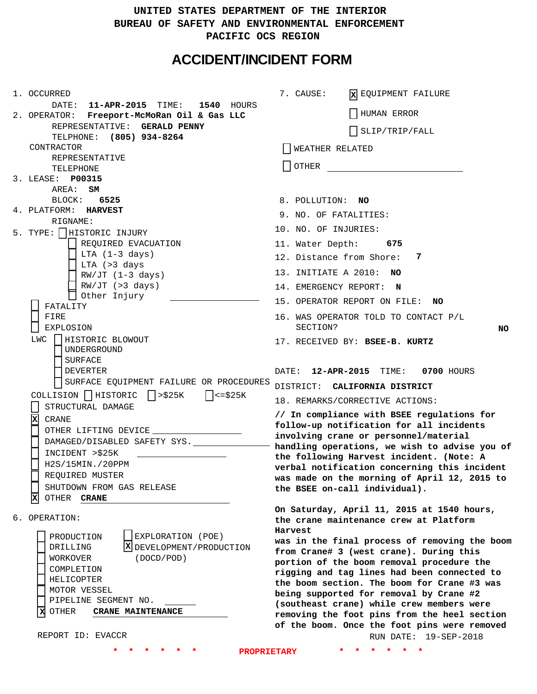| 1. OCCURRED                                                               | <b>X</b> EQUIPMENT FAILURE<br>7. CAUSE:                                              |
|---------------------------------------------------------------------------|--------------------------------------------------------------------------------------|
| DATE: 11-APR-2015 TIME:<br><b>1540</b> HOURS                              |                                                                                      |
| 2. OPERATOR: Freeport-McMoRan Oil & Gas LLC                               | HUMAN ERROR                                                                          |
| REPRESENTATIVE: GERALD PENNY<br>TELPHONE: (805) 934-8264                  | SLIP/TRIP/FALL                                                                       |
| CONTRACTOR                                                                | WEATHER RELATED                                                                      |
| REPRESENTATIVE                                                            |                                                                                      |
| TELEPHONE                                                                 | OTHER                                                                                |
| 3. LEASE: P00315                                                          |                                                                                      |
| AREA:<br>SM                                                               |                                                                                      |
| BLOCK:<br>6525                                                            | 8. POLLUTION: NO                                                                     |
| 4. PLATFORM: HARVEST                                                      | 9. NO. OF FATALITIES:                                                                |
| RIGNAME:<br>5. TYPE: HISTORIC INJURY                                      | 10. NO. OF INJURIES:                                                                 |
| REQUIRED EVACUATION                                                       | 11. Water Depth: 675                                                                 |
| $LTA$ $(1-3 \text{ days})$                                                |                                                                                      |
| $LTA$ (>3 days                                                            | 12. Distance from Shore:<br>7                                                        |
| $RW/JT$ (1-3 days)                                                        | 13. INITIATE A 2010: NO                                                              |
| $RW/JT$ (>3 days)                                                         | 14. EMERGENCY REPORT: N                                                              |
| Other Injury                                                              | 15. OPERATOR REPORT ON FILE: NO                                                      |
| FATALITY                                                                  |                                                                                      |
| FIRE<br><b>EXPLOSION</b>                                                  | 16. WAS OPERATOR TOLD TO CONTACT P/L<br>SECTION?                                     |
| HISTORIC BLOWOUT<br>LWC                                                   | NO.                                                                                  |
| UNDERGROUND                                                               | 17. RECEIVED BY: BSEE-B. KURTZ                                                       |
| <b>SURFACE</b>                                                            |                                                                                      |
| DEVERTER                                                                  | DATE: $12$ -APR-2015 TIME:<br><b>0700 HOURS</b>                                      |
| SURFACE EQUIPMENT FAILURE OR PROCEDURES                                   | DISTRICT: CALIFORNIA DISTRICT                                                        |
| COLLISION $\bigcap$ HISTORIC $\bigcap$ >\$25K<br>$\vert$ $\vert$ <= \$25K | 18. REMARKS/CORRECTIVE ACTIONS:                                                      |
| STRUCTURAL DAMAGE                                                         |                                                                                      |
| ⊠<br>CRANE                                                                | // In compliance with BSEE regulations for                                           |
| OTHER LIFTING DEVICE ____________________                                 | follow-up notification for all incidents<br>involving crane or personnel/material    |
| DAMAGED/DISABLED SAFETY SYS.                                              | handling operations, we wish to advise you of                                        |
| INCIDENT >\$25K                                                           | the following Harvest incident. (Note: A                                             |
| H2S/15MIN./20PPM                                                          | verbal notification concerning this incident                                         |
| REQUIRED MUSTER                                                           | was made on the morning of April 12, 2015 to                                         |
| SHUTDOWN FROM GAS RELEASE<br>⊠                                            | the BSEE on-call individual).                                                        |
| OTHER CRANE                                                               |                                                                                      |
| 6. OPERATION:                                                             | On Saturday, April 11, 2015 at 1540 hours,<br>the crane maintenance crew at Platform |
|                                                                           | Harvest                                                                              |
| EXPLORATION (POE)<br>PRODUCTION                                           | was in the final process of removing the boom                                        |
| X DEVELOPMENT / PRODUCTION<br>DRILLING                                    | from Crane# 3 (west crane). During this                                              |
| WORKOVER<br>(DOCD/POD)<br>COMPLETION                                      | portion of the boom removal procedure the                                            |
| HELICOPTER                                                                | rigging and tag lines had been connected to                                          |
| MOTOR VESSEL                                                              | the boom section. The boom for Crane #3 was                                          |
| PIPELINE SEGMENT NO.                                                      | being supported for removal by Crane #2<br>(southeast crane) while crew members were |
| x<br>OTHER<br><b>CRANE MAINTENANCE</b>                                    | removing the foot pins from the heel section                                         |
|                                                                           | of the boom. Once the foot pins were removed                                         |
| REPORT ID: EVACCR                                                         | RUN DATE: 19-SEP-2018                                                                |
| <b>PROPRIETARY</b>                                                        | $\star$<br>*.                                                                        |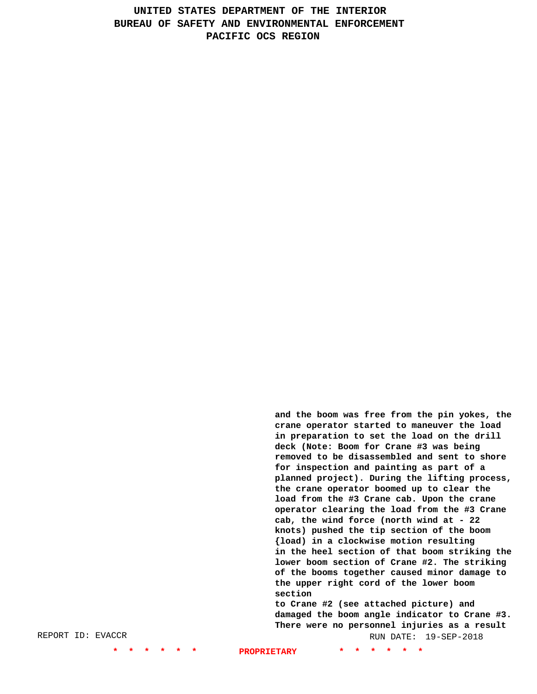**and the boom was free from the pin yokes, the crane operator started to maneuver the load in preparation to set the load on the drill deck (Note: Boom for Crane #3 was being removed to be disassembled and sent to shore for inspection and painting as part of a planned project). During the lifting process, the crane operator boomed up to clear the load from the #3 Crane cab. Upon the crane operator clearing the load from the #3 Crane cab, the wind force (north wind at - 22 knots) pushed the tip section of the boom {load) in a clockwise motion resulting in the heel section of that boom striking the lower boom section of Crane #2. The striking of the booms together caused minor damage to the upper right cord of the lower boom section**

REPORT ID: EVACCR **RUN DATE: 19-SEP-2018 to Crane #2 (see attached picture) and damaged the boom angle indicator to Crane #3. There were no personnel injuries as a result**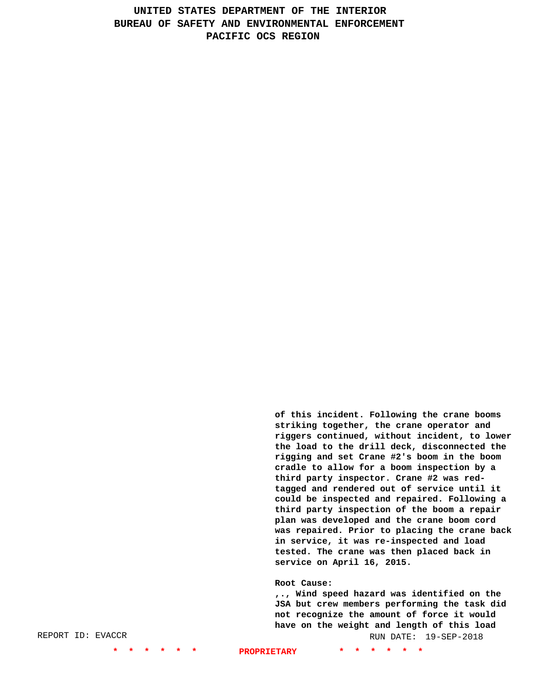**of this incident. Following the crane booms striking together, the crane operator and riggers continued, without incident, to lower the load to the drill deck, disconnected the rigging and set Crane #2's boom in the boom cradle to allow for a boom inspection by a third party inspector. Crane #2 was redtagged and rendered out of service until it could be inspected and repaired. Following a third party inspection of the boom a repair plan was developed and the crane boom cord was repaired. Prior to placing the crane back in service, it was re-inspected and load tested. The crane was then placed back in service on April 16, 2015.**

#### **Root Cause:**

REPORT ID: EVACCR **RUN DATE: 19-SEP-2018 ,., Wind speed hazard was identified on the JSA but crew members performing the task did not recognize the amount of force it would have on the weight and length of this load**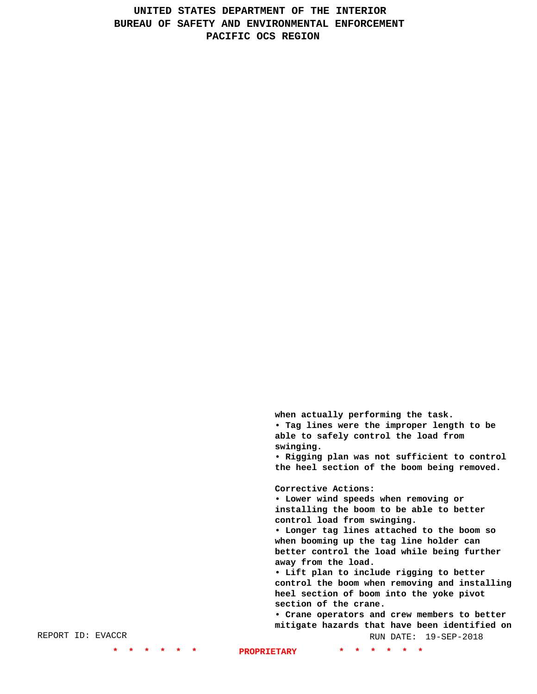REPORT ID: EVACCR **RUN DATE: 19-SEP-2018 \* \* \* \* \* \* PROPRIETARY \* \* \* \* \* \* when actually performing the task. • Tag lines were the improper length to be able to safely control the load from swinging. • Rigging plan was not sufficient to control the heel section of the boom being removed. Corrective Actions: • Lower wind speeds when removing or installing the boom to be able to better control load from swinging. • Longer tag lines attached to the boom so when booming up the tag line holder can better control the load while being further away from the load. • Lift plan to include rigging to better control the boom when removing and installing heel section of boom into the yoke pivot section of the crane. • Crane operators and crew members to better mitigate hazards that have been identified on**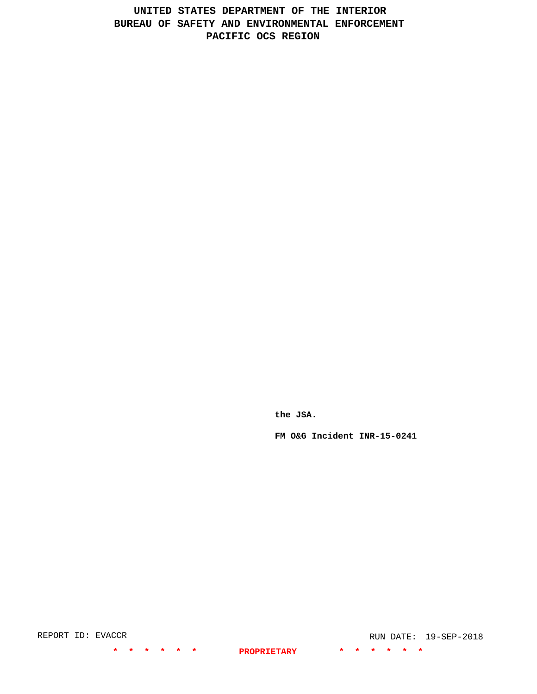**the JSA.**

**FM O&G Incident INR-15-0241**



REPORT ID: EVACCR RUN DATE: 19-SEP-2018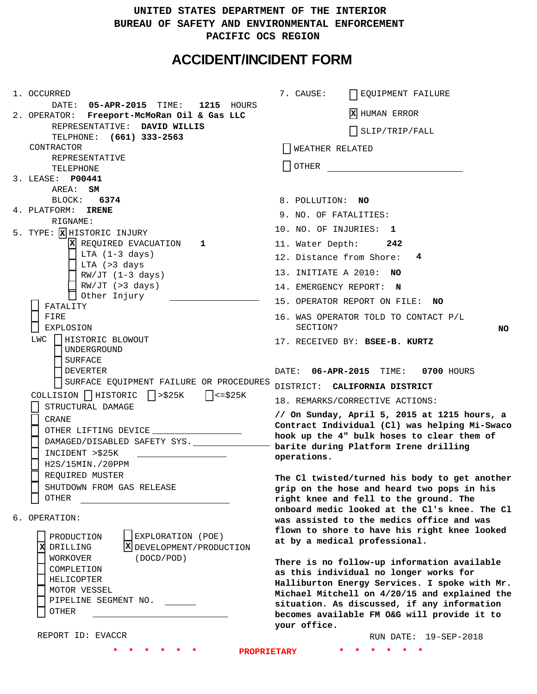| 1. OCCURRED                                                                             | EQUIPMENT FAILURE<br>7. CAUSE:                                                              |
|-----------------------------------------------------------------------------------------|---------------------------------------------------------------------------------------------|
| DATE: 05-APR-2015 TIME: 1215 HOURS                                                      |                                                                                             |
| 2. OPERATOR: Freeport-McMoRan Oil & Gas LLC                                             | <b>X</b> HUMAN ERROR                                                                        |
| REPRESENTATIVE: DAVID WILLIS                                                            | SLIP/TRIP/FALL                                                                              |
| TELPHONE: (661) 333-2563<br>CONTRACTOR                                                  | WEATHER RELATED                                                                             |
| REPRESENTATIVE                                                                          |                                                                                             |
| TELEPHONE                                                                               | OTHER                                                                                       |
| 3. LEASE: P00441                                                                        |                                                                                             |
| AREA: SM                                                                                |                                                                                             |
| BLOCK:<br>6374                                                                          | 8. POLLUTION: NO                                                                            |
| 4. PLATFORM: IRENE                                                                      | 9. NO. OF FATALITIES:                                                                       |
| RIGNAME:                                                                                | 10. NO. OF INJURIES: 1                                                                      |
| 5. TYPE: X HISTORIC INJURY                                                              |                                                                                             |
| X REQUIRED EVACUATION<br>$\mathbf{1}$<br>$LTA$ $(1-3 \text{ days})$                     | 11. Water Depth:<br>242                                                                     |
| $LTA$ (>3 days                                                                          | 12. Distance from Shore:<br>4                                                               |
| $RW/JT$ (1-3 days)                                                                      | 13. INITIATE A 2010: NO                                                                     |
| $RW/JT$ (>3 days)                                                                       | 14. EMERGENCY REPORT: N                                                                     |
| Other Injury                                                                            | 15. OPERATOR REPORT ON FILE: NO                                                             |
| FATALITY                                                                                |                                                                                             |
| FIRE                                                                                    | 16. WAS OPERATOR TOLD TO CONTACT P/L                                                        |
| <b>EXPLOSION</b>                                                                        | SECTION?<br>NO.                                                                             |
| LWC<br>  HISTORIC BLOWOUT<br>UNDERGROUND                                                | 17. RECEIVED BY: BSEE-B. KURTZ                                                              |
| <b>SURFACE</b>                                                                          |                                                                                             |
| <b>DEVERTER</b>                                                                         | DATE: 06-APR-2015 TIME: 0700 HOURS                                                          |
| SURFACE EQUIPMENT FAILURE OR PROCEDURES                                                 | DISTRICT: CALIFORNIA DISTRICT                                                               |
| COLLISION $\bigcap$ HISTORIC $\bigcap$ >\$25K<br>$\sqrt{\left  \cdot \right }$ <= \$25K |                                                                                             |
| STRUCTURAL DAMAGE                                                                       | 18. REMARKS/CORRECTIVE ACTIONS:                                                             |
| CRANE                                                                                   | // On Sunday, April 5, 2015 at 1215 hours, a                                                |
| OTHER LIFTING DEVICE ___________________                                                | Contract Individual (Cl) was helping Mi-Swaco<br>hook up the 4" bulk hoses to clear them of |
| DAMAGED/DISABLED SAFETY SYS.                                                            | barite during Platform Irene drilling                                                       |
| INCIDENT >\$25K                                                                         | operations.                                                                                 |
| H2S/15MIN./20PPM                                                                        |                                                                                             |
| REQUIRED MUSTER                                                                         | The Cl twisted/turned his body to get another                                               |
| SHUTDOWN FROM GAS RELEASE                                                               | grip on the hose and heard two pops in his                                                  |
| OTHER                                                                                   | right knee and fell to the ground. The                                                      |
| 6. OPERATION:                                                                           | onboard medic looked at the Cl's knee. The Cl<br>was assisted to the medics office and was  |
|                                                                                         | flown to shore to have his right knee looked                                                |
| EXPLORATION (POE)<br>PRODUCTION                                                         | at by a medical professional.                                                               |
| X DEVELOPMENT / PRODUCTION<br>DRILLING                                                  |                                                                                             |
| <b>WORKOVER</b><br>(DOCD/POD)                                                           | There is no follow-up information available                                                 |
| COMPLETION<br>HELICOPTER                                                                | as this individual no longer works for                                                      |
| MOTOR VESSEL                                                                            | Halliburton Energy Services. I spoke with Mr.                                               |
| PIPELINE SEGMENT NO.                                                                    | Michael Mitchell on 4/20/15 and explained the                                               |
| OTHER                                                                                   | situation. As discussed, if any information<br>becomes available FM O&G will provide it to  |
|                                                                                         | your office.                                                                                |
| REPORT ID: EVACCR                                                                       | RUN DATE: 19-SEP-2018                                                                       |
| <b>PROPRIETARY</b>                                                                      |                                                                                             |
|                                                                                         |                                                                                             |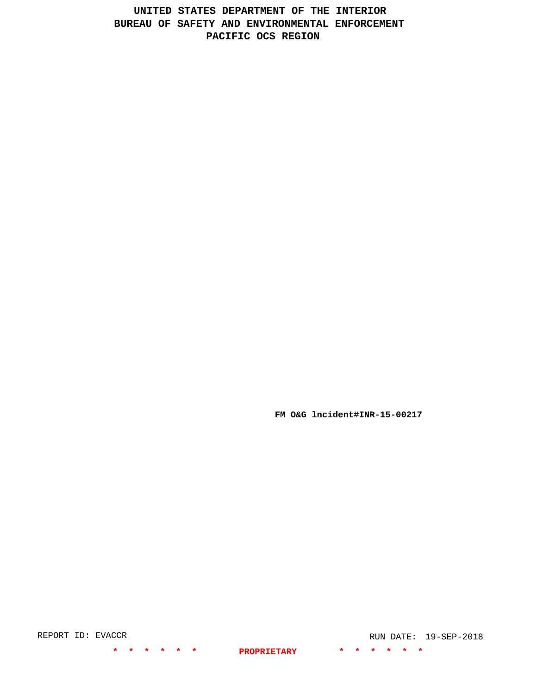**FM O&G lncident#INR-15-00217**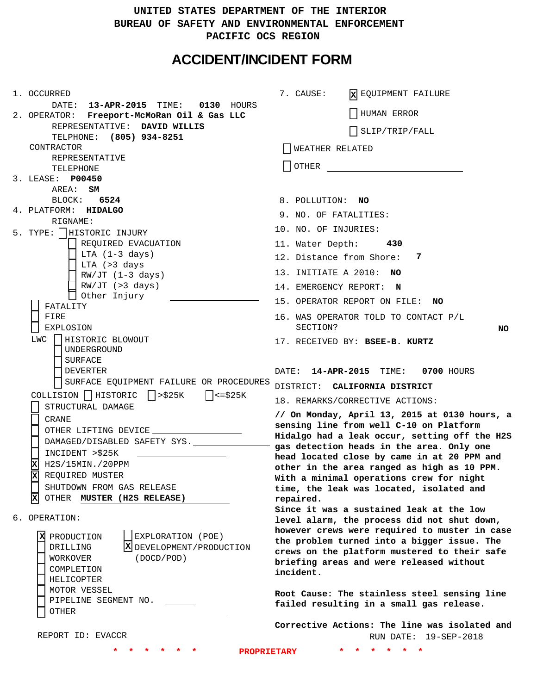| 1. OCCURRED                                                                                             | <b>X</b> EQUIPMENT FAILURE<br>7. CAUSE:                                                    |
|---------------------------------------------------------------------------------------------------------|--------------------------------------------------------------------------------------------|
| <b>0130 HOURS</b><br>DATE: $13-APR-2015$ TIME:                                                          | HUMAN ERROR                                                                                |
| 2. OPERATOR: Freeport-McMoRan Oil & Gas LLC                                                             |                                                                                            |
| REPRESENTATIVE: DAVID WILLIS<br>TELPHONE: (805) 934-8251                                                | SLIP/TRIP/FALL                                                                             |
| CONTRACTOR                                                                                              | WEATHER RELATED                                                                            |
| REPRESENTATIVE                                                                                          |                                                                                            |
| TELEPHONE                                                                                               | OTHER                                                                                      |
| 3. LEASE: P00450                                                                                        |                                                                                            |
| AREA: SM                                                                                                |                                                                                            |
| BLOCK:<br>6524                                                                                          | 8. POLLUTION: NO                                                                           |
| 4. PLATFORM: HIDALGO                                                                                    | 9. NO. OF FATALITIES:                                                                      |
| RIGNAME:                                                                                                | 10. NO. OF INJURIES:                                                                       |
| 5. TYPE: HISTORIC INJURY                                                                                |                                                                                            |
| REQUIRED EVACUATION<br>$LTA$ $(1-3 \text{ days})$                                                       | 11. Water Depth:<br>430                                                                    |
| $LTA$ (>3 days                                                                                          | 12. Distance from Shore:<br>- 7                                                            |
| $RW/JT$ (1-3 days)                                                                                      | 13. INITIATE A 2010: NO                                                                    |
| $RW/JT$ (>3 days)                                                                                       | 14. EMERGENCY REPORT: N                                                                    |
| Other Injury                                                                                            | 15. OPERATOR REPORT ON FILE: NO                                                            |
| FATALITY                                                                                                |                                                                                            |
| FIRE                                                                                                    | 16. WAS OPERATOR TOLD TO CONTACT P/L                                                       |
| <b>EXPLOSION</b>                                                                                        | SECTION?<br>NO.                                                                            |
| LWC<br>HISTORIC BLOWOUT<br>UNDERGROUND                                                                  | 17. RECEIVED BY: BSEE-B. KURTZ                                                             |
| SURFACE                                                                                                 |                                                                                            |
| <b>DEVERTER</b>                                                                                         | DATE: 14-APR-2015 TIME: 0700 HOURS                                                         |
| SURFACE EQUIPMENT FAILURE OR PROCEDURES                                                                 |                                                                                            |
| COLLISION $\bigcap$ HISTORIC $\bigcap$ >\$25K<br>$\sqrt{\left  \right  \left  \right  \right }$ <=\$25K | DISTRICT: CALIFORNIA DISTRICT                                                              |
| STRUCTURAL DAMAGE                                                                                       | 18. REMARKS/CORRECTIVE ACTIONS:                                                            |
| CRANE                                                                                                   | // On Monday, April 13, 2015 at 0130 hours, a                                              |
|                                                                                                         | sensing line from well C-10 on Platform                                                    |
| DAMAGED/DISABLED SAFETY SYS.                                                                            | Hidalgo had a leak occur, setting off the H2S                                              |
| INCIDENT >\$25K                                                                                         | gas detection heads in the area. Only one                                                  |
| H2S/15MIN./20PPM                                                                                        | head located close by came in at 20 PPM and<br>other in the area ranged as high as 10 PPM. |
| lvl<br>REQUIRED MUSTER                                                                                  | With a minimal operations crew for night                                                   |
| SHUTDOWN FROM GAS RELEASE                                                                               | time, the leak was located, isolated and                                                   |
| x<br>OTHER MUSTER (H2S RELEASE)                                                                         | repaired.                                                                                  |
|                                                                                                         | Since it was a sustained leak at the low                                                   |
| 6. OPERATION:                                                                                           | level alarm, the process did not shut down,                                                |
| X<br>EXPLORATION (POE)<br>PRODUCTION                                                                    | however crews were required to muster in case                                              |
| X DEVELOPMENT / PRODUCTION<br>DRILLING                                                                  | the problem turned into a bigger issue. The                                                |
| WORKOVER<br>(DOCD/POD)                                                                                  | crews on the platform mustered to their safe<br>briefing areas and were released without   |
| COMPLETION                                                                                              | incident.                                                                                  |
| HELICOPTER                                                                                              |                                                                                            |
| MOTOR VESSEL                                                                                            | Root Cause: The stainless steel sensing line                                               |
| PIPELINE SEGMENT NO.                                                                                    | failed resulting in a small gas release.                                                   |
| OTHER                                                                                                   |                                                                                            |
|                                                                                                         | Corrective Actions: The line was isolated and                                              |
| REPORT ID: EVACCR                                                                                       | RUN DATE: 19-SEP-2018                                                                      |
|                                                                                                         | <b>PROPRIETARY</b>                                                                         |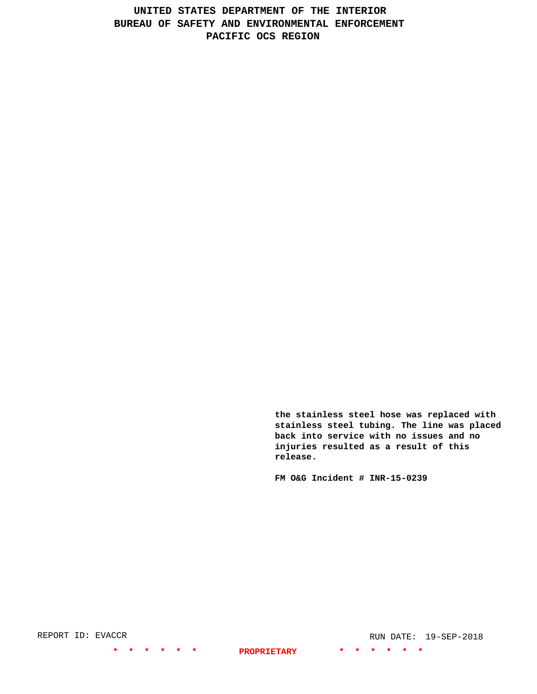**the stainless steel hose was replaced with stainless steel tubing. The line was placed back into service with no issues and no injuries resulted as a result of this release.**

**FM O&G Incident # INR-15-0239**

**\* \* \* \* \* \* PROPRIETARY \* \* \* \* \* \***

REPORT ID: EVACCR RUN DATE: 19-SEP-2018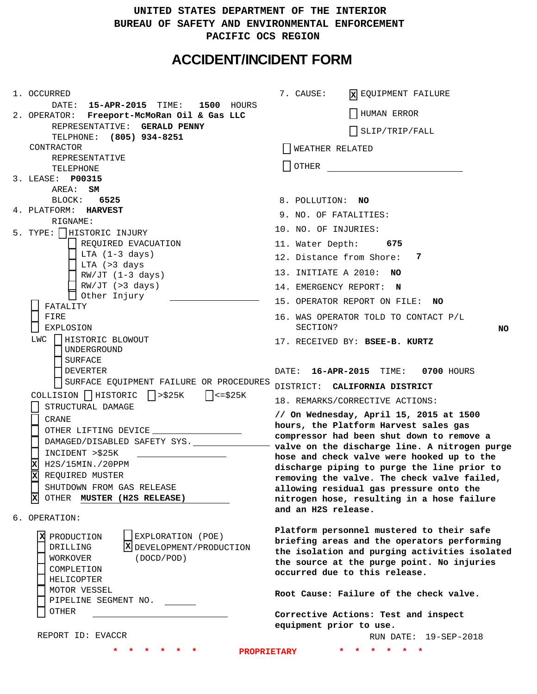| 1. OCCURRED                                                                 | <b>X</b> EQUIPMENT FAILURE<br>7. CAUSE:                                                     |
|-----------------------------------------------------------------------------|---------------------------------------------------------------------------------------------|
| DATE: 15-APR-2015 TIME:<br><b>1500 HOURS</b>                                | HUMAN ERROR                                                                                 |
| 2. OPERATOR: Freeport-McMoRan Oil & Gas LLC<br>REPRESENTATIVE: GERALD PENNY |                                                                                             |
| TELPHONE: (805) 934-8251                                                    | SLIP/TRIP/FALL                                                                              |
| CONTRACTOR                                                                  | WEATHER RELATED                                                                             |
| REPRESENTATIVE                                                              |                                                                                             |
| TELEPHONE                                                                   | OTHER                                                                                       |
| 3. LEASE: P00315                                                            |                                                                                             |
| AREA:<br>SM                                                                 |                                                                                             |
| BLOCK:<br>6525<br>4. PLATFORM: HARVEST                                      | 8. POLLUTION: NO                                                                            |
| RIGNAME:                                                                    | 9. NO. OF FATALITIES:                                                                       |
| 5. TYPE: HISTORIC INJURY                                                    | 10. NO. OF INJURIES:                                                                        |
| REQUIRED EVACUATION                                                         | 11. Water Depth: 675                                                                        |
| $LTA$ $(1-3 \text{ days})$                                                  | 12. Distance from Shore:<br>-7                                                              |
| LTA (>3 days                                                                |                                                                                             |
| $RW/JT$ (1-3 days)                                                          | 13. INITIATE A 2010: NO                                                                     |
| $RW/JT$ (>3 days)<br>Other Injury                                           | 14. EMERGENCY REPORT: N                                                                     |
| FATALITY                                                                    | 15. OPERATOR REPORT ON FILE: NO                                                             |
| FIRE                                                                        | 16. WAS OPERATOR TOLD TO CONTACT P/L                                                        |
| <b>EXPLOSION</b>                                                            | SECTION?<br>NO.                                                                             |
| HISTORIC BLOWOUT<br>LWC                                                     | 17. RECEIVED BY: BSEE-B. KURTZ                                                              |
| UNDERGROUND                                                                 |                                                                                             |
| <b>SURFACE</b>                                                              |                                                                                             |
| <b>DEVERTER</b>                                                             | DATE: $16 - APR - 2015$ TIME:<br><b>0700 HOURS</b>                                          |
| SURFACE EQUIPMENT FAILURE OR PROCEDURES                                     | DISTRICT: CALIFORNIA DISTRICT                                                               |
| COLLISION HISTORIC $\bigcap$ >\$25K<br>  $\left  \right $ < = \$25K         | 18. REMARKS/CORRECTIVE ACTIONS:                                                             |
| STRUCTURAL DAMAGE                                                           | // On Wednesday, April 15, 2015 at 1500                                                     |
| CRANE                                                                       | hours, the Platform Harvest sales gas                                                       |
|                                                                             | compressor had been shut down to remove a                                                   |
| DAMAGED/DISABLED SAFETY SYS.<br>INCIDENT >\$25K                             | valve on the discharge line. A nitrogen purge                                               |
| ×<br>H2S/15MIN./20PPM                                                       | hose and check valve were hooked up to the                                                  |
| lxl<br>REQUIRED MUSTER                                                      | discharge piping to purge the line prior to<br>removing the valve. The check valve failed,  |
| SHUTDOWN FROM GAS RELEASE                                                   | allowing residual gas pressure onto the                                                     |
| x<br>OTHER MUSTER (H2S RELEASE)                                             | nitrogen hose, resulting in a hose failure                                                  |
|                                                                             | and an H2S release.                                                                         |
| 6. OPERATION:                                                               |                                                                                             |
| ΙX<br>EXPLORATION (POE)<br>PRODUCTION                                       | Platform personnel mustered to their safe                                                   |
| X DEVELOPMENT / PRODUCTION<br>DRILLING                                      | briefing areas and the operators performing                                                 |
| WORKOVER<br>(DOCD/POD)                                                      | the isolation and purging activities isolated<br>the source at the purge point. No injuries |
| COMPLETION                                                                  | occurred due to this release.                                                               |
| HELICOPTER                                                                  |                                                                                             |
| MOTOR VESSEL                                                                | Root Cause: Failure of the check valve.                                                     |
| PIPELINE SEGMENT NO.                                                        |                                                                                             |
| OTHER                                                                       | Corrective Actions: Test and inspect                                                        |
|                                                                             | equipment prior to use.                                                                     |
| REPORT ID: EVACCR                                                           | RUN DATE: 19-SEP-2018                                                                       |
| <b>PROPRIETARY</b>                                                          |                                                                                             |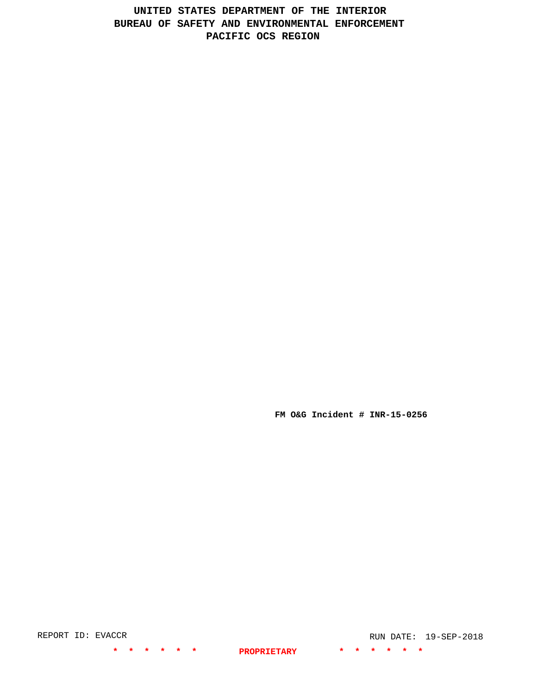**FM O&G Incident # INR-15-0256**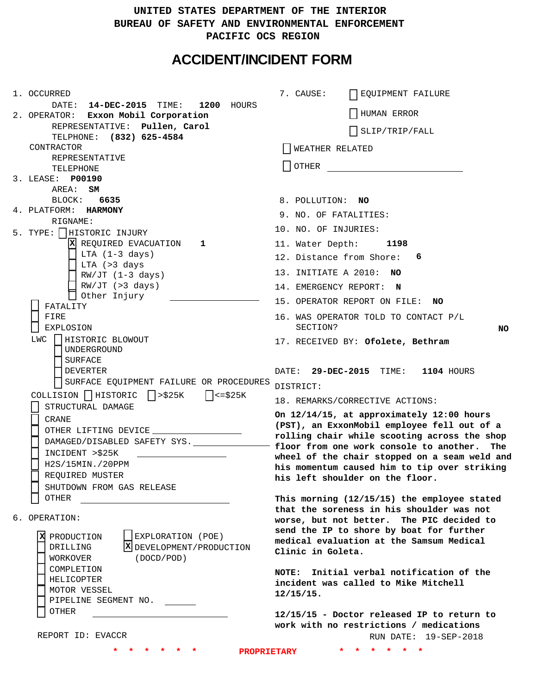| 1. OCCURRED                                                                       | EQUIPMENT FAILURE<br>7. CAUSE:                                                       |
|-----------------------------------------------------------------------------------|--------------------------------------------------------------------------------------|
| DATE: 14-DEC-2015 TIME:<br>1200<br>HOURS                                          | HUMAN ERROR                                                                          |
| 2. OPERATOR: Exxon Mobil Corporation<br>REPRESENTATIVE: Pullen, Carol             |                                                                                      |
| TELPHONE: (832) 625-4584                                                          | SLIP/TRIP/FALL                                                                       |
| CONTRACTOR                                                                        | WEATHER RELATED                                                                      |
| REPRESENTATIVE                                                                    |                                                                                      |
| TELEPHONE                                                                         | OTHER                                                                                |
| 3. LEASE: P00190<br>AREA:<br>SM                                                   |                                                                                      |
| BLOCK:<br>6635                                                                    | 8. POLLUTION: NO                                                                     |
| 4. PLATFORM: HARMONY                                                              |                                                                                      |
| RIGNAME:                                                                          | 9. NO. OF FATALITIES:                                                                |
| 5. TYPE: HISTORIC INJURY                                                          | 10. NO. OF INJURIES:                                                                 |
| X REQUIRED EVACUATION<br>$\mathbf{1}$                                             | 11. Water Depth:<br>1198                                                             |
| $LTA$ $(1-3 \text{ days})$<br>LTA (>3 days                                        | 12. Distance from Shore:<br>6                                                        |
| $RW/JT$ (1-3 days)                                                                | 13. INITIATE A 2010: NO                                                              |
| $RW/JT$ (>3 days)                                                                 | 14. EMERGENCY REPORT: N                                                              |
| Other Injury                                                                      | 15. OPERATOR REPORT ON FILE:<br>NO                                                   |
| FATALITY                                                                          |                                                                                      |
| FIRE<br>EXPLOSION                                                                 | 16. WAS OPERATOR TOLD TO CONTACT P/L<br>SECTION?                                     |
| LWC     HISTORIC BLOWOUT                                                          | NO.                                                                                  |
| UNDERGROUND                                                                       | 17. RECEIVED BY: Ofolete, Bethram                                                    |
| SURFACE                                                                           |                                                                                      |
| DEVERTER                                                                          | DATE: 29-DEC-2015 TIME:<br><b>1104 HOURS</b>                                         |
| SURFACE EQUIPMENT FAILURE OR PROCEDURES                                           | DISTRICT:                                                                            |
| COLLISION $\bigcap$ HISTORIC $\bigcap$ >\$25K<br>$\sqrt{\left  \right }$ <= \$25K | 18. REMARKS/CORRECTIVE ACTIONS:                                                      |
| STRUCTURAL DAMAGE                                                                 | On 12/14/15, at approximately 12:00 hours                                            |
| CRANE                                                                             | (PST), an ExxonMobil employee fell out of a                                          |
|                                                                                   | rolling chair while scooting across the shop                                         |
| DAMAGED/DISABLED SAFETY SYS.<br>INCIDENT >\$25K                                   | floor from one work console to another.<br>The                                       |
| H2S/15MIN./20PPM                                                                  | wheel of the chair stopped on a seam weld and                                        |
| REQUIRED MUSTER                                                                   | his momentum caused him to tip over striking<br>his left shoulder on the floor.      |
| SHUTDOWN FROM GAS RELEASE                                                         |                                                                                      |
| OTHER                                                                             | This morning (12/15/15) the employee stated                                          |
|                                                                                   | that the soreness in his shoulder was not                                            |
| 6. OPERATION:                                                                     | worse, but not better. The PIC decided to                                            |
| lxl<br>EXPLORATION (POE)<br>PRODUCTION                                            | send the IP to shore by boat for further<br>medical evaluation at the Samsum Medical |
| <b>X</b> DEVELOPMENT / PRODUCTION<br>DRILLING                                     | Clinic in Goleta.                                                                    |
| WORKOVER<br>(DOCD/POD)                                                            |                                                                                      |
| COMPLETION<br>HELICOPTER                                                          | NOTE: Initial verbal notification of the                                             |
| MOTOR VESSEL                                                                      | incident was called to Mike Mitchell                                                 |
| PIPELINE SEGMENT NO.                                                              | 12/15/15.                                                                            |
| OTHER                                                                             | 12/15/15 - Doctor released IP to return to                                           |
|                                                                                   | work with no restrictions / medications                                              |
| REPORT ID: EVACCR                                                                 | RUN DATE: 19-SEP-2018                                                                |
| <b>PROPRIETARY</b>                                                                | * * * * *                                                                            |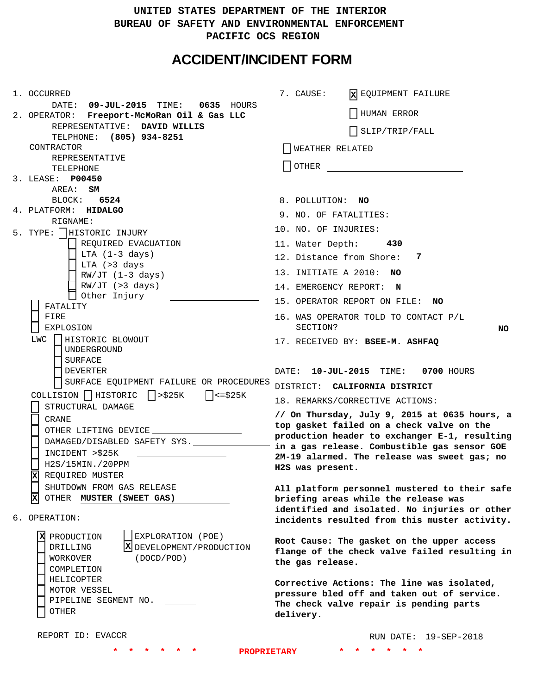# **ACCIDENT/INCIDENT FORM**

| 1. OCCURRED                                                                     | <b>X</b> EQUIPMENT FAILURE<br>7. CAUSE:                                                        |
|---------------------------------------------------------------------------------|------------------------------------------------------------------------------------------------|
| DATE: 09-JUL-2015 TIME:<br><b>0635 HOURS</b>                                    | HUMAN ERROR                                                                                    |
| 2. OPERATOR: Freeport-McMoRan Oil & Gas LLC<br>REPRESENTATIVE: DAVID WILLIS     |                                                                                                |
| TELPHONE: (805) 934-8251                                                        | SLIP/TRIP/FALL                                                                                 |
| CONTRACTOR                                                                      | WEATHER RELATED                                                                                |
| REPRESENTATIVE                                                                  |                                                                                                |
| TELEPHONE<br>3. LEASE: P00450                                                   | OTHER                                                                                          |
| AREA:<br>SM                                                                     |                                                                                                |
| BLOCK:<br>6524                                                                  | 8. POLLUTION: NO                                                                               |
| 4. PLATFORM: HIDALGO                                                            | 9. NO. OF FATALITIES:                                                                          |
| RIGNAME:                                                                        |                                                                                                |
| 5. TYPE: HISTORIC INJURY                                                        | 10. NO. OF INJURIES:                                                                           |
| REQUIRED EVACUATION<br>$LTA$ $(1-3 days)$                                       | 11. Water Depth:<br>430                                                                        |
| LTA (>3 days                                                                    | 12. Distance from Shore:<br>$\overline{7}$                                                     |
| $RW/JT$ (1-3 days)                                                              | 13. INITIATE A 2010: NO                                                                        |
| $RW/JT$ (>3 days)                                                               | 14. EMERGENCY REPORT: N                                                                        |
| Other Injury<br>FATALITY                                                        | 15. OPERATOR REPORT ON FILE: NO                                                                |
| FIRE                                                                            | 16. WAS OPERATOR TOLD TO CONTACT P/L                                                           |
| EXPLOSION                                                                       | SECTION?<br>NO.                                                                                |
| LWC<br>HISTORIC BLOWOUT                                                         | 17. RECEIVED BY: BSEE-M. ASHFAQ                                                                |
| UNDERGROUND                                                                     |                                                                                                |
| <b>SURFACE</b>                                                                  |                                                                                                |
| <b>DEVERTER</b><br>SURFACE EQUIPMENT FAILURE OR PROCEDURES                      | DATE: 10-JUL-2015 TIME: 0700 HOURS                                                             |
| COLLISION $\bigcap$ HISTORIC $\bigcap$ >\$25K<br>$\bigcap$ <= \$25K             | DISTRICT: CALIFORNIA DISTRICT                                                                  |
| STRUCTURAL DAMAGE                                                               | 18. REMARKS/CORRECTIVE ACTIONS:                                                                |
| <b>CRANE</b>                                                                    | // On Thursday, July 9, 2015 at 0635 hours, a                                                  |
| OTHER LIFTING DEVICE ____________________                                       | top gasket failed on a check valve on the                                                      |
| DAMAGED/DISABLED SAFETY SYS.                                                    | production header to exchanger E-1, resulting<br>in a gas release. Combustible gas sensor GOE  |
| INCIDENT >\$25K                                                                 | 2M-19 alarmed. The release was sweet gas; no                                                   |
| H2S/15MIN./20PPM                                                                | H2S was present.                                                                               |
| lvl<br>REQUIRED MUSTER                                                          |                                                                                                |
| SHUTDOWN FROM GAS RELEASE                                                       | All platform personnel mustered to their safe                                                  |
| lx<br>OTHER MUSTER (SWEET GAS)                                                  | briefing areas while the release was                                                           |
| 6. OPERATION:                                                                   | identified and isolated. No injuries or other<br>incidents resulted from this muster activity. |
|                                                                                 |                                                                                                |
| ΙX<br>EXPLORATION (POE)<br>PRODUCTION<br>X DEVELOPMENT / PRODUCTION<br>DRILLING | Root Cause: The gasket on the upper access                                                     |
| WORKOVER<br>(DOCD/POD)                                                          | flange of the check valve failed resulting in                                                  |
| COMPLETION                                                                      | the gas release.                                                                               |
| HELICOPTER                                                                      | Corrective Actions: The line was isolated,                                                     |
| MOTOR VESSEL                                                                    | pressure bled off and taken out of service.                                                    |
| PIPELINE SEGMENT NO.                                                            | The check valve repair is pending parts                                                        |
| OTHER                                                                           | delivery.                                                                                      |
|                                                                                 |                                                                                                |
| REPORT ID: EVACCR                                                               | RUN DATE:<br>19-SEP-2018                                                                       |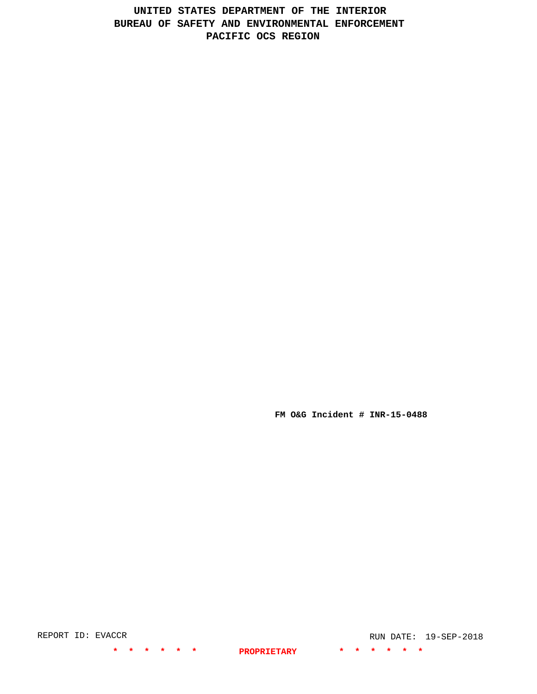**FM O&G Incident # INR-15-0488**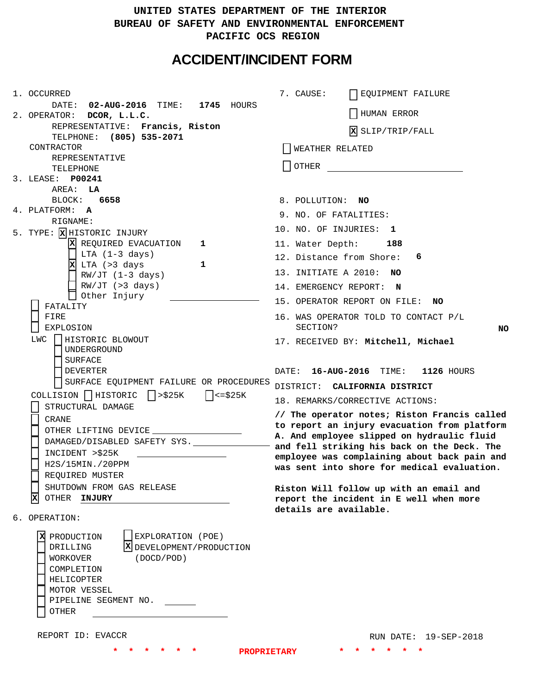| 1. OCCURRED<br>DATE:<br>$02$ -AUG-2016 TIME:<br><b>1745</b> HOURS<br>2. OPERATOR: DCOR, L.L.C.<br>REPRESENTATIVE: Francis, Riston<br>TELPHONE: (805) 535-2071<br>CONTRACTOR<br>REPRESENTATIVE<br><b>TELEPHONE</b><br>P00241<br>3. LEASE:                                                                                                     | 7. CAUSE:<br>EQUIPMENT FAILURE<br>HUMAN ERROR<br>$\vert x \vert$ SLIP/TRIP/FALL<br>WEATHER RELATED<br><b>OTHER</b>                                                                                                                                                                                                                                                                                                                                                                                         |
|----------------------------------------------------------------------------------------------------------------------------------------------------------------------------------------------------------------------------------------------------------------------------------------------------------------------------------------------|------------------------------------------------------------------------------------------------------------------------------------------------------------------------------------------------------------------------------------------------------------------------------------------------------------------------------------------------------------------------------------------------------------------------------------------------------------------------------------------------------------|
| AREA: LA                                                                                                                                                                                                                                                                                                                                     |                                                                                                                                                                                                                                                                                                                                                                                                                                                                                                            |
| BLOCK:<br>6658<br>4. PLATFORM: A                                                                                                                                                                                                                                                                                                             | 8. POLLUTION:<br>NO                                                                                                                                                                                                                                                                                                                                                                                                                                                                                        |
| RIGNAME:                                                                                                                                                                                                                                                                                                                                     | 9. NO. OF FATALITIES:                                                                                                                                                                                                                                                                                                                                                                                                                                                                                      |
| 5. TYPE: X HISTORIC INJURY                                                                                                                                                                                                                                                                                                                   | 10. NO. OF INJURIES:<br>$\mathbf{1}$                                                                                                                                                                                                                                                                                                                                                                                                                                                                       |
| X REQUIRED EVACUATION<br>$\mathbf{1}$<br>$LTA$ $(1-3 \text{ days})$                                                                                                                                                                                                                                                                          | 11. Water Depth:<br>188                                                                                                                                                                                                                                                                                                                                                                                                                                                                                    |
| $ X $ LTA (>3 days<br>1                                                                                                                                                                                                                                                                                                                      | 12. Distance from Shore:<br>6                                                                                                                                                                                                                                                                                                                                                                                                                                                                              |
| $RW/JT$ (1-3 days)                                                                                                                                                                                                                                                                                                                           | 13. INITIATE A 2010:<br>NO                                                                                                                                                                                                                                                                                                                                                                                                                                                                                 |
| $RW/JT$ (>3 days)                                                                                                                                                                                                                                                                                                                            | 14. EMERGENCY REPORT: N                                                                                                                                                                                                                                                                                                                                                                                                                                                                                    |
| Other Injury<br>FATALITY                                                                                                                                                                                                                                                                                                                     | 15. OPERATOR REPORT ON FILE:<br>NO                                                                                                                                                                                                                                                                                                                                                                                                                                                                         |
| FIRE                                                                                                                                                                                                                                                                                                                                         | 16. WAS OPERATOR TOLD TO CONTACT P/L                                                                                                                                                                                                                                                                                                                                                                                                                                                                       |
| EXPLOSION                                                                                                                                                                                                                                                                                                                                    | SECTION?<br>NO.                                                                                                                                                                                                                                                                                                                                                                                                                                                                                            |
| HISTORIC BLOWOUT<br>LWC<br>UNDERGROUND<br><b>SURFACE</b><br><b>DEVERTER</b><br>SURFACE EQUIPMENT FAILURE OR PROCEDURES<br>COLLISION $\Box$ HISTORIC $\Box$ >\$25K<br>$\bigcap$ <= \$25K<br>STRUCTURAL DAMAGE<br>CRANE<br>DAMAGED/DISABLED SAFETY SYS.<br>INCIDENT >\$25K<br>H2S/15MIN./20PPM<br>REQUIRED MUSTER<br>SHUTDOWN FROM GAS RELEASE | 17. RECEIVED BY: Mitchell, Michael<br>DATE: $16 - \text{AUG} - 2016$ TIME:<br><b>1126 HOURS</b><br>DISTRICT: CALIFORNIA DISTRICT<br>18. REMARKS/CORRECTIVE ACTIONS:<br>// The operator notes; Riston Francis called<br>to report an injury evacuation from platform<br>A. And employee slipped on hydraulic fluid<br>and fell striking his back on the Deck. The<br>employee was complaining about back pain and<br>was sent into shore for medical evaluation.<br>Riston Will follow up with an email and |
| OTHER<br>INJURY                                                                                                                                                                                                                                                                                                                              | report the incident in E well when more                                                                                                                                                                                                                                                                                                                                                                                                                                                                    |
| 6. OPERATION:                                                                                                                                                                                                                                                                                                                                | details are available.                                                                                                                                                                                                                                                                                                                                                                                                                                                                                     |
| x<br>EXPLORATION (POE)<br>PRODUCTION<br>DRILLING<br>X DEVELOPMENT / PRODUCTION<br>WORKOVER<br>(DOCD/POD)<br>COMPLETION<br>HELICOPTER<br>MOTOR VESSEL<br>PIPELINE SEGMENT NO.<br>OTHER                                                                                                                                                        |                                                                                                                                                                                                                                                                                                                                                                                                                                                                                                            |
| REPORT ID: EVACCR<br><b>PROPRIETARY</b>                                                                                                                                                                                                                                                                                                      | RUN DATE: 19-SEP-2018<br>*<br>$\ast$                                                                                                                                                                                                                                                                                                                                                                                                                                                                       |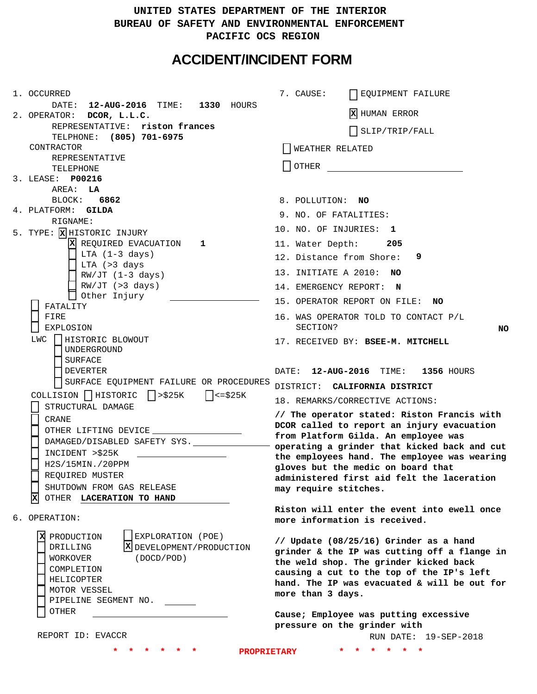| DATE:<br>12-AUG-2016 TIME:<br><b>1330</b> HOURS<br><b>X</b> HUMAN ERROR<br>2. OPERATOR: DCOR, L.L.C.<br>REPRESENTATIVE: riston frances<br>SLIP/TRIP/FALL<br>TELPHONE: (805) 701-6975<br>CONTRACTOR<br>WEATHER RELATED<br>REPRESENTATIVE<br>OTHER<br>TELEPHONE<br>3. LEASE: P00216<br>AREA: LA<br>BLOCK:<br>6862<br>8. POLLUTION: NO<br>4. PLATFORM: GILDA<br>9. NO. OF FATALITIES:<br>RIGNAME:<br>10. NO. OF INJURIES: 1<br>5. TYPE: X HISTORIC INJURY<br>X REQUIRED EVACUATION<br>1<br>11. Water Depth:<br>205<br>$LTA$ $(1-3 \text{ days})$<br>12. Distance from Shore:<br>9<br>LTA (>3 days<br>13. INITIATE A 2010: NO<br>$RW/JT$ (1-3 days)<br>$RW/JT$ (>3 days)<br>14. EMERGENCY REPORT: N<br>Other Injury<br>15. OPERATOR REPORT ON FILE:<br>NO<br>FATALITY<br>FIRE<br>16. WAS OPERATOR TOLD TO CONTACT P/L<br><b>EXPLOSION</b><br>SECTION?<br>NO.<br>LWC<br>  HISTORIC BLOWOUT<br>17. RECEIVED BY: BSEE-M. MITCHELL<br>UNDERGROUND<br><b>SURFACE</b><br><b>DEVERTER</b><br>DATE: 12-AUG-2016 TIME:<br><b>1356 HOURS</b><br>SURFACE EQUIPMENT FAILURE OR PROCEDURES<br>DISTRICT: CALIFORNIA DISTRICT<br>COLLISION $\bigcap$ HISTORIC $\bigcap$ >\$25K<br>$\bigcap$ <= \$25K<br>18. REMARKS/CORRECTIVE ACTIONS:<br>STRUCTURAL DAMAGE<br>// The operator stated: Riston Francis with<br>CRANE<br>DCOR called to report an injury evacuation<br>OTHER LIFTING DEVICE __________________<br>from Platform Gilda. An employee was<br>DAMAGED/DISABLED SAFETY SYS.<br>operating a grinder that kicked back and cut<br>INCIDENT >\$25K<br>the employees hand. The employee was wearing<br>H2S/15MIN./20PPM<br>gloves but the medic on board that<br>REQUIRED MUSTER<br>administered first aid felt the laceration<br>SHUTDOWN FROM GAS RELEASE<br>may require stitches.<br>lx<br>OTHER LACERATION TO HAND<br>Riston will enter the event into ewell once<br>6. OPERATION:<br>more information is received.<br> x<br>EXPLORATION (POE)<br>PRODUCTION<br>// Update $(08/25/16)$ Grinder as a hand<br>X DEVELOPMENT / PRODUCTION<br>DRILLING<br>grinder & the IP was cutting off a flange in<br>WORKOVER<br>(DOCD/POD)<br>the weld shop. The grinder kicked back<br>COMPLETION<br>causing a cut to the top of the IP's left<br>HELICOPTER<br>hand. The IP was evacuated & will be out for<br>MOTOR VESSEL<br>more than 3 days.<br>PIPELINE SEGMENT NO.<br>OTHER<br>Cause; Employee was putting excessive<br>pressure on the grinder with<br>REPORT ID: EVACCR<br>RUN DATE: 19-SEP-2018 | 1. OCCURRED        | EQUIPMENT FAILURE<br>7. CAUSE: |
|------------------------------------------------------------------------------------------------------------------------------------------------------------------------------------------------------------------------------------------------------------------------------------------------------------------------------------------------------------------------------------------------------------------------------------------------------------------------------------------------------------------------------------------------------------------------------------------------------------------------------------------------------------------------------------------------------------------------------------------------------------------------------------------------------------------------------------------------------------------------------------------------------------------------------------------------------------------------------------------------------------------------------------------------------------------------------------------------------------------------------------------------------------------------------------------------------------------------------------------------------------------------------------------------------------------------------------------------------------------------------------------------------------------------------------------------------------------------------------------------------------------------------------------------------------------------------------------------------------------------------------------------------------------------------------------------------------------------------------------------------------------------------------------------------------------------------------------------------------------------------------------------------------------------------------------------------------------------------------------------------------------------------------------------------------------------------------------------------------------------------------------------------------------------------------------------------------------------------------------------------------------------------------------------------------------------------------------------------------------------------------------------------------------------------------------------------------------------------------|--------------------|--------------------------------|
|                                                                                                                                                                                                                                                                                                                                                                                                                                                                                                                                                                                                                                                                                                                                                                                                                                                                                                                                                                                                                                                                                                                                                                                                                                                                                                                                                                                                                                                                                                                                                                                                                                                                                                                                                                                                                                                                                                                                                                                                                                                                                                                                                                                                                                                                                                                                                                                                                                                                                    |                    |                                |
|                                                                                                                                                                                                                                                                                                                                                                                                                                                                                                                                                                                                                                                                                                                                                                                                                                                                                                                                                                                                                                                                                                                                                                                                                                                                                                                                                                                                                                                                                                                                                                                                                                                                                                                                                                                                                                                                                                                                                                                                                                                                                                                                                                                                                                                                                                                                                                                                                                                                                    |                    |                                |
|                                                                                                                                                                                                                                                                                                                                                                                                                                                                                                                                                                                                                                                                                                                                                                                                                                                                                                                                                                                                                                                                                                                                                                                                                                                                                                                                                                                                                                                                                                                                                                                                                                                                                                                                                                                                                                                                                                                                                                                                                                                                                                                                                                                                                                                                                                                                                                                                                                                                                    |                    |                                |
|                                                                                                                                                                                                                                                                                                                                                                                                                                                                                                                                                                                                                                                                                                                                                                                                                                                                                                                                                                                                                                                                                                                                                                                                                                                                                                                                                                                                                                                                                                                                                                                                                                                                                                                                                                                                                                                                                                                                                                                                                                                                                                                                                                                                                                                                                                                                                                                                                                                                                    |                    |                                |
|                                                                                                                                                                                                                                                                                                                                                                                                                                                                                                                                                                                                                                                                                                                                                                                                                                                                                                                                                                                                                                                                                                                                                                                                                                                                                                                                                                                                                                                                                                                                                                                                                                                                                                                                                                                                                                                                                                                                                                                                                                                                                                                                                                                                                                                                                                                                                                                                                                                                                    |                    |                                |
|                                                                                                                                                                                                                                                                                                                                                                                                                                                                                                                                                                                                                                                                                                                                                                                                                                                                                                                                                                                                                                                                                                                                                                                                                                                                                                                                                                                                                                                                                                                                                                                                                                                                                                                                                                                                                                                                                                                                                                                                                                                                                                                                                                                                                                                                                                                                                                                                                                                                                    |                    |                                |
|                                                                                                                                                                                                                                                                                                                                                                                                                                                                                                                                                                                                                                                                                                                                                                                                                                                                                                                                                                                                                                                                                                                                                                                                                                                                                                                                                                                                                                                                                                                                                                                                                                                                                                                                                                                                                                                                                                                                                                                                                                                                                                                                                                                                                                                                                                                                                                                                                                                                                    |                    |                                |
|                                                                                                                                                                                                                                                                                                                                                                                                                                                                                                                                                                                                                                                                                                                                                                                                                                                                                                                                                                                                                                                                                                                                                                                                                                                                                                                                                                                                                                                                                                                                                                                                                                                                                                                                                                                                                                                                                                                                                                                                                                                                                                                                                                                                                                                                                                                                                                                                                                                                                    |                    |                                |
|                                                                                                                                                                                                                                                                                                                                                                                                                                                                                                                                                                                                                                                                                                                                                                                                                                                                                                                                                                                                                                                                                                                                                                                                                                                                                                                                                                                                                                                                                                                                                                                                                                                                                                                                                                                                                                                                                                                                                                                                                                                                                                                                                                                                                                                                                                                                                                                                                                                                                    |                    |                                |
|                                                                                                                                                                                                                                                                                                                                                                                                                                                                                                                                                                                                                                                                                                                                                                                                                                                                                                                                                                                                                                                                                                                                                                                                                                                                                                                                                                                                                                                                                                                                                                                                                                                                                                                                                                                                                                                                                                                                                                                                                                                                                                                                                                                                                                                                                                                                                                                                                                                                                    |                    |                                |
|                                                                                                                                                                                                                                                                                                                                                                                                                                                                                                                                                                                                                                                                                                                                                                                                                                                                                                                                                                                                                                                                                                                                                                                                                                                                                                                                                                                                                                                                                                                                                                                                                                                                                                                                                                                                                                                                                                                                                                                                                                                                                                                                                                                                                                                                                                                                                                                                                                                                                    |                    |                                |
|                                                                                                                                                                                                                                                                                                                                                                                                                                                                                                                                                                                                                                                                                                                                                                                                                                                                                                                                                                                                                                                                                                                                                                                                                                                                                                                                                                                                                                                                                                                                                                                                                                                                                                                                                                                                                                                                                                                                                                                                                                                                                                                                                                                                                                                                                                                                                                                                                                                                                    |                    |                                |
|                                                                                                                                                                                                                                                                                                                                                                                                                                                                                                                                                                                                                                                                                                                                                                                                                                                                                                                                                                                                                                                                                                                                                                                                                                                                                                                                                                                                                                                                                                                                                                                                                                                                                                                                                                                                                                                                                                                                                                                                                                                                                                                                                                                                                                                                                                                                                                                                                                                                                    |                    |                                |
|                                                                                                                                                                                                                                                                                                                                                                                                                                                                                                                                                                                                                                                                                                                                                                                                                                                                                                                                                                                                                                                                                                                                                                                                                                                                                                                                                                                                                                                                                                                                                                                                                                                                                                                                                                                                                                                                                                                                                                                                                                                                                                                                                                                                                                                                                                                                                                                                                                                                                    |                    |                                |
|                                                                                                                                                                                                                                                                                                                                                                                                                                                                                                                                                                                                                                                                                                                                                                                                                                                                                                                                                                                                                                                                                                                                                                                                                                                                                                                                                                                                                                                                                                                                                                                                                                                                                                                                                                                                                                                                                                                                                                                                                                                                                                                                                                                                                                                                                                                                                                                                                                                                                    |                    |                                |
|                                                                                                                                                                                                                                                                                                                                                                                                                                                                                                                                                                                                                                                                                                                                                                                                                                                                                                                                                                                                                                                                                                                                                                                                                                                                                                                                                                                                                                                                                                                                                                                                                                                                                                                                                                                                                                                                                                                                                                                                                                                                                                                                                                                                                                                                                                                                                                                                                                                                                    |                    |                                |
|                                                                                                                                                                                                                                                                                                                                                                                                                                                                                                                                                                                                                                                                                                                                                                                                                                                                                                                                                                                                                                                                                                                                                                                                                                                                                                                                                                                                                                                                                                                                                                                                                                                                                                                                                                                                                                                                                                                                                                                                                                                                                                                                                                                                                                                                                                                                                                                                                                                                                    |                    |                                |
|                                                                                                                                                                                                                                                                                                                                                                                                                                                                                                                                                                                                                                                                                                                                                                                                                                                                                                                                                                                                                                                                                                                                                                                                                                                                                                                                                                                                                                                                                                                                                                                                                                                                                                                                                                                                                                                                                                                                                                                                                                                                                                                                                                                                                                                                                                                                                                                                                                                                                    |                    |                                |
|                                                                                                                                                                                                                                                                                                                                                                                                                                                                                                                                                                                                                                                                                                                                                                                                                                                                                                                                                                                                                                                                                                                                                                                                                                                                                                                                                                                                                                                                                                                                                                                                                                                                                                                                                                                                                                                                                                                                                                                                                                                                                                                                                                                                                                                                                                                                                                                                                                                                                    |                    |                                |
|                                                                                                                                                                                                                                                                                                                                                                                                                                                                                                                                                                                                                                                                                                                                                                                                                                                                                                                                                                                                                                                                                                                                                                                                                                                                                                                                                                                                                                                                                                                                                                                                                                                                                                                                                                                                                                                                                                                                                                                                                                                                                                                                                                                                                                                                                                                                                                                                                                                                                    |                    |                                |
|                                                                                                                                                                                                                                                                                                                                                                                                                                                                                                                                                                                                                                                                                                                                                                                                                                                                                                                                                                                                                                                                                                                                                                                                                                                                                                                                                                                                                                                                                                                                                                                                                                                                                                                                                                                                                                                                                                                                                                                                                                                                                                                                                                                                                                                                                                                                                                                                                                                                                    |                    |                                |
|                                                                                                                                                                                                                                                                                                                                                                                                                                                                                                                                                                                                                                                                                                                                                                                                                                                                                                                                                                                                                                                                                                                                                                                                                                                                                                                                                                                                                                                                                                                                                                                                                                                                                                                                                                                                                                                                                                                                                                                                                                                                                                                                                                                                                                                                                                                                                                                                                                                                                    |                    |                                |
|                                                                                                                                                                                                                                                                                                                                                                                                                                                                                                                                                                                                                                                                                                                                                                                                                                                                                                                                                                                                                                                                                                                                                                                                                                                                                                                                                                                                                                                                                                                                                                                                                                                                                                                                                                                                                                                                                                                                                                                                                                                                                                                                                                                                                                                                                                                                                                                                                                                                                    |                    |                                |
|                                                                                                                                                                                                                                                                                                                                                                                                                                                                                                                                                                                                                                                                                                                                                                                                                                                                                                                                                                                                                                                                                                                                                                                                                                                                                                                                                                                                                                                                                                                                                                                                                                                                                                                                                                                                                                                                                                                                                                                                                                                                                                                                                                                                                                                                                                                                                                                                                                                                                    |                    |                                |
|                                                                                                                                                                                                                                                                                                                                                                                                                                                                                                                                                                                                                                                                                                                                                                                                                                                                                                                                                                                                                                                                                                                                                                                                                                                                                                                                                                                                                                                                                                                                                                                                                                                                                                                                                                                                                                                                                                                                                                                                                                                                                                                                                                                                                                                                                                                                                                                                                                                                                    |                    |                                |
|                                                                                                                                                                                                                                                                                                                                                                                                                                                                                                                                                                                                                                                                                                                                                                                                                                                                                                                                                                                                                                                                                                                                                                                                                                                                                                                                                                                                                                                                                                                                                                                                                                                                                                                                                                                                                                                                                                                                                                                                                                                                                                                                                                                                                                                                                                                                                                                                                                                                                    |                    |                                |
|                                                                                                                                                                                                                                                                                                                                                                                                                                                                                                                                                                                                                                                                                                                                                                                                                                                                                                                                                                                                                                                                                                                                                                                                                                                                                                                                                                                                                                                                                                                                                                                                                                                                                                                                                                                                                                                                                                                                                                                                                                                                                                                                                                                                                                                                                                                                                                                                                                                                                    |                    |                                |
|                                                                                                                                                                                                                                                                                                                                                                                                                                                                                                                                                                                                                                                                                                                                                                                                                                                                                                                                                                                                                                                                                                                                                                                                                                                                                                                                                                                                                                                                                                                                                                                                                                                                                                                                                                                                                                                                                                                                                                                                                                                                                                                                                                                                                                                                                                                                                                                                                                                                                    |                    |                                |
|                                                                                                                                                                                                                                                                                                                                                                                                                                                                                                                                                                                                                                                                                                                                                                                                                                                                                                                                                                                                                                                                                                                                                                                                                                                                                                                                                                                                                                                                                                                                                                                                                                                                                                                                                                                                                                                                                                                                                                                                                                                                                                                                                                                                                                                                                                                                                                                                                                                                                    |                    |                                |
|                                                                                                                                                                                                                                                                                                                                                                                                                                                                                                                                                                                                                                                                                                                                                                                                                                                                                                                                                                                                                                                                                                                                                                                                                                                                                                                                                                                                                                                                                                                                                                                                                                                                                                                                                                                                                                                                                                                                                                                                                                                                                                                                                                                                                                                                                                                                                                                                                                                                                    |                    |                                |
|                                                                                                                                                                                                                                                                                                                                                                                                                                                                                                                                                                                                                                                                                                                                                                                                                                                                                                                                                                                                                                                                                                                                                                                                                                                                                                                                                                                                                                                                                                                                                                                                                                                                                                                                                                                                                                                                                                                                                                                                                                                                                                                                                                                                                                                                                                                                                                                                                                                                                    |                    |                                |
|                                                                                                                                                                                                                                                                                                                                                                                                                                                                                                                                                                                                                                                                                                                                                                                                                                                                                                                                                                                                                                                                                                                                                                                                                                                                                                                                                                                                                                                                                                                                                                                                                                                                                                                                                                                                                                                                                                                                                                                                                                                                                                                                                                                                                                                                                                                                                                                                                                                                                    |                    |                                |
|                                                                                                                                                                                                                                                                                                                                                                                                                                                                                                                                                                                                                                                                                                                                                                                                                                                                                                                                                                                                                                                                                                                                                                                                                                                                                                                                                                                                                                                                                                                                                                                                                                                                                                                                                                                                                                                                                                                                                                                                                                                                                                                                                                                                                                                                                                                                                                                                                                                                                    |                    |                                |
|                                                                                                                                                                                                                                                                                                                                                                                                                                                                                                                                                                                                                                                                                                                                                                                                                                                                                                                                                                                                                                                                                                                                                                                                                                                                                                                                                                                                                                                                                                                                                                                                                                                                                                                                                                                                                                                                                                                                                                                                                                                                                                                                                                                                                                                                                                                                                                                                                                                                                    |                    |                                |
|                                                                                                                                                                                                                                                                                                                                                                                                                                                                                                                                                                                                                                                                                                                                                                                                                                                                                                                                                                                                                                                                                                                                                                                                                                                                                                                                                                                                                                                                                                                                                                                                                                                                                                                                                                                                                                                                                                                                                                                                                                                                                                                                                                                                                                                                                                                                                                                                                                                                                    |                    |                                |
|                                                                                                                                                                                                                                                                                                                                                                                                                                                                                                                                                                                                                                                                                                                                                                                                                                                                                                                                                                                                                                                                                                                                                                                                                                                                                                                                                                                                                                                                                                                                                                                                                                                                                                                                                                                                                                                                                                                                                                                                                                                                                                                                                                                                                                                                                                                                                                                                                                                                                    |                    |                                |
|                                                                                                                                                                                                                                                                                                                                                                                                                                                                                                                                                                                                                                                                                                                                                                                                                                                                                                                                                                                                                                                                                                                                                                                                                                                                                                                                                                                                                                                                                                                                                                                                                                                                                                                                                                                                                                                                                                                                                                                                                                                                                                                                                                                                                                                                                                                                                                                                                                                                                    |                    |                                |
|                                                                                                                                                                                                                                                                                                                                                                                                                                                                                                                                                                                                                                                                                                                                                                                                                                                                                                                                                                                                                                                                                                                                                                                                                                                                                                                                                                                                                                                                                                                                                                                                                                                                                                                                                                                                                                                                                                                                                                                                                                                                                                                                                                                                                                                                                                                                                                                                                                                                                    |                    |                                |
|                                                                                                                                                                                                                                                                                                                                                                                                                                                                                                                                                                                                                                                                                                                                                                                                                                                                                                                                                                                                                                                                                                                                                                                                                                                                                                                                                                                                                                                                                                                                                                                                                                                                                                                                                                                                                                                                                                                                                                                                                                                                                                                                                                                                                                                                                                                                                                                                                                                                                    |                    |                                |
|                                                                                                                                                                                                                                                                                                                                                                                                                                                                                                                                                                                                                                                                                                                                                                                                                                                                                                                                                                                                                                                                                                                                                                                                                                                                                                                                                                                                                                                                                                                                                                                                                                                                                                                                                                                                                                                                                                                                                                                                                                                                                                                                                                                                                                                                                                                                                                                                                                                                                    |                    |                                |
|                                                                                                                                                                                                                                                                                                                                                                                                                                                                                                                                                                                                                                                                                                                                                                                                                                                                                                                                                                                                                                                                                                                                                                                                                                                                                                                                                                                                                                                                                                                                                                                                                                                                                                                                                                                                                                                                                                                                                                                                                                                                                                                                                                                                                                                                                                                                                                                                                                                                                    |                    |                                |
|                                                                                                                                                                                                                                                                                                                                                                                                                                                                                                                                                                                                                                                                                                                                                                                                                                                                                                                                                                                                                                                                                                                                                                                                                                                                                                                                                                                                                                                                                                                                                                                                                                                                                                                                                                                                                                                                                                                                                                                                                                                                                                                                                                                                                                                                                                                                                                                                                                                                                    |                    |                                |
|                                                                                                                                                                                                                                                                                                                                                                                                                                                                                                                                                                                                                                                                                                                                                                                                                                                                                                                                                                                                                                                                                                                                                                                                                                                                                                                                                                                                                                                                                                                                                                                                                                                                                                                                                                                                                                                                                                                                                                                                                                                                                                                                                                                                                                                                                                                                                                                                                                                                                    |                    |                                |
|                                                                                                                                                                                                                                                                                                                                                                                                                                                                                                                                                                                                                                                                                                                                                                                                                                                                                                                                                                                                                                                                                                                                                                                                                                                                                                                                                                                                                                                                                                                                                                                                                                                                                                                                                                                                                                                                                                                                                                                                                                                                                                                                                                                                                                                                                                                                                                                                                                                                                    |                    |                                |
|                                                                                                                                                                                                                                                                                                                                                                                                                                                                                                                                                                                                                                                                                                                                                                                                                                                                                                                                                                                                                                                                                                                                                                                                                                                                                                                                                                                                                                                                                                                                                                                                                                                                                                                                                                                                                                                                                                                                                                                                                                                                                                                                                                                                                                                                                                                                                                                                                                                                                    |                    |                                |
|                                                                                                                                                                                                                                                                                                                                                                                                                                                                                                                                                                                                                                                                                                                                                                                                                                                                                                                                                                                                                                                                                                                                                                                                                                                                                                                                                                                                                                                                                                                                                                                                                                                                                                                                                                                                                                                                                                                                                                                                                                                                                                                                                                                                                                                                                                                                                                                                                                                                                    | <b>PROPRIETARY</b> | $\star$ $\star$ $\star$        |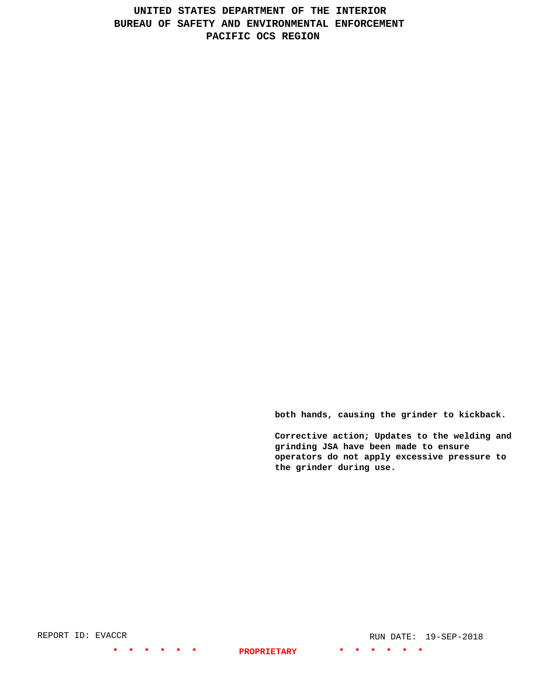**both hands, causing the grinder to kickback.**

**Corrective action; Updates to the welding and grinding JSA have been made to ensure operators do not apply excessive pressure to the grinder during use.**

**\* \* \* \* \* \* PROPRIETARY \* \* \* \* \* \***

REPORT ID: EVACCR RUN DATE: 19-SEP-2018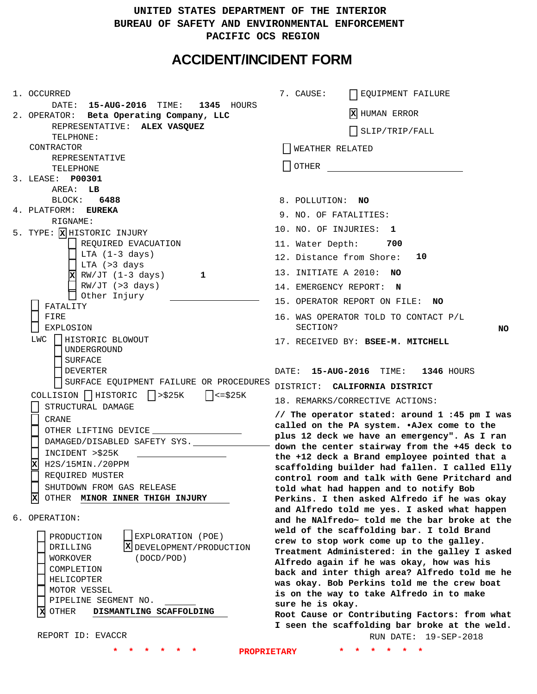| 1. OCCURRED                                                               | EQUIPMENT FAILURE<br>7. CAUSE:                                                              |
|---------------------------------------------------------------------------|---------------------------------------------------------------------------------------------|
| DATE: 15-AUG-2016 TIME:<br><b>1345 HOURS</b>                              |                                                                                             |
| 2. OPERATOR: Beta Operating Company, LLC                                  | <b>X</b> HUMAN ERROR                                                                        |
| REPRESENTATIVE: ALEX VASQUEZ<br>TELPHONE:                                 | SLIP/TRIP/FALL                                                                              |
| CONTRACTOR                                                                | WEATHER RELATED                                                                             |
| REPRESENTATIVE                                                            |                                                                                             |
| TELEPHONE                                                                 | OTHER                                                                                       |
| 3. LEASE: P00301                                                          |                                                                                             |
| AREA: LB<br>6488                                                          |                                                                                             |
| BLOCK:<br>4. PLATFORM: EUREKA                                             | 8. POLLUTION: NO                                                                            |
| RIGNAME:                                                                  | 9. NO. OF FATALITIES:                                                                       |
| 5. TYPE: X HISTORIC INJURY                                                | 10. NO. OF INJURIES:<br>$\mathbf{1}$                                                        |
| REQUIRED EVACUATION                                                       | 11. Water Depth:<br>700                                                                     |
| $LTA$ $(1-3 \text{ days})$                                                | 10<br>12. Distance from Shore:                                                              |
| LTA (>3 days                                                              |                                                                                             |
| $\mathbf{x}$ RW/JT (1-3 days)<br>$\mathbf{1}$                             | 13. INITIATE A 2010: NO                                                                     |
| $RW/JT$ (>3 days)                                                         | 14. EMERGENCY REPORT: N                                                                     |
| Other Injury                                                              | 15. OPERATOR REPORT ON FILE: NO                                                             |
| FATALITY<br>FIRE                                                          | 16. WAS OPERATOR TOLD TO CONTACT P/L                                                        |
| <b>EXPLOSION</b>                                                          | SECTION?<br>NO.                                                                             |
| LWC<br>HISTORIC BLOWOUT                                                   | 17. RECEIVED BY: BSEE-M. MITCHELL                                                           |
| UNDERGROUND                                                               |                                                                                             |
| <b>SURFACE</b>                                                            |                                                                                             |
| <b>DEVERTER</b>                                                           | DATE: 15-AUG-2016 TIME:<br><b>1346 HOURS</b>                                                |
| SURFACE EQUIPMENT FAILURE OR PROCEDURES                                   | DISTRICT: CALIFORNIA DISTRICT                                                               |
| COLLISION $\bigcap$ HISTORIC $\bigcap$ >\$25K<br>$\vert$ $\vert$ <= \$25K | 18. REMARKS/CORRECTIVE ACTIONS:                                                             |
| STRUCTURAL DAMAGE                                                         |                                                                                             |
| CRANE                                                                     | // The operator stated: around 1:45 pm I was                                                |
| OTHER LIFTING DEVICE ____________________                                 | called on the PA system. . AJex come to the<br>plus 12 deck we have an emergency". As I ran |
| DAMAGED/DISABLED SAFETY SYS.                                              | down the center stairway from the +45 deck to                                               |
| INCIDENT >\$25K                                                           | the +12 deck a Brand employee pointed that a                                                |
| x<br>H2S/15MIN./20PPM                                                     | scaffolding builder had fallen. I called Elly                                               |
| REQUIRED MUSTER                                                           | control room and talk with Gene Pritchard and                                               |
| SHUTDOWN FROM GAS RELEASE                                                 | told what had happen and to notify Bob                                                      |
| x<br>OTHER MINOR INNER THIGH INJURY                                       | Perkins. I then asked Alfredo if he was okay                                                |
| 6. OPERATION:                                                             | and Alfredo told me yes. I asked what happen                                                |
|                                                                           | and he NAlfredo~ told me the bar broke at the<br>weld of the scaffolding bar. I told Brand  |
| EXPLORATION (POE)<br>PRODUCTION                                           | crew to stop work come up to the galley.                                                    |
| X DEVELOPMENT/PRODUCTION<br>DRILLING                                      | Treatment Administered: in the galley I asked                                               |
| WORKOVER<br>(DOCD/POD)                                                    | Alfredo again if he was okay, how was his                                                   |
| COMPLETION                                                                | back and inter thigh area? Alfredo told me he                                               |
| HELICOPTER                                                                | was okay. Bob Perkins told me the crew boat                                                 |
| MOTOR VESSEL                                                              | is on the way to take Alfredo in to make                                                    |
| PIPELINE SEGMENT NO.                                                      | sure he is okay.                                                                            |
| OTHER<br>DISMANTLING SCAFFOLDING<br>x                                     | Root Cause or Contributing Factors: from what                                               |
|                                                                           | I seen the scaffolding bar broke at the weld.                                               |
| REPORT ID: EVACCR                                                         | RUN DATE: 19-SEP-2018                                                                       |
| *                                                                         | <b>PROPRIETARY</b><br>*                                                                     |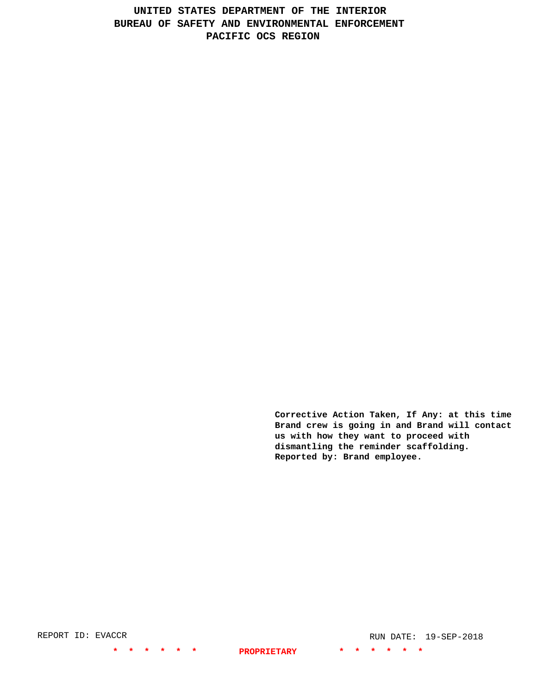**Corrective Action Taken, If Any: at this time Brand crew is going in and Brand will contact us with how they want to proceed with dismantling the reminder scaffolding. Reported by: Brand employee.**

**\* \* \* \* \* \* PROPRIETARY \* \* \* \* \* \***

REPORT ID: EVACCR RUN DATE: 19-SEP-2018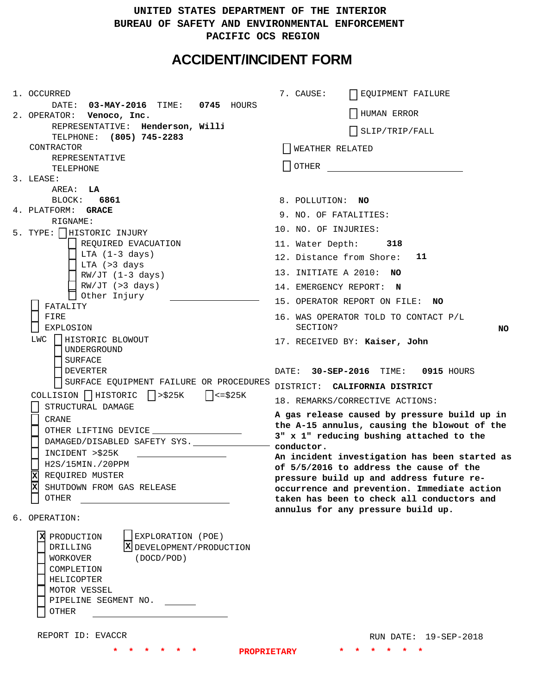| 1. OCCURRED<br>$DATA: 03-MAY-2016$ TIME:<br>0745 HOURS<br>2. OPERATOR: Venoco, Inc.<br>REPRESENTATIVE: Henderson, Willi<br>TELPHONE: (805) 745-2283<br>CONTRACTOR<br>REPRESENTATIVE<br>TELEPHONE<br>3. LEASE: | EQUIPMENT FAILURE<br>7. CAUSE:<br>HUMAN ERROR<br>SLIP/TRIP/FALL<br>WEATHER RELATED<br>OTHER                                                                                                                                                                                                                                                                                                                                       |
|---------------------------------------------------------------------------------------------------------------------------------------------------------------------------------------------------------------|-----------------------------------------------------------------------------------------------------------------------------------------------------------------------------------------------------------------------------------------------------------------------------------------------------------------------------------------------------------------------------------------------------------------------------------|
| AREA: LA                                                                                                                                                                                                      |                                                                                                                                                                                                                                                                                                                                                                                                                                   |
| BLOCK:<br>6861<br>4. PLATFORM: GRACE                                                                                                                                                                          | 8. POLLUTION: NO                                                                                                                                                                                                                                                                                                                                                                                                                  |
| RIGNAME:                                                                                                                                                                                                      | 9. NO. OF FATALITIES:                                                                                                                                                                                                                                                                                                                                                                                                             |
| 5. TYPE:   HISTORIC INJURY                                                                                                                                                                                    | 10. NO. OF INJURIES:                                                                                                                                                                                                                                                                                                                                                                                                              |
| REQUIRED EVACUATION                                                                                                                                                                                           | 11. Water Depth:<br>318                                                                                                                                                                                                                                                                                                                                                                                                           |
| $LTA$ $(1-3 \text{ days})$                                                                                                                                                                                    | 12. Distance from Shore:<br>11                                                                                                                                                                                                                                                                                                                                                                                                    |
| LTA (>3 days<br>$RW/JT$ (1-3 days)                                                                                                                                                                            | 13. INITIATE A 2010:<br>NO                                                                                                                                                                                                                                                                                                                                                                                                        |
| $RW/JT$ (>3 days)                                                                                                                                                                                             | 14. EMERGENCY REPORT: N                                                                                                                                                                                                                                                                                                                                                                                                           |
| Other Injury                                                                                                                                                                                                  | 15. OPERATOR REPORT ON FILE: NO                                                                                                                                                                                                                                                                                                                                                                                                   |
| FATALITY                                                                                                                                                                                                      |                                                                                                                                                                                                                                                                                                                                                                                                                                   |
| FIRE<br>EXPLOSION                                                                                                                                                                                             | 16. WAS OPERATOR TOLD TO CONTACT P/L<br>SECTION?                                                                                                                                                                                                                                                                                                                                                                                  |
| LWC<br>  HISTORIC BLOWOUT                                                                                                                                                                                     | NO.                                                                                                                                                                                                                                                                                                                                                                                                                               |
| UNDERGROUND<br><b>SURFACE</b><br><b>DEVERTER</b><br>SURFACE EQUIPMENT FAILURE OR PROCEDURES                                                                                                                   | 17. RECEIVED BY: Kaiser, John<br>DATE: 30-SEP-2016 TIME: 0915 HOURS                                                                                                                                                                                                                                                                                                                                                               |
| COLLISION $\bigcap$ HISTORIC $\bigcap$ >\$25K<br>$ $ $ $ < = \$25K                                                                                                                                            | DISTRICT: CALIFORNIA DISTRICT                                                                                                                                                                                                                                                                                                                                                                                                     |
| STRUCTURAL DAMAGE                                                                                                                                                                                             | 18. REMARKS/CORRECTIVE ACTIONS:                                                                                                                                                                                                                                                                                                                                                                                                   |
| CRANE<br>OTHER LIFTING DEVICE<br>DAMAGED/DISABLED SAFETY SYS.<br>INCIDENT >\$25K<br>H2S/15MIN./20PPM<br>lvl<br>REQUIRED MUSTER<br>$\overline{\mathbf{x}}$<br>SHUTDOWN FROM GAS RELEASE<br>OTHER               | A gas release caused by pressure build up in<br>the A-15 annulus, causing the blowout of the<br>3" x 1" reducing bushing attached to the<br>conductor.<br>An incident investigation has been started as<br>of 5/5/2016 to address the cause of the<br>pressure build up and address future re-<br>occurrence and prevention. Immediate action<br>taken has been to check all conductors and<br>annulus for any pressure build up. |
| 6. OPERATION:                                                                                                                                                                                                 |                                                                                                                                                                                                                                                                                                                                                                                                                                   |
| x<br>EXPLORATION (POE)<br>PRODUCTION<br>X DEVELOPMENT / PRODUCTION<br>DRILLING<br>WORKOVER<br>(DOCD/POD)<br>COMPLETION<br>HELICOPTER<br>MOTOR VESSEL<br>PIPELINE SEGMENT NO.<br>OTHER                         |                                                                                                                                                                                                                                                                                                                                                                                                                                   |
| REPORT ID: EVACCR                                                                                                                                                                                             |                                                                                                                                                                                                                                                                                                                                                                                                                                   |
|                                                                                                                                                                                                               | RUN DATE: 19-SEP-2018                                                                                                                                                                                                                                                                                                                                                                                                             |
| <b>PROPRIETARY</b>                                                                                                                                                                                            |                                                                                                                                                                                                                                                                                                                                                                                                                                   |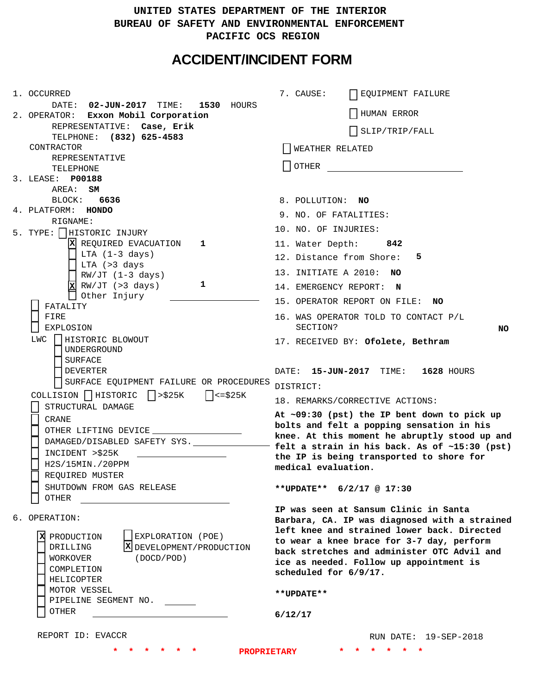| 1. OCCURRED                                                                  | EQUIPMENT FAILURE<br>7. CAUSE:                                                                 |
|------------------------------------------------------------------------------|------------------------------------------------------------------------------------------------|
| DATE: $02$ -JUN-2017 TIME:<br><b>1530 HOURS</b>                              |                                                                                                |
| 2. OPERATOR: Exxon Mobil Corporation                                         | HUMAN ERROR                                                                                    |
| REPRESENTATIVE: Case, Erik                                                   | SLIP/TRIP/FALL                                                                                 |
| TELPHONE: (832) 625-4583                                                     |                                                                                                |
| CONTRACTOR<br><b>REPRESENTATIVE</b>                                          | WEATHER RELATED                                                                                |
| TELEPHONE                                                                    | OTHER                                                                                          |
| 3. LEASE: P00188                                                             |                                                                                                |
| AREA: SM                                                                     |                                                                                                |
| BLOCK:<br>6636                                                               | 8. POLLUTION: NO                                                                               |
| 4. PLATFORM: HONDO                                                           | 9. NO. OF FATALITIES:                                                                          |
| RIGNAME:<br>5. TYPE:    HISTORIC INJURY                                      | 10. NO. OF INJURIES:                                                                           |
| X REQUIRED EVACUATION<br>1                                                   | 11. Water Depth: 842                                                                           |
| $LTA$ $(1-3 \text{ days})$                                                   | 12. Distance from Shore:<br>5                                                                  |
| LTA (>3 days                                                                 |                                                                                                |
| $RW/JT$ (1-3 days)                                                           | 13. INITIATE A 2010: NO                                                                        |
| $RW/JT$ (>3 days)<br>1                                                       | 14. EMERGENCY REPORT: N                                                                        |
| Other Injury<br>FATALITY                                                     | 15. OPERATOR REPORT ON FILE: NO                                                                |
| FIRE                                                                         | 16. WAS OPERATOR TOLD TO CONTACT P/L                                                           |
| <b>EXPLOSION</b>                                                             | SECTION?<br>NO.                                                                                |
| LWC<br>  HISTORIC BLOWOUT                                                    | 17. RECEIVED BY: Ofolete, Bethram                                                              |
| UNDERGROUND                                                                  |                                                                                                |
| SURFACE                                                                      |                                                                                                |
| DEVERTER<br>SURFACE EQUIPMENT FAILURE OR PROCEDURES                          | DATE: 15-JUN-2017 TIME: 1628 HOURS                                                             |
| COLLISION HISTORIC $\bigcap$ >\$25K<br>  $\left  \right $ < = \$25K          | DISTRICT:                                                                                      |
| STRUCTURAL DAMAGE                                                            | 18. REMARKS/CORRECTIVE ACTIONS:                                                                |
| CRANE                                                                        | At ~09:30 (pst) the IP bent down to pick up                                                    |
| OTHER LIFTING DEVICE _____________________                                   | bolts and felt a popping sensation in his                                                      |
| DAMAGED/DISABLED SAFETY SYS.                                                 | knee. At this moment he abruptly stood up and<br>felt a strain in his back. As of ~15:30 (pst) |
| INCIDENT >\$25K                                                              | the IP is being transported to shore for                                                       |
| H2S/15MIN./20PPM                                                             | medical evaluation.                                                                            |
| REQUIRED MUSTER                                                              |                                                                                                |
| SHUTDOWN FROM GAS RELEASE                                                    | **UPDATE** 6/2/17 @ 17:30                                                                      |
| OTHER                                                                        | IP was seen at Sansum Clinic in Santa                                                          |
| 6. OPERATION:                                                                | Barbara, CA. IP was diagnosed with a strained                                                  |
|                                                                              | left knee and strained lower back. Directed                                                    |
| x<br>EXPLORATION (POE)<br>PRODUCTION<br>X DEVELOPMENT/PRODUCTION<br>DRILLING | to wear a knee brace for 3-7 day, perform                                                      |
| WORKOVER<br>(DOCD/POD)                                                       | back stretches and administer OTC Advil and                                                    |
| COMPLETION                                                                   | ice as needed. Follow up appointment is                                                        |
| HELICOPTER                                                                   | scheduled for 6/9/17.                                                                          |
| MOTOR VESSEL                                                                 | **UPDATE**                                                                                     |
| PIPELINE SEGMENT NO.                                                         |                                                                                                |
| OTHER                                                                        | 6/12/17                                                                                        |
|                                                                              |                                                                                                |
| REPORT ID: EVACCR                                                            | RUN DATE: 19-SEP-2018                                                                          |
| <b>PROPRIETARY</b><br>* * * * * *                                            | * * *                                                                                          |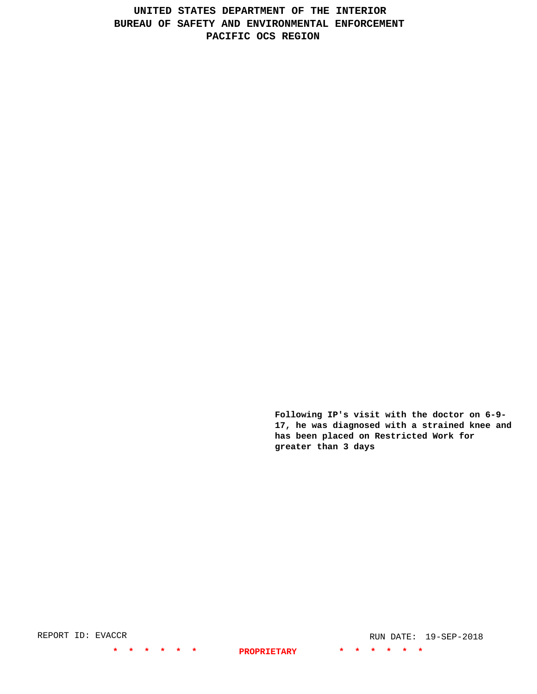**Following IP's visit with the doctor on 6-9- 17, he was diagnosed with a strained knee and has been placed on Restricted Work for greater than 3 days** 

**\* \* \* \* \* \* PROPRIETARY \* \* \* \* \* \***

REPORT ID: EVACCR RUN DATE: 19-SEP-2018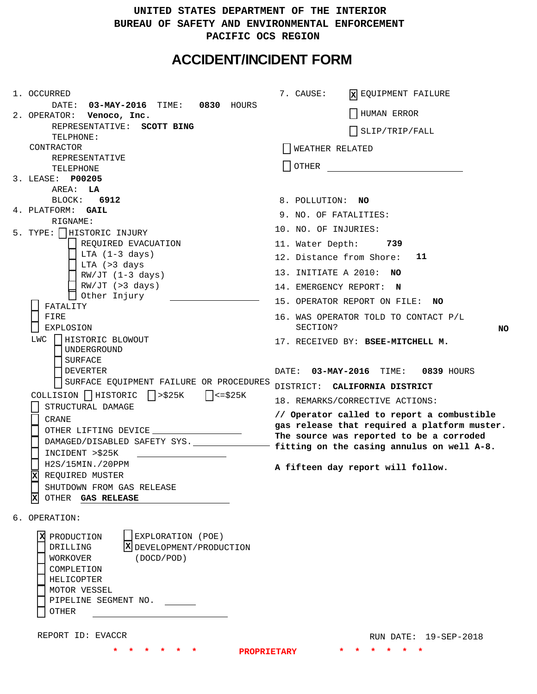|  | 1. OCCURRED                                             | <b>X</b> EQUIPMENT FAILURE<br>7. CAUSE:        |
|--|---------------------------------------------------------|------------------------------------------------|
|  | DATE: 03-MAY-2016 TIME:<br>0830 HOURS                   | HUMAN ERROR                                    |
|  | 2. OPERATOR: Venoco, Inc.<br>REPRESENTATIVE: SCOTT BING |                                                |
|  | TELPHONE:                                               | SLIP/TRIP/FALL                                 |
|  | CONTRACTOR                                              | WEATHER RELATED                                |
|  | <b>REPRESENTATIVE</b>                                   |                                                |
|  | <b>TELEPHONE</b>                                        | OTHER                                          |
|  | 3. LEASE: P00205<br>AREA: LA                            |                                                |
|  | 6912<br>BLOCK:                                          | 8. POLLUTION: NO                               |
|  | 4. PLATFORM: GAIL                                       | 9. NO. OF FATALITIES:                          |
|  | RIGNAME:                                                |                                                |
|  | 5. TYPE: HISTORIC INJURY                                | 10. NO. OF INJURIES:                           |
|  | REQUIRED EVACUATION                                     | 11. Water Depth:<br>739                        |
|  | $LTA$ $(1-3 \text{ days})$<br>LTA (>3 days              | 12. Distance from Shore:<br>11                 |
|  | $RW/JT$ (1-3 days)                                      | 13. INITIATE A 2010: NO                        |
|  | $RW/JT$ (>3 days)                                       | 14. EMERGENCY REPORT: N                        |
|  | Other Injury                                            | 15. OPERATOR REPORT ON FILE:<br>NO             |
|  | FATALITY                                                |                                                |
|  | FIRE                                                    | 16. WAS OPERATOR TOLD TO CONTACT P/L           |
|  | EXPLOSION<br>LWC<br>HISTORIC BLOWOUT                    | SECTION?<br>NO.                                |
|  | UNDERGROUND                                             | 17. RECEIVED BY: BSEE-MITCHELL M.              |
|  | SURFACE                                                 |                                                |
|  | <b>DEVERTER</b>                                         | DATE: $03-MAY-2016$ TIME:<br><b>0839 HOURS</b> |
|  | SURFACE EQUIPMENT FAILURE OR PROCEDURES                 | DISTRICT: CALIFORNIA DISTRICT                  |
|  | COLLISION   HISTORIC   >\$25K<br>$\le$ = $$25K$         | 18. REMARKS/CORRECTIVE ACTIONS:                |
|  | STRUCTURAL DAMAGE                                       | // Operator called to report a combustible     |
|  | <b>CRANE</b>                                            | gas release that required a platform muster.   |
|  |                                                         | The source was reported to be a corroded       |
|  | DAMAGED/DISABLED SAFETY SYS.<br>INCIDENT >\$25K         | fitting on the casing annulus on well A-8.     |
|  | H2S/15MIN./20PPM                                        |                                                |
|  | REQUIRED MUSTER                                         | A fifteen day report will follow.              |
|  | SHUTDOWN FROM GAS RELEASE                               |                                                |
|  | OTHER GAS RELEASE                                       |                                                |
|  | 6. OPERATION:                                           |                                                |
|  | EXPLORATION (POE)<br>X PRODUCTION                       |                                                |
|  | X DEVELOPMENT / PRODUCTION<br>DRILLING                  |                                                |
|  | WORKOVER<br>(DOCD/POD)                                  |                                                |
|  | COMPLETION                                              |                                                |
|  | HELICOPTER                                              |                                                |
|  | MOTOR VESSEL<br>PIPELINE SEGMENT NO.                    |                                                |
|  | OTHER                                                   |                                                |
|  |                                                         |                                                |
|  | REPORT ID: EVACCR                                       | RUN DATE: 19-SEP-2018                          |
|  | <b>PROPRIETARY</b>                                      |                                                |
|  |                                                         |                                                |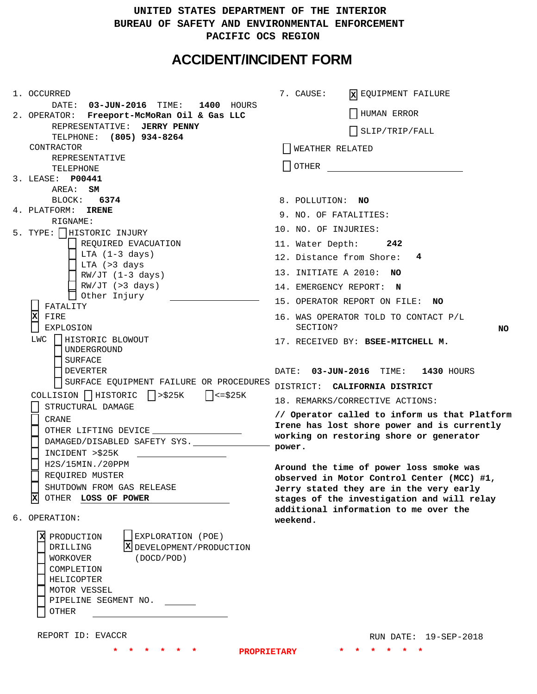| <b>TELEPHONE</b><br>3. LEASE: P00441<br>AREA: SM                                                                                                                                                            | OTHER                                                                                                                                                                                                                                                       |
|-------------------------------------------------------------------------------------------------------------------------------------------------------------------------------------------------------------|-------------------------------------------------------------------------------------------------------------------------------------------------------------------------------------------------------------------------------------------------------------|
| BLOCK:<br>6374<br>4. PLATFORM: IRENE<br>RIGNAME:                                                                                                                                                            | 8. POLLUTION: NO<br>9. NO. OF FATALITIES:                                                                                                                                                                                                                   |
| 5. TYPE:   HISTORIC INJURY<br>REQUIRED EVACUATION<br>$LTA$ $(1-3 \text{ days})$<br>LTA (>3 days<br>$RW/JT$ (1-3 days)<br>$RW/JT$ (>3 days)<br>Other Injury                                                  | 10. NO. OF INJURIES:<br>11. Water Depth:<br>242<br>12. Distance from Shore:<br>4<br>13. INITIATE A 2010: NO<br>14. EMERGENCY REPORT: N                                                                                                                      |
| FATALITY<br>x<br>FIRE<br><b>EXPLOSION</b><br>LWC<br>  HISTORIC BLOWOUT<br>UNDERGROUND                                                                                                                       | 15. OPERATOR REPORT ON FILE: NO<br>16. WAS OPERATOR TOLD TO CONTACT P/L<br>SECTION?<br>NO.<br>17. RECEIVED BY: BSEE-MITCHELL M.                                                                                                                             |
| SURFACE<br>DEVERTER<br>SURFACE EQUIPMENT FAILURE OR PROCEDURES<br>COLLISION $\Box$ HISTORIC $\Box$ >\$25K<br>$  \leq 525K$<br>STRUCTURAL DAMAGE<br>CRANE<br>DAMAGED/DISABLED SAFETY SYS.<br>INCIDENT >\$25K | DATE: 03-JUN-2016 TIME: 1430 HOURS<br>DISTRICT: CALIFORNIA DISTRICT<br>18. REMARKS/CORRECTIVE ACTIONS:<br>// Operator called to inform us that Platform<br>Irene has lost shore power and is currently<br>working on restoring shore or generator<br>power. |
| H2S/15MIN./20PPM<br>REQUIRED MUSTER<br>SHUTDOWN FROM GAS RELEASE<br>ΙxΙ<br>OTHER LOSS OF POWER<br>6. OPERATION:                                                                                             | Around the time of power loss smoke was<br>observed in Motor Control Center (MCC) #1,<br>Jerry stated they are in the very early<br>stages of the investigation and will relay<br>additional information to me over the<br>weekend.                         |
| x<br>EXPLORATION (POE)<br>PRODUCTION<br>X DEVELOPMENT / PRODUCTION<br>DRILLING<br>(DOCD/POD)<br>WORKOVER<br>COMPLETION<br>HELICOPTER<br>MOTOR VESSEL<br>PIPELINE SEGMENT NO.<br>OTHER                       |                                                                                                                                                                                                                                                             |
|                                                                                                                                                                                                             |                                                                                                                                                                                                                                                             |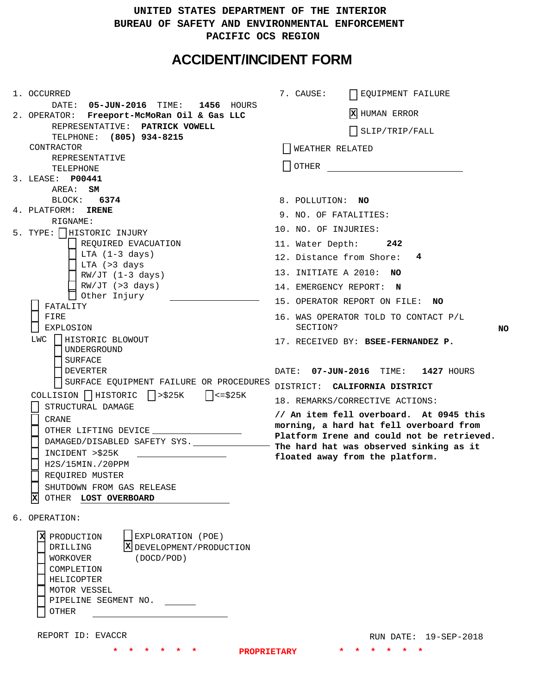| 1. OCCURRED<br>DATE: 05-JUN-2016 TIME:<br><b>1456</b> HOURS<br>2. OPERATOR: Freeport-McMoRan Oil & Gas LLC<br>REPRESENTATIVE: PATRICK VOWELL<br>TELPHONE: (805) 934-8215<br>CONTRACTOR<br>REPRESENTATIVE<br>TELEPHONE                                                                                                                                 | EQUIPMENT FAILURE<br>7. CAUSE:<br><b>X</b> HUMAN ERROR<br>SLIP/TRIP/FALL<br>WEATHER RELATED<br>OTHER                                                                                                                                                                                                                                                           |
|-------------------------------------------------------------------------------------------------------------------------------------------------------------------------------------------------------------------------------------------------------------------------------------------------------------------------------------------------------|----------------------------------------------------------------------------------------------------------------------------------------------------------------------------------------------------------------------------------------------------------------------------------------------------------------------------------------------------------------|
| 3. LEASE: P00441<br>AREA: SM                                                                                                                                                                                                                                                                                                                          |                                                                                                                                                                                                                                                                                                                                                                |
| BLOCK:<br>6374                                                                                                                                                                                                                                                                                                                                        | 8. POLLUTION: NO                                                                                                                                                                                                                                                                                                                                               |
| 4. PLATFORM: IRENE                                                                                                                                                                                                                                                                                                                                    | 9. NO. OF FATALITIES:                                                                                                                                                                                                                                                                                                                                          |
| RIGNAME:                                                                                                                                                                                                                                                                                                                                              | 10. NO. OF INJURIES:                                                                                                                                                                                                                                                                                                                                           |
| 5. TYPE: HISTORIC INJURY<br>REQUIRED EVACUATION                                                                                                                                                                                                                                                                                                       |                                                                                                                                                                                                                                                                                                                                                                |
| $LTA$ $(1-3 \text{ days})$                                                                                                                                                                                                                                                                                                                            | 11. Water Depth: 242                                                                                                                                                                                                                                                                                                                                           |
| $LTA$ (>3 days                                                                                                                                                                                                                                                                                                                                        | 12. Distance from Shore:<br>4                                                                                                                                                                                                                                                                                                                                  |
| $RW/JT$ (1-3 days)                                                                                                                                                                                                                                                                                                                                    | 13. INITIATE A 2010: NO                                                                                                                                                                                                                                                                                                                                        |
| $RW/JT$ (>3 days)                                                                                                                                                                                                                                                                                                                                     | 14. EMERGENCY REPORT: N                                                                                                                                                                                                                                                                                                                                        |
| Other Injury                                                                                                                                                                                                                                                                                                                                          | 15. OPERATOR REPORT ON FILE: NO                                                                                                                                                                                                                                                                                                                                |
| FATALITY<br>FIRE                                                                                                                                                                                                                                                                                                                                      | 16. WAS OPERATOR TOLD TO CONTACT P/L                                                                                                                                                                                                                                                                                                                           |
| EXPLOSION                                                                                                                                                                                                                                                                                                                                             | SECTION?<br>NO.                                                                                                                                                                                                                                                                                                                                                |
| LWC<br>    HISTORIC BLOWOUT                                                                                                                                                                                                                                                                                                                           |                                                                                                                                                                                                                                                                                                                                                                |
| UNDERGROUND<br><b>SURFACE</b><br>DEVERTER<br>SURFACE EQUIPMENT FAILURE OR PROCEDURES<br>COLLISION HISTORIC $\bigcap$ >\$25K<br>$\prod$ < = \$25K<br>STRUCTURAL DAMAGE<br>CRANE<br>OTHER LIFTING DEVICE<br>DAMAGED/DISABLED SAFETY SYS.<br>INCIDENT >\$25K<br>H2S/15MIN./20PPM<br>REQUIRED MUSTER<br>SHUTDOWN FROM GAS RELEASE<br>OTHER LOST OVERBOARD | 17. RECEIVED BY: BSEE-FERNANDEZ P.<br>DATE: 07-JUN-2016 TIME: 1427 HOURS<br>DISTRICT: CALIFORNIA DISTRICT<br>18. REMARKS/CORRECTIVE ACTIONS:<br>// An item fell overboard. At 0945 this<br>morning, a hard hat fell overboard from<br>Platform Irene and could not be retrieved.<br>The hard hat was observed sinking as it<br>floated away from the platform. |
| 6. OPERATION:                                                                                                                                                                                                                                                                                                                                         |                                                                                                                                                                                                                                                                                                                                                                |
| EXPLORATION (POE)<br>PRODUCTION<br>X DEVELOPMENT / PRODUCTION<br>DRILLING<br>WORKOVER<br>(DOCD/POD)<br>COMPLETION<br>HELICOPTER<br>MOTOR VESSEL<br>PIPELINE SEGMENT NO.<br>OTHER                                                                                                                                                                      |                                                                                                                                                                                                                                                                                                                                                                |
| REPORT ID: EVACCR                                                                                                                                                                                                                                                                                                                                     | RUN DATE: 19-SEP-2018                                                                                                                                                                                                                                                                                                                                          |
|                                                                                                                                                                                                                                                                                                                                                       |                                                                                                                                                                                                                                                                                                                                                                |
| <b>PROPRIETARY</b>                                                                                                                                                                                                                                                                                                                                    |                                                                                                                                                                                                                                                                                                                                                                |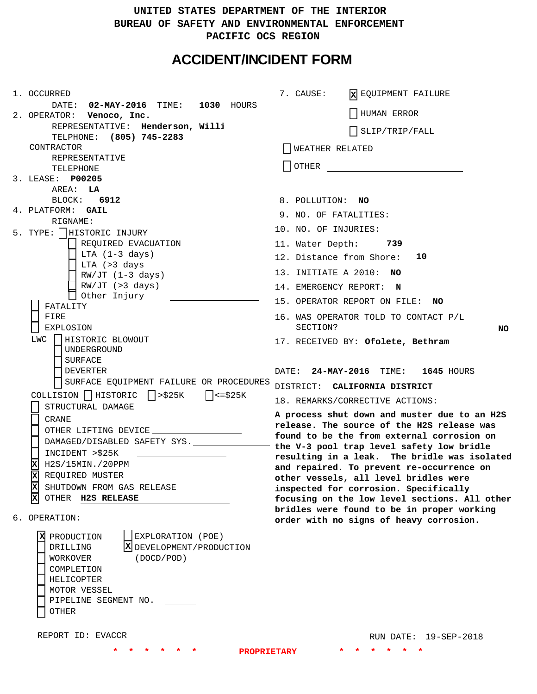| 1. OCCURRED                                                         | <b>X</b> EQUIPMENT FAILURE<br>7. CAUSE:                                            |
|---------------------------------------------------------------------|------------------------------------------------------------------------------------|
| DATE: $02-MAY-2016$ TIME:<br><b>1030</b> HOURS                      | HUMAN ERROR                                                                        |
| 2. OPERATOR: Venoco, Inc.                                           |                                                                                    |
| REPRESENTATIVE: Henderson, Willi<br>TELPHONE: (805) 745-2283        | SLIP/TRIP/FALL                                                                     |
| CONTRACTOR                                                          | WEATHER RELATED                                                                    |
| REPRESENTATIVE                                                      |                                                                                    |
| TELEPHONE                                                           | OTHER                                                                              |
| 3. LEASE: P00205                                                    |                                                                                    |
| AREA: LA                                                            |                                                                                    |
| <b>BLOCK: 6912</b>                                                  | 8. POLLUTION: NO                                                                   |
| 4. PLATFORM: GAIL                                                   | 9. NO. OF FATALITIES:                                                              |
| RIGNAME:                                                            | 10. NO. OF INJURIES:                                                               |
| 5. TYPE: HISTORIC INJURY                                            |                                                                                    |
| REQUIRED EVACUATION                                                 | 11. Water Depth:<br>739                                                            |
| $LTA$ $(1-3 \text{ days})$<br>$LTA$ (>3 days                        | 12. Distance from Shore:<br>10                                                     |
| $RW/JT$ (1-3 days)                                                  | 13. INITIATE A 2010: NO                                                            |
| $RW/JT$ (>3 days)                                                   | 14. EMERGENCY REPORT: N                                                            |
| Other Injury                                                        |                                                                                    |
| FATALITY                                                            | 15. OPERATOR REPORT ON FILE: NO                                                    |
| FIRE                                                                | 16. WAS OPERATOR TOLD TO CONTACT P/L                                               |
| EXPLOSION                                                           | SECTION?<br>NO.                                                                    |
| LWC<br>  HISTORIC BLOWOUT                                           | 17. RECEIVED BY: Ofolete, Bethram                                                  |
| UNDERGROUND                                                         |                                                                                    |
| SURFACE<br>DEVERTER                                                 | DATE: $24-MAY-2016$ TIME:<br><b>1645 HOURS</b>                                     |
| SURFACE EQUIPMENT FAILURE OR PROCEDURES                             |                                                                                    |
| COLLISION $\bigcap$ HISTORIC $\bigcap$ >\$25K<br>$ \cdot $ <= \$25K | DISTRICT: CALIFORNIA DISTRICT                                                      |
| STRUCTURAL DAMAGE                                                   | 18. REMARKS/CORRECTIVE ACTIONS:                                                    |
| CRANE                                                               | A process shut down and muster due to an H2S                                       |
| OTHER LIFTING DEVICE ____________________                           | release. The source of the H2S release was                                         |
| DAMAGED/DISABLED SAFETY SYS.                                        | found to be the from external corrosion on                                         |
| INCIDENT >\$25K                                                     | - the V-3 pool trap level safety low bridle                                        |
| x<br>H2S/15MIN./20PPM                                               | resulting in a leak. The bridle was isolated                                       |
| $\overline{\mathbf{x}}$<br>REQUIRED MUSTER                          | and repaired. To prevent re-occurrence on<br>other vessels, all level bridles were |
| SHUTDOWN FROM GAS RELEASE                                           | inspected for corrosion. Specifically                                              |
| $\frac{1}{\mathbf{x}}$<br>OTHER H2S RELEASE                         | focusing on the low level sections. All other                                      |
|                                                                     | bridles were found to be in proper working                                         |
| 6. OPERATION:                                                       | order with no signs of heavy corrosion.                                            |
| ∣x∣<br>EXPLORATION (POE)<br>PRODUCTION                              |                                                                                    |
| X DEVELOPMENT / PRODUCTION<br>DRILLING                              |                                                                                    |
| <b>WORKOVER</b><br>(DOCD/POD)                                       |                                                                                    |
| COMPLETION                                                          |                                                                                    |
| HELICOPTER                                                          |                                                                                    |
| MOTOR VESSEL                                                        |                                                                                    |
| PIPELINE SEGMENT NO.                                                |                                                                                    |
| OTHER                                                               |                                                                                    |
|                                                                     |                                                                                    |
| REPORT ID: EVACCR                                                   | RUN DATE: 19-SEP-2018                                                              |
|                                                                     | <b>PROPRIETARY</b>                                                                 |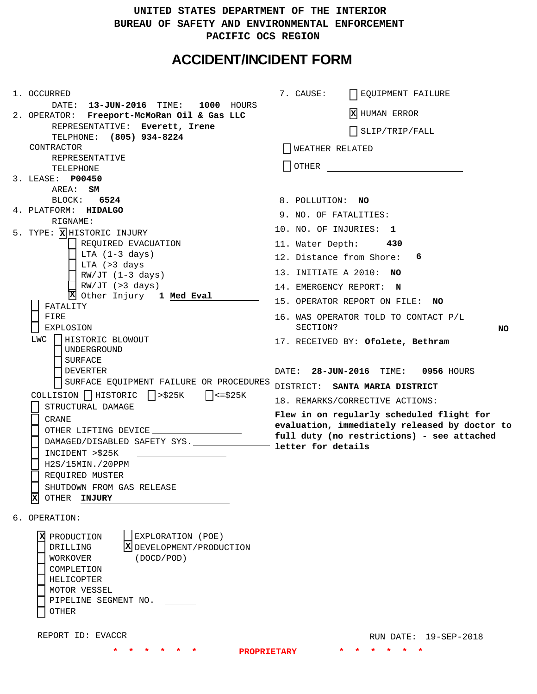| 1. OCCURRED<br>DATE: 13-JUN-2016 TIME:<br>1000 HOURS<br>2. OPERATOR: Freeport-McMoRan Oil & Gas LLC<br>REPRESENTATIVE: Everett, Irene<br>TELPHONE: (805) 934-8224<br>CONTRACTOR<br>REPRESENTATIVE<br>TELEPHONE<br>3. LEASE: P00450 | EQUIPMENT FAILURE<br>7. CAUSE:<br><b>X</b> HUMAN ERROR<br>SLIP/TRIP/FALL<br>WEATHER RELATED<br>OTHER                                                               |
|------------------------------------------------------------------------------------------------------------------------------------------------------------------------------------------------------------------------------------|--------------------------------------------------------------------------------------------------------------------------------------------------------------------|
| AREA:<br>SM                                                                                                                                                                                                                        |                                                                                                                                                                    |
| 6524<br>BLOCK:<br>4. PLATFORM: HIDALGO                                                                                                                                                                                             | 8. POLLUTION: NO                                                                                                                                                   |
| RIGNAME:                                                                                                                                                                                                                           | 9. NO. OF FATALITIES:                                                                                                                                              |
| 5. TYPE: X HISTORIC INJURY                                                                                                                                                                                                         | 10. NO. OF INJURIES: 1                                                                                                                                             |
| REQUIRED EVACUATION<br>$LTA$ $(1-3 \text{ days})$                                                                                                                                                                                  | 11. Water Depth:<br>430                                                                                                                                            |
| LTA (>3 days                                                                                                                                                                                                                       | 12. Distance from Shore:<br>- 6                                                                                                                                    |
| $RW/JT$ (1-3 days)                                                                                                                                                                                                                 | 13. INITIATE A 2010: NO                                                                                                                                            |
| $RW/JT$ (>3 days)                                                                                                                                                                                                                  | 14. EMERGENCY REPORT: N                                                                                                                                            |
| Other Injury 1 Med Eval<br>IхI                                                                                                                                                                                                     | 15. OPERATOR REPORT ON FILE:<br>NO                                                                                                                                 |
| FATALITY<br>FIRE                                                                                                                                                                                                                   | 16. WAS OPERATOR TOLD TO CONTACT P/L                                                                                                                               |
| EXPLOSION                                                                                                                                                                                                                          | SECTION?<br>NO.                                                                                                                                                    |
| LWC<br>HISTORIC BLOWOUT<br>UNDERGROUND                                                                                                                                                                                             | 17. RECEIVED BY: Ofolete, Bethram                                                                                                                                  |
| SURFACE                                                                                                                                                                                                                            |                                                                                                                                                                    |
| DEVERTER                                                                                                                                                                                                                           | DATE: 28-JUN-2016 TIME: 0956 HOURS                                                                                                                                 |
| SURFACE EQUIPMENT FAILURE OR PROCEDURES                                                                                                                                                                                            | DISTRICT: SANTA MARIA DISTRICT                                                                                                                                     |
| COLLISION   HISTORIC   >\$25K<br>$\left  \right $ <= \$25K                                                                                                                                                                         | 18. REMARKS/CORRECTIVE ACTIONS:                                                                                                                                    |
| STRUCTURAL DAMAGE<br>CRANE<br>OTHER LIFTING DEVICE ____________________<br>DAMAGED/DISABLED SAFETY SYS.<br>INCIDENT >\$25K<br>H2S/15MIN./20PPM<br>REQUIRED MUSTER<br>SHUTDOWN FROM GAS RELEASE<br>OTHER INJURY                     | Flew in on regularly scheduled flight for<br>evaluation, immediately released by doctor to<br>full duty (no restrictions) - see attached<br>$-$ letter for details |
| 6. OPERATION:                                                                                                                                                                                                                      |                                                                                                                                                                    |
| EXPLORATION (POE)<br>X PRODUCTION<br>X DEVELOPMENT / PRODUCTION<br>DRILLING<br>WORKOVER<br>(DOCD/POD)<br>COMPLETION<br>HELICOPTER<br>MOTOR VESSEL<br>PIPELINE SEGMENT NO.<br>OTHER                                                 |                                                                                                                                                                    |
| REPORT ID: EVACCR                                                                                                                                                                                                                  | RUN DATE: 19-SEP-2018                                                                                                                                              |
| <b>PROPRIETARY</b>                                                                                                                                                                                                                 | $\ast$                                                                                                                                                             |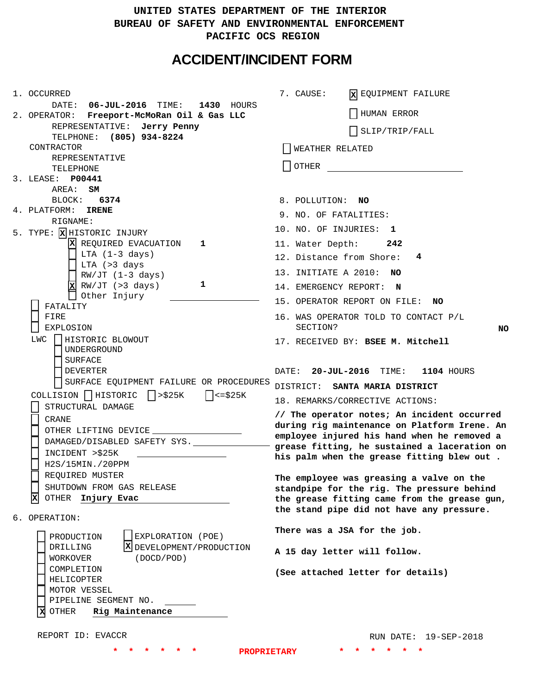| 1. OCCURRED                                                                | <b>X</b> EQUIPMENT FAILURE<br>7. CAUSE:                                                     |
|----------------------------------------------------------------------------|---------------------------------------------------------------------------------------------|
| DATE: 06-JUL-2016 TIME:<br><b>1430 HOURS</b>                               | HUMAN ERROR                                                                                 |
| 2. OPERATOR: Freeport-McMoRan Oil & Gas LLC<br>REPRESENTATIVE: Jerry Penny |                                                                                             |
| TELPHONE: (805) 934-8224                                                   | SLIP/TRIP/FALL                                                                              |
| CONTRACTOR                                                                 | WEATHER RELATED                                                                             |
| REPRESENTATIVE                                                             |                                                                                             |
| TELEPHONE                                                                  | OTHER                                                                                       |
| 3. LEASE: P00441                                                           |                                                                                             |
| AREA: SM                                                                   |                                                                                             |
| BLOCK:<br>6374<br>4. PLATFORM: IRENE                                       | 8. POLLUTION:<br>NO                                                                         |
| RIGNAME:                                                                   | 9. NO. OF FATALITIES:                                                                       |
| 5. TYPE: X HISTORIC INJURY                                                 | 10. NO. OF INJURIES: 1                                                                      |
| X REQUIRED EVACUATION<br>1                                                 | 11. Water Depth:<br>242                                                                     |
| $LTA$ $(1-3 \text{ days})$                                                 | 12. Distance from Shore:<br>4                                                               |
| LTA (>3 days                                                               | 13. INITIATE A 2010: NO                                                                     |
| $RW/JT$ (1-3 days)<br>$\overline{\textbf{x}}$ RW/JT (>3 days)<br>1         |                                                                                             |
| Other Injury                                                               | 14. EMERGENCY REPORT: N                                                                     |
| FATALITY                                                                   | 15. OPERATOR REPORT ON FILE:<br>NO.                                                         |
| <b>FTRE</b>                                                                | 16. WAS OPERATOR TOLD TO CONTACT P/L                                                        |
| <b>EXPLOSION</b>                                                           | SECTION?<br>NO.                                                                             |
| LWC     HISTORIC BLOWOUT                                                   | 17. RECEIVED BY: BSEE M. Mitchell                                                           |
| UNDERGROUND                                                                |                                                                                             |
| SURFACE<br><b>DEVERTER</b>                                                 | DATE: 20-JUL-2016 TIME: 1104 HOURS                                                          |
| SURFACE EQUIPMENT FAILURE OR PROCEDURES                                    |                                                                                             |
| COLLISION $\bigcap$ HISTORIC $\bigcap$ >\$25K<br>$\vert$ <= \$25K          | DISTRICT: SANTA MARIA DISTRICT                                                              |
| STRUCTURAL DAMAGE                                                          | 18. REMARKS/CORRECTIVE ACTIONS:                                                             |
| CRANE                                                                      | // The operator notes; An incident occurred                                                 |
| OTHER LIFTING DEVICE ____________________                                  | during rig maintenance on Platform Irene. An                                                |
| DAMAGED/DISABLED SAFETY SYS.                                               | employee injured his hand when he removed a<br>grease fitting, he sustained a laceration on |
| INCIDENT >\$25K                                                            | his palm when the grease fitting blew out.                                                  |
| H2S/15MIN./20PPM                                                           |                                                                                             |
| REQUIRED MUSTER                                                            | The employee was greasing a valve on the                                                    |
| SHUTDOWN FROM GAS RELEASE                                                  | standpipe for the rig. The pressure behind                                                  |
| OTHER Injury Evac                                                          | the grease fitting came from the grease gun,                                                |
| 6. OPERATION:                                                              | the stand pipe did not have any pressure.                                                   |
|                                                                            | There was a JSA for the job.                                                                |
| EXPLORATION (POE)<br>PRODUCTION                                            |                                                                                             |
| DRILLING<br>X DEVELOPMENT/PRODUCTION<br>WORKOVER<br>(DOCD/POD)             | A 15 day letter will follow.                                                                |
| COMPLETION                                                                 |                                                                                             |
| HELICOPTER                                                                 | (See attached letter for details)                                                           |
| MOTOR VESSEL                                                               |                                                                                             |
| PIPELINE SEGMENT NO.                                                       |                                                                                             |
| Rig Maintenance<br>OTHER<br>X                                              |                                                                                             |
|                                                                            |                                                                                             |
| REPORT ID: EVACCR                                                          | RUN DATE: 19-SEP-2018                                                                       |
|                                                                            | <b>PROPRIETARY</b>                                                                          |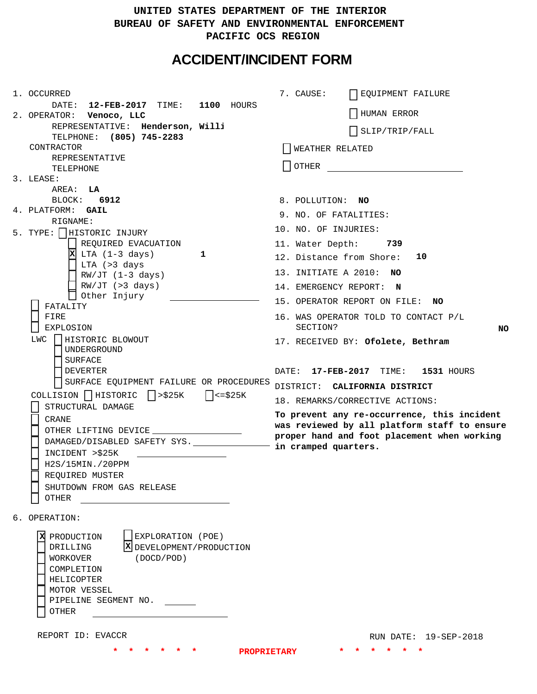| 1. OCCURRED<br>DATE: 12-FEB-2017 TIME:<br><b>1100 HOURS</b><br>2. OPERATOR: Venoco, LLC<br>REPRESENTATIVE: Henderson, Willi<br>TELPHONE: (805) 745-2283<br>CONTRACTOR<br>REPRESENTATIVE<br>TELEPHONE<br>3. LEASE: | EQUIPMENT FAILURE<br>7. CAUSE:<br>HUMAN ERROR<br>SLIP/TRIP/FALL<br>WEATHER RELATED<br>OTHER                                                                        |
|-------------------------------------------------------------------------------------------------------------------------------------------------------------------------------------------------------------------|--------------------------------------------------------------------------------------------------------------------------------------------------------------------|
| AREA: LA                                                                                                                                                                                                          |                                                                                                                                                                    |
| 6912<br>BLOCK:                                                                                                                                                                                                    | 8. POLLUTION: NO                                                                                                                                                   |
| 4. PLATFORM:<br>GAIL<br>RIGNAME:                                                                                                                                                                                  | 9. NO. OF FATALITIES:                                                                                                                                              |
| 5. TYPE:   HISTORIC INJURY                                                                                                                                                                                        | 10. NO. OF INJURIES:                                                                                                                                               |
| REQUIRED EVACUATION                                                                                                                                                                                               | 11. Water Depth:<br>739                                                                                                                                            |
| $LTA$ $(1-3 \text{ days})$<br>$\mathbf{1}$                                                                                                                                                                        | 12. Distance from Shore:<br>10                                                                                                                                     |
| LTA (>3 days<br>$RW/JT$ (1-3 days)                                                                                                                                                                                | 13. INITIATE A 2010: NO                                                                                                                                            |
| $RW/JT$ (>3 days)                                                                                                                                                                                                 | 14. EMERGENCY REPORT: N                                                                                                                                            |
| Other Injury                                                                                                                                                                                                      | 15. OPERATOR REPORT ON FILE: NO                                                                                                                                    |
| FATALITY                                                                                                                                                                                                          |                                                                                                                                                                    |
| FIRE<br><b>EXPLOSION</b>                                                                                                                                                                                          | 16. WAS OPERATOR TOLD TO CONTACT P/L<br>SECTION?<br>NO.                                                                                                            |
| HISTORIC BLOWOUT<br>LWC<br>UNDERGROUND<br><b>SURFACE</b><br>DEVERTER<br>SURFACE EQUIPMENT FAILURE OR PROCEDURES                                                                                                   | 17. RECEIVED BY: Ofolete, Bethram<br>DATE: 17-FEB-2017 TIME: 1531 HOURS                                                                                            |
| COLLISION HISTORIC $\bigcap$ >\$25K<br>$\vert$ $\vert$ <= \$25K                                                                                                                                                   | DISTRICT: CALIFORNIA DISTRICT                                                                                                                                      |
| STRUCTURAL DAMAGE                                                                                                                                                                                                 | 18. REMARKS/CORRECTIVE ACTIONS:                                                                                                                                    |
| <b>CRANE</b><br>DAMAGED/DISABLED SAFETY SYS.<br>INCIDENT >\$25K<br>H2S/15MIN./20PPM<br>REQUIRED MUSTER<br>SHUTDOWN FROM GAS RELEASE<br>OTHER                                                                      | To prevent any re-occurrence, this incident<br>was reviewed by all platform staff to ensure<br>proper hand and foot placement when working<br>in cramped quarters. |
| 6. OPERATION:                                                                                                                                                                                                     |                                                                                                                                                                    |
| EXPLORATION (POE)<br>X.<br>PRODUCTION<br>X DEVELOPMENT / PRODUCTION<br>DRILLING<br>(DOCD/POD)<br>WORKOVER<br>COMPLETION<br>HELICOPTER<br>MOTOR VESSEL<br>PIPELINE SEGMENT NO.<br>OTHER                            |                                                                                                                                                                    |
| REPORT ID: EVACCR                                                                                                                                                                                                 | RUN DATE: 19-SEP-2018                                                                                                                                              |
| <b>PROPRIETARY</b>                                                                                                                                                                                                |                                                                                                                                                                    |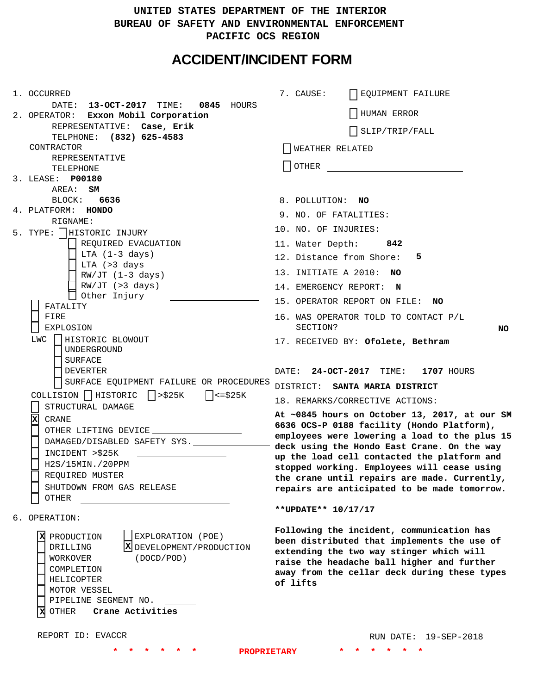| 1. OCCURRED                                                                          | EQUIPMENT FAILURE<br>7. CAUSE:                                                             |
|--------------------------------------------------------------------------------------|--------------------------------------------------------------------------------------------|
| <b>0845 HOURS</b><br>DATE: 13-OCT-2017 TIME:<br>2. OPERATOR: Exxon Mobil Corporation | HUMAN ERROR                                                                                |
| REPRESENTATIVE: Case, Erik                                                           |                                                                                            |
| TELPHONE: (832) 625-4583                                                             | SLIP/TRIP/FALL                                                                             |
| CONTRACTOR                                                                           | WEATHER RELATED                                                                            |
| REPRESENTATIVE                                                                       |                                                                                            |
| TELEPHONE                                                                            | OTHER                                                                                      |
| 3. LEASE: P00180                                                                     |                                                                                            |
| AREA:<br>SM<br>BLOCK:<br>6636                                                        | 8. POLLUTION: NO                                                                           |
| 4. PLATFORM: HONDO                                                                   |                                                                                            |
| RIGNAME:                                                                             | 9. NO. OF FATALITIES:                                                                      |
| 5. TYPE:    HISTORIC INJURY                                                          | 10. NO. OF INJURIES:                                                                       |
| REQUIRED EVACUATION                                                                  | 11. Water Depth:<br>842                                                                    |
| $LTA$ $(1-3 \text{ days})$                                                           | 12. Distance from Shore:<br>5                                                              |
| LTA (>3 days                                                                         |                                                                                            |
| $RW/JT$ (1-3 days)                                                                   | 13. INITIATE A 2010: NO                                                                    |
| $RW/JT$ (>3 days)<br>Other Injury                                                    | 14. EMERGENCY REPORT: N                                                                    |
| FATALITY                                                                             | 15. OPERATOR REPORT ON FILE:<br>NO                                                         |
| FIRE                                                                                 | 16. WAS OPERATOR TOLD TO CONTACT P/L                                                       |
| <b>EXPLOSION</b>                                                                     | SECTION?<br>NO.                                                                            |
| LWC<br>  HISTORIC BLOWOUT                                                            | 17. RECEIVED BY: Ofolete, Bethram                                                          |
| UNDERGROUND                                                                          |                                                                                            |
| SURFACE                                                                              |                                                                                            |
| <b>DEVERTER</b>                                                                      | DATE: $24-OCT-2017$ TIME:<br>1707 HOURS                                                    |
| SURFACE EQUIPMENT FAILURE OR PROCEDURES                                              | DISTRICT: SANTA MARIA DISTRICT                                                             |
| COLLISION $\Box$ HISTORIC $\Box$ >\$25K<br>$ \cdot $ <= \$25K<br>STRUCTURAL DAMAGE   | 18. REMARKS/CORRECTIVE ACTIONS:                                                            |
| 囨<br>CRANE                                                                           | At ~0845 hours on October 13, 2017, at our SM                                              |
| OTHER LIFTING DEVICE ____________________                                            | 6636 OCS-P 0188 facility (Hondo Platform),                                                 |
| DAMAGED/DISABLED SAFETY SYS.                                                         | employees were lowering a load to the plus 15                                              |
| INCIDENT >\$25K                                                                      | deck using the Hondo East Crane. On the way<br>up the load cell contacted the platform and |
| H2S/15MIN./20PPM                                                                     | stopped working. Employees will cease using                                                |
| REQUIRED MUSTER                                                                      | the crane until repairs are made. Currently,                                               |
| SHUTDOWN FROM GAS RELEASE                                                            | repairs are anticipated to be made tomorrow.                                               |
| OTHER                                                                                |                                                                                            |
|                                                                                      | ** UPDATE** 10/17/17                                                                       |
| 6. OPERATION:                                                                        |                                                                                            |
| x<br>EXPLORATION (POE)<br>PRODUCTION                                                 | Following the incident, communication has<br>been distributed that implements the use of   |
| X DEVELOPMENT / PRODUCTION<br>DRILLING                                               | extending the two way stinger which will                                                   |
| WORKOVER<br>(DOCD/POD)                                                               | raise the headache ball higher and further                                                 |
| COMPLETION                                                                           | away from the cellar deck during these types                                               |
| HELICOPTER                                                                           | of lifts                                                                                   |
| MOTOR VESSEL<br>PIPELINE SEGMENT NO.                                                 |                                                                                            |
| OTHER<br>Crane Activities                                                            |                                                                                            |
|                                                                                      |                                                                                            |
| REPORT ID: EVACCR                                                                    | RUN DATE: 19-SEP-2018                                                                      |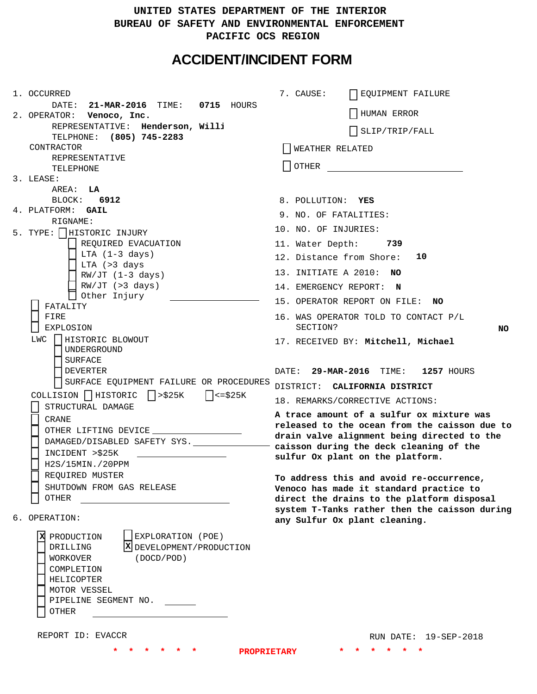| 1. OCCURRED                                                                    | EQUIPMENT FAILURE<br>7. CAUSE:                                                        |
|--------------------------------------------------------------------------------|---------------------------------------------------------------------------------------|
| $\texttt{DATE}: \quad 21-\texttt{MAR}-2016 \quad \texttt{TIME}:$<br>0715 HOURS |                                                                                       |
| 2. OPERATOR: Venoco, Inc.                                                      | HUMAN ERROR                                                                           |
| REPRESENTATIVE: Henderson, Willi                                               | SLIP/TRIP/FALL                                                                        |
| TELPHONE: (805) 745-2283                                                       |                                                                                       |
| CONTRACTOR<br>REPRESENTATIVE                                                   | WEATHER RELATED                                                                       |
| TELEPHONE                                                                      | OTHER                                                                                 |
| 3. LEASE:                                                                      |                                                                                       |
| AREA: LA                                                                       |                                                                                       |
| BLOCK:<br>6912                                                                 | 8. POLLUTION: YES                                                                     |
| 4. PLATFORM: GAIL                                                              | 9. NO. OF FATALITIES:                                                                 |
| RIGNAME:                                                                       | 10. NO. OF INJURIES:                                                                  |
| 5. TYPE: HISTORIC INJURY<br>REQUIRED EVACUATION                                | 739                                                                                   |
| $LTA$ $(1-3 \text{ days})$                                                     | 11. Water Depth:                                                                      |
| LTA (>3 days                                                                   | 12. Distance from Shore:<br>10                                                        |
| $RW/JT$ (1-3 days)                                                             | 13. INITIATE A 2010: NO                                                               |
| $RW/JT$ (>3 days)                                                              | 14. EMERGENCY REPORT: N                                                               |
| Other Injury                                                                   | 15. OPERATOR REPORT ON FILE: NO                                                       |
| FATALITY<br>FIRE                                                               | 16. WAS OPERATOR TOLD TO CONTACT P/L                                                  |
| <b>EXPLOSION</b>                                                               | SECTION?<br>NO.                                                                       |
| LWC     HISTORIC BLOWOUT                                                       |                                                                                       |
| UNDERGROUND                                                                    | 17. RECEIVED BY: Mitchell, Michael                                                    |
| SURFACE                                                                        |                                                                                       |
| DEVERTER                                                                       | DATE: 29-MAR-2016 TIME: 1257 HOURS                                                    |
| SURFACE EQUIPMENT FAILURE OR PROCEDURES                                        | DISTRICT: CALIFORNIA DISTRICT                                                         |
| COLLISION $\bigcap$ HISTORIC $\bigcap$ >\$25K<br>$ $ $ $ <= \$25K              | 18. REMARKS/CORRECTIVE ACTIONS:                                                       |
| STRUCTURAL DAMAGE                                                              | A trace amount of a sulfur ox mixture was                                             |
| CRANE                                                                          | released to the ocean from the caisson due to                                         |
| OTHER LIFTING DEVICE ____________________                                      | drain valve alignment being directed to the                                           |
| DAMAGED/DISABLED SAFETY SYS.                                                   | - caisson during the deck cleaning of the                                             |
| INCIDENT >\$25K                                                                | sulfur Ox plant on the platform.                                                      |
| H2S/15MIN./20PPM                                                               |                                                                                       |
| REQUIRED MUSTER<br>SHUTDOWN FROM GAS RELEASE                                   | To address this and avoid re-occurrence,                                              |
| OTHER                                                                          | Venoco has made it standard practice to<br>direct the drains to the platform disposal |
|                                                                                | system T-Tanks rather then the caisson during                                         |
| 6. OPERATION:                                                                  | any Sulfur Ox plant cleaning.                                                         |
| lх<br>EXPLORATION (POE)<br>PRODUCTION                                          |                                                                                       |
| X DEVELOPMENT / PRODUCTION<br>DRILLING                                         |                                                                                       |
| WORKOVER<br>(DOCD/POD)                                                         |                                                                                       |
| COMPLETION                                                                     |                                                                                       |
| <b>HELICOPTER</b>                                                              |                                                                                       |
| MOTOR VESSEL                                                                   |                                                                                       |
| PIPELINE SEGMENT NO.                                                           |                                                                                       |
| OTHER                                                                          |                                                                                       |
|                                                                                |                                                                                       |
| REPORT ID: EVACCR                                                              | RUN DATE: 19-SEP-2018                                                                 |
| <b>PROPRIETARY</b>                                                             |                                                                                       |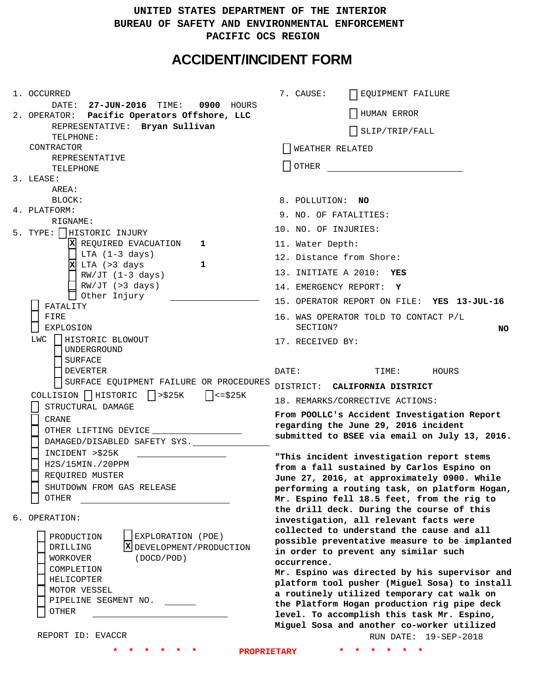| 1. OCCURRED                                                                    | EQUIPMENT FAILURE<br>7. CAUSE:                                                              |
|--------------------------------------------------------------------------------|---------------------------------------------------------------------------------------------|
| DATE: 27-JUN-2016 TIME:<br><b>0900 HOURS</b>                                   | HUMAN ERROR                                                                                 |
| 2. OPERATOR: Pacific Operators Offshore, LLC<br>REPRESENTATIVE: Bryan Sullivan |                                                                                             |
| TELPHONE:                                                                      | SLIP/TRIP/FALL                                                                              |
| CONTRACTOR                                                                     | WEATHER RELATED                                                                             |
| REPRESENTATIVE                                                                 |                                                                                             |
| TELEPHONE                                                                      | OTHER                                                                                       |
| 3. LEASE:                                                                      |                                                                                             |
| AREA:<br>BLOCK:                                                                |                                                                                             |
| 4. PLATFORM:                                                                   | 8. POLLUTION: NO                                                                            |
| RIGNAME:                                                                       | 9. NO. OF FATALITIES:                                                                       |
| 5. TYPE:   HISTORIC INJURY                                                     | 10. NO. OF INJURIES:                                                                        |
| X REQUIRED EVACUATION<br>$\mathbf{1}$                                          | 11. Water Depth:                                                                            |
| $LTA$ $(1-3 \text{ days})$                                                     | 12. Distance from Shore:                                                                    |
| $\mathbf{x}$ LTA (>3 days<br>1                                                 | 13. INITIATE A 2010: YES                                                                    |
| $RW/JT$ (1-3 days)<br>$RW/JT$ (>3 days)                                        |                                                                                             |
| Other Injury                                                                   | 14. EMERGENCY REPORT: Y                                                                     |
| FATALITY                                                                       | 15. OPERATOR REPORT ON FILE: YES 13-JUL-16                                                  |
| FIRE                                                                           | 16. WAS OPERATOR TOLD TO CONTACT P/L                                                        |
| EXPLOSION                                                                      | SECTION?<br>NO.                                                                             |
| LWC<br>  HISTORIC BLOWOUT                                                      | 17. RECEIVED BY:                                                                            |
| <b>UNDERGROUND</b><br><b>SURFACE</b>                                           |                                                                                             |
| <b>DEVERTER</b>                                                                | DATE:<br>TIME:<br>HOURS                                                                     |
| SURFACE EQUIPMENT FAILURE OR PROCEDURES                                        | DISTRICT: CALIFORNIA DISTRICT                                                               |
| COLLISION $\bigcap$ HISTORIC $\bigcap$ >\$25K<br>  $\le$ = \$25K               |                                                                                             |
| STRUCTURAL DAMAGE                                                              | 18. REMARKS/CORRECTIVE ACTIONS:                                                             |
| CRANE                                                                          | From POOLLC's Accident Investigation Report                                                 |
| OTHER LIFTING DEVICE                                                           | regarding the June 29, 2016 incident<br>submitted to BSEE via email on July 13, 2016.       |
| DAMAGED/DISABLED SAFETY SYS.                                                   |                                                                                             |
| INCIDENT >\$25K                                                                | "This incident investigation report stems                                                   |
| H2S/15MIN./20PPM                                                               | from a fall sustained by Carlos Espino on                                                   |
| REQUIRED MUSTER<br>SHUTDOWN FROM GAS RELEASE                                   | June 27, 2016, at approximately 0900. While                                                 |
| OTHER                                                                          | performing a routing task, on platform Hogan,<br>Mr. Espino fell 18.5 feet, from the rig to |
|                                                                                | the drill deck. During the course of this                                                   |
| 6. OPERATION:                                                                  | investigation, all relevant facts were                                                      |
| EXPLORATION (POE)<br>PRODUCTION                                                | collected to understand the cause and all                                                   |
| X DEVELOPMENT / PRODUCTION<br>DRILLING                                         | possible preventative measure to be implanted                                               |
| WORKOVER<br>(DOCD/POD)                                                         | in order to prevent any similar such                                                        |
| COMPLETION                                                                     | occurrence.<br>Mr. Espino was directed by his supervisor and                                |
| HELICOPTER                                                                     | platform tool pusher (Miguel Sosa) to install                                               |
| MOTOR VESSEL                                                                   | a routinely utilized temporary cat walk on                                                  |
| PIPELINE SEGMENT NO.                                                           | the Platform Hogan production rig pipe deck                                                 |
| OTHER                                                                          | level. To accomplish this task Mr. Espino,                                                  |
|                                                                                | Miguel Sosa and another co-worker utilized                                                  |
| REPORT ID: EVACCR                                                              | RUN DATE: 19-SEP-2018                                                                       |
| <b>PROPRIETARY</b>                                                             | *.                                                                                          |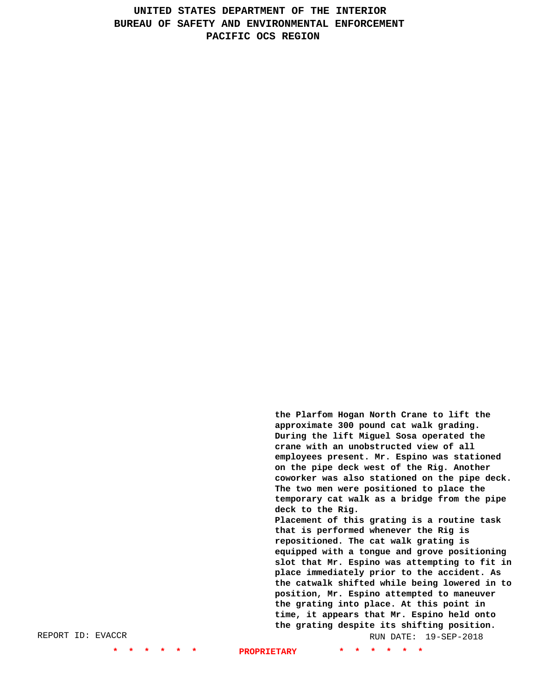REPORT ID: EVACCR **RUN DATE: 19-SEP-2018 the Plarfom Hogan North Crane to lift the approximate 300 pound cat walk grading. During the lift Miguel Sosa operated the crane with an unobstructed view of all employees present. Mr. Espino was stationed on the pipe deck west of the Rig. Another coworker was also stationed on the pipe deck. The two men were positioned to place the temporary cat walk as a bridge from the pipe deck to the Rig. Placement of this grating is a routine task that is performed whenever the Rig is repositioned. The cat walk grating is equipped with a tongue and grove positioning slot that Mr. Espino was attempting to fit in place immediately prior to the accident. As the catwalk shifted while being lowered in to position, Mr. Espino attempted to maneuver the grating into place. At this point in time, it appears that Mr. Espino held onto the grating despite its shifting position.**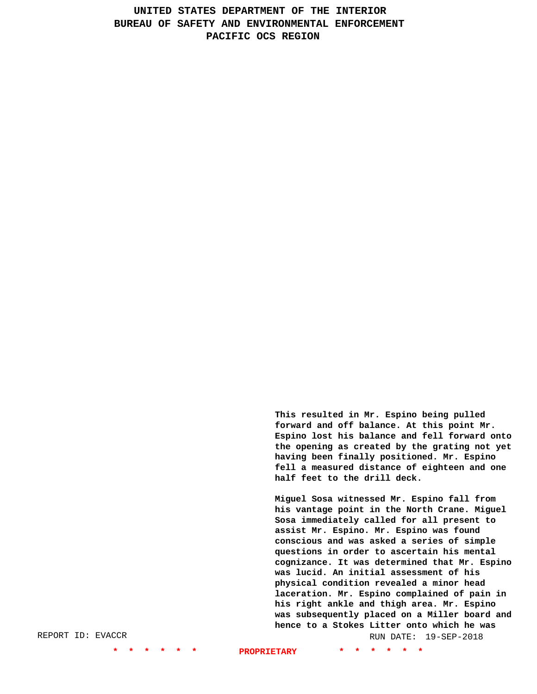**This resulted in Mr. Espino being pulled forward and off balance. At this point Mr. Espino lost his balance and fell forward onto the opening as created by the grating not yet having been finally positioned. Mr. Espino fell a measured distance of eighteen and one half feet to the drill deck.**

REPORT ID: EVACCR **RUN DATE: 19-SEP-2018 Miguel Sosa witnessed Mr. Espino fall from his vantage point in the North Crane. Miguel Sosa immediately called for all present to assist Mr. Espino. Mr. Espino was found conscious and was asked a series of simple questions in order to ascertain his mental cognizance. It was determined that Mr. Espino was lucid. An initial assessment of his physical condition revealed a minor head laceration. Mr. Espino complained of pain in his right ankle and thigh area. Mr. Espino was subsequently placed on a Miller board and hence to a Stokes Litter onto which he was**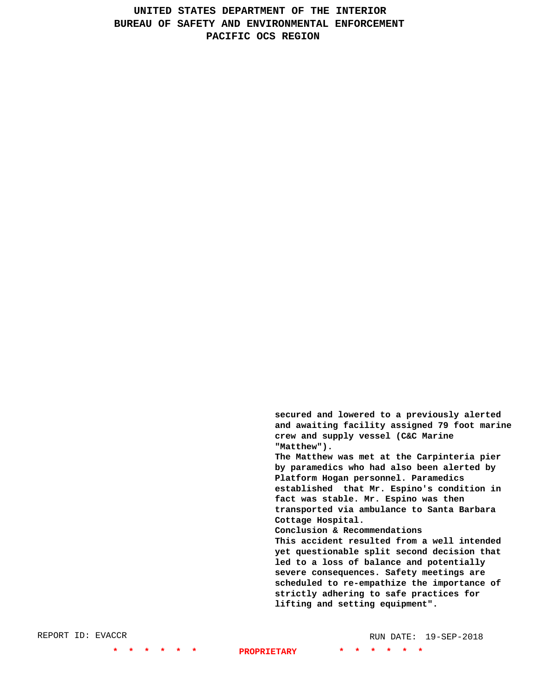**secured and lowered to a previously alerted and awaiting facility assigned 79 foot marine crew and supply vessel (C&C Marine "Matthew"). The Matthew was met at the Carpinteria pier by paramedics who had also been alerted by Platform Hogan personnel. Paramedics established that Mr. Espino's condition in fact was stable. Mr. Espino was then transported via ambulance to Santa Barbara Cottage Hospital. Conclusion & Recommendations This accident resulted from a well intended yet questionable split second decision that led to a loss of balance and potentially severe consequences. Safety meetings are scheduled to re-empathize the importance of** 

**strictly adhering to safe practices for lifting and setting equipment".**

REPORT ID: EVACCR **RUN DATE: 19-SEP-2018**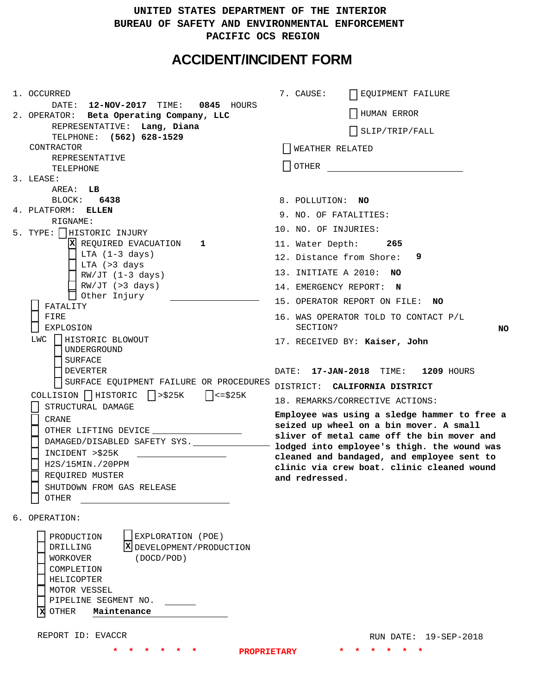| 1. OCCURRED                                                   | EQUIPMENT FAILURE<br>7. CAUSE:                                                            |
|---------------------------------------------------------------|-------------------------------------------------------------------------------------------|
| $DATA: 12-NOV-2017$ TIME:<br>0845 HOURS                       | HUMAN ERROR                                                                               |
| 2. OPERATOR: Beta Operating Company, LLC                      |                                                                                           |
| REPRESENTATIVE: Lang, Diana<br>TELPHONE: (562) 628-1529       | SLIP/TRIP/FALL                                                                            |
| CONTRACTOR                                                    | WEATHER RELATED                                                                           |
| REPRESENTATIVE                                                |                                                                                           |
| TELEPHONE                                                     | OTHER                                                                                     |
| 3. LEASE:<br>AREA: LB                                         |                                                                                           |
| BLOCK:<br>6438                                                | 8. POLLUTION: NO                                                                          |
| 4. PLATFORM: ELLEN                                            |                                                                                           |
| RIGNAME:                                                      | 9. NO. OF FATALITIES:                                                                     |
| 5. TYPE: HISTORIC INJURY                                      | 10. NO. OF INJURIES:                                                                      |
| X REQUIRED EVACUATION<br>1                                    | 11. Water Depth:<br>265                                                                   |
| $LTA$ $(1-3 \text{ days})$<br>LTA (>3 days                    | 12. Distance from Shore:<br>9                                                             |
| $RW/JT$ (1-3 days)                                            | 13. INITIATE A 2010: NO                                                                   |
| $RW/JT$ (>3 days)                                             | 14. EMERGENCY REPORT: N                                                                   |
| Other Injury                                                  | 15. OPERATOR REPORT ON FILE: NO                                                           |
| FATALITY                                                      | 16. WAS OPERATOR TOLD TO CONTACT P/L                                                      |
| FIRE<br><b>EXPLOSION</b>                                      | SECTION?<br>NO.                                                                           |
| LWC<br>    HISTORIC BLOWOUT                                   | 17. RECEIVED BY: Kaiser, John                                                             |
| UNDERGROUND                                                   |                                                                                           |
| SURFACE                                                       |                                                                                           |
| <b>DEVERTER</b>                                               | DATE: 17-JAN-2018 TIME:<br><b>1209 HOURS</b>                                              |
| SURFACE EQUIPMENT FAILURE OR PROCEDURES                       | DISTRICT: CALIFORNIA DISTRICT                                                             |
| COLLISION $\Box$ HISTORIC $\Box$ >\$25K<br>  $\vert$ <= \$25K | 18. REMARKS/CORRECTIVE ACTIONS:                                                           |
| STRUCTURAL DAMAGE                                             | Employee was using a sledge hammer to free a                                              |
| CRANE<br>OTHER LIFTING DEVICE ____________________            | seized up wheel on a bin mover. A small                                                   |
| DAMAGED/DISABLED SAFETY SYS.                                  | sliver of metal came off the bin mover and                                                |
| INCIDENT >\$25K                                               | lodged into employee's thigh. the wound was<br>cleaned and bandaged, and employee sent to |
| H2S/15MIN./20PPM                                              | clinic via crew boat. clinic cleaned wound                                                |
| REQUIRED MUSTER                                               | and redressed.                                                                            |
| SHUTDOWN FROM GAS RELEASE                                     |                                                                                           |
| OTHER                                                         |                                                                                           |
| 6. OPERATION:                                                 |                                                                                           |
| EXPLORATION (POE)<br>PRODUCTION                               |                                                                                           |
| X DEVELOPMENT / PRODUCTION<br>DRILLING                        |                                                                                           |
| WORKOVER<br>(DOCD/POD)                                        |                                                                                           |
| COMPLETION                                                    |                                                                                           |
| HELICOPTER                                                    |                                                                                           |
| MOTOR VESSEL<br>PIPELINE SEGMENT NO.                          |                                                                                           |
| X OTHER<br>Maintenance                                        |                                                                                           |
|                                                               |                                                                                           |
| REPORT ID: EVACCR                                             | RUN DATE: 19-SEP-2018                                                                     |
| <b>PROPRIETARY</b>                                            | * * * * *                                                                                 |
|                                                               |                                                                                           |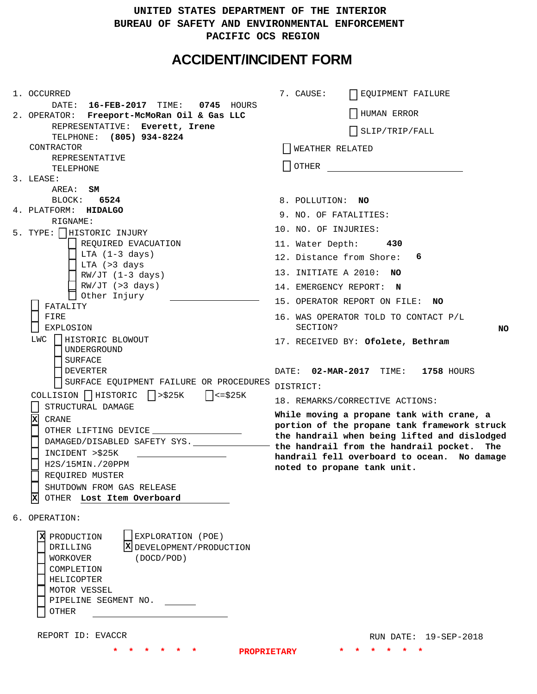| 1. OCCURRED<br>DATE: 16-FEB-2017 TIME:<br>0745 HOURS<br>2. OPERATOR: Freeport-McMoRan Oil & Gas LLC<br>REPRESENTATIVE: Everett, Irene<br>TELPHONE: (805) 934-8224<br>CONTRACTOR<br>REPRESENTATIVE<br>TELEPHONE | 7. CAUSE:<br>EQUIPMENT FAILURE<br>HUMAN ERROR<br>SLIP/TRIP/FALL<br>WEATHER RELATED<br>OTHER                                                                                                                                                                           |
|----------------------------------------------------------------------------------------------------------------------------------------------------------------------------------------------------------------|-----------------------------------------------------------------------------------------------------------------------------------------------------------------------------------------------------------------------------------------------------------------------|
| 3. LEASE:<br>AREA:<br>SM                                                                                                                                                                                       |                                                                                                                                                                                                                                                                       |
| 6524<br>BLOCK:                                                                                                                                                                                                 | 8. POLLUTION: NO                                                                                                                                                                                                                                                      |
| 4. PLATFORM: HIDALGO                                                                                                                                                                                           | 9. NO. OF FATALITIES:                                                                                                                                                                                                                                                 |
| RIGNAME:                                                                                                                                                                                                       | 10. NO. OF INJURIES:                                                                                                                                                                                                                                                  |
| 5. TYPE:   HISTORIC INJURY<br>REQUIRED EVACUATION                                                                                                                                                              |                                                                                                                                                                                                                                                                       |
| $LTA$ $(1-3 \text{ days})$                                                                                                                                                                                     | 11. Water Depth: 430                                                                                                                                                                                                                                                  |
| LTA (>3 days                                                                                                                                                                                                   | 12. Distance from Shore:<br>-6                                                                                                                                                                                                                                        |
| $RW/JT$ (1-3 days)                                                                                                                                                                                             | 13. INITIATE A 2010: NO                                                                                                                                                                                                                                               |
| $RW/JT$ (>3 days)                                                                                                                                                                                              | 14. EMERGENCY REPORT: N                                                                                                                                                                                                                                               |
| Other Injury<br>FATALITY                                                                                                                                                                                       | 15. OPERATOR REPORT ON FILE:<br>NO                                                                                                                                                                                                                                    |
| FIRE                                                                                                                                                                                                           | 16. WAS OPERATOR TOLD TO CONTACT P/L                                                                                                                                                                                                                                  |
| EXPLOSION                                                                                                                                                                                                      | SECTION?<br>NO.                                                                                                                                                                                                                                                       |
| LWC<br>HISTORIC BLOWOUT<br>UNDERGROUND                                                                                                                                                                         | 17. RECEIVED BY: Ofolete, Bethram                                                                                                                                                                                                                                     |
| SURFACE                                                                                                                                                                                                        |                                                                                                                                                                                                                                                                       |
| DEVERTER                                                                                                                                                                                                       | DATE: $02-MAR-2017$ TIME:<br><b>1758 HOURS</b>                                                                                                                                                                                                                        |
| SURFACE EQUIPMENT FAILURE OR PROCEDURES                                                                                                                                                                        | DISTRICT:                                                                                                                                                                                                                                                             |
| COLLISION $\bigcap$ HISTORIC $\bigcap$ >\$25K<br>$\vert$ <= \$25K                                                                                                                                              | 18. REMARKS/CORRECTIVE ACTIONS:                                                                                                                                                                                                                                       |
| STRUCTURAL DAMAGE                                                                                                                                                                                              |                                                                                                                                                                                                                                                                       |
| x<br>CRANE<br>OTHER LIFTING DEVICE ___________________<br>DAMAGED/DISABLED SAFETY SYS.<br>INCIDENT >\$25K<br>H2S/15MIN./20PPM<br>REQUIRED MUSTER<br>SHUTDOWN FROM GAS RELEASE<br>OTHER Lost Item Overboard     | While moving a propane tank with crane, a<br>portion of the propane tank framework struck<br>the handrail when being lifted and dislodged<br>the handrail from the handrail pocket. The<br>handrail fell overboard to ocean. No damage<br>noted to propane tank unit. |
| 6. OPERATION:                                                                                                                                                                                                  |                                                                                                                                                                                                                                                                       |
| x<br>EXPLORATION (POE)<br>PRODUCTION<br>X DEVELOPMENT / PRODUCTION<br>DRILLING<br>WORKOVER<br>(DOCD/POD)<br>COMPLETION<br>HELICOPTER<br>MOTOR VESSEL<br>PIPELINE SEGMENT NO.<br>OTHER                          |                                                                                                                                                                                                                                                                       |
| REPORT ID: EVACCR                                                                                                                                                                                              | RUN DATE: 19-SEP-2018                                                                                                                                                                                                                                                 |
| <b>PROPRIETARY</b>                                                                                                                                                                                             |                                                                                                                                                                                                                                                                       |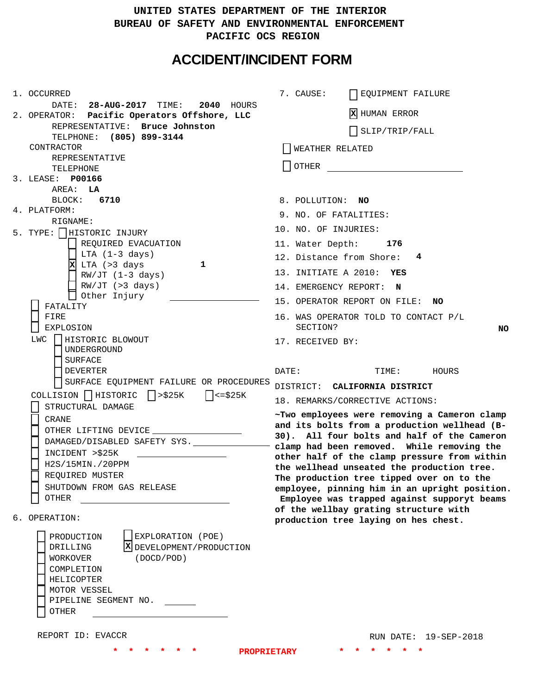| 1. OCCURRED                                                                    | □ EQUIPMENT FAILURE<br>7. CAUSE:                                                             |
|--------------------------------------------------------------------------------|----------------------------------------------------------------------------------------------|
| DATE: 28-AUG-2017 TIME: 2040 HOURS                                             | <b>X</b> HUMAN ERROR                                                                         |
| 2. OPERATOR: Pacific Operators Offshore, LLC<br>REPRESENTATIVE: Bruce Johnston |                                                                                              |
| TELPHONE: (805) 899-3144                                                       | SLIP/TRIP/FALL                                                                               |
| CONTRACTOR                                                                     | WEATHER RELATED                                                                              |
| REPRESENTATIVE                                                                 |                                                                                              |
| TELEPHONE                                                                      | OTHER                                                                                        |
| 3. LEASE: P00166<br>AREA: LA                                                   |                                                                                              |
| <b>BLOCK: 6710</b>                                                             | 8. POLLUTION: NO                                                                             |
| 4. PLATFORM:                                                                   |                                                                                              |
| RIGNAME:                                                                       | 9. NO. OF FATALITIES:                                                                        |
| 5. TYPE: HISTORIC INJURY                                                       | 10. NO. OF INJURIES:                                                                         |
| REQUIRED EVACUATION                                                            | 11. Water Depth:<br>176                                                                      |
| $LTA$ $(1-3 \text{ days})$                                                     | 12. Distance from Shore:<br>- 4                                                              |
| X LTA (>3 days<br>1<br>$RW/JT$ (1-3 days)                                      | 13. INITIATE A 2010: YES                                                                     |
| $RW/JT$ (>3 days)                                                              | 14. EMERGENCY REPORT: N                                                                      |
| Other Injury                                                                   | 15. OPERATOR REPORT ON FILE: NO                                                              |
| FATALITY                                                                       |                                                                                              |
| FIRE                                                                           | 16. WAS OPERATOR TOLD TO CONTACT P/L                                                         |
| <b>EXPLOSION</b><br>HISTORIC BLOWOUT                                           | SECTION?<br>NO                                                                               |
| LWC<br>UNDERGROUND                                                             | 17. RECEIVED BY:                                                                             |
| <b>SURFACE</b>                                                                 |                                                                                              |
| DEVERTER                                                                       | DATE:<br>TIME:<br>HOURS                                                                      |
| SURFACE EQUIPMENT FAILURE OR PROCEDURES                                        | DISTRICT: CALIFORNIA DISTRICT                                                                |
| COLLISION HISTORIC $\bigcap$ >\$25K<br>$ $ $ $ < = \$25K                       | 18. REMARKS/CORRECTIVE ACTIONS:                                                              |
| STRUCTURAL DAMAGE                                                              |                                                                                              |
| CRANE                                                                          | ~Two employees were removing a Cameron clamp<br>and its bolts from a production wellhead (B- |
|                                                                                | 30). All four bolts and half of the Cameron                                                  |
| DAMAGED/DISABLED SAFETY SYS.                                                   | clamp had been removed. While removing the                                                   |
| INCIDENT >\$25K<br>H2S/15MIN./20PPM                                            | other half of the clamp pressure from within                                                 |
| REQUIRED MUSTER                                                                | the wellhead unseated the production tree.                                                   |
| SHUTDOWN FROM GAS RELEASE                                                      | The production tree tipped over on to the<br>employee, pinning him in an upright position.   |
| <b>OTHER</b>                                                                   | Employee was trapped against supporyt beams                                                  |
|                                                                                | of the wellbay grating structure with                                                        |
| 6. OPERATION:                                                                  | production tree laying on hes chest.                                                         |
| EXPLORATION (POE)<br>PRODUCTION                                                |                                                                                              |
| X DEVELOPMENT / PRODUCTION<br>DRILLING                                         |                                                                                              |
| WORKOVER<br>(DOCD/POD)                                                         |                                                                                              |
| COMPLETION                                                                     |                                                                                              |
| HELICOPTER<br>MOTOR VESSEL                                                     |                                                                                              |
| PIPELINE SEGMENT NO.                                                           |                                                                                              |
| OTHER                                                                          |                                                                                              |
|                                                                                |                                                                                              |
| REPORT ID: EVACCR                                                              | RUN DATE: 19-SEP-2018                                                                        |
| <b>PROPRIETARY</b>                                                             |                                                                                              |
|                                                                                |                                                                                              |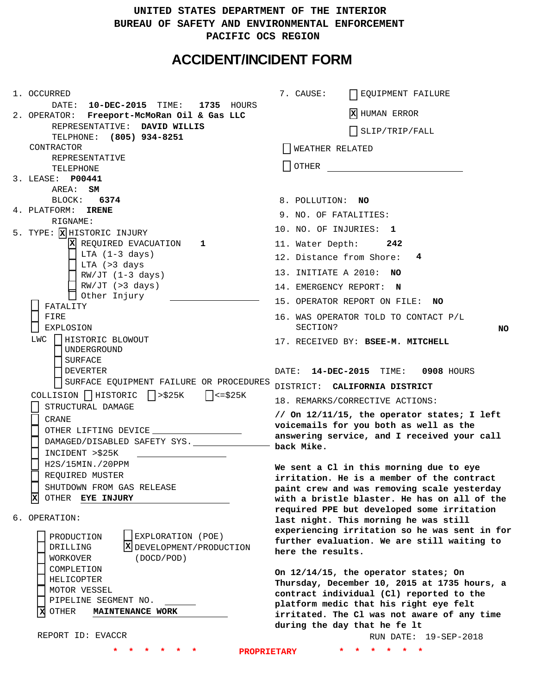| 1. OCCURRED                                                                 | EQUIPMENT FAILURE<br>7. CAUSE:                                                           |
|-----------------------------------------------------------------------------|------------------------------------------------------------------------------------------|
| DATE: 10-DEC-2015 TIME:<br><b>1735 HOURS</b>                                | <b>X</b> HUMAN ERROR                                                                     |
| 2. OPERATOR: Freeport-McMoRan Oil & Gas LLC<br>REPRESENTATIVE: DAVID WILLIS |                                                                                          |
| TELPHONE: (805) 934-8251                                                    | SLIP/TRIP/FALL                                                                           |
| CONTRACTOR                                                                  | WEATHER RELATED                                                                          |
| REPRESENTATIVE                                                              |                                                                                          |
| TELEPHONE                                                                   | OTHER                                                                                    |
| 3. LEASE: P00441<br>AREA:<br>SM                                             |                                                                                          |
| BLOCK: 6374                                                                 | 8. POLLUTION: NO                                                                         |
| 4. PLATFORM: IRENE                                                          | 9. NO. OF FATALITIES:                                                                    |
| RIGNAME:                                                                    | 10. NO. OF INJURIES:                                                                     |
| 5. TYPE: X HISTORIC INJURY                                                  | $\mathbf{1}$                                                                             |
| X REQUIRED EVACUATION<br>$\mathbf{1}$<br>$LTA$ $(1-3 \text{ days})$         | 11. Water Depth:<br>242                                                                  |
| LTA (>3 days                                                                | 12. Distance from Shore:<br>4                                                            |
| $RW/JT$ (1-3 days)                                                          | 13. INITIATE A 2010: NO                                                                  |
| $RW/JT$ (>3 days)                                                           | 14. EMERGENCY REPORT: N                                                                  |
| Other Injury<br>FATALITY                                                    | 15. OPERATOR REPORT ON FILE: NO                                                          |
| FIRE                                                                        | 16. WAS OPERATOR TOLD TO CONTACT P/L                                                     |
| <b>EXPLOSION</b>                                                            | SECTION?<br>NO.                                                                          |
| HISTORIC BLOWOUT<br>LWC                                                     | 17. RECEIVED BY: BSEE-M. MITCHELL                                                        |
| UNDERGROUND                                                                 |                                                                                          |
| <b>SURFACE</b><br><b>DEVERTER</b>                                           | DATE: 14-DEC-2015 TIME:<br><b>0908 HOURS</b>                                             |
| SURFACE EQUIPMENT FAILURE OR PROCEDURES                                     | DISTRICT: CALIFORNIA DISTRICT                                                            |
| COLLISION HISTORIC $\bigcap$ >\$25K<br>$ $   <= \$25K                       |                                                                                          |
| STRUCTURAL DAMAGE                                                           | 18. REMARKS/CORRECTIVE ACTIONS:                                                          |
| CRANE                                                                       | // On $12/11/15$ , the operator states; I left<br>voicemails for you both as well as the |
| OTHER LIFTING DEVICE _____________________                                  | answering service, and I received your call                                              |
| DAMAGED/DISABLED SAFETY SYS. _____________ back Mike.                       |                                                                                          |
| INCIDENT >\$25K<br>H2S/15MIN./20PPM                                         |                                                                                          |
| REQUIRED MUSTER                                                             | We sent a Cl in this morning due to eye<br>irritation. He is a member of the contract    |
| SHUTDOWN FROM GAS RELEASE                                                   | paint crew and was removing scale yesterday                                              |
| ⊠<br>OTHER EYE INJURY                                                       | with a bristle blaster. He has on all of the                                             |
| 6. OPERATION:                                                               | required PPE but developed some irritation                                               |
|                                                                             | last night. This morning he was still<br>experiencing irritation so he was sent in for   |
| EXPLORATION (POE)<br>PRODUCTION                                             | further evaluation. We are still waiting to                                              |
| X DEVELOPMENT / PRODUCTION<br>DRILLING                                      | here the results.                                                                        |
| WORKOVER<br>(DOCD/POD)<br>COMPLETION                                        |                                                                                          |
| <b>HELICOPTER</b>                                                           | On 12/14/15, the operator states; On<br>Thursday, December 10, 2015 at 1735 hours, a     |
| MOTOR VESSEL                                                                | contract individual (Cl) reported to the                                                 |
| PIPELINE SEGMENT NO.                                                        | platform medic that his right eye felt                                                   |
| OTHER<br>MAINTENANCE WORK<br>x                                              | irritated. The Cl was not aware of any time                                              |
|                                                                             | during the day that he fe lt                                                             |
| REPORT ID: EVACCR                                                           | RUN DATE: 19-SEP-2018                                                                    |
| <b>PROPRIETARY</b>                                                          |                                                                                          |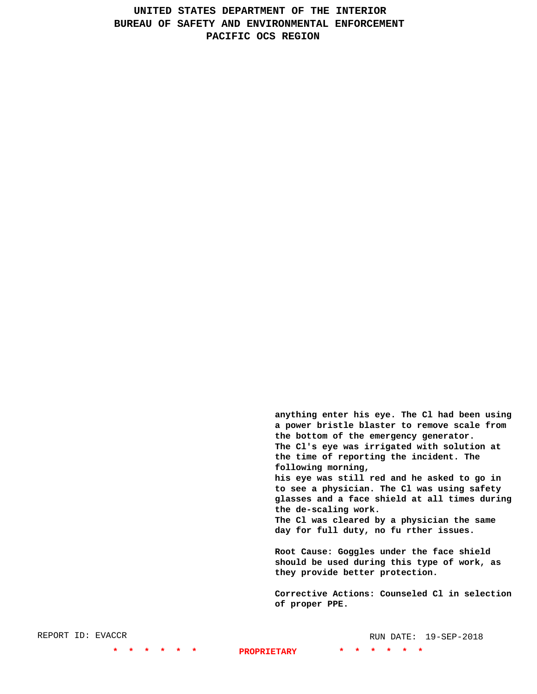**anything enter his eye. The Cl had been using a power bristle blaster to remove scale from the bottom of the emergency generator. The Cl's eye was irrigated with solution at the time of reporting the incident. The following morning, his eye was still red and he asked to go in to see a physician. The Cl was using safety glasses and a face shield at all times during the de-scaling work. The Cl was cleared by a physician the same day for full duty, no fu rther issues.**

**Root Cause: Goggles under the face shield should be used during this type of work, as they provide better protection.**

**Corrective Actions: Counseled Cl in selection of proper PPE.**

REPORT ID: EVACCR RUN DATE: 19-SEP-2018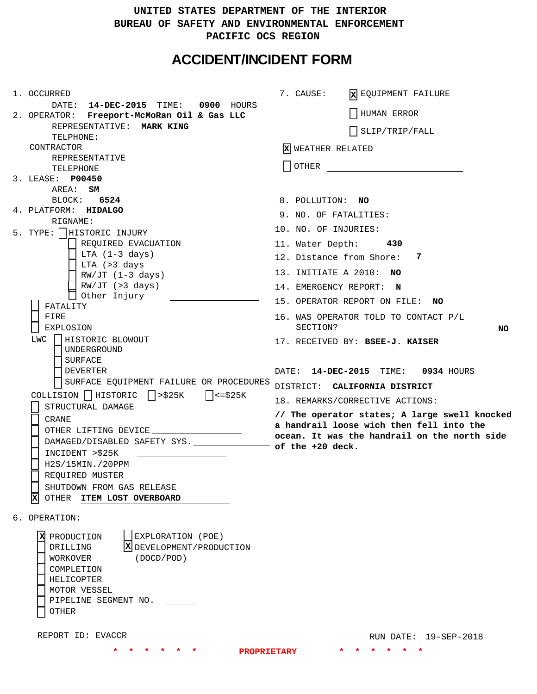| 1. OCCURRED                                                                                 | <b>X</b> EQUIPMENT FAILURE<br>7. CAUSE:                                                  |
|---------------------------------------------------------------------------------------------|------------------------------------------------------------------------------------------|
| DATE: 14-DEC-2015 TIME:<br><b>0900 HOURS</b><br>2. OPERATOR: Freeport-McMoRan Oil & Gas LLC | HUMAN ERROR                                                                              |
| REPRESENTATIVE: MARK KING                                                                   |                                                                                          |
| TELPHONE:                                                                                   | SLIP/TRIP/FALL                                                                           |
| CONTRACTOR                                                                                  | <b>X</b> WEATHER RELATED                                                                 |
| REPRESENTATIVE<br>TELEPHONE                                                                 | OTHER                                                                                    |
| 3. LEASE: P00450                                                                            |                                                                                          |
| AREA:<br>SM                                                                                 |                                                                                          |
| 6524<br>BLOCK:                                                                              | 8. POLLUTION: NO                                                                         |
| 4. PLATFORM: HIDALGO                                                                        | 9. NO. OF FATALITIES:                                                                    |
| RIGNAME:<br>5. TYPE: HISTORIC INJURY                                                        | 10. NO. OF INJURIES:                                                                     |
| REQUIRED EVACUATION                                                                         | 11. Water Depth:<br>430                                                                  |
| $LTA$ $(1-3 \text{ days})$                                                                  | 12. Distance from Shore: 7                                                               |
| LTA (>3 days                                                                                |                                                                                          |
| $RW/JT$ (1-3 days)                                                                          | 13. INITIATE A 2010: NO                                                                  |
| $RW/JT$ (>3 days)<br>Other Injury                                                           | 14. EMERGENCY REPORT: N                                                                  |
| FATALITY                                                                                    | 15. OPERATOR REPORT ON FILE:<br>NO.                                                      |
| FIRE                                                                                        | 16. WAS OPERATOR TOLD TO CONTACT P/L                                                     |
| EXPLOSION                                                                                   | SECTION?<br>NO.                                                                          |
| LWC<br>HISTORIC BLOWOUT                                                                     | 17. RECEIVED BY: BSEE-J. KAISER                                                          |
| UNDERGROUND                                                                                 |                                                                                          |
| SURFACE<br>DEVERTER                                                                         | DATE: 14-DEC-2015 TIME: 0934 HOURS                                                       |
| SURFACE EQUIPMENT FAILURE OR PROCEDURES                                                     |                                                                                          |
| COLLISION $\bigcap$ HISTORIC $\bigcap$ >\$25K<br>$\vert$ $\vert$ <= \$25K                   | DISTRICT: CALIFORNIA DISTRICT                                                            |
| STRUCTURAL DAMAGE                                                                           | 18. REMARKS/CORRECTIVE ACTIONS:                                                          |
| <b>CRANE</b>                                                                                | // The operator states; A large swell knocked                                            |
| OTHER LIFTING DEVICE ___________________                                                    | a handrail loose wich then fell into the<br>ocean. It was the handrail on the north side |
| DAMAGED/DISABLED SAFETY SYS.                                                                | $-$ of the +20 deck.                                                                     |
| INCIDENT >\$25K                                                                             |                                                                                          |
| H2S/15MIN./20PPM<br>REQUIRED MUSTER                                                         |                                                                                          |
| SHUTDOWN FROM GAS RELEASE                                                                   |                                                                                          |
| OTHER ITEM LOST OVERBOARD                                                                   |                                                                                          |
|                                                                                             |                                                                                          |
| 6. OPERATION:                                                                               |                                                                                          |
| EXPLORATION (POE)<br>X PRODUCTION                                                           |                                                                                          |
| X DEVELOPMENT / PRODUCTION<br>DRILLING                                                      |                                                                                          |
| WORKOVER<br>(DOCD/POD)                                                                      |                                                                                          |
| COMPLETION                                                                                  |                                                                                          |
| HELICOPTER<br>MOTOR VESSEL                                                                  |                                                                                          |
| PIPELINE SEGMENT NO.                                                                        |                                                                                          |
| OTHER                                                                                       |                                                                                          |
|                                                                                             |                                                                                          |
| REPORT ID: EVACCR                                                                           | RUN DATE: 19-SEP-2018                                                                    |
| <b>PROPRIETARY</b>                                                                          |                                                                                          |
|                                                                                             |                                                                                          |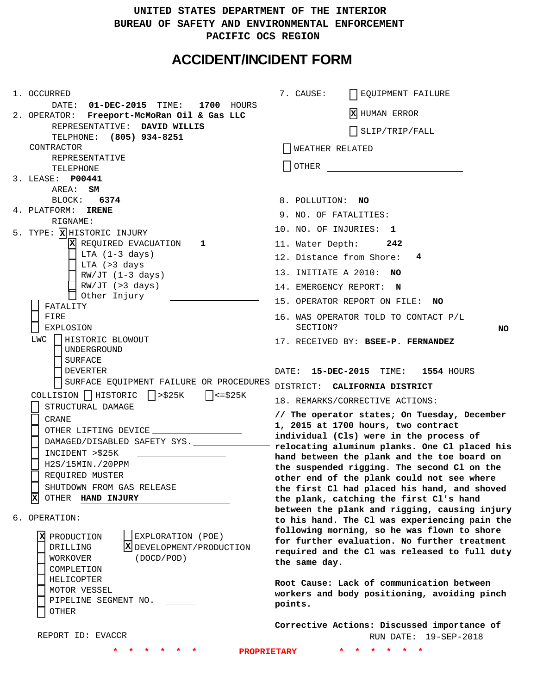| 1. OCCURRED                                           | EQUIPMENT FAILURE<br>7. CAUSE:                                                           |
|-------------------------------------------------------|------------------------------------------------------------------------------------------|
| DATE: 01-DEC-2015 TIME:<br><b>1700 HOURS</b>          |                                                                                          |
| 2. OPERATOR: Freeport-McMoRan Oil & Gas LLC           | <b>X</b> HUMAN ERROR                                                                     |
| REPRESENTATIVE: DAVID WILLIS                          | SLIP/TRIP/FALL                                                                           |
| TELPHONE: (805) 934-8251                              |                                                                                          |
| CONTRACTOR<br>REPRESENTATIVE                          | WEATHER RELATED                                                                          |
| TELEPHONE                                             | OTHER                                                                                    |
| 3. LEASE: P00441                                      |                                                                                          |
| AREA:<br>SM                                           |                                                                                          |
| <b>BLOCK:</b> 6374                                    | 8. POLLUTION: NO                                                                         |
| 4. PLATFORM: IRENE                                    | 9. NO. OF FATALITIES:                                                                    |
| RIGNAME:                                              |                                                                                          |
| 5. TYPE: X HISTORIC INJURY                            | 10. NO. OF INJURIES:<br>$\mathbf{1}$                                                     |
| X REQUIRED EVACUATION<br>$\mathbf{1}$                 | 11. Water Depth:<br>242                                                                  |
| $LTA$ $(1-3 \text{ days})$                            | 12. Distance from Shore:<br>- 4                                                          |
| LTA (>3 days                                          | 13. INITIATE A 2010:<br>NO.                                                              |
| $RW/JT$ (1-3 days)                                    |                                                                                          |
| $RW/JT$ (>3 days)<br>Other Injury                     | 14. EMERGENCY REPORT: N                                                                  |
| FATALITY                                              | 15. OPERATOR REPORT ON FILE: NO                                                          |
| FIRE                                                  | 16. WAS OPERATOR TOLD TO CONTACT P/L                                                     |
| <b>EXPLOSION</b>                                      | SECTION?<br>NO.                                                                          |
| HISTORIC BLOWOUT<br>LWC                               | 17. RECEIVED BY: BSEE-P. FERNANDEZ                                                       |
| UNDERGROUND                                           |                                                                                          |
| <b>SURFACE</b>                                        |                                                                                          |
| <b>DEVERTER</b>                                       | DATE: 15-DEC-2015 TIME:<br><b>1554 HOURS</b>                                             |
| SURFACE EQUIPMENT FAILURE OR PROCEDURES               | DISTRICT: CALIFORNIA DISTRICT                                                            |
| COLLISION HISTORIC $\bigcap$ >\$25K<br>$ $   <= \$25K |                                                                                          |
| STRUCTURAL DAMAGE                                     | 18. REMARKS/CORRECTIVE ACTIONS:                                                          |
| CRANE                                                 | // The operator states; On Tuesday, December                                             |
| OTHER LIFTING DEVICE ____________________             | 1, 2015 at 1700 hours, two contract                                                      |
| DAMAGED/DISABLED SAFETY SYS.                          | individual (Cls) were in the process of<br>relocating aluminum planks. One Cl placed his |
| INCIDENT >\$25K                                       | hand between the plank and the toe board on                                              |
| H2S/15MIN./20PPM                                      | the suspended rigging. The second Cl on the                                              |
| REQUIRED MUSTER                                       | other end of the plank could not see where                                               |
| SHUTDOWN FROM GAS RELEASE                             | the first Cl had placed his hand, and shoved                                             |
| Ιx<br>OTHER HAND INJURY                               | the plank, catching the first Cl's hand                                                  |
|                                                       | between the plank and rigging, causing injury                                            |
| 6. OPERATION:                                         | to his hand. The Cl was experiencing pain the                                            |
| lx <br>EXPLORATION (POE)<br>PRODUCTION                | following morning, so he was flown to shore                                              |
| X DEVELOPMENT/PRODUCTION<br>DRILLING                  | for further evaluation. No further treatment                                             |
| WORKOVER<br>(DOCD/POD)                                | required and the Cl was released to full duty<br>the same day.                           |
| COMPLETION                                            |                                                                                          |
| HELICOPTER                                            | Root Cause: Lack of communication between                                                |
| MOTOR VESSEL                                          | workers and body positioning, avoiding pinch                                             |
| PIPELINE SEGMENT NO.                                  | points.                                                                                  |
| OTHER                                                 |                                                                                          |
|                                                       | Corrective Actions: Discussed importance of                                              |
| REPORT ID: EVACCR                                     | RUN DATE: 19-SEP-2018                                                                    |
| <b>PROPRIETARY</b>                                    |                                                                                          |
|                                                       |                                                                                          |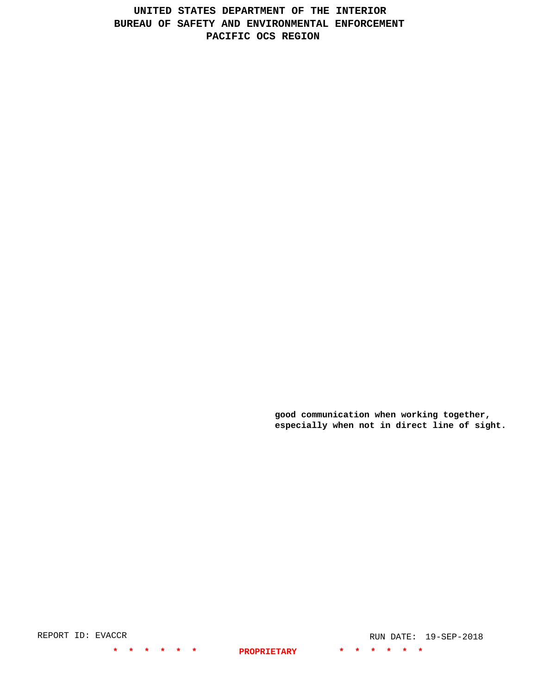**good communication when working together, especially when not in direct line of sight.**

REPORT ID: EVACCR RUN DATE: 19-SEP-2018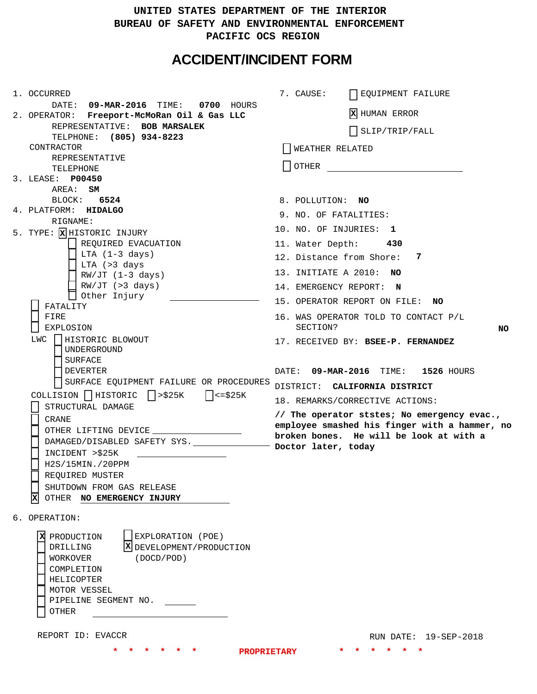| 1. OCCURRED<br>DATE: 09-MAR-2016 TIME:<br>0700 HOURS<br>2. OPERATOR: Freeport-McMoRan Oil & Gas LLC<br>REPRESENTATIVE: BOB MARSALEK<br>TELPHONE: (805) 934-8223<br>CONTRACTOR<br>REPRESENTATIVE<br><b>TELEPHONE</b><br>3. LEASE: P00450                                                                                                                                                                | 7. CAUSE:<br>  EQUIPMENT FAILURE<br><b>X</b> HUMAN ERROR<br>SLIP/TRIP/FALL<br>WEATHER RELATED<br>OTHER                                                                                                                                                                                                         |
|--------------------------------------------------------------------------------------------------------------------------------------------------------------------------------------------------------------------------------------------------------------------------------------------------------------------------------------------------------------------------------------------------------|----------------------------------------------------------------------------------------------------------------------------------------------------------------------------------------------------------------------------------------------------------------------------------------------------------------|
| AREA:<br>SM<br>6524<br>BLOCK:                                                                                                                                                                                                                                                                                                                                                                          | 8. POLLUTION: NO                                                                                                                                                                                                                                                                                               |
| 4. PLATFORM: HIDALGO                                                                                                                                                                                                                                                                                                                                                                                   | 9. NO. OF FATALITIES:                                                                                                                                                                                                                                                                                          |
| RIGNAME:<br>5. TYPE: X HISTORIC INJURY                                                                                                                                                                                                                                                                                                                                                                 | 10. NO. OF INJURIES: 1                                                                                                                                                                                                                                                                                         |
| REQUIRED EVACUATION                                                                                                                                                                                                                                                                                                                                                                                    | 11. Water Depth:<br>430                                                                                                                                                                                                                                                                                        |
| $LTA$ $(1-3 \text{ days})$                                                                                                                                                                                                                                                                                                                                                                             | 12. Distance from Shore:<br>7                                                                                                                                                                                                                                                                                  |
| LTA (>3 days<br>$RW/JT$ (1-3 days)                                                                                                                                                                                                                                                                                                                                                                     | 13. INITIATE A 2010: NO                                                                                                                                                                                                                                                                                        |
| $RW/JT$ (>3 days)                                                                                                                                                                                                                                                                                                                                                                                      | 14. EMERGENCY REPORT: N                                                                                                                                                                                                                                                                                        |
| Other Injury                                                                                                                                                                                                                                                                                                                                                                                           | 15. OPERATOR REPORT ON FILE:<br>NO                                                                                                                                                                                                                                                                             |
| FATALITY<br>FIRE                                                                                                                                                                                                                                                                                                                                                                                       | 16. WAS OPERATOR TOLD TO CONTACT P/L                                                                                                                                                                                                                                                                           |
| <b>EXPLOSION</b>                                                                                                                                                                                                                                                                                                                                                                                       | SECTION?<br>NO.                                                                                                                                                                                                                                                                                                |
| LWC<br>HISTORIC BLOWOUT<br>UNDERGROUND<br><b>SURFACE</b><br>DEVERTER<br>SURFACE EQUIPMENT FAILURE OR PROCEDURES<br>COLLISION   HISTORIC   >\$25K<br>    <=\$25K<br>STRUCTURAL DAMAGE<br><b>CRANE</b><br>OTHER LIFTING DEVICE _____________________<br>DAMAGED/DISABLED SAFETY SYS.<br>INCIDENT >\$25K<br>H2S/15MIN./20PPM<br>REQUIRED MUSTER<br>SHUTDOWN FROM GAS RELEASE<br>OTHER NO EMERGENCY INJURY | 17. RECEIVED BY: BSEE-P. FERNANDEZ<br>DATE: 09-MAR-2016 TIME: 1526 HOURS<br>DISTRICT: CALIFORNIA DISTRICT<br>18. REMARKS/CORRECTIVE ACTIONS:<br>// The operator ststes; No emergency evac.,<br>employee smashed his finger with a hammer, no<br>broken bones. He will be look at with a<br>Doctor later, today |
| 6. OPERATION:                                                                                                                                                                                                                                                                                                                                                                                          |                                                                                                                                                                                                                                                                                                                |
| EXPLORATION (POE)<br>X PRODUCTION<br>X DEVELOPMENT / PRODUCTION<br>DRILLING<br>WORKOVER<br>(DOCD/POD)<br>COMPLETION<br>HELICOPTER<br>MOTOR VESSEL<br>PIPELINE SEGMENT NO.<br>OTHER<br>REPORT ID: EVACCR                                                                                                                                                                                                | RUN DATE: 19-SEP-2018                                                                                                                                                                                                                                                                                          |
| $\star$ $\star$<br><b>PROPRIETARY</b>                                                                                                                                                                                                                                                                                                                                                                  | $\star$                                                                                                                                                                                                                                                                                                        |
|                                                                                                                                                                                                                                                                                                                                                                                                        |                                                                                                                                                                                                                                                                                                                |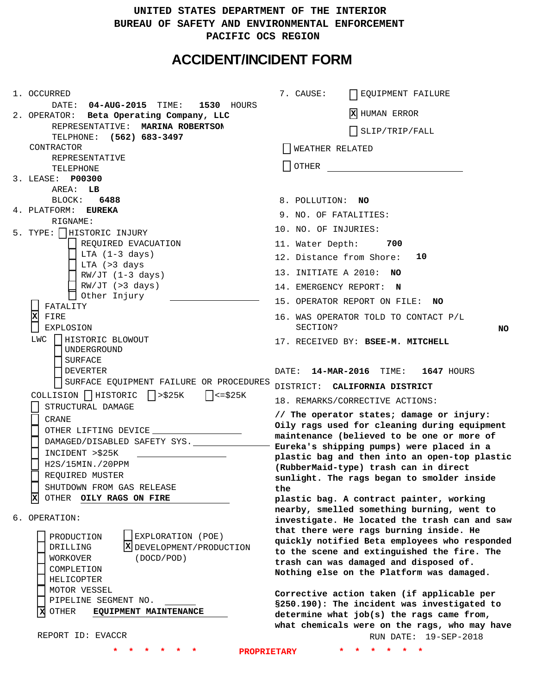| 1. OCCURRED                                                               | EQUIPMENT FAILURE<br>7. CAUSE:                                                              |
|---------------------------------------------------------------------------|---------------------------------------------------------------------------------------------|
| DATE: 04-AUG-2015 TIME:<br><b>1530 HOURS</b>                              |                                                                                             |
| 2. OPERATOR: Beta Operating Company, LLC                                  | <b>X</b> HUMAN ERROR                                                                        |
| REPRESENTATIVE: MARINA ROBERTSON<br>TELPHONE: (562) 683-3497              | SLIP/TRIP/FALL                                                                              |
| CONTRACTOR                                                                | WEATHER RELATED                                                                             |
| REPRESENTATIVE                                                            |                                                                                             |
| TELEPHONE                                                                 | OTHER                                                                                       |
| 3. LEASE: P00300                                                          |                                                                                             |
| AREA: LB                                                                  |                                                                                             |
| BLOCK:<br>6488                                                            | 8. POLLUTION: NO                                                                            |
| 4. PLATFORM: EUREKA                                                       | 9. NO. OF FATALITIES:                                                                       |
| RIGNAME:<br>5. TYPE:   HISTORIC INJURY                                    | 10. NO. OF INJURIES:                                                                        |
| REQUIRED EVACUATION                                                       | 11. Water Depth:<br>700                                                                     |
| $LTA$ $(1-3 \text{ days})$                                                | 10                                                                                          |
| LTA (>3 days                                                              | 12. Distance from Shore:                                                                    |
| $RW/JT$ (1-3 days)                                                        | 13. INITIATE A 2010: NO                                                                     |
| $RW/JT$ (>3 days)                                                         | 14. EMERGENCY REPORT: N                                                                     |
| Other Injury                                                              | 15. OPERATOR REPORT ON FILE: NO                                                             |
| FATALITY<br>x<br>FIRE                                                     | 16. WAS OPERATOR TOLD TO CONTACT P/L                                                        |
| EXPLOSION                                                                 | SECTION?<br>NO.                                                                             |
| LWC     HISTORIC BLOWOUT                                                  |                                                                                             |
| UNDERGROUND                                                               | 17. RECEIVED BY: BSEE-M. MITCHELL                                                           |
| <b>SURFACE</b>                                                            |                                                                                             |
| DEVERTER                                                                  | DATE: $14-MAR-2016$ TIME:<br>1647 HOURS                                                     |
| SURFACE EQUIPMENT FAILURE OR PROCEDURES                                   | DISTRICT: CALIFORNIA DISTRICT                                                               |
| COLLISION $\bigcap$ HISTORIC $\bigcap$ >\$25K<br>$\vert$ $\vert$ <= \$25K | 18. REMARKS/CORRECTIVE ACTIONS:                                                             |
| STRUCTURAL DAMAGE                                                         |                                                                                             |
| CRANE                                                                     | // The operator states; damage or injury:                                                   |
| OTHER LIFTING DEVICE ____________________                                 | Oily rags used for cleaning during equipment<br>maintenance (believed to be one or more of  |
| DAMAGED/DISABLED SAFETY SYS.                                              | Eureka's shipping pumps) were placed in a                                                   |
| INCIDENT >\$25K                                                           | plastic bag and then into an open-top plastic                                               |
| H2S/15MIN./20PPM                                                          | (RubberMaid-type) trash can in direct                                                       |
| REQUIRED MUSTER                                                           | sunlight. The rags began to smolder inside                                                  |
| SHUTDOWN FROM GAS RELEASE                                                 | the                                                                                         |
| x<br>OTHER OILY RAGS ON FIRE                                              | plastic bag. A contract painter, working                                                    |
| 6. OPERATION:                                                             | nearby, smelled something burning, went to<br>investigate. He located the trash can and saw |
|                                                                           | that there were rags burning inside. He                                                     |
| EXPLORATION (POE)<br>PRODUCTION                                           | quickly notified Beta employees who responded                                               |
| DEVELOPMENT/PRODUCTION<br>DRILLING                                        | to the scene and extinguished the fire. The                                                 |
| WORKOVER<br>(DOCD/POD)                                                    | trash can was damaged and disposed of.                                                      |
| COMPLETION<br>HELICOPTER                                                  | Nothing else on the Platform was damaged.                                                   |
| MOTOR VESSEL                                                              |                                                                                             |
| PIPELINE SEGMENT NO.                                                      | Corrective action taken (if applicable per<br>§250.190): The incident was investigated to   |
| x<br>OTHER<br>EQUIPMENT MAINTENANCE                                       | determine what job(s) the rags came from,                                                   |
|                                                                           | what chemicals were on the rags, who may have                                               |
| REPORT ID: EVACCR                                                         | RUN DATE: 19-SEP-2018                                                                       |
| <b>PROPRIETARY</b>                                                        | $\ast$                                                                                      |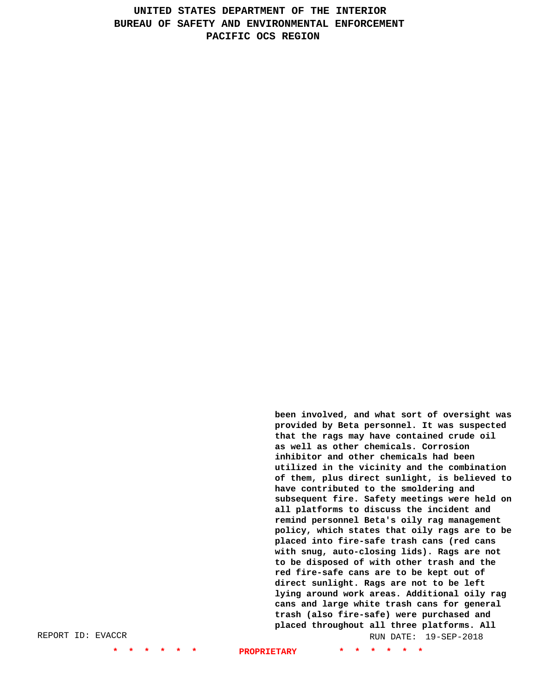REPORT ID: EVACCR **RUN DATE: 19-SEP-2018 been involved, and what sort of oversight was provided by Beta personnel. It was suspected that the rags may have contained crude oil as well as other chemicals. Corrosion inhibitor and other chemicals had been utilized in the vicinity and the combination of them, plus direct sunlight, is believed to have contributed to the smoldering and subsequent fire. Safety meetings were held on all platforms to discuss the incident and remind personnel Beta's oily rag management policy, which states that oily rags are to be placed into fire-safe trash cans (red cans with snug, auto-closing lids). Rags are not to be disposed of with other trash and the red fire-safe cans are to be kept out of direct sunlight. Rags are not to be left lying around work areas. Additional oily rag cans and large white trash cans for general trash (also fire-safe) were purchased and placed throughout all three platforms. All**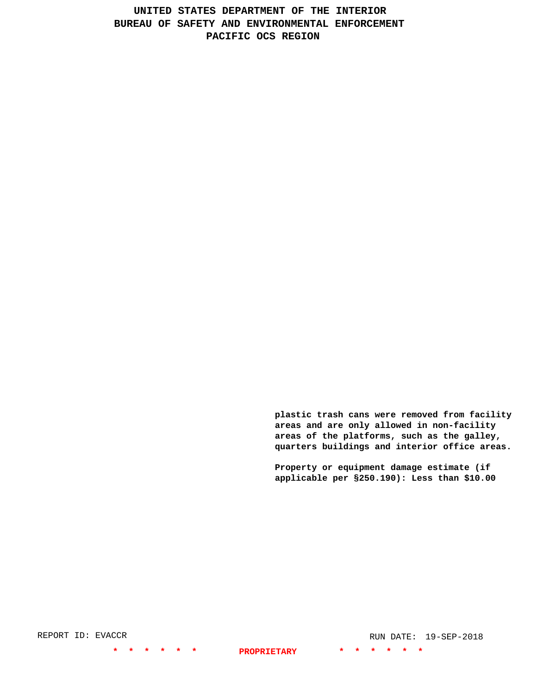**plastic trash cans were removed from facility areas and are only allowed in non-facility areas of the platforms, such as the galley, quarters buildings and interior office areas.**

**Property or equipment damage estimate (if applicable per §250.190): Less than \$10.00**

REPORT ID: EVACCR RUN DATE: 19-SEP-2018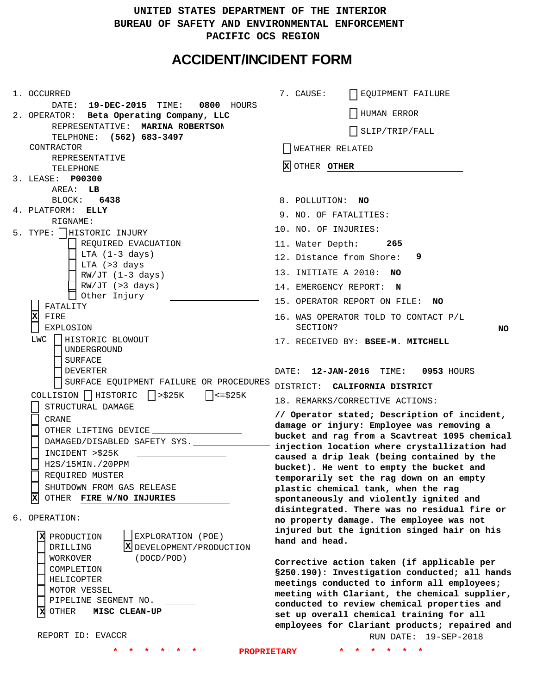| 1. OCCURRED                                                  | EQUIPMENT FAILURE<br>7. CAUSE:                                                              |
|--------------------------------------------------------------|---------------------------------------------------------------------------------------------|
| DATE: 19-DEC-2015 TIME:<br><b>0800 HOURS</b>                 |                                                                                             |
| 2. OPERATOR: Beta Operating Company, LLC                     | HUMAN ERROR                                                                                 |
| REPRESENTATIVE: MARINA ROBERTSON<br>TELPHONE: (562) 683-3497 | SLIP/TRIP/FALL                                                                              |
| CONTRACTOR                                                   | WEATHER RELATED                                                                             |
| REPRESENTATIVE                                               |                                                                                             |
| TELEPHONE                                                    | <b>X</b> OTHER <b>OTHER</b>                                                                 |
| 3. LEASE: P00300                                             |                                                                                             |
| AREA: LB                                                     |                                                                                             |
| <b>BLOCK: 6438</b>                                           | 8. POLLUTION: NO                                                                            |
| 4. PLATFORM: ELLY<br>RIGNAME:                                | 9. NO. OF FATALITIES:                                                                       |
| 5. TYPE: HISTORIC INJURY                                     | 10. NO. OF INJURIES:                                                                        |
| REQUIRED EVACUATION                                          | 11. Water Depth:<br>265                                                                     |
| $LTA$ $(1-3 days)$                                           | 12. Distance from Shore:<br>9                                                               |
| LTA (>3 days                                                 |                                                                                             |
| $RW/JT$ (1-3 days)                                           | 13. INITIATE A 2010: NO                                                                     |
| $RW/JT$ (>3 days)                                            | 14. EMERGENCY REPORT: N                                                                     |
| Other Injury                                                 | 15. OPERATOR REPORT ON FILE: NO                                                             |
| FATALITY<br> x<br>FIRE                                       | 16. WAS OPERATOR TOLD TO CONTACT P/L                                                        |
| <b>EXPLOSION</b>                                             | SECTION?<br>NO.                                                                             |
| LWC<br>  HISTORIC BLOWOUT                                    | 17. RECEIVED BY: BSEE-M. MITCHELL                                                           |
| UNDERGROUND                                                  |                                                                                             |
| <b>SURFACE</b>                                               |                                                                                             |
| DEVERTER                                                     | DATE: 12-JAN-2016 TIME:<br>0953 HOURS                                                       |
| SURFACE EQUIPMENT FAILURE OR PROCEDURES                      | DISTRICT: CALIFORNIA DISTRICT                                                               |
| COLLISION HISTORIC $\bigcap$ >\$25K<br>$\bigcap$ <= \$25K    | 18. REMARKS/CORRECTIVE ACTIONS:                                                             |
| STRUCTURAL DAMAGE                                            | // Operator stated; Description of incident,                                                |
| CRANE                                                        | damage or injury: Employee was removing a                                                   |
|                                                              | bucket and rag from a Scavtreat 1095 chemical                                               |
| DAMAGED/DISABLED SAFETY SYS.                                 | injection location where crystallization had                                                |
| INCIDENT >\$25K<br>H2S/15MIN./20PPM                          | caused a drip leak (being contained by the                                                  |
| REQUIRED MUSTER                                              | bucket). He went to empty the bucket and                                                    |
| SHUTDOWN FROM GAS RELEASE                                    | temporarily set the rag down on an empty                                                    |
| x<br>OTHER FIRE W/NO INJURIES                                | plastic chemical tank, when the rag<br>spontaneously and violently ignited and              |
|                                                              | disintegrated. There was no residual fire or                                                |
| 6. OPERATION:                                                | no property damage. The employee was not                                                    |
| EXPLORATION (POE)<br>PRODUCTION                              | injured but the ignition singed hair on his                                                 |
| x <br>DEVELOPMENT/PRODUCTION<br>DRILLING                     | hand and head.                                                                              |
| WORKOVER<br>(DOCD/POD)                                       |                                                                                             |
| COMPLETION                                                   | Corrective action taken (if applicable per<br>§250.190): Investigation conducted; all hands |
| HELICOPTER                                                   | meetings conducted to inform all employees;                                                 |
| MOTOR VESSEL                                                 | meeting with Clariant, the chemical supplier,                                               |
| PIPELINE SEGMENT NO.                                         | conducted to review chemical properties and                                                 |
| OTHER<br>MISC CLEAN-UP<br>x                                  | set up overall chemical training for all                                                    |
|                                                              | employees for Clariant products; repaired and                                               |
| REPORT ID: EVACCR                                            | RUN DATE: 19-SEP-2018                                                                       |
| <b>PROPRIETARY</b>                                           |                                                                                             |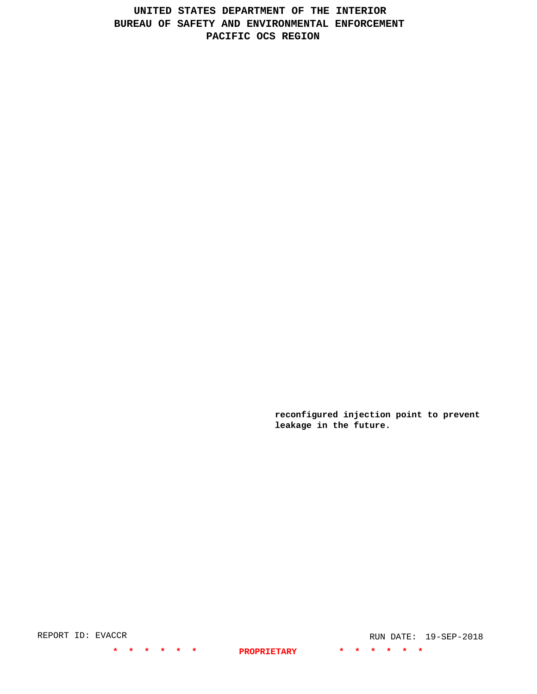**reconfigured injection point to prevent leakage in the future.**

**\* \* \* \* \* \* PROPRIETARY \* \* \* \* \* \***

REPORT ID: EVACCR RUN DATE: 19-SEP-2018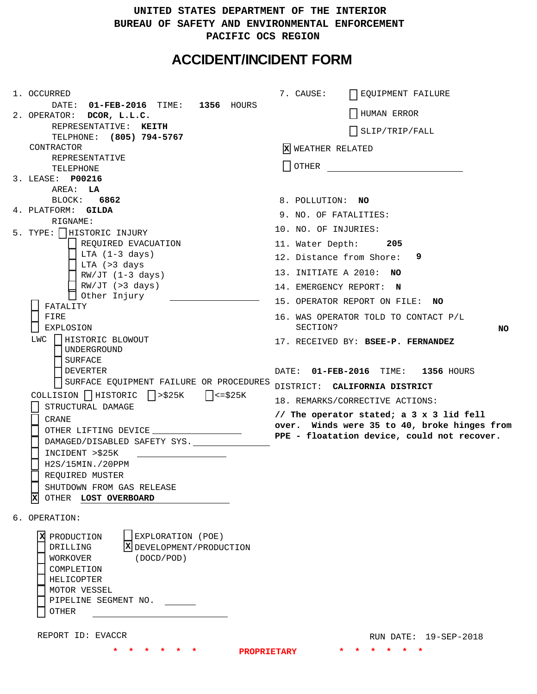| 1. OCCURRED<br>DATE: 01-FEB-2016 TIME: 1356 HOURS<br>2. OPERATOR: DCOR, L.L.C.<br>REPRESENTATIVE: KEITH<br>TELPHONE: (805) 794-5767<br>CONTRACTOR<br>REPRESENTATIVE<br>TELEPHONE                                                                                                                          | 7. CAUSE:<br>EQUIPMENT FAILURE<br>HUMAN ERROR<br>SLIP/TRIP/FALL<br><b>X</b> WEATHER RELATED<br>OTHER                                                                                                                                                                                                                |
|-----------------------------------------------------------------------------------------------------------------------------------------------------------------------------------------------------------------------------------------------------------------------------------------------------------|---------------------------------------------------------------------------------------------------------------------------------------------------------------------------------------------------------------------------------------------------------------------------------------------------------------------|
| 3. LEASE: P00216<br>AREA: LA                                                                                                                                                                                                                                                                              |                                                                                                                                                                                                                                                                                                                     |
| BLOCK:<br>6862<br>4. PLATFORM: GILDA                                                                                                                                                                                                                                                                      | 8. POLLUTION: NO                                                                                                                                                                                                                                                                                                    |
| RIGNAME:                                                                                                                                                                                                                                                                                                  | 9. NO. OF FATALITIES:                                                                                                                                                                                                                                                                                               |
| 5. TYPE: HISTORIC INJURY<br>REQUIRED EVACUATION<br>$LTA$ $(1-3 \text{ days})$<br>LTA (>3 days<br>$RW/JT$ (1-3 days)<br>$RW/JT$ (>3 days)<br>Other Injury<br>FATALITY<br>FIRE<br>EXPLOSION<br>LWC<br>    HISTORIC BLOWOUT<br>UNDERGROUND<br>SURFACE<br>DEVERTER<br>SURFACE EQUIPMENT FAILURE OR PROCEDURES | 10. NO. OF INJURIES:<br>11. Water Depth:<br>205<br>12. Distance from Shore:<br>9<br>13. INITIATE A 2010: NO<br>14. EMERGENCY REPORT: N<br>15. OPERATOR REPORT ON FILE:<br>NO<br>16. WAS OPERATOR TOLD TO CONTACT P/L<br>SECTION?<br>NO.<br>17. RECEIVED BY: BSEE-P. FERNANDEZ<br>DATE: 01-FEB-2016 TIME: 1356 HOURS |
| COLLISION $\Box$ HISTORIC $\Box$ >\$25K<br>$\log$ $\leq$ = \$25K                                                                                                                                                                                                                                          | DISTRICT: CALIFORNIA DISTRICT                                                                                                                                                                                                                                                                                       |
| STRUCTURAL DAMAGE<br>CRANE<br>OTHER LIFTING DEVICE ____________________<br>DAMAGED/DISABLED SAFETY SYS.<br>INCIDENT >\$25K<br>H2S/15MIN./20PPM<br>REQUIRED MUSTER<br>SHUTDOWN FROM GAS RELEASE<br>OTHER LOST OVERBOARD                                                                                    | 18. REMARKS/CORRECTIVE ACTIONS:<br>// The operator stated; a 3 x 3 lid fell<br>over. Winds were 35 to 40, broke hinges from<br>PPE - floatation device, could not recover.                                                                                                                                          |
| 6. OPERATION:                                                                                                                                                                                                                                                                                             |                                                                                                                                                                                                                                                                                                                     |
| EXPLORATION (POE)<br>X PRODUCTION<br>X DEVELOPMENT / PRODUCTION<br>DRILLING<br>WORKOVER<br>(DOCD/POD)<br>COMPLETION<br>HELICOPTER<br>MOTOR VESSEL<br>PIPELINE SEGMENT NO.<br><b>OTHER</b><br>REPORT ID: EVACCR                                                                                            | RUN DATE: 19-SEP-2018                                                                                                                                                                                                                                                                                               |
| <b>PROPRIETARY</b>                                                                                                                                                                                                                                                                                        |                                                                                                                                                                                                                                                                                                                     |
|                                                                                                                                                                                                                                                                                                           |                                                                                                                                                                                                                                                                                                                     |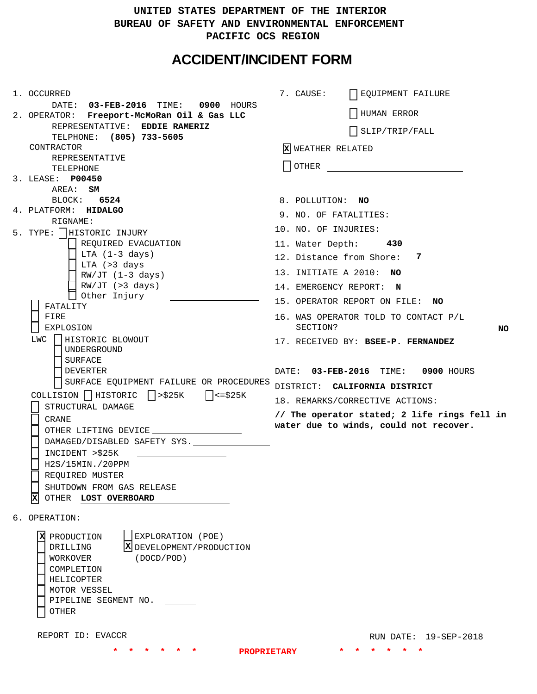| 1. OCCURRED<br>DATE: 03-FEB-2016 TIME:<br>0900 HOURS<br>2. OPERATOR: Freeport-McMoRan Oil & Gas LLC<br>REPRESENTATIVE: EDDIE RAMERIZ<br>TELPHONE: (805) 733-5605<br>CONTRACTOR<br>REPRESENTATIVE<br>TELEPHONE<br>3. LEASE: P00450 | 7. CAUSE:<br>EQUIPMENT FAILURE<br>HUMAN ERROR<br>SLIP/TRIP/FALL<br><b>X</b> WEATHER RELATED<br>OTHER |
|-----------------------------------------------------------------------------------------------------------------------------------------------------------------------------------------------------------------------------------|------------------------------------------------------------------------------------------------------|
| AREA:<br>SM<br>6524<br>BLOCK:                                                                                                                                                                                                     | 8. POLLUTION: NO                                                                                     |
| 4. PLATFORM: HIDALGO                                                                                                                                                                                                              | 9. NO. OF FATALITIES:                                                                                |
| RIGNAME:                                                                                                                                                                                                                          |                                                                                                      |
| 5. TYPE: HISTORIC INJURY                                                                                                                                                                                                          | 10. NO. OF INJURIES:                                                                                 |
| REQUIRED EVACUATION<br>$LTA$ $(1-3 \text{ days})$                                                                                                                                                                                 | 11. Water Depth:<br>430                                                                              |
| LTA (>3 days                                                                                                                                                                                                                      | 12. Distance from Shore:<br>-7                                                                       |
| $RW/JT$ (1-3 days)                                                                                                                                                                                                                | 13. INITIATE A 2010: NO                                                                              |
| $RW/JT$ (>3 days)                                                                                                                                                                                                                 | 14. EMERGENCY REPORT: N                                                                              |
| Other Injury                                                                                                                                                                                                                      | 15. OPERATOR REPORT ON FILE:<br>NO                                                                   |
| FATALITY<br>FIRE                                                                                                                                                                                                                  | 16. WAS OPERATOR TOLD TO CONTACT P/L                                                                 |
| EXPLOSION                                                                                                                                                                                                                         | SECTION?<br>NO.                                                                                      |
| LWC<br>HISTORIC BLOWOUT<br>UNDERGROUND<br><b>SURFACE</b><br>DEVERTER<br>SURFACE EQUIPMENT FAILURE OR PROCEDURES                                                                                                                   | 17. RECEIVED BY: BSEE-P. FERNANDEZ<br>DATE: 03-FEB-2016 TIME: 0900 HOURS                             |
| COLLISION   HISTORIC   >\$25K<br>$\sqrt{5}$ <= \$25K                                                                                                                                                                              | DISTRICT: CALIFORNIA DISTRICT                                                                        |
| STRUCTURAL DAMAGE                                                                                                                                                                                                                 | 18. REMARKS/CORRECTIVE ACTIONS:                                                                      |
| CRANE<br>DAMAGED/DISABLED SAFETY SYS.<br>INCIDENT >\$25K<br>H2S/15MIN./20PPM<br>REQUIRED MUSTER<br>SHUTDOWN FROM GAS RELEASE<br>OTHER LOST OVERBOARD                                                                              | // The operator stated; 2 life rings fell in<br>water due to winds, could not recover.               |
| 6. OPERATION:                                                                                                                                                                                                                     |                                                                                                      |
| EXPLORATION (POE)<br>X PRODUCTION<br>X DEVELOPMENT / PRODUCTION<br>DRILLING<br>WORKOVER<br>(DOCD/POD)<br>COMPLETION<br><b>HELICOPTER</b><br>MOTOR VESSEL<br>PIPELINE SEGMENT NO.<br>OTHER                                         |                                                                                                      |
| REPORT ID: EVACCR                                                                                                                                                                                                                 | RUN DATE: 19-SEP-2018                                                                                |
| * * * * *<br><b>PROPRIETARY</b>                                                                                                                                                                                                   | $\star$<br>$\ast$<br>$\star$<br>$\star$                                                              |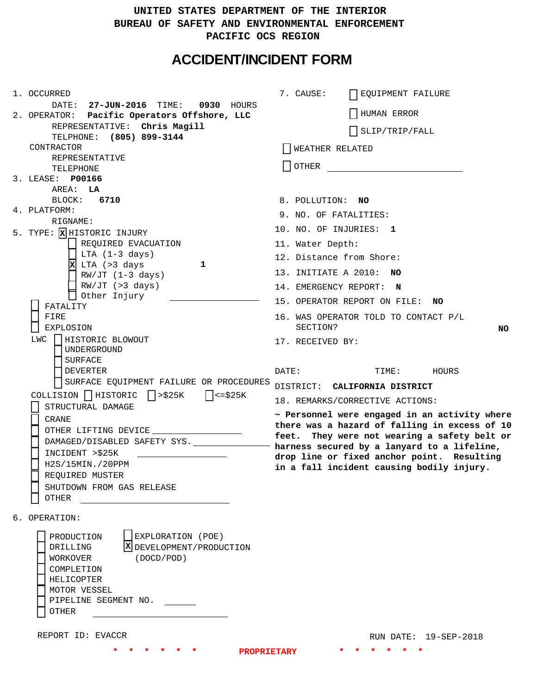| 1. OCCURRED<br>$27 - JUN - 2016$ TIME:<br>0930 HOURS<br>DATE:<br>2. OPERATOR: Pacific Operators Offshore, LLC<br>REPRESENTATIVE: Chris Magill<br>TELPHONE: (805) 899-3144<br>CONTRACTOR<br>REPRESENTATIVE<br>TELEPHONE<br>3. LEASE: P00166 | 7. CAUSE:<br>EQUIPMENT FAILURE<br>HUMAN ERROR<br>SLIP/TRIP/FALL<br>WEATHER RELATED<br>OTHER                                                                                                                                                                                              |
|--------------------------------------------------------------------------------------------------------------------------------------------------------------------------------------------------------------------------------------------|------------------------------------------------------------------------------------------------------------------------------------------------------------------------------------------------------------------------------------------------------------------------------------------|
| AREA: LA                                                                                                                                                                                                                                   |                                                                                                                                                                                                                                                                                          |
| 6710<br>BLOCK:<br>4. PLATFORM:                                                                                                                                                                                                             | 8. POLLUTION: NO                                                                                                                                                                                                                                                                         |
| RIGNAME:                                                                                                                                                                                                                                   | 9. NO. OF FATALITIES:                                                                                                                                                                                                                                                                    |
| 5. TYPE: X HISTORIC INJURY                                                                                                                                                                                                                 | 10. NO. OF INJURIES: 1                                                                                                                                                                                                                                                                   |
| REQUIRED EVACUATION                                                                                                                                                                                                                        | 11. Water Depth:                                                                                                                                                                                                                                                                         |
| $LTA$ $(1-3 \text{ days})$<br>$\mathbf{x}$ LTA (>3 days<br>1                                                                                                                                                                               | 12. Distance from Shore:                                                                                                                                                                                                                                                                 |
| $RW/JT$ (1-3 days)                                                                                                                                                                                                                         | 13. INITIATE A 2010: NO                                                                                                                                                                                                                                                                  |
| $RW/JT$ (>3 days)                                                                                                                                                                                                                          | 14. EMERGENCY REPORT: N                                                                                                                                                                                                                                                                  |
| Other Injury<br>FATALITY                                                                                                                                                                                                                   | 15. OPERATOR REPORT ON FILE:<br>NO.                                                                                                                                                                                                                                                      |
| FIRE<br>EXPLOSION                                                                                                                                                                                                                          | 16. WAS OPERATOR TOLD TO CONTACT P/L<br>SECTION?<br>NO.                                                                                                                                                                                                                                  |
| HISTORIC BLOWOUT<br>LWC<br>UNDERGROUND                                                                                                                                                                                                     | 17. RECEIVED BY:                                                                                                                                                                                                                                                                         |
| <b>SURFACE</b><br>DEVERTER                                                                                                                                                                                                                 | DATE:<br>TIME:<br>HOURS                                                                                                                                                                                                                                                                  |
| SURFACE EQUIPMENT FAILURE OR PROCEDURES                                                                                                                                                                                                    | DISTRICT: CALIFORNIA DISTRICT                                                                                                                                                                                                                                                            |
| COLLISION   HISTORIC   $\rightarrow$ \$25K<br>$\le$ = $$25K$<br>STRUCTURAL DAMAGE                                                                                                                                                          | 18. REMARKS/CORRECTIVE ACTIONS:                                                                                                                                                                                                                                                          |
| CRANE<br>OTHER LIFTING DEVICE ____________________<br>DAMAGED/DISABLED SAFETY SYS.<br>INCIDENT >\$25K<br>H2S/15MIN./20PPM<br>REQUIRED MUSTER<br>SHUTDOWN FROM GAS RELEASE<br>OTHER                                                         | ~ Personnel were engaged in an activity where<br>there was a hazard of falling in excess of 10<br>feet. They were not wearing a safety belt or<br>harness secured by a lanyard to a lifeline,<br>drop line or fixed anchor point. Resulting<br>in a fall incident causing bodily injury. |
| 6. OPERATION:                                                                                                                                                                                                                              |                                                                                                                                                                                                                                                                                          |
| EXPLORATION (POE)<br>PRODUCTION<br>X DEVELOPMENT / PRODUCTION<br>DRILLING<br>WORKOVER<br>(DOCD/POD)<br>COMPLETION<br>HELICOPTER<br>MOTOR VESSEL<br>PIPELINE SEGMENT NO.<br>OTHER                                                           |                                                                                                                                                                                                                                                                                          |
| REPORT ID: EVACCR                                                                                                                                                                                                                          | RUN DATE: 19-SEP-2018                                                                                                                                                                                                                                                                    |
|                                                                                                                                                                                                                                            | <b>PROPRIETARY</b>                                                                                                                                                                                                                                                                       |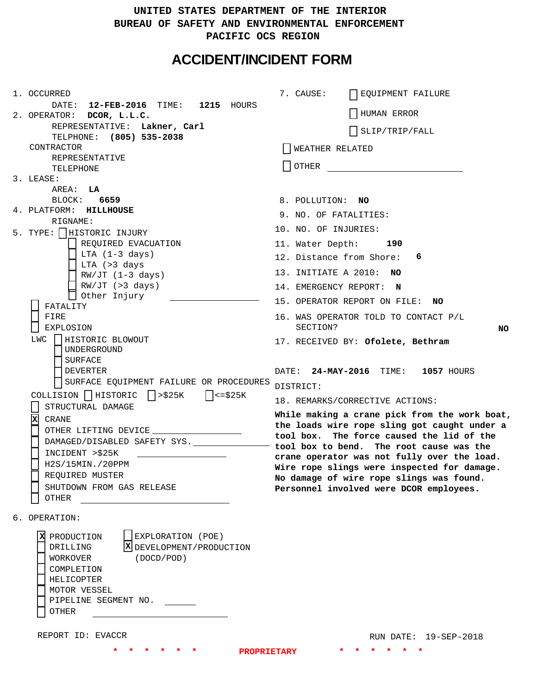| 1. OCCURRED                                               | 7. CAUSE:<br>EQUIPMENT FAILURE                                                        |
|-----------------------------------------------------------|---------------------------------------------------------------------------------------|
| DATE: $12$ -FEB-2016 TIME:<br><b>1215</b> HOURS           | HUMAN ERROR                                                                           |
| 2. OPERATOR: DCOR, L.L.C.<br>REPRESENTATIVE: Lakner, Carl |                                                                                       |
| TELPHONE: (805) 535-2038                                  | SLIP/TRIP/FALL                                                                        |
| CONTRACTOR                                                | WEATHER RELATED                                                                       |
| REPRESENTATIVE<br>TELEPHONE                               | OTHER                                                                                 |
| 3. LEASE:                                                 |                                                                                       |
| AREA: LA                                                  |                                                                                       |
| BLOCK:<br>6659<br>4. PLATFORM: HILLHOUSE                  | 8. POLLUTION: NO                                                                      |
| RIGNAME:                                                  | 9. NO. OF FATALITIES:                                                                 |
| 5. TYPE: HISTORIC INJURY                                  | 10. NO. OF INJURIES:                                                                  |
| REQUIRED EVACUATION                                       | 11. Water Depth:<br>190                                                               |
| $LTA$ $(1-3 \text{ days})$<br>$LTA$ (>3 days              | 12. Distance from Shore:<br>-6                                                        |
| $RW/JT$ (1-3 days)                                        | 13. INITIATE A 2010: NO                                                               |
| $RW/JT$ (>3 days)                                         | 14. EMERGENCY REPORT: N                                                               |
| Other Injury<br>FATALITY                                  | 15. OPERATOR REPORT ON FILE: NO                                                       |
| FIRE                                                      | 16. WAS OPERATOR TOLD TO CONTACT P/L                                                  |
| EXPLOSION                                                 | SECTION?<br>NO.                                                                       |
| LWC<br>HISTORIC BLOWOUT                                   | 17. RECEIVED BY: Ofolete, Bethram                                                     |
| UNDERGROUND<br><b>SURFACE</b>                             |                                                                                       |
| DEVERTER                                                  | DATE: $24-MAY-2016$ TIME:<br>1057 HOURS                                               |
| SURFACE EQUIPMENT FAILURE OR PROCEDURES                   | DISTRICT:                                                                             |
| COLLISION HISTORIC $ $ > \$25K<br>  $\vert$ <= \$25K      | 18. REMARKS/CORRECTIVE ACTIONS:                                                       |
| STRUCTURAL DAMAGE                                         | While making a crane pick from the work boat,                                         |
| x <br>CRANE<br>OTHER LIFTING DEVICE ____________________  | the loads wire rope sling got caught under a                                          |
| DAMAGED/DISABLED SAFETY SYS.                              | tool box. The force caused the lid of the<br>tool box to bend. The root cause was the |
| INCIDENT >\$25K                                           | crane operator was not fully over the load.                                           |
| H2S/15MIN./20PPM                                          | Wire rope slings were inspected for damage.                                           |
| REOUIRED MUSTER<br>SHUTDOWN FROM GAS RELEASE              | No damage of wire rope slings was found.                                              |
| OTHER                                                     | Personnel involved were DCOR employees.                                               |
|                                                           |                                                                                       |
| 6. OPERATION:                                             |                                                                                       |
| x<br>$\Box$ EXPLORATION (POE)<br>PRODUCTION               |                                                                                       |
| X DEVELOPMENT / PRODUCTION<br>DRILLING                    |                                                                                       |
| WORKOVER<br>(DOCD/POD)<br>COMPLETION                      |                                                                                       |
| HELICOPTER                                                |                                                                                       |
| MOTOR VESSEL                                              |                                                                                       |
| PIPELINE SEGMENT NO.<br>OTHER                             |                                                                                       |
|                                                           |                                                                                       |
| REPORT ID: EVACCR                                         | RUN DATE: 19-SEP-2018                                                                 |
| <b>PROPRIETARY</b>                                        |                                                                                       |
|                                                           |                                                                                       |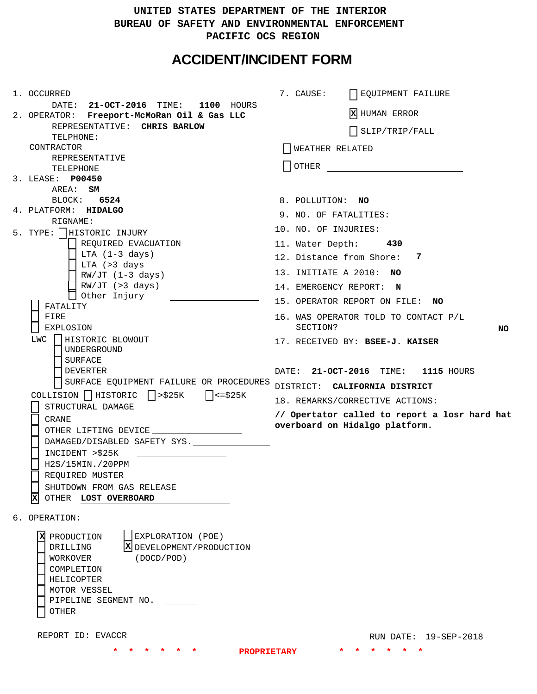| 1. OCCURRED<br>DATE: $21-0CT-2016$ TIME:<br><b>1100 HOURS</b><br>2. OPERATOR: Freeport-McMoRan Oil & Gas LLC<br>REPRESENTATIVE: CHRIS BARLOW<br>TELPHONE:<br>CONTRACTOR<br>REPRESENTATIVE<br><b>TELEPHONE</b><br>3. LEASE: P00450<br>AREA: SM                                                                                                            | EQUIPMENT FAILURE<br>7. CAUSE:<br><b>X</b> HUMAN ERROR<br>SLIP/TRIP/FALL<br>WEATHER RELATED<br>OTHER                                                                                                                         |
|----------------------------------------------------------------------------------------------------------------------------------------------------------------------------------------------------------------------------------------------------------------------------------------------------------------------------------------------------------|------------------------------------------------------------------------------------------------------------------------------------------------------------------------------------------------------------------------------|
| BLOCK:<br>6524                                                                                                                                                                                                                                                                                                                                           | 8. POLLUTION: NO                                                                                                                                                                                                             |
| 4. PLATFORM: HIDALGO                                                                                                                                                                                                                                                                                                                                     | 9. NO. OF FATALITIES:                                                                                                                                                                                                        |
| RIGNAME:                                                                                                                                                                                                                                                                                                                                                 |                                                                                                                                                                                                                              |
| 5. TYPE: HISTORIC INJURY                                                                                                                                                                                                                                                                                                                                 | 10. NO. OF INJURIES:                                                                                                                                                                                                         |
| REQUIRED EVACUATION                                                                                                                                                                                                                                                                                                                                      | 11. Water Depth:<br>430                                                                                                                                                                                                      |
| $LTA$ $(1-3 \text{ days})$                                                                                                                                                                                                                                                                                                                               | 12. Distance from Shore:<br>7                                                                                                                                                                                                |
| LTA (>3 days<br>$RW/JT$ (1-3 days)                                                                                                                                                                                                                                                                                                                       | 13. INITIATE A 2010: NO                                                                                                                                                                                                      |
| $RW/JT$ (>3 days)                                                                                                                                                                                                                                                                                                                                        | 14. EMERGENCY REPORT: N                                                                                                                                                                                                      |
| Other Injury                                                                                                                                                                                                                                                                                                                                             |                                                                                                                                                                                                                              |
| FATALITY                                                                                                                                                                                                                                                                                                                                                 | 15. OPERATOR REPORT ON FILE:<br>NO                                                                                                                                                                                           |
| FIRE                                                                                                                                                                                                                                                                                                                                                     | 16. WAS OPERATOR TOLD TO CONTACT P/L                                                                                                                                                                                         |
| EXPLOSION<br>LWC                                                                                                                                                                                                                                                                                                                                         | SECTION?<br>NO.                                                                                                                                                                                                              |
| HISTORIC BLOWOUT<br>UNDERGROUND<br>SURFACE<br><b>DEVERTER</b><br>SURFACE EQUIPMENT FAILURE OR PROCEDURES<br>COLLISION   HISTORIC   >\$25K<br>$\lceil \cdot \rceil$ <= \$25K<br>STRUCTURAL DAMAGE<br>CRANE<br>DAMAGED/DISABLED SAFETY SYS.<br>INCIDENT >\$25K<br>H2S/15MIN./20PPM<br>REQUIRED MUSTER<br>SHUTDOWN FROM GAS RELEASE<br>OTHER LOST OVERBOARD | 17. RECEIVED BY: BSEE-J. KAISER<br>DATE: 21-OCT-2016 TIME: 1115 HOURS<br>DISTRICT: CALIFORNIA DISTRICT<br>18. REMARKS/CORRECTIVE ACTIONS:<br>// Opertator called to report a losr hard hat<br>overboard on Hidalgo platform. |
| 6. OPERATION:                                                                                                                                                                                                                                                                                                                                            |                                                                                                                                                                                                                              |
| ΙxΙ<br>EXPLORATION (POE)<br>PRODUCTION<br>X DEVELOPMENT/PRODUCTION<br>DRILLING<br>WORKOVER<br>(DOCD/POD)<br>COMPLETION<br>HELICOPTER<br>MOTOR VESSEL<br>PIPELINE SEGMENT NO.<br>OTHER                                                                                                                                                                    |                                                                                                                                                                                                                              |
| REPORT ID: EVACCR                                                                                                                                                                                                                                                                                                                                        | RUN DATE: 19-SEP-2018                                                                                                                                                                                                        |
| * * *<br><b>PROPRIETARY</b>                                                                                                                                                                                                                                                                                                                              | $\ast$<br>$\star$ $\star$                                                                                                                                                                                                    |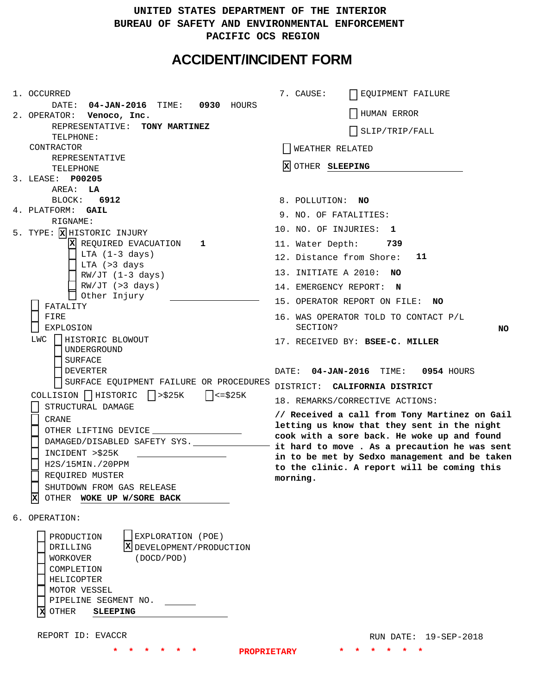| 1. OCCURRED                                                                              | EQUIPMENT FAILURE<br>7. CAUSE:                                                                 |
|------------------------------------------------------------------------------------------|------------------------------------------------------------------------------------------------|
| DATE: 04-JAN-2016 TIME:<br>0930 HOURS                                                    | HUMAN ERROR                                                                                    |
| 2. OPERATOR: Venoco, Inc.<br>REPRESENTATIVE: TONY MARTINEZ                               |                                                                                                |
| TELPHONE:                                                                                | SLIP/TRIP/FALL                                                                                 |
| CONTRACTOR                                                                               | WEATHER RELATED                                                                                |
| REPRESENTATIVE                                                                           |                                                                                                |
| TELEPHONE                                                                                | X OTHER SLEEPING                                                                               |
| 3. LEASE: P00205<br>AREA: LA                                                             |                                                                                                |
| BLOCK:<br>6912                                                                           | 8. POLLUTION: NO                                                                               |
| 4. PLATFORM: GAIL                                                                        | 9. NO. OF FATALITIES:                                                                          |
| RIGNAME:                                                                                 |                                                                                                |
| 5. TYPE: X HISTORIC INJURY                                                               | 10. NO. OF INJURIES:<br>$\mathbf{1}$                                                           |
| X REQUIRED EVACUATION<br>$\mathbf{1}$                                                    | 11. Water Depth:<br>739                                                                        |
| $LTA$ $(1-3 \text{ days})$<br>LTA (>3 days                                               | 12. Distance from Shore:<br>11                                                                 |
| $RW/JT$ (1-3 days)                                                                       | 13. INITIATE A 2010:<br>NO                                                                     |
| $RW/JT$ (>3 days)                                                                        | 14. EMERGENCY REPORT: N                                                                        |
| Other Injury                                                                             | 15. OPERATOR REPORT ON FILE:<br>NO.                                                            |
| FATALITY<br>FIRE                                                                         |                                                                                                |
| EXPLOSION                                                                                | 16. WAS OPERATOR TOLD TO CONTACT P/L<br>SECTION?<br>NO.                                        |
| LWC<br>  HISTORIC BLOWOUT                                                                | 17. RECEIVED BY: BSEE-C. MILLER                                                                |
| UNDERGROUND                                                                              |                                                                                                |
| SURFACE                                                                                  |                                                                                                |
| <b>DEVERTER</b>                                                                          | DATE: 04-JAN-2016 TIME: 0954 HOURS                                                             |
| SURFACE EQUIPMENT FAILURE OR PROCEDURES                                                  | DISTRICT: CALIFORNIA DISTRICT                                                                  |
| COLLISION $\bigcap$ HISTORIC $\bigcap$ >\$25K<br>$\bigcap$ <= \$25K<br>STRUCTURAL DAMAGE | 18. REMARKS/CORRECTIVE ACTIONS:                                                                |
| CRANE                                                                                    | // Received a call from Tony Martinez on Gail                                                  |
| OTHER LIFTING DEVICE REALLY AND MALLER LIFTING DEVICE                                    | letting us know that they sent in the night                                                    |
| DAMAGED/DISABLED SAFETY SYS.                                                             | cook with a sore back. He woke up and found                                                    |
| INCIDENT >\$25K                                                                          | it hard to move . As a precaution he was sent<br>in to be met by Sedxo management and be taken |
| H2S/15MIN./20PPM                                                                         | to the clinic. A report will be coming this                                                    |
| REQUIRED MUSTER                                                                          | morning.                                                                                       |
| SHUTDOWN FROM GAS RELEASE                                                                |                                                                                                |
| OTHER WOKE UP W/SORE BACK                                                                |                                                                                                |
| 6. OPERATION:                                                                            |                                                                                                |
| EXPLORATION (POE)<br>PRODUCTION                                                          |                                                                                                |
| X DEVELOPMENT / PRODUCTION<br>DRILLING                                                   |                                                                                                |
| (DOCD/POD)<br>WORKOVER                                                                   |                                                                                                |
| COMPLETION                                                                               |                                                                                                |
| HELICOPTER                                                                               |                                                                                                |
| MOTOR VESSEL<br>PIPELINE SEGMENT NO.                                                     |                                                                                                |
| OTHER<br><b>SLEEPING</b><br>x                                                            |                                                                                                |
|                                                                                          |                                                                                                |
| REPORT ID: EVACCR                                                                        | RUN DATE: 19-SEP-2018                                                                          |
| <b>PROPRIETARY</b>                                                                       |                                                                                                |
|                                                                                          |                                                                                                |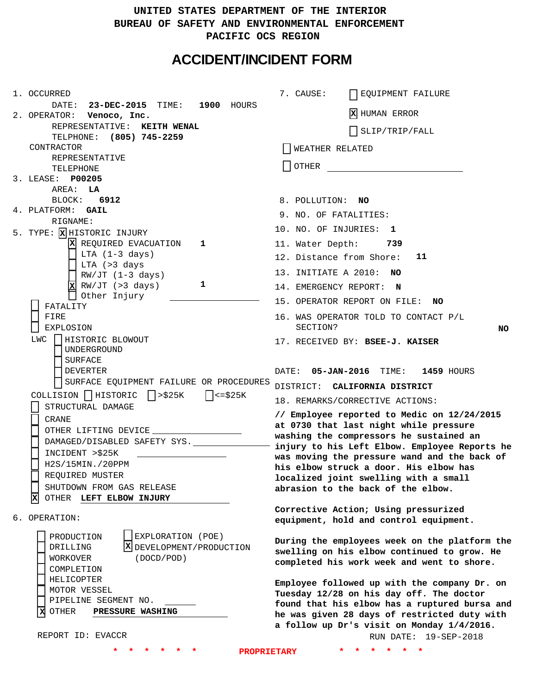| 1. OCCURRED                                                         | EQUIPMENT FAILURE<br>7. CAUSE:                                                                |
|---------------------------------------------------------------------|-----------------------------------------------------------------------------------------------|
| DATE: 23-DEC-2015 TIME:<br><b>1900 HOURS</b>                        |                                                                                               |
| 2. OPERATOR: Venoco, Inc.                                           | <b>X</b> HUMAN ERROR                                                                          |
| REPRESENTATIVE: KEITH WENAL                                         | SLIP/TRIP/FALL                                                                                |
| TELPHONE: (805) 745-2259<br>CONTRACTOR                              |                                                                                               |
| REPRESENTATIVE                                                      | WEATHER RELATED                                                                               |
| TELEPHONE                                                           | OTHER                                                                                         |
| 3. LEASE: P00205                                                    |                                                                                               |
| AREA: LA                                                            |                                                                                               |
| BLOCK:<br>6912                                                      | 8. POLLUTION: NO                                                                              |
| 4. PLATFORM: GAIL                                                   | 9. NO. OF FATALITIES:                                                                         |
| RIGNAME:                                                            | 10. NO. OF INJURIES: 1                                                                        |
| 5. TYPE: X HISTORIC INJURY                                          |                                                                                               |
| X REQUIRED EVACUATION<br>$\mathbf{1}$                               | 11. Water Depth:<br>739                                                                       |
| $LTA$ $(1-3 \text{ days})$<br>LTA (>3 days                          | 12. Distance from Shore:<br>11                                                                |
| $RW/JT$ (1-3 days)                                                  | 13. INITIATE A 2010: NO                                                                       |
| RW/JT (>3 days)<br>1<br>lx                                          | 14. EMERGENCY REPORT: N                                                                       |
| Other Injury                                                        |                                                                                               |
| FATALITY                                                            | 15. OPERATOR REPORT ON FILE: NO                                                               |
| FIRE                                                                | 16. WAS OPERATOR TOLD TO CONTACT P/L                                                          |
| <b>EXPLOSION</b>                                                    | SECTION?<br>NO.                                                                               |
| LWC<br>  HISTORIC BLOWOUT                                           | 17. RECEIVED BY: BSEE-J. KAISER                                                               |
| UNDERGROUND<br><b>SURFACE</b>                                       |                                                                                               |
| <b>DEVERTER</b>                                                     | DATE: $05$ -JAN-2016 TIME:<br><b>1459 HOURS</b>                                               |
| SURFACE EQUIPMENT FAILURE OR PROCEDURES                             |                                                                                               |
| COLLISION $\bigcap$ HISTORIC $\bigcap$ >\$25K<br>$\bigcap$ <= \$25K | DISTRICT: CALIFORNIA DISTRICT                                                                 |
| STRUCTURAL DAMAGE                                                   | 18. REMARKS/CORRECTIVE ACTIONS:                                                               |
| CRANE                                                               | // Employee reported to Medic on 12/24/2015                                                   |
| OTHER LIFTING DEVICE ____________________                           | at 0730 that last night while pressure                                                        |
| DAMAGED/DISABLED SAFETY SYS.                                        | washing the compressors he sustained an                                                       |
| INCIDENT >\$25K                                                     | injury to his Left Elbow. Employee Reports he<br>was moving the pressure wand and the back of |
| H2S/15MIN./20PPM                                                    | his elbow struck a door. His elbow has                                                        |
| REQUIRED MUSTER                                                     | localized joint swelling with a small                                                         |
| SHUTDOWN FROM GAS RELEASE                                           | abrasion to the back of the elbow.                                                            |
| lxl<br>OTHER LEFT ELBOW INJURY                                      |                                                                                               |
|                                                                     | Corrective Action; Using pressurized                                                          |
| 6. OPERATION:                                                       | equipment, hold and control equipment.                                                        |
| EXPLORATION (POE)<br>PRODUCTION                                     | During the employees week on the platform the                                                 |
| X DEVELOPMENT / PRODUCTION<br>DRILLING                              | swelling on his elbow continued to grow. He                                                   |
| WORKOVER<br>(DOCD/POD)                                              | completed his work week and went to shore.                                                    |
| COMPLETION                                                          |                                                                                               |
| HELICOPTER                                                          | Employee followed up with the company Dr. on                                                  |
| MOTOR VESSEL<br>PIPELINE SEGMENT NO.                                | Tuesday 12/28 on his day off. The doctor                                                      |
| OTHER<br>PRESSURE WASHING                                           | found that his elbow has a ruptured bursa and                                                 |
|                                                                     | he was given 28 days of restricted duty with                                                  |
| REPORT ID: EVACCR                                                   | a follow up Dr's visit on Monday 1/4/2016.<br>RUN DATE: 19-SEP-2018                           |
|                                                                     |                                                                                               |
| <b>PROPRIETARY</b>                                                  |                                                                                               |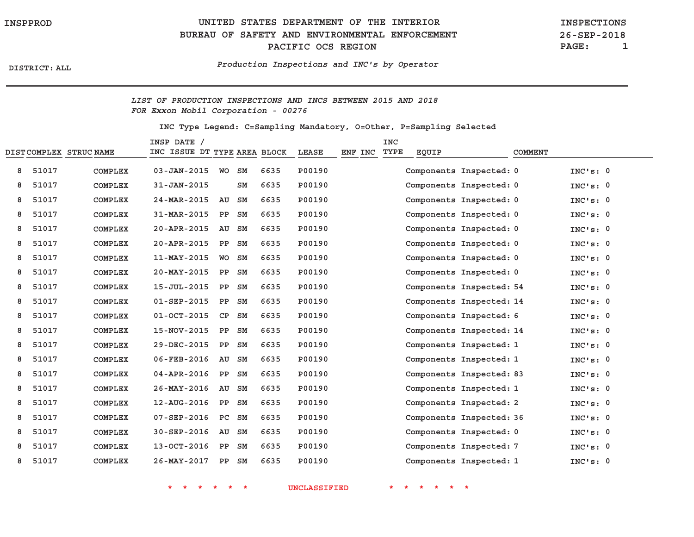#### **INSPECTIONS UNITED STATES DEPARTMENT OF THE INTERIOR**

#### **BUREAU OF SAFETY AND ENVIRONMENTAL ENFORCEMENT**

**PACIFIC OCS REGION**

**26-SEP-2018 PAGE: 1**

**DISTRICT: ALL**

### *Production Inspections and INC's by Operator*

*LIST OF PRODUCTION INSPECTIONS AND INCS BETWEEN 2015 AND 2018FOR Exxon Mobil Corporation - 00276*

### **INC Type Legend: C=Sampling Mandatory, O=Other, P=Sampling Selected**

|   |       |                         | INSP DATE /                  |                        |    |      |              |         | <b>INC</b> |              |                          |                |  |
|---|-------|-------------------------|------------------------------|------------------------|----|------|--------------|---------|------------|--------------|--------------------------|----------------|--|
|   |       | DIST COMPLEX STRUC NAME | INC ISSUE DT TYPE AREA BLOCK |                        |    |      | <b>LEASE</b> | ENF INC | TYPE       | <b>EQUIP</b> |                          | <b>COMMENT</b> |  |
| 8 | 51017 | COMPLEX                 | $03 - JAN - 2015$            | WO                     | SM | 6635 | P00190       |         |            |              | Components Inspected: 0  | INC's: 0       |  |
| 8 | 51017 | <b>COMPLEX</b>          | 31-JAN-2015                  |                        | SM | 6635 | P00190       |         |            |              | Components Inspected: 0  | INC's: 0       |  |
| 8 | 51017 | COMPLEX                 | 24-MAR-2015                  | AU                     | SM | 6635 | P00190       |         |            |              | Components Inspected: 0  | INC's: 0       |  |
| 8 | 51017 | COMPLEX                 | 31-MAR-2015                  | $\tt PP$               | SM | 6635 | P00190       |         |            |              | Components Inspected: 0  | INC's: 0       |  |
| 8 | 51017 | <b>COMPLEX</b>          | 20-APR-2015                  | AU                     | SM | 6635 | P00190       |         |            |              | Components Inspected: 0  | INC's: 0       |  |
| 8 | 51017 | COMPLEX                 | 20-APR-2015                  | $\overline{\text{PP}}$ | SM | 6635 | P00190       |         |            |              | Components Inspected: 0  | INC's: 0       |  |
| 8 | 51017 | <b>COMPLEX</b>          | $11 - MAX - 2015$            | <b>WO</b>              | SM | 6635 | P00190       |         |            |              | Components Inspected: 0  | INC's: 0       |  |
| 8 | 51017 | <b>COMPLEX</b>          | 20-MAY-2015                  | $\mathbf{PP}$          | SM | 6635 | P00190       |         |            |              | Components Inspected: 0  | INC's: 0       |  |
| 8 | 51017 | COMPLEX                 | $15 - JUL - 2015$            | $\overline{PP}$        | SM | 6635 | P00190       |         |            |              | Components Inspected: 54 | INC's: 0       |  |
| 8 | 51017 | COMPLEX                 | 01-SEP-2015                  | $\mathbf{PP}$          | SM | 6635 | P00190       |         |            |              | Components Inspected: 14 | INC's: 0       |  |
| 8 | 51017 | <b>COMPLEX</b>          | $01-0CT-2015$                | CP                     | SM | 6635 | P00190       |         |            |              | Components Inspected: 6  | INC's: 0       |  |
| 8 | 51017 | COMPLEX                 | 15-NOV-2015                  | ${\tt PP}$             | SM | 6635 | P00190       |         |            |              | Components Inspected: 14 | INC's: 0       |  |
| 8 | 51017 | COMPLEX                 | 29-DEC-2015                  | $\overline{PP}$        | SM | 6635 | P00190       |         |            |              | Components Inspected: 1  | INC's: 0       |  |
| 8 | 51017 | <b>COMPLEX</b>          | $06 - FEB - 2016$            | AU                     | SM | 6635 | P00190       |         |            |              | Components Inspected: 1  | INC's: 0       |  |
| 8 | 51017 | <b>COMPLEX</b>          | $04 - APR - 2016$            | $\mathbf{PP}$          | SM | 6635 | P00190       |         |            |              | Components Inspected: 83 | INC's: 0       |  |
| 8 | 51017 | <b>COMPLEX</b>          | $26 - MAX - 2016$            | AU                     | SM | 6635 | P00190       |         |            |              | Components Inspected: 1  | INC's: 0       |  |
| 8 | 51017 | <b>COMPLEX</b>          | 12-AUG-2016                  | $\mathbf{PP}$          | SM | 6635 | P00190       |         |            |              | Components Inspected: 2  | INC's: 0       |  |
| 8 | 51017 | <b>COMPLEX</b>          | $07 - SEP - 2016$            | $_{\rm PC}$            | SM | 6635 | P00190       |         |            |              | Components Inspected: 36 | INC's: 0       |  |
| 8 | 51017 | COMPLEX                 | 30-SEP-2016                  | AU                     | SM | 6635 | P00190       |         |            |              | Components Inspected: 0  | INC's: 0       |  |
| 8 | 51017 | <b>COMPLEX</b>          | 13-OCT-2016                  | $\mathbf{PP}$          | SM | 6635 | P00190       |         |            |              | Components Inspected: 7  | INC's: 0       |  |
| 8 | 51017 | <b>COMPLEX</b>          | $26 - MAX - 2017$            | $\mathbf{PP}$          | SM | 6635 | P00190       |         |            |              | Components Inspected: 1  | INC's: 0       |  |

**\* \* \* \* \* \* UNCLASSIFIED \* \* \* \* \* \***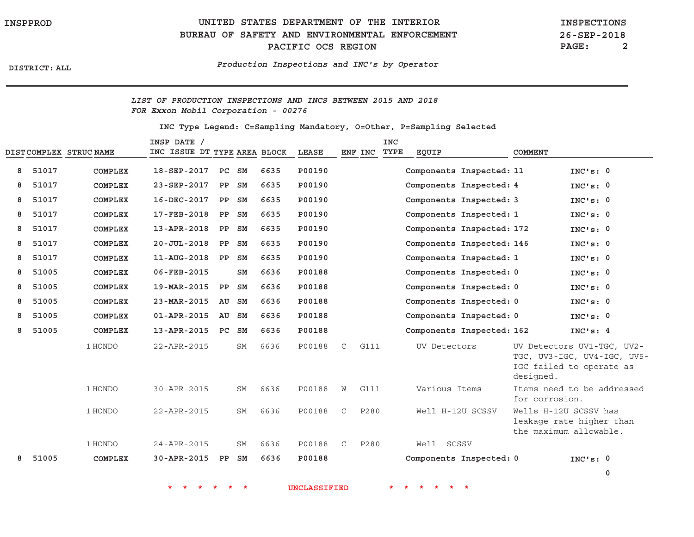#### **INSPECTIONS UNITED STATES DEPARTMENT OF THE INTERIOR**

### **BUREAU OF SAFETY AND ENVIRONMENTAL ENFORCEMENT**

#### **PACIFIC OCS REGION**

**26-SEP-2018 PAGE: 2**

**DISTRICT: ALL**

### *Production Inspections and INC's by Operator*

### *LIST OF PRODUCTION INSPECTIONS AND INCS BETWEEN 2015 AND 2018FOR Exxon Mobil Corporation - 00276*

#### **INC Type Legend: C=Sampling Mandatory, O=Other, P=Sampling Selected**

|   |       |                         | INSP DATE /                  |                     |      |                     |              |         | <b>INC</b>  |                           |                           |                       |                                                                                       |
|---|-------|-------------------------|------------------------------|---------------------|------|---------------------|--------------|---------|-------------|---------------------------|---------------------------|-----------------------|---------------------------------------------------------------------------------------|
|   |       | DIST COMPLEX STRUC NAME | INC ISSUE DT TYPE AREA BLOCK |                     |      | <b>LEASE</b>        |              | ENF INC | <b>TYPE</b> | <b>EQUIP</b>              |                           | <b>COMMENT</b>        |                                                                                       |
| 8 | 51017 | COMPLEX                 | 18-SEP-2017                  | PC<br>SM            | 6635 | P00190              |              |         |             |                           | Components Inspected: 11  |                       | INC's: 0                                                                              |
| 8 | 51017 | <b>COMPLEX</b>          | 23-SEP-2017                  | $\tt PP$<br>SM      | 6635 | P00190              |              |         |             |                           | Components Inspected: 4   |                       | INC's: 0                                                                              |
| 8 | 51017 | <b>COMPLEX</b>          | 16-DEC-2017                  | $\tt PP$<br>SM      | 6635 | P00190              |              |         |             | Components Inspected: 3   |                           |                       | INC's: 0                                                                              |
| 8 | 51017 | <b>COMPLEX</b>          | 17-FEB-2018                  | $\tt PP$<br>SM      | 6635 | P00190              |              |         |             |                           | Components Inspected: 1   |                       | INC's: 0                                                                              |
| 8 | 51017 | <b>COMPLEX</b>          | 13-APR-2018                  | PP<br>SM            | 6635 | P00190              |              |         |             | Components Inspected: 172 |                           |                       | INC's: 0                                                                              |
| 8 | 51017 | <b>COMPLEX</b>          | $20 - JUL - 2018$            | SM<br>$\tt PP$      | 6635 | P00190              |              |         |             |                           | Components Inspected: 146 |                       | INC's: 0                                                                              |
| 8 | 51017 | COMPLEX                 | 11-AUG-2018 PP               | SM                  | 6635 | P00190              |              |         |             |                           | Components Inspected: 1   |                       | INC's: 0                                                                              |
| 8 | 51005 | <b>COMPLEX</b>          | 06-FEB-2015                  | SM                  | 6636 | P00188              |              |         |             |                           | Components Inspected: 0   |                       | INC's: 0                                                                              |
| 8 | 51005 | <b>COMPLEX</b>          | 19-MAR-2015                  | ${\tt PP}$<br>SM    | 6636 | P00188              |              |         |             | Components Inspected: 0   |                           |                       | INC's: 0                                                                              |
| 8 | 51005 | <b>COMPLEX</b>          | 23-MAR-2015                  | AU<br>SM            | 6636 | P00188              |              |         |             | Components Inspected: 0   |                           |                       | INC's: 0                                                                              |
| 8 | 51005 | <b>COMPLEX</b>          | 01-APR-2015                  | AU<br>SM            | 6636 | P00188              |              |         |             |                           | Components Inspected: 0   |                       | INC's: 0                                                                              |
| 8 | 51005 | COMPLEX                 | 13-APR-2015                  | PC<br>SM            | 6636 | P00188              |              |         |             | Components Inspected: 162 |                           |                       | INC's: 4                                                                              |
|   |       | 1 HONDO                 | 22-APR-2015                  | SM                  | 6636 | P00188              | C            | G111    |             | UV Detectors              |                           | designed.             | UV Detectors UV1-TGC, UV2-<br>TGC, UV3-IGC, UV4-IGC, UV5-<br>IGC failed to operate as |
|   |       | 1 HONDO                 | 30-APR-2015                  | SM                  | 6636 | P00188              | W            | G111    |             | Various Items             |                           | for corrosion.        | Items need to be addressed                                                            |
|   |       | 1 HONDO                 | 22-APR-2015                  | SM                  | 6636 | P00188              | C            | P280    |             | Well H-12U SCSSV          |                           | Wells H-12U SCSSV has | leakage rate higher than<br>the maximum allowable.                                    |
|   |       | 1 HONDO                 | 24-APR-2015                  | SM                  | 6636 | P00188              | $\mathsf{C}$ | P280    |             | Well SCSSV                |                           |                       |                                                                                       |
| 8 | 51005 | <b>COMPLEX</b>          | $30 - APR - 2015$            | $\mathbf{PP}$<br>SM | 6636 | P00188              |              |         |             |                           | Components Inspected: 0   |                       | INC's: 0                                                                              |
|   |       |                         |                              |                     |      |                     |              |         |             |                           |                           |                       | 0                                                                                     |
|   |       |                         | $\star$<br>$\star$           | $\star$             |      | <b>UNCLASSIFIED</b> |              |         |             |                           |                           |                       |                                                                                       |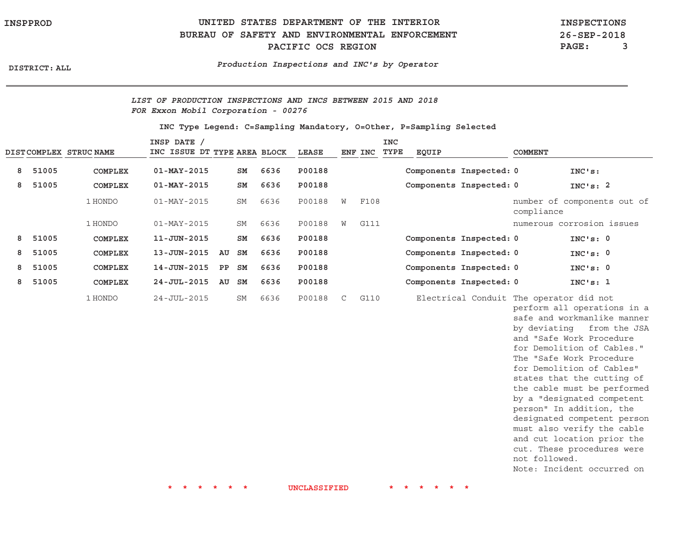#### **INSPECTIONS UNITED STATES DEPARTMENT OF THE INTERIOR**

### **BUREAU OF SAFETY AND ENVIRONMENTAL ENFORCEMENT**

#### **PACIFIC OCS REGION**

**26-SEP-2018PAGE: 3**

**DISTRICT: ALL**

### *Production Inspections and INC's by Operator*

*LIST OF PRODUCTION INSPECTIONS AND INCS BETWEEN 2015 AND 2018FOR Exxon Mobil Corporation - 00276*

**INC Type Legend: C=Sampling Mandatory, O=Other, P=Sampling Selected** 

|                         |       |                | INSP DATE /                  |                       |      |        |   |         | <b>INC</b> |                         |                                         |                |                             |
|-------------------------|-------|----------------|------------------------------|-----------------------|------|--------|---|---------|------------|-------------------------|-----------------------------------------|----------------|-----------------------------|
| DIST COMPLEX STRUC NAME |       |                | INC ISSUE DT TYPE AREA BLOCK |                       |      | LEASE  |   | ENF INC | TYPE       | <b>EQUIP</b>            |                                         | <b>COMMENT</b> |                             |
| 8                       | 51005 | <b>COMPLEX</b> | $01 - MAX - 2015$            | SM                    | 6636 | P00188 |   |         |            |                         | Components Inspected: 0                 |                | INC's:                      |
| 8                       | 51005 | <b>COMPLEX</b> | $01 - MAX - 2015$            | SM                    | 6636 | P00188 |   |         |            | Components Inspected: 0 |                                         |                | INC's: 2                    |
|                         |       | 1 HONDO        | $01 - MAX - 2015$            | SM                    | 6636 | P00188 | W | F108    |            |                         |                                         | compliance     | number of components out of |
|                         |       | 1 HONDO        | $01 - MAX - 2015$            | SM                    | 6636 | P00188 | W | G111    |            |                         |                                         |                | numerous corrosion issues   |
| 8                       | 51005 | <b>COMPLEX</b> | $11 - JUN - 2015$            | SM                    | 6636 | P00188 |   |         |            | Components Inspected: 0 |                                         |                | INC's: 0                    |
| 8                       | 51005 | <b>COMPLEX</b> | $13 - JUN - 2015$            | AU<br>SM              | 6636 | P00188 |   |         |            |                         | Components Inspected: 0                 |                | INC's: 0                    |
| 8                       | 51005 | <b>COMPLEX</b> | $14 - JUN - 2015$            | SM<br>$\overline{PP}$ | 6636 | P00188 |   |         |            | Components Inspected: 0 |                                         |                | INC's: 0                    |
| 8                       | 51005 | <b>COMPLEX</b> | $24 - JUL - 2015$            | AU<br>SM              | 6636 | P00188 |   |         |            | Components Inspected: 0 |                                         |                | INC's: 1                    |
|                         |       | 1 HONDO        | $24 - JUL - 2015$            | <b>SM</b>             | 6636 | P00188 |   | G110    |            |                         | Electrical Conduit The operator did not |                |                             |

perform all operations in a safe and workmanlike mannerby deviating from the JSA and "Safe Work Procedure for Demolition of Cables." The "Safe Work Procedure for Demolition of Cables" states that the cutting of the cable must be performed by a "designated competent person" In addition, the designated competent person must also verify the cable and cut location prior the cut. These procedures were not followed.Note: Incident occurred on

**\* \* \* \* \* \* UNCLASSIFIED \* \* \* \* \* \***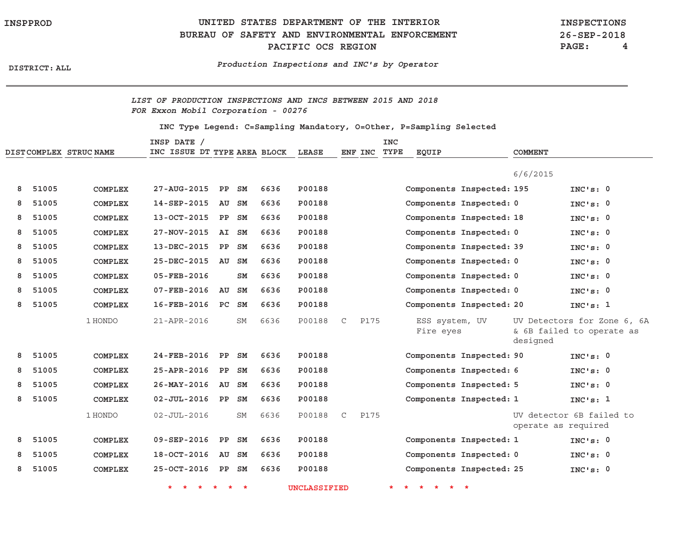**INSPPROD**

#### **INSPECTIONS UNITED STATES DEPARTMENT OF THE INTERIOR**

## **BUREAU OF SAFETY AND ENVIRONMENTAL ENFORCEMENT**

#### **PACIFIC OCS REGION**

**26-SEP-2018 PAGE: 4**

**DISTRICT: ALL**

*Production Inspections and INC's by Operator*

## *LIST OF PRODUCTION INSPECTIONS AND INCS BETWEEN 2015 AND 2018FOR Exxon Mobil Corporation - 00276*

## **INC Type Legend: C=Sampling Mandatory, O=Other, P=Sampling Selected**

|   |       |                         | INSP DATE /                  |                         |                         |      |              |               |         | <b>INC</b> |                             |                         |                     |                                                          |
|---|-------|-------------------------|------------------------------|-------------------------|-------------------------|------|--------------|---------------|---------|------------|-----------------------------|-------------------------|---------------------|----------------------------------------------------------|
|   |       | DIST COMPLEX STRUC NAME | INC ISSUE DT TYPE AREA BLOCK |                         |                         |      | <b>LEASE</b> |               | ENF INC | TYPE       | EQUIP                       |                         | <b>COMMENT</b>      |                                                          |
|   |       |                         |                              |                         |                         |      |              |               |         |            |                             |                         | 6/6/2015            |                                                          |
| 8 | 51005 | <b>COMPLEX</b>          | 27-AUG-2015                  | $\tt PP$                | SM                      | 6636 | P00188       |               |         |            | Components Inspected: 195   |                         |                     | INC's: 0                                                 |
| 8 | 51005 | <b>COMPLEX</b>          | 14-SEP-2015                  | AU                      | SM                      | 6636 | P00188       |               |         |            | Components Inspected: 0     |                         |                     | INC's: 0                                                 |
| 8 | 51005 | <b>COMPLEX</b>          | $13 - OCT - 2015$            | $\overline{\text{PP}}$  | SM                      | 6636 | P00188       |               |         |            | Components Inspected: 18    |                         |                     | INC's: 0                                                 |
| 8 | 51005 | <b>COMPLEX</b>          | 27-NOV-2015                  | AI                      | SM                      | 6636 | P00188       |               |         |            | Components Inspected: 0     |                         |                     | INC's: 0                                                 |
| 8 | 51005 | <b>COMPLEX</b>          | 13-DEC-2015                  | $\overline{\text{PP}}$  | SM                      | 6636 | P00188       |               |         |            | Components Inspected: 39    |                         |                     | INC's: 0                                                 |
| 8 | 51005 | <b>COMPLEX</b>          | 25-DEC-2015                  | AU                      | SM                      | 6636 | P00188       |               |         |            | Components Inspected: 0     |                         |                     | INC's: 0                                                 |
| 8 | 51005 | <b>COMPLEX</b>          | 05-FEB-2016                  |                         | SM                      | 6636 | P00188       |               |         |            | Components Inspected: 0     |                         |                     | INC's: 0                                                 |
| 8 | 51005 | <b>COMPLEX</b>          | 07-FEB-2016                  | AU                      | SM                      | 6636 | P00188       |               |         |            | Components Inspected: 0     |                         |                     | INC's: 0                                                 |
| 8 | 51005 | <b>COMPLEX</b>          | 16-FEB-2016                  | PC                      | SM                      | 6636 | P00188       |               |         |            | Components Inspected: 20    |                         |                     | INC's: 1                                                 |
|   |       | 1 HONDO                 | 21-APR-2016                  |                         | <b>SM</b>               | 6636 | P00188       | C             | P175    |            | ESS system, UV<br>Fire eyes |                         | designed            | UV Detectors for Zone 6, 6A<br>& 6B failed to operate as |
| 8 | 51005 | <b>COMPLEX</b>          | 24-FEB-2016                  | $_{\rm PP}$             | SM                      | 6636 | P00188       |               |         |            | Components Inspected: 90    |                         |                     | INC's: 0                                                 |
| 8 | 51005 | <b>COMPLEX</b>          | 25-APR-2016                  | ${\tt PP}$              | SM                      | 6636 | P00188       |               |         |            | Components Inspected: 6     |                         |                     | INC's: 0                                                 |
| 8 | 51005 | <b>COMPLEX</b>          | $26 - MAX - 2016$            | AU                      | SM                      | 6636 | P00188       |               |         |            | Components Inspected: 5     |                         |                     | INC's: 0                                                 |
| 8 | 51005 | <b>COMPLEX</b>          | 02-JUL-2016 PP               |                         | SM                      | 6636 | P00188       |               |         |            | Components Inspected: 1     |                         |                     | INC's: 1                                                 |
|   |       | 1 HONDO                 | $02 - JUL - 2016$            |                         | <b>SM</b>               | 6636 | P00188       | $\mathcal{C}$ | P175    |            |                             |                         | operate as required | UV detector 6B failed to                                 |
| 8 | 51005 | <b>COMPLEX</b>          | 09-SEP-2016                  | $\mathbf{P} \mathbf{P}$ | $\mathbf{S} \mathbf{M}$ | 6636 | P00188       |               |         |            | Components Inspected: 1     |                         |                     | INC's: 0                                                 |
|   |       |                         |                              |                         |                         | 6636 |              |               |         |            |                             | Components Inspected: 0 |                     |                                                          |
| 8 | 51005 | COMPLEX                 | 18-OCT-2016                  | AU                      | SM                      |      | P00188       |               |         |            |                             |                         |                     | INC's: 0                                                 |
| 8 | 51005 | <b>COMPLEX</b>          | 25-OCT-2016                  | $\mathbf{PP}$           | SM                      | 6636 | P00188       |               |         |            | Components Inspected: 25    |                         |                     | INC's: 0                                                 |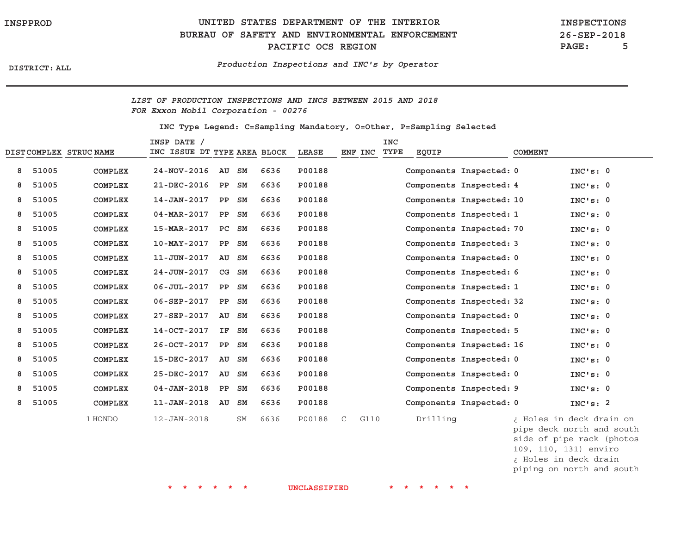## **BUREAU OF SAFETY AND ENVIRONMENTAL ENFORCEMENT**

**PACIFIC OCS REGION**

**26-SEP-2018 PAGE: 5**

**DISTRICT: ALL**

## *Production Inspections and INC's by Operator*

*LIST OF PRODUCTION INSPECTIONS AND INCS BETWEEN 2015 AND 2018FOR Exxon Mobil Corporation - 00276*

### **INC Type Legend: C=Sampling Mandatory, O=Other, P=Sampling Selected**

|   |       |                                | INSP DATE /                  |                 |    |      |        |   |         | <b>INC</b>  |                          |                |                          |  |
|---|-------|--------------------------------|------------------------------|-----------------|----|------|--------|---|---------|-------------|--------------------------|----------------|--------------------------|--|
|   |       | <b>DIST COMPLEX STRUC NAME</b> | INC ISSUE DT TYPE AREA BLOCK |                 |    |      | LEASE  |   | ENF INC | <b>TYPE</b> | EQUIP                    | <b>COMMENT</b> |                          |  |
| 8 | 51005 | COMPLEX                        | 24-NOV-2016                  | AU SM           |    | 6636 | P00188 |   |         |             | Components Inspected: 0  |                | INC's: 0                 |  |
| 8 | 51005 | COMPLEX                        | 21-DEC-2016                  | PP              | SM | 6636 | P00188 |   |         |             | Components Inspected: 4  |                | INC's: 0                 |  |
| 8 | 51005 | COMPLEX                        | 14-JAN-2017                  | $\mathbf{PP}$   | SM | 6636 | P00188 |   |         |             | Components Inspected: 10 |                | INC's: 0                 |  |
| 8 | 51005 | COMPLEX                        | 04-MAR-2017                  | PP              | SM | 6636 | P00188 |   |         |             | Components Inspected: 1  |                | INC's: 0                 |  |
| 8 | 51005 | COMPLEX                        | 15-MAR-2017                  | PC              | SM | 6636 | P00188 |   |         |             | Components Inspected: 70 |                | INC's: 0                 |  |
| 8 | 51005 | COMPLEX                        | 10-MAY-2017                  | $\mathbf{PP}$   | SM | 6636 | P00188 |   |         |             | Components Inspected: 3  |                | INC's: 0                 |  |
| 8 | 51005 | COMPLEX                        | 11-JUN-2017                  | AU              | SM | 6636 | P00188 |   |         |             | Components Inspected: 0  |                | INC's: 0                 |  |
| 8 | 51005 | COMPLEX                        | 24-JUN-2017                  | CG              | SM | 6636 | P00188 |   |         |             | Components Inspected: 6  |                | INC's: 0                 |  |
| 8 | 51005 | COMPLEX                        | $06 - JUL - 2017$            | PP              | SM | 6636 | P00188 |   |         |             | Components Inspected: 1  |                | INC's: 0                 |  |
| 8 | 51005 | <b>COMPLEX</b>                 | 06-SEP-2017                  | $\overline{PP}$ | SM | 6636 | P00188 |   |         |             | Components Inspected: 32 |                | INC's: 0                 |  |
| 8 | 51005 | <b>COMPLEX</b>                 | 27-SEP-2017                  | AU              | SM | 6636 | P00188 |   |         |             | Components Inspected: 0  |                | INC's: 0                 |  |
| 8 | 51005 | COMPLEX                        | 14-OCT-2017                  | IF.             | SM | 6636 | P00188 |   |         |             | Components Inspected: 5  |                | INC's: 0                 |  |
| 8 | 51005 | COMPLEX                        | 26-OCT-2017                  | PP              | SM | 6636 | P00188 |   |         |             | Components Inspected: 16 |                | INC's: 0                 |  |
| 8 | 51005 | COMPLEX                        | 15-DEC-2017                  | AU              | SM | 6636 | P00188 |   |         |             | Components Inspected: 0  |                | INC's: 0                 |  |
| 8 | 51005 | COMPLEX                        | 25-DEC-2017                  | AU              | SM | 6636 | P00188 |   |         |             | Components Inspected: 0  |                | INC's: 0                 |  |
| 8 | 51005 | COMPLEX                        | $04 - JAN - 2018$            | PP              | SM | 6636 | P00188 |   |         |             | Components Inspected: 9  |                | INC's: 0                 |  |
| 8 | 51005 | COMPLEX                        | 11-JAN-2018                  | AU              | SM | 6636 | P00188 |   |         |             | Components Inspected: 0  |                | INC's: 2                 |  |
|   |       | 1 HONDO                        | $12 - JAN - 2018$            |                 | SM | 6636 | P00188 | C | G110    |             | Drilling                 |                | : Holes in deck drain on |  |

pipe deck north and south side of pipe rack (photos 109, 110, 131) enviro ¿ Holes in deck drain piping on north and south

**\* \* \* \* \* \* UNCLASSIFIED \* \* \* \* \* \***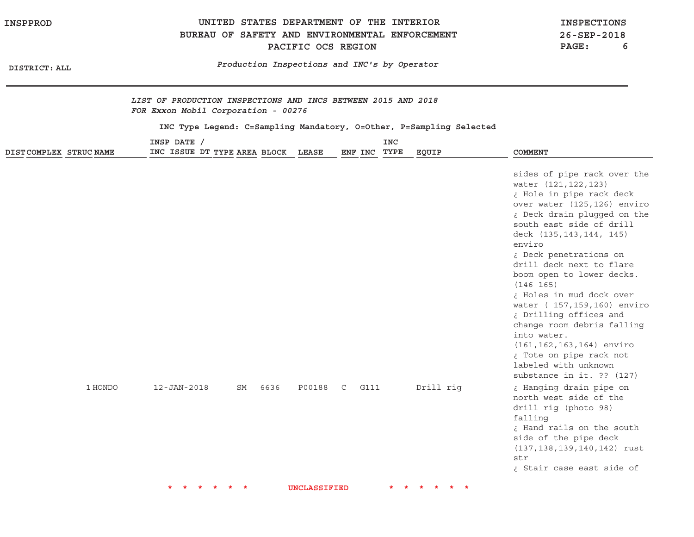|  |  |  | <b>INSPPROD</b> |  |
|--|--|--|-----------------|--|
|--|--|--|-----------------|--|

#### **BUREAU OF SAFETY AND ENVIRONMENTAL ENFORCEMENT**

**PACIFIC OCS REGION**

**26-SEP-2018 PAGE: 6**

**DISTRICT: ALL**

*Production Inspections and INC's by Operator*

|                               |         | FOR Exxon Mobil Corporation - 00276               |            |          |              |            | INC Type Legend: C=Sampling Mandatory, O=Other, P=Sampling Selected |                                                                                                                                                                                                                                                                                                                                                                                                                                                                                                                                                                     |
|-------------------------------|---------|---------------------------------------------------|------------|----------|--------------|------------|---------------------------------------------------------------------|---------------------------------------------------------------------------------------------------------------------------------------------------------------------------------------------------------------------------------------------------------------------------------------------------------------------------------------------------------------------------------------------------------------------------------------------------------------------------------------------------------------------------------------------------------------------|
| <b>DISTCOMPLEX STRUC NAME</b> |         | INSP DATE /<br>INC ISSUE DT TYPE AREA BLOCK LEASE |            |          | ENF INC TYPE | <b>INC</b> | EQUIP                                                               | <b>COMMENT</b>                                                                                                                                                                                                                                                                                                                                                                                                                                                                                                                                                      |
|                               |         |                                                   |            |          |              |            |                                                                     | sides of pipe rack over the<br>water (121, 122, 123)<br>¿ Hole in pipe rack deck<br>over water (125,126) enviro<br>¿ Deck drain plugged on the<br>south east side of drill<br>deck (135, 143, 144, 145)<br>enviro<br>¿ Deck penetrations on<br>drill deck next to flare<br>boom open to lower decks.<br>(146 165)<br>¿ Holes in mud dock over<br>water (157,159,160) enviro<br>¿ Drilling offices and<br>change room debris falling<br>into water.<br>$(161, 162, 163, 164)$ enviro<br>¿ Tote on pipe rack not<br>labeled with unknown<br>substance in it. ?? (127) |
|                               | 1 HONDO | 12-JAN-2018                                       | SM<br>6636 | P00188 C | G111         |            | Drill rig                                                           | ¿ Hanging drain pipe on<br>north west side of the<br>drill rig (photo 98)<br>falling<br>¿ Hand rails on the south<br>side of the pipe deck<br>$(137, 138, 139, 140, 142)$ rust<br>str<br>¿ Stair case east side of                                                                                                                                                                                                                                                                                                                                                  |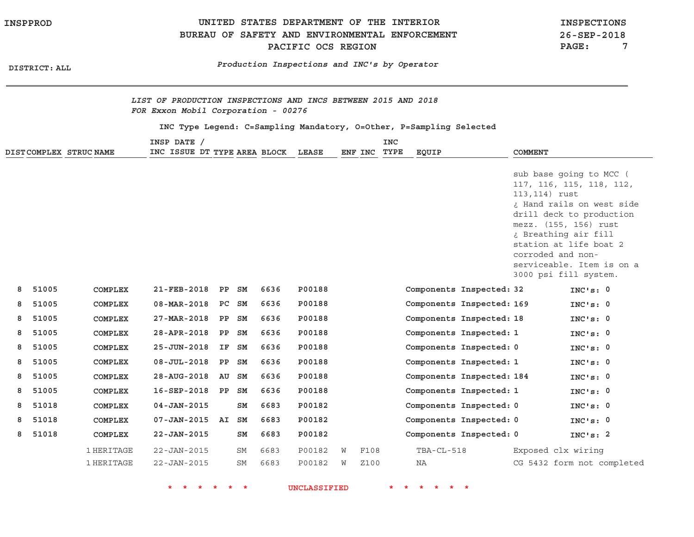## **BUREAU OF SAFETY AND ENVIRONMENTAL ENFORCEMENT**

**PACIFIC OCS REGION**

**26-SEP-2018 PAGE: 7**

**DISTRICT: ALL**

*Production Inspections and INC's by Operator*

|   |       |                         | LIST OF PRODUCTION INSPECTIONS AND INCS BETWEEN 2015 AND 2018<br>FOR Exxon Mobil Corporation - 00276 |                |      |                     |   |              |            |                           |                                                                                                               |                                                                                                                                                                     |
|---|-------|-------------------------|------------------------------------------------------------------------------------------------------|----------------|------|---------------------|---|--------------|------------|---------------------------|---------------------------------------------------------------------------------------------------------------|---------------------------------------------------------------------------------------------------------------------------------------------------------------------|
|   |       |                         | INC Type Legend: C=Sampling Mandatory, O=Other, P=Sampling Selected                                  |                |      |                     |   |              |            |                           |                                                                                                               |                                                                                                                                                                     |
|   |       | DIST COMPLEX STRUC NAME | INSP DATE /<br>INC ISSUE DT TYPE AREA BLOCK LEASE                                                    |                |      |                     |   | ENF INC TYPE | <b>INC</b> | <b>EQUIP</b>              | <b>COMMENT</b>                                                                                                |                                                                                                                                                                     |
|   |       |                         |                                                                                                      |                |      |                     |   |              |            |                           |                                                                                                               |                                                                                                                                                                     |
|   |       |                         |                                                                                                      |                |      |                     |   |              |            |                           | 113, 114) rust<br>mezz. (155, 156) rust<br>¿ Breathing air fill<br>corroded and non-<br>3000 psi fill system. | sub base going to MCC (<br>117, 116, 115, 118, 112,<br>¿ Hand rails on west side<br>drill deck to production<br>station at life boat 2<br>serviceable. Item is on a |
| 8 | 51005 | <b>COMPLEX</b>          | 21-FEB-2018 PP SM                                                                                    |                | 6636 | P00188              |   |              |            | Components Inspected: 32  |                                                                                                               | INC's: 0                                                                                                                                                            |
| 8 | 51005 | <b>COMPLEX</b>          | 08-MAR-2018 PC                                                                                       | SM             | 6636 | P00188              |   |              |            | Components Inspected: 169 |                                                                                                               | INC's: 0                                                                                                                                                            |
| 8 | 51005 | <b>COMPLEX</b>          | 27-MAR-2018                                                                                          | $\tt PP$<br>SM | 6636 | P00188              |   |              |            | Components Inspected: 18  |                                                                                                               | INC's: 0                                                                                                                                                            |
| 8 | 51005 | <b>COMPLEX</b>          | 28-APR-2018 PP SM                                                                                    |                | 6636 | P00188              |   |              |            | Components Inspected: 1   |                                                                                                               | INC's: 0                                                                                                                                                            |
| 8 | 51005 | <b>COMPLEX</b>          | 25-JUN-2018                                                                                          | IF.<br>SM      | 6636 | P00188              |   |              |            | Components Inspected: 0   |                                                                                                               | INC's: 0                                                                                                                                                            |
| 8 | 51005 | <b>COMPLEX</b>          | $08 - JUL - 2018$                                                                                    | $\tt PP$<br>SM | 6636 | P00188              |   |              |            | Components Inspected: 1   |                                                                                                               | INC's: 0                                                                                                                                                            |
| 8 | 51005 | <b>COMPLEX</b>          | 28-AUG-2018                                                                                          | AU<br>SM       | 6636 | P00188              |   |              |            | Components Inspected: 184 |                                                                                                               | INC's: 0                                                                                                                                                            |
| 8 | 51005 | <b>COMPLEX</b>          | 16-SEP-2018 PP                                                                                       | SM             | 6636 | P00188              |   |              |            | Components Inspected: 1   |                                                                                                               | INC's: 0                                                                                                                                                            |
| 8 | 51018 | <b>COMPLEX</b>          | $04 - JAN - 2015$                                                                                    | SM             | 6683 | P00182              |   |              |            | Components Inspected: 0   |                                                                                                               | INC's: 0                                                                                                                                                            |
| 8 | 51018 | <b>COMPLEX</b>          | 07-JAN-2015 AI SM                                                                                    |                | 6683 | P00182              |   |              |            | Components Inspected: 0   |                                                                                                               | INC's: 0                                                                                                                                                            |
| 8 | 51018 | <b>COMPLEX</b>          | $22 - JAN - 2015$                                                                                    | SM             | 6683 | P00182              |   |              |            | Components Inspected: 0   |                                                                                                               | INC's: 2                                                                                                                                                            |
|   |       | 1 HERITAGE              | $22 - JAN - 2015$                                                                                    | SM             | 6683 | P00182              | W | F108         |            | <b>TBA-CL-518</b>         | Exposed clx wiring                                                                                            |                                                                                                                                                                     |
|   |       | 1 HERITAGE              | $22 - JAN - 2015$                                                                                    | SM             | 6683 | P00182              | W | <b>Z100</b>  |            | NA                        |                                                                                                               | CG 5432 form not completed                                                                                                                                          |
|   |       |                         | $\star$<br>$\bullet$<br>$\star$                                                                      |                |      | <b>UNCLASSIFIED</b> |   |              |            | $\star$                   |                                                                                                               |                                                                                                                                                                     |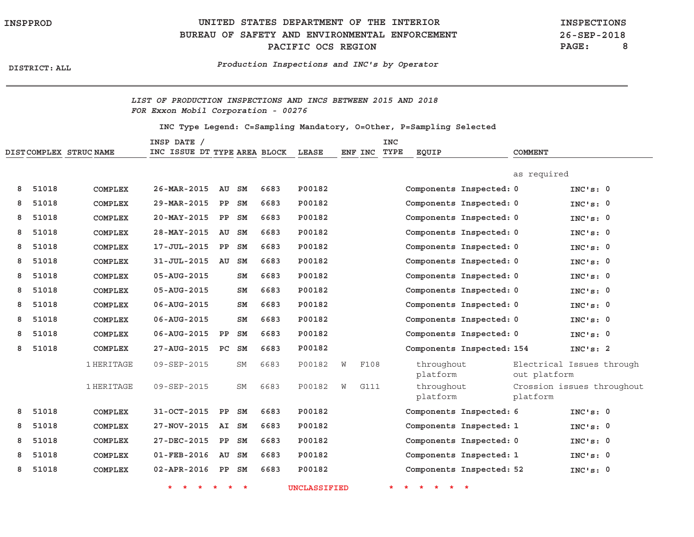## **BUREAU OF SAFETY AND ENVIRONMENTAL ENFORCEMENT**

#### **PACIFIC OCS REGION**

**26-SEP-2018 PAGE: 8**

**DISTRICT: ALL**

*Production Inspections and INC's by Operator*

## *LIST OF PRODUCTION INSPECTIONS AND INCS BETWEEN 2015 AND 2018FOR Exxon Mobil Corporation - 00276*

## **INC Type Legend: C=Sampling Mandatory, O=Other, P=Sampling Selected**

|   |       |                        | INSP DATE /                    |                        |         |      |                     |   |         | <b>INC</b> |                           |                |                            |
|---|-------|------------------------|--------------------------------|------------------------|---------|------|---------------------|---|---------|------------|---------------------------|----------------|----------------------------|
|   |       | DISTCOMPLEX STRUC NAME | INC ISSUE DT TYPE AREA BLOCK   |                        |         |      | <b>LEASE</b>        |   | ENF INC | TYPE       | <b>EQUIP</b>              | <b>COMMENT</b> |                            |
|   |       |                        |                                |                        |         |      |                     |   |         |            |                           | as required    |                            |
| 8 | 51018 | <b>COMPLEX</b>         | 26-MAR-2015                    | AU                     | SM      | 6683 | P00182              |   |         |            | Components Inspected: 0   |                | INC's: 0                   |
| 8 | 51018 | COMPLEX                | 29-MAR-2015                    | $\tt PP$               | SM      | 6683 | P00182              |   |         |            | Components Inspected: 0   |                | INC's: 0                   |
| 8 | 51018 | <b>COMPLEX</b>         | $20 - MAX - 2015$              | $\overline{\text{PP}}$ | SM      | 6683 | P00182              |   |         |            | Components Inspected: 0   |                | INC's: 0                   |
| 8 | 51018 | <b>COMPLEX</b>         | 28-MAY-2015                    | AU                     | SM      | 6683 | P00182              |   |         |            | Components Inspected: 0   |                | INC's: 0                   |
| 8 | 51018 | COMPLEX                | 17-JUL-2015                    | $\tt PP$               | SM      | 6683 | P00182              |   |         |            | Components Inspected: 0   |                | INC's: 0                   |
| 8 | 51018 | COMPLEX                | $31 - JUL - 2015$              | AU                     | SM      | 6683 | P00182              |   |         |            | Components Inspected: 0   |                | INC's: 0                   |
| 8 | 51018 | COMPLEX                | 05-AUG-2015                    |                        | SM      | 6683 | P00182              |   |         |            | Components Inspected: 0   |                | INC's: 0                   |
| 8 | 51018 | COMPLEX                | 05-AUG-2015                    |                        | SM      | 6683 | P00182              |   |         |            | Components Inspected: 0   |                | INC's: 0                   |
| 8 | 51018 | <b>COMPLEX</b>         | 06-AUG-2015                    |                        | SM      | 6683 | P00182              |   |         |            | Components Inspected: 0   |                | INC's: 0                   |
| 8 | 51018 | <b>COMPLEX</b>         | 06-AUG-2015                    |                        | SM      | 6683 | P00182              |   |         |            | Components Inspected: 0   |                | INC's: 0                   |
| 8 | 51018 | <b>COMPLEX</b>         | $06 - AUG - 2015$              | $\tt PP$               | SM      | 6683 | P00182              |   |         |            | Components Inspected: 0   |                | INC's: 0                   |
| 8 | 51018 | COMPLEX                | 27-AUG-2015                    | PC                     | SM      | 6683 | P00182              |   |         |            | Components Inspected: 154 |                | INC's: 2                   |
|   |       | 1 HERITAGE             | 09-SEP-2015                    |                        | SM      | 6683 | P00182              | W | F108    |            | throughout<br>platform    | out platform   | Electrical Issues through  |
|   |       | 1 HERITAGE             | 09-SEP-2015                    |                        | SM      | 6683 | P00182              | W | G111    |            | throughout<br>platform    | platform       | Crossion issues throughout |
| 8 | 51018 | <b>COMPLEX</b>         | $31 - OCT - 2015$              | $\overline{PP}$        | SM      | 6683 | P00182              |   |         |            | Components Inspected: 6   |                | INC's: 0                   |
| 8 | 51018 | <b>COMPLEX</b>         | 27-NOV-2015                    | AI SM                  |         | 6683 | P00182              |   |         |            | Components Inspected: 1   |                | INC's: 0                   |
| 8 | 51018 | <b>COMPLEX</b>         | 27-DEC-2015                    | $\tt PP$               | SM      | 6683 | P00182              |   |         |            | Components Inspected: 0   |                | INC's: 0                   |
| 8 | 51018 | COMPLEX                | 01-FEB-2016                    | AU                     | SM      | 6683 | P00182              |   |         |            | Components Inspected: 1   |                | INC's: 0                   |
| 8 | 51018 | <b>COMPLEX</b>         | $02 - APR - 2016$              | $\tt PP$               | SM      | 6683 | P00182              |   |         |            | Components Inspected: 52  |                | INC's: 0                   |
|   |       |                        | $\star$<br><b>K</b><br>$\star$ | $\star$<br>$\star$     | $\star$ |      | <b>UNCLASSIFIED</b> |   |         | $\star$    | $\star$<br>$*$ $*$ $*$    |                |                            |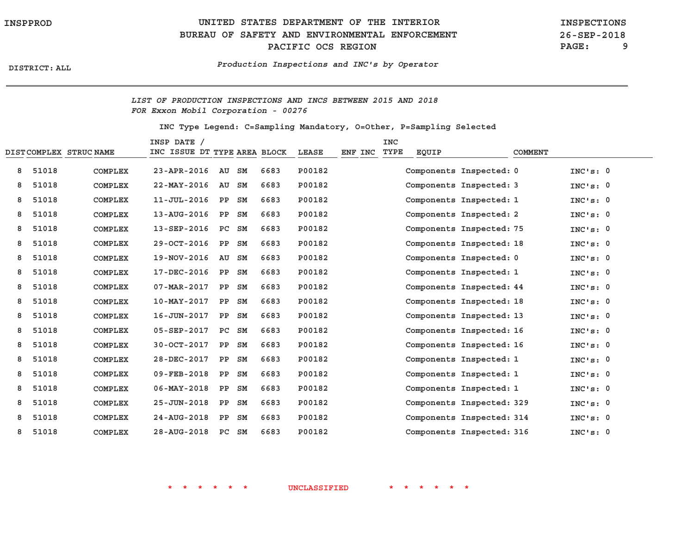## **BUREAU OF SAFETY AND ENVIRONMENTAL ENFORCEMENT**

**PACIFIC OCS REGION**

**26-SEP-2018 PAGE: 9**

**DISTRICT: ALL**

## *Production Inspections and INC's by Operator*

*LIST OF PRODUCTION INSPECTIONS AND INCS BETWEEN 2015 AND 2018FOR Exxon Mobil Corporation - 00276*

## **INC Type Legend: C=Sampling Mandatory, O=Other, P=Sampling Selected**

|   |       |                         | INSP DATE /                  |                         |            |              |         | <b>INC</b> |                           |                |          |  |
|---|-------|-------------------------|------------------------------|-------------------------|------------|--------------|---------|------------|---------------------------|----------------|----------|--|
|   |       | DIST COMPLEX STRUC NAME | INC ISSUE DT TYPE AREA BLOCK |                         |            | <b>LEASE</b> | ENF INC | TYPE       | EQUIP                     | <b>COMMENT</b> |          |  |
| 8 | 51018 | <b>COMPLEX</b>          | $23 - APR - 2016$            | AU                      | 6683<br>SM | P00182       |         |            | Components Inspected: 0   |                | INC's: 0 |  |
| 8 | 51018 | <b>COMPLEX</b>          | $22 - MAX - 2016$            | AU                      | SM<br>6683 | P00182       |         |            | Components Inspected: 3   |                | INC's: 0 |  |
| 8 | 51018 | <b>COMPLEX</b>          | 11-JUL-2016                  | $\mathbf{P} \mathbf{P}$ | 6683<br>SM | P00182       |         |            | Components Inspected: 1   |                | INC's: 0 |  |
| 8 | 51018 | <b>COMPLEX</b>          | 13-AUG-2016                  | $\overline{\text{PP}}$  | SM<br>6683 | P00182       |         |            | Components Inspected: 2   |                | INC's: 0 |  |
| 8 | 51018 | <b>COMPLEX</b>          | 13-SEP-2016                  | $_{\rm PC}$             | SM<br>6683 | P00182       |         |            | Components Inspected: 75  |                | INC's: 0 |  |
| 8 | 51018 | COMPLEX                 | 29-OCT-2016                  | $\tt PP$                | SM<br>6683 | P00182       |         |            | Components Inspected: 18  |                | INC's: 0 |  |
| 8 | 51018 | <b>COMPLEX</b>          | 19-NOV-2016                  | AU                      | 6683<br>SM | P00182       |         |            | Components Inspected: 0   |                | INC's: 0 |  |
| 8 | 51018 | <b>COMPLEX</b>          | 17-DEC-2016                  | $\tt PP$                | 6683<br>SM | P00182       |         |            | Components Inspected: 1   |                | INC's: 0 |  |
| 8 | 51018 | <b>COMPLEX</b>          | 07-MAR-2017                  | $\tt PP$                | SM<br>6683 | P00182       |         |            | Components Inspected: 44  |                | INC's: 0 |  |
| 8 | 51018 | <b>COMPLEX</b>          | $10 - MAX - 2017$            | $\overline{PP}$         | SM<br>6683 | P00182       |         |            | Components Inspected: 18  |                | INC's: 0 |  |
| 8 | 51018 | <b>COMPLEX</b>          | 16-JUN-2017                  | $\tt PP$                | SM<br>6683 | P00182       |         |            | Components Inspected: 13  |                | INC's: 0 |  |
| 8 | 51018 | <b>COMPLEX</b>          | 05-SEP-2017                  | PC                      | SM<br>6683 | P00182       |         |            | Components Inspected: 16  |                | INC's: 0 |  |
| 8 | 51018 | <b>COMPLEX</b>          | $30 - OCT - 2017$            | $\tt PP$                | SM<br>6683 | P00182       |         |            | Components Inspected: 16  |                | INC's: 0 |  |
| 8 | 51018 | <b>COMPLEX</b>          | 28-DEC-2017                  | $\tt PP$                | SM<br>6683 | P00182       |         |            | Components Inspected: 1   |                | INC's: 0 |  |
| 8 | 51018 | <b>COMPLEX</b>          | 09-FEB-2018                  | $\tt PP$                | 6683<br>SM | P00182       |         |            | Components Inspected: 1   |                | INC's: 0 |  |
| 8 | 51018 | <b>COMPLEX</b>          | $06 - MAX - 2018$            | $\tt PP$                | SM<br>6683 | P00182       |         |            | Components Inspected: 1   |                | INC's: 0 |  |
| 8 | 51018 | <b>COMPLEX</b>          | 25-JUN-2018                  | $\tt PP$                | SM<br>6683 | P00182       |         |            | Components Inspected: 329 |                | INC's: 0 |  |
| 8 | 51018 | <b>COMPLEX</b>          | 24-AUG-2018                  | $\tt PP$                | 6683<br>SM | P00182       |         |            | Components Inspected: 314 |                | INC's: 0 |  |
| 8 | 51018 | <b>COMPLEX</b>          | 28-AUG-2018                  | PC                      | SM<br>6683 | P00182       |         |            | Components Inspected: 316 |                | INC's: 0 |  |

**\* \* \* \* \* \* UNCLASSIFIED \* \* \* \* \* \***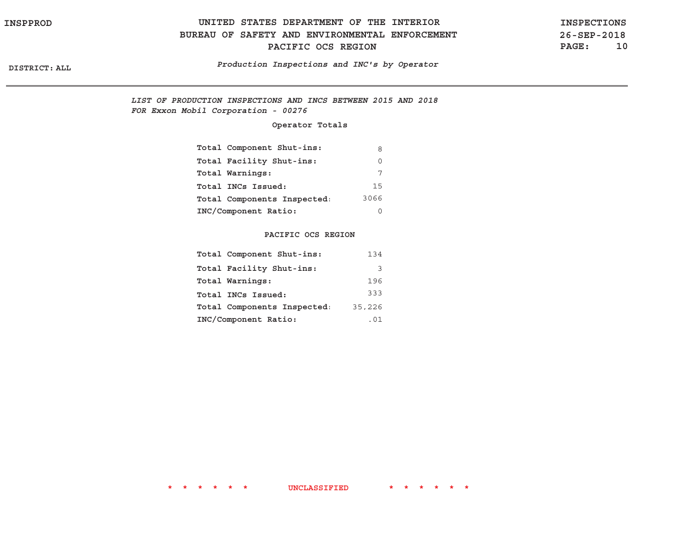## **BUREAU OF SAFETY AND ENVIRONMENTAL ENFORCEMENT**

#### **PACIFIC OCS REGION**

**26-SEP-2018 PAGE: 10**

**DISTRICT: ALL**

## *Production Inspections and INC's by Operator*

## *LIST OF PRODUCTION INSPECTIONS AND INCS BETWEEN 2015 AND 2018FOR Exxon Mobil Corporation - 00276*

## **Operator Totals**

| Total Component Shut-ins:   | 8    |
|-----------------------------|------|
| Total Facility Shut-ins:    | O    |
| Total Warnings:             | 7    |
| Total INCs Issued:          | 15   |
| Total Components Inspected: | 3066 |
| INC/Component Ratio:        |      |

## **PACIFIC OCS REGION**

| Total Component Shut-ins:   | 134    |
|-----------------------------|--------|
| Total Facility Shut-ins:    | 3      |
| Total Warnings:             | 196    |
| Total INCs Issued:          | 333    |
| Total Components Inspected: | 35,226 |
| INC/Component Ratio:        | .01    |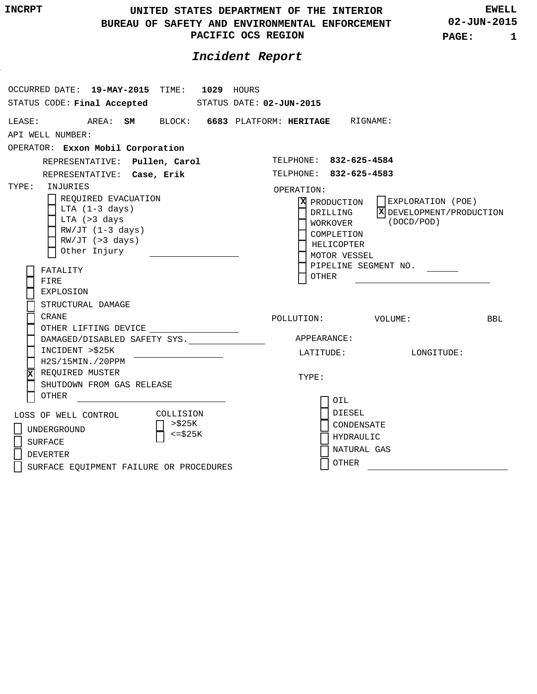| <b>INCRPT</b><br>UNITED STATES DEPARTMENT OF THE INTERIOR                                                                                                                                     |                                                                                                                                            | <b>EWELL</b>                                           |
|-----------------------------------------------------------------------------------------------------------------------------------------------------------------------------------------------|--------------------------------------------------------------------------------------------------------------------------------------------|--------------------------------------------------------|
| BUREAU OF SAFETY AND ENVIRONMENTAL ENFORCEMENT                                                                                                                                                |                                                                                                                                            | 02-JUN-2015                                            |
| PACIFIC OCS REGION                                                                                                                                                                            |                                                                                                                                            | <b>PAGE:</b><br>1                                      |
| Incident Report                                                                                                                                                                               |                                                                                                                                            |                                                        |
| OCCURRED DATE: 19-MAY-2015 TIME: 1029 HOURS<br>STATUS CODE: Final Accepted STATUS DATE: 02-JUN-2015                                                                                           |                                                                                                                                            |                                                        |
| LEASE: AREA: SM BLOCK: 6683 PLATFORM: HERITAGE RIGNAME:<br>API WELL NUMBER:                                                                                                                   |                                                                                                                                            |                                                        |
| OPERATOR: Exxon Mobil Corporation                                                                                                                                                             |                                                                                                                                            |                                                        |
| REPRESENTATIVE: Pullen, Carol                                                                                                                                                                 | TELPHONE: 832-625-4584                                                                                                                     |                                                        |
| REPRESENTATIVE: Case, Erik                                                                                                                                                                    | TELPHONE: 832-625-4583                                                                                                                     |                                                        |
| INJURIES<br>TYPE:<br>REQUIRED EVACUATION<br>$LTA (1-3 days)$<br>LTA (>3 days<br>$RW/JT$ (1-3 days)<br>$RW/JT$ (>3 days)<br>Other Injury<br>FATALITY<br>FIRE<br>EXPLOSION<br>STRUCTURAL DAMAGE | OPERATION:<br>X PRODUCTION<br>DRILLING<br>WORKOVER (DOCD/POD)<br>COMPLETION<br>HELICOPTER<br>MOTOR VESSEL<br>PIPELINE SEGMENT NO.<br>OTHER | EXPLORATION (POE)<br><b>X</b> DEVELOPMENT / PRODUCTION |
| CRANE                                                                                                                                                                                         | POLLUTION: VOLUME:                                                                                                                         | <b>BBL</b>                                             |
| DAMAGED/DISABLED SAFETY SYS.<br>INCIDENT >\$25K<br>H2S/15MIN./20PPM                                                                                                                           | APPEARANCE:<br>LATITUDE:                                                                                                                   | LONGITUDE:                                             |
| lx<br>REQUIRED MUSTER<br>SHUTDOWN FROM GAS RELEASE<br>OTHER                                                                                                                                   | TYPE:                                                                                                                                      |                                                        |
| COLLISION<br>LOSS OF WELL CONTROL<br>>\$25K<br>UNDERGROUND<br>$\le$ = $$25K$<br>SURFACE<br>DEVERTER<br>SURFACE EQUIPMENT FAILURE OR PROCEDURES                                                | $\Box$ oil<br>DIESEL<br>CONDENSATE<br>HYDRAULIC<br>NATURAL GAS<br>OTHER                                                                    |                                                        |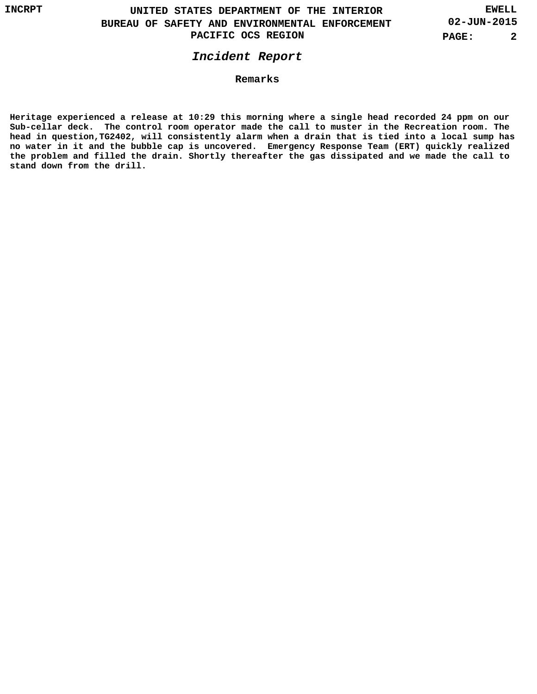# **UNITED STATES DEPARTMENT OF THE INTERIOR INCRPT EWELL BUREAU OF SAFETY AND ENVIRONMENTAL ENFORCEMENT PACIFIC OCS REGION**

**02-JUN-2015 PAGE: 2**

## **Incident Report**

**Remarks**

**Heritage experienced a release at 10:29 this morning where a single head recorded 24 ppm on our Sub-cellar deck. The control room operator made the call to muster in the Recreation room. The head in question,TG2402, will consistently alarm when a drain that is tied into a local sump has no water in it and the bubble cap is uncovered. Emergency Response Team (ERT) quickly realized the problem and filled the drain. Shortly thereafter the gas dissipated and we made the call to stand down from the drill.**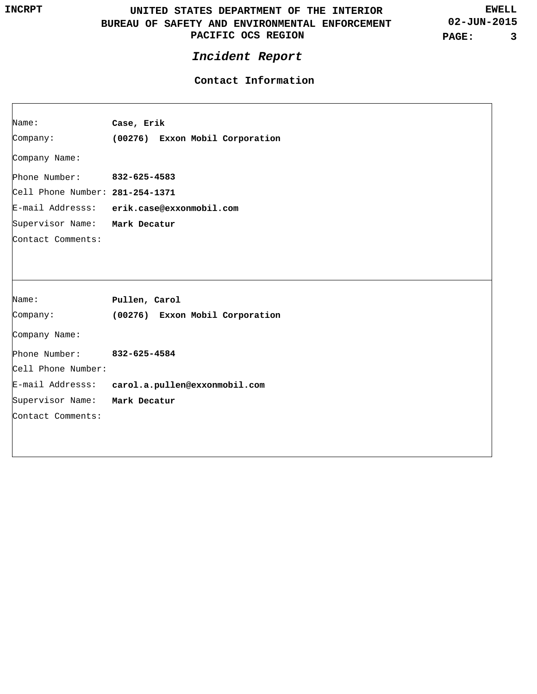# **UNITED STATES DEPARTMENT OF THE INTERIOR INCRPT EWELL BUREAU OF SAFETY AND ENVIRONMENTAL ENFORCEMENT PACIFIC OCS REGION**

**02-JUN-2015 PAGE: 3**

# **Incident Report**

## **Contact Information**

| Name:                           | Case, Erik                                     |
|---------------------------------|------------------------------------------------|
| Company:                        | (00276) Exxon Mobil Corporation                |
| Company Name:                   |                                                |
| Phone Number:                   | 832-625-4583                                   |
| Cell Phone Number: 281-254-1371 |                                                |
|                                 | E-mail Addresss: erik.case@exxonmobil.com      |
| Supervisor Name: Mark Decatur   |                                                |
| Contact Comments:               |                                                |
|                                 |                                                |
| Name:                           | Pullen, Carol                                  |
| Company:                        | (00276) Exxon Mobil Corporation                |
| Company Name:                   |                                                |
| Phone Number:                   | 832-625-4584                                   |
| Cell Phone Number:              |                                                |
|                                 | E-mail Addresss: carol.a.pullen@exxonmobil.com |
| Supervisor Name:                | Mark Decatur                                   |
| Contact Comments:               |                                                |
|                                 |                                                |
|                                 |                                                |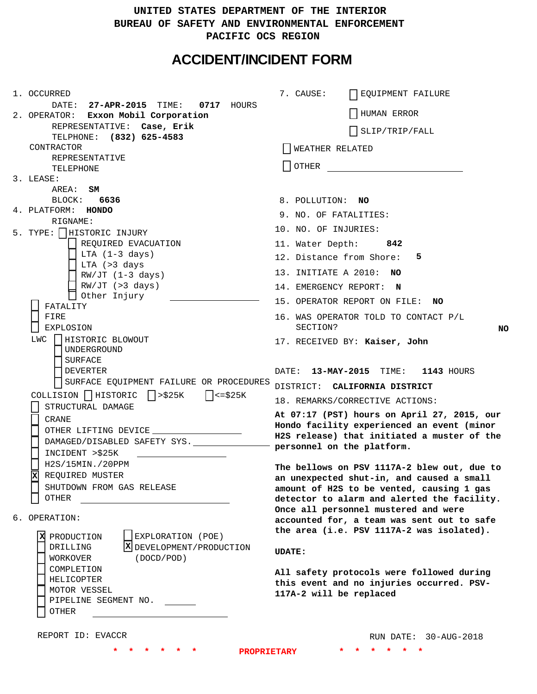**UNITED STATES DEPARTMENT OF THE INTERIOR BUREAU OF SAFETY AND ENVIRONMENTAL ENFORCEMENT PACIFIC OCS REGION**

# **ACCIDENT/INCIDENT FORM**

|  | 1. OCCURRED                                                        | EQUIPMENT FAILURE<br>7. CAUSE:                                                           |
|--|--------------------------------------------------------------------|------------------------------------------------------------------------------------------|
|  | 0717 HOURS<br>DATE: $27 - APR - 2015$ TIME:                        | HUMAN ERROR                                                                              |
|  | 2. OPERATOR: Exxon Mobil Corporation<br>REPRESENTATIVE: Case, Erik |                                                                                          |
|  | TELPHONE: (832) 625-4583                                           | SLIP/TRIP/FALL                                                                           |
|  | CONTRACTOR                                                         | WEATHER RELATED                                                                          |
|  | REPRESENTATIVE                                                     |                                                                                          |
|  | TELEPHONE                                                          | OTHER                                                                                    |
|  | 3. LEASE:                                                          |                                                                                          |
|  | AREA: SM                                                           |                                                                                          |
|  | BLOCK:<br>6636<br>4. PLATFORM: HONDO                               | 8. POLLUTION: NO                                                                         |
|  | RIGNAME:                                                           | 9. NO. OF FATALITIES:                                                                    |
|  | 5. TYPE: HISTORIC INJURY                                           | 10. NO. OF INJURIES:                                                                     |
|  | REQUIRED EVACUATION                                                | 11. Water Depth:<br>842                                                                  |
|  | $LTA$ $(1-3 \text{ days})$                                         | 12. Distance from Shore:<br>5                                                            |
|  | LTA (>3 days                                                       |                                                                                          |
|  | $RW/JT$ (1-3 days)                                                 | 13. INITIATE A 2010: NO                                                                  |
|  | $RW/JT$ (>3 days)                                                  | 14. EMERGENCY REPORT: N                                                                  |
|  | Other Injury<br>FATALITY                                           | 15. OPERATOR REPORT ON FILE: NO                                                          |
|  | FIRE                                                               | 16. WAS OPERATOR TOLD TO CONTACT P/L                                                     |
|  | EXPLOSION                                                          | SECTION?<br>NO.                                                                          |
|  | LWC<br>  HISTORIC BLOWOUT                                          | 17. RECEIVED BY: Kaiser, John                                                            |
|  | UNDERGROUND                                                        |                                                                                          |
|  | SURFACE                                                            |                                                                                          |
|  | DEVERTER                                                           | DATE: 13-MAY-2015 TIME: 1143 HOURS                                                       |
|  | SURFACE EQUIPMENT FAILURE OR PROCEDURES                            | DISTRICT: CALIFORNIA DISTRICT                                                            |
|  | COLLISION HISTORIC $\bigcap$ >\$25K<br>$\vert$ <= \$25K            | 18. REMARKS/CORRECTIVE ACTIONS:                                                          |
|  | STRUCTURAL DAMAGE                                                  | At 07:17 (PST) hours on April 27, 2015, our                                              |
|  | CRANE                                                              | Hondo facility experienced an event (minor                                               |
|  | OTHER LIFTING DEVICE ___________________                           | H2S release) that initiated a muster of the                                              |
|  | DAMAGED/DISABLED SAFETY SYS.                                       | personnel on the platform.                                                               |
|  | INCIDENT >\$25K<br>H2S/15MIN./20PPM                                |                                                                                          |
|  | REQUIRED MUSTER                                                    | The bellows on PSV 1117A-2 blew out, due to                                              |
|  | SHUTDOWN FROM GAS RELEASE                                          | an unexpected shut-in, and caused a small                                                |
|  | OTHER                                                              | amount of H2S to be vented, causing 1 gas<br>detector to alarm and alerted the facility. |
|  |                                                                    | Once all personnel mustered and were                                                     |
|  | 6. OPERATION:                                                      | accounted for, a team was sent out to safe                                               |
|  | EXPLORATION (POE)<br>x                                             | the area (i.e. PSV 1117A-2 was isolated).                                                |
|  | PRODUCTION<br>X DEVELOPMENT / PRODUCTION<br>DRILLING               |                                                                                          |
|  | <b>WORKOVER</b><br>(DOCD/POD)                                      | <b>UDATE:</b>                                                                            |
|  | COMPLETION                                                         |                                                                                          |
|  | HELICOPTER                                                         | All safety protocols were followed during<br>this event and no injuries occurred. PSV-   |
|  | MOTOR VESSEL                                                       | 117A-2 will be replaced                                                                  |
|  | PIPELINE SEGMENT NO.                                               |                                                                                          |
|  | OTHER                                                              |                                                                                          |
|  |                                                                    |                                                                                          |
|  | REPORT ID: EVACCR                                                  | RUN DATE: 30-AUG-2018                                                                    |
|  | <b>PROPRIETARY</b><br>$\star$ .<br>*                               | $\ast$<br>$\star$                                                                        |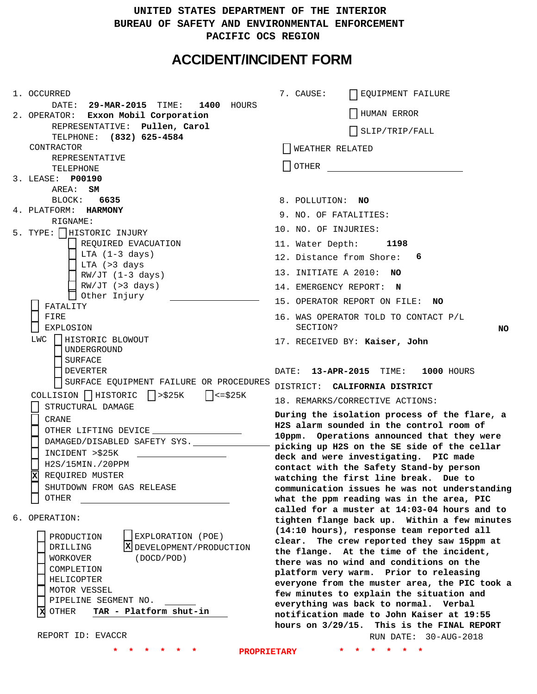**UNITED STATES DEPARTMENT OF THE INTERIOR BUREAU OF SAFETY AND ENVIRONMENTAL ENFORCEMENT PACIFIC OCS REGION**

# **ACCIDENT/INCIDENT FORM**

| DATE: 29-MAR-2015 TIME:<br><b>1400 HOURS</b><br>HUMAN ERROR<br>2. OPERATOR: Exxon Mobil Corporation<br>REPRESENTATIVE: Pullen, Carol<br>SLIP/TRIP/FALL<br>TELPHONE: (832) 625-4584<br>CONTRACTOR<br>WEATHER RELATED<br>REPRESENTATIVE<br>OTHER<br>TELEPHONE<br>3. LEASE: P00190<br>AREA:<br>SM<br>6635<br>BLOCK:<br>8. POLLUTION: NO<br>4. PLATFORM: HARMONY<br>9. NO. OF FATALITIES:<br>RIGNAME:<br>10. NO. OF INJURIES:<br>5. TYPE: HISTORIC INJURY<br>REQUIRED EVACUATION<br>11. Water Depth: 1198<br>$LTA$ $(1-3 \text{ days})$<br>12. Distance from Shore:<br>- 6<br>LTA (>3 days<br>13. INITIATE A 2010: NO<br>$RW/JT$ (1-3 days)<br>$RW/JT$ (>3 days)<br>14. EMERGENCY REPORT: N<br>Other Injury<br>15. OPERATOR REPORT ON FILE: NO<br>FATALITY<br>16. WAS OPERATOR TOLD TO CONTACT P/L<br>FIRE<br><b>EXPLOSION</b><br>SECTION?<br>NO.<br>LWC<br>HISTORIC BLOWOUT<br>17. RECEIVED BY: Kaiser, John<br>UNDERGROUND<br>SURFACE<br>DEVERTER<br>DATE: 13-APR-2015 TIME:<br><b>1000 HOURS</b><br>SURFACE EQUIPMENT FAILURE OR PROCEDURES<br>DISTRICT: CALIFORNIA DISTRICT<br>COLLISION HISTORIC $\bigcap$ >\$25K<br>$\vert$ $\vert$ <= \$25K<br>18. REMARKS/CORRECTIVE ACTIONS:<br>STRUCTURAL DAMAGE<br>During the isolation process of the flare, a<br>CRANE<br>H2S alarm sounded in the control room of<br>OTHER LIFTING DEVICE<br>10ppm. Operations announced that they were<br>DAMAGED/DISABLED SAFETY SYS.<br>picking up H2S on the SE side of the cellar<br>INCIDENT >\$25K<br>deck and were investigating. PIC made<br>H2S/15MIN./20PPM<br>contact with the Safety Stand-by person<br>lx<br>REOUIRED MUSTER<br>watching the first line break. Due to<br>SHUTDOWN FROM GAS RELEASE<br>communication issues he was not understanding<br>OTHER<br>what the ppm reading was in the area, PIC<br>called for a muster at 14:03-04 hours and to<br>6. OPERATION:<br>tighten flange back up. Within a few minutes<br>(14:10 hours), response team reported all<br>EXPLORATION (POE)<br>PRODUCTION<br>The crew reported they saw 15ppm at<br>clear.<br>X DEVELOPMENT / PRODUCTION<br>DRILLING<br>the flange. At the time of the incident,<br>WORKOVER<br>(DOCD/POD)<br>there was no wind and conditions on the<br>COMPLETION<br>platform very warm. Prior to releasing<br>HELICOPTER<br>everyone from the muster area, the PIC took a<br>MOTOR VESSEL<br>few minutes to explain the situation and<br>PIPELINE SEGMENT NO.<br>everything was back to normal. Verbal<br>TAR - Platform shut-in<br>OTHER<br>x<br>notification made to John Kaiser at 19:55<br>hours on 3/29/15. This is the FINAL REPORT | 1. OCCURRED       | EQUIPMENT FAILURE<br>7. CAUSE: |
|-------------------------------------------------------------------------------------------------------------------------------------------------------------------------------------------------------------------------------------------------------------------------------------------------------------------------------------------------------------------------------------------------------------------------------------------------------------------------------------------------------------------------------------------------------------------------------------------------------------------------------------------------------------------------------------------------------------------------------------------------------------------------------------------------------------------------------------------------------------------------------------------------------------------------------------------------------------------------------------------------------------------------------------------------------------------------------------------------------------------------------------------------------------------------------------------------------------------------------------------------------------------------------------------------------------------------------------------------------------------------------------------------------------------------------------------------------------------------------------------------------------------------------------------------------------------------------------------------------------------------------------------------------------------------------------------------------------------------------------------------------------------------------------------------------------------------------------------------------------------------------------------------------------------------------------------------------------------------------------------------------------------------------------------------------------------------------------------------------------------------------------------------------------------------------------------------------------------------------------------------------------------------------------------------------------------------------------------------------------------------------------------------------------------------------------------------------------------------------------------------------------------------------------------------------------------------------------------------------|-------------------|--------------------------------|
|                                                                                                                                                                                                                                                                                                                                                                                                                                                                                                                                                                                                                                                                                                                                                                                                                                                                                                                                                                                                                                                                                                                                                                                                                                                                                                                                                                                                                                                                                                                                                                                                                                                                                                                                                                                                                                                                                                                                                                                                                                                                                                                                                                                                                                                                                                                                                                                                                                                                                                                                                                                                       |                   |                                |
|                                                                                                                                                                                                                                                                                                                                                                                                                                                                                                                                                                                                                                                                                                                                                                                                                                                                                                                                                                                                                                                                                                                                                                                                                                                                                                                                                                                                                                                                                                                                                                                                                                                                                                                                                                                                                                                                                                                                                                                                                                                                                                                                                                                                                                                                                                                                                                                                                                                                                                                                                                                                       |                   |                                |
|                                                                                                                                                                                                                                                                                                                                                                                                                                                                                                                                                                                                                                                                                                                                                                                                                                                                                                                                                                                                                                                                                                                                                                                                                                                                                                                                                                                                                                                                                                                                                                                                                                                                                                                                                                                                                                                                                                                                                                                                                                                                                                                                                                                                                                                                                                                                                                                                                                                                                                                                                                                                       |                   |                                |
|                                                                                                                                                                                                                                                                                                                                                                                                                                                                                                                                                                                                                                                                                                                                                                                                                                                                                                                                                                                                                                                                                                                                                                                                                                                                                                                                                                                                                                                                                                                                                                                                                                                                                                                                                                                                                                                                                                                                                                                                                                                                                                                                                                                                                                                                                                                                                                                                                                                                                                                                                                                                       |                   |                                |
|                                                                                                                                                                                                                                                                                                                                                                                                                                                                                                                                                                                                                                                                                                                                                                                                                                                                                                                                                                                                                                                                                                                                                                                                                                                                                                                                                                                                                                                                                                                                                                                                                                                                                                                                                                                                                                                                                                                                                                                                                                                                                                                                                                                                                                                                                                                                                                                                                                                                                                                                                                                                       |                   |                                |
|                                                                                                                                                                                                                                                                                                                                                                                                                                                                                                                                                                                                                                                                                                                                                                                                                                                                                                                                                                                                                                                                                                                                                                                                                                                                                                                                                                                                                                                                                                                                                                                                                                                                                                                                                                                                                                                                                                                                                                                                                                                                                                                                                                                                                                                                                                                                                                                                                                                                                                                                                                                                       |                   |                                |
|                                                                                                                                                                                                                                                                                                                                                                                                                                                                                                                                                                                                                                                                                                                                                                                                                                                                                                                                                                                                                                                                                                                                                                                                                                                                                                                                                                                                                                                                                                                                                                                                                                                                                                                                                                                                                                                                                                                                                                                                                                                                                                                                                                                                                                                                                                                                                                                                                                                                                                                                                                                                       |                   |                                |
|                                                                                                                                                                                                                                                                                                                                                                                                                                                                                                                                                                                                                                                                                                                                                                                                                                                                                                                                                                                                                                                                                                                                                                                                                                                                                                                                                                                                                                                                                                                                                                                                                                                                                                                                                                                                                                                                                                                                                                                                                                                                                                                                                                                                                                                                                                                                                                                                                                                                                                                                                                                                       |                   |                                |
|                                                                                                                                                                                                                                                                                                                                                                                                                                                                                                                                                                                                                                                                                                                                                                                                                                                                                                                                                                                                                                                                                                                                                                                                                                                                                                                                                                                                                                                                                                                                                                                                                                                                                                                                                                                                                                                                                                                                                                                                                                                                                                                                                                                                                                                                                                                                                                                                                                                                                                                                                                                                       |                   |                                |
|                                                                                                                                                                                                                                                                                                                                                                                                                                                                                                                                                                                                                                                                                                                                                                                                                                                                                                                                                                                                                                                                                                                                                                                                                                                                                                                                                                                                                                                                                                                                                                                                                                                                                                                                                                                                                                                                                                                                                                                                                                                                                                                                                                                                                                                                                                                                                                                                                                                                                                                                                                                                       |                   |                                |
|                                                                                                                                                                                                                                                                                                                                                                                                                                                                                                                                                                                                                                                                                                                                                                                                                                                                                                                                                                                                                                                                                                                                                                                                                                                                                                                                                                                                                                                                                                                                                                                                                                                                                                                                                                                                                                                                                                                                                                                                                                                                                                                                                                                                                                                                                                                                                                                                                                                                                                                                                                                                       |                   |                                |
|                                                                                                                                                                                                                                                                                                                                                                                                                                                                                                                                                                                                                                                                                                                                                                                                                                                                                                                                                                                                                                                                                                                                                                                                                                                                                                                                                                                                                                                                                                                                                                                                                                                                                                                                                                                                                                                                                                                                                                                                                                                                                                                                                                                                                                                                                                                                                                                                                                                                                                                                                                                                       |                   |                                |
|                                                                                                                                                                                                                                                                                                                                                                                                                                                                                                                                                                                                                                                                                                                                                                                                                                                                                                                                                                                                                                                                                                                                                                                                                                                                                                                                                                                                                                                                                                                                                                                                                                                                                                                                                                                                                                                                                                                                                                                                                                                                                                                                                                                                                                                                                                                                                                                                                                                                                                                                                                                                       |                   |                                |
|                                                                                                                                                                                                                                                                                                                                                                                                                                                                                                                                                                                                                                                                                                                                                                                                                                                                                                                                                                                                                                                                                                                                                                                                                                                                                                                                                                                                                                                                                                                                                                                                                                                                                                                                                                                                                                                                                                                                                                                                                                                                                                                                                                                                                                                                                                                                                                                                                                                                                                                                                                                                       |                   |                                |
|                                                                                                                                                                                                                                                                                                                                                                                                                                                                                                                                                                                                                                                                                                                                                                                                                                                                                                                                                                                                                                                                                                                                                                                                                                                                                                                                                                                                                                                                                                                                                                                                                                                                                                                                                                                                                                                                                                                                                                                                                                                                                                                                                                                                                                                                                                                                                                                                                                                                                                                                                                                                       |                   |                                |
|                                                                                                                                                                                                                                                                                                                                                                                                                                                                                                                                                                                                                                                                                                                                                                                                                                                                                                                                                                                                                                                                                                                                                                                                                                                                                                                                                                                                                                                                                                                                                                                                                                                                                                                                                                                                                                                                                                                                                                                                                                                                                                                                                                                                                                                                                                                                                                                                                                                                                                                                                                                                       |                   |                                |
|                                                                                                                                                                                                                                                                                                                                                                                                                                                                                                                                                                                                                                                                                                                                                                                                                                                                                                                                                                                                                                                                                                                                                                                                                                                                                                                                                                                                                                                                                                                                                                                                                                                                                                                                                                                                                                                                                                                                                                                                                                                                                                                                                                                                                                                                                                                                                                                                                                                                                                                                                                                                       |                   |                                |
|                                                                                                                                                                                                                                                                                                                                                                                                                                                                                                                                                                                                                                                                                                                                                                                                                                                                                                                                                                                                                                                                                                                                                                                                                                                                                                                                                                                                                                                                                                                                                                                                                                                                                                                                                                                                                                                                                                                                                                                                                                                                                                                                                                                                                                                                                                                                                                                                                                                                                                                                                                                                       |                   |                                |
|                                                                                                                                                                                                                                                                                                                                                                                                                                                                                                                                                                                                                                                                                                                                                                                                                                                                                                                                                                                                                                                                                                                                                                                                                                                                                                                                                                                                                                                                                                                                                                                                                                                                                                                                                                                                                                                                                                                                                                                                                                                                                                                                                                                                                                                                                                                                                                                                                                                                                                                                                                                                       |                   |                                |
|                                                                                                                                                                                                                                                                                                                                                                                                                                                                                                                                                                                                                                                                                                                                                                                                                                                                                                                                                                                                                                                                                                                                                                                                                                                                                                                                                                                                                                                                                                                                                                                                                                                                                                                                                                                                                                                                                                                                                                                                                                                                                                                                                                                                                                                                                                                                                                                                                                                                                                                                                                                                       |                   |                                |
|                                                                                                                                                                                                                                                                                                                                                                                                                                                                                                                                                                                                                                                                                                                                                                                                                                                                                                                                                                                                                                                                                                                                                                                                                                                                                                                                                                                                                                                                                                                                                                                                                                                                                                                                                                                                                                                                                                                                                                                                                                                                                                                                                                                                                                                                                                                                                                                                                                                                                                                                                                                                       |                   |                                |
|                                                                                                                                                                                                                                                                                                                                                                                                                                                                                                                                                                                                                                                                                                                                                                                                                                                                                                                                                                                                                                                                                                                                                                                                                                                                                                                                                                                                                                                                                                                                                                                                                                                                                                                                                                                                                                                                                                                                                                                                                                                                                                                                                                                                                                                                                                                                                                                                                                                                                                                                                                                                       |                   |                                |
|                                                                                                                                                                                                                                                                                                                                                                                                                                                                                                                                                                                                                                                                                                                                                                                                                                                                                                                                                                                                                                                                                                                                                                                                                                                                                                                                                                                                                                                                                                                                                                                                                                                                                                                                                                                                                                                                                                                                                                                                                                                                                                                                                                                                                                                                                                                                                                                                                                                                                                                                                                                                       |                   |                                |
|                                                                                                                                                                                                                                                                                                                                                                                                                                                                                                                                                                                                                                                                                                                                                                                                                                                                                                                                                                                                                                                                                                                                                                                                                                                                                                                                                                                                                                                                                                                                                                                                                                                                                                                                                                                                                                                                                                                                                                                                                                                                                                                                                                                                                                                                                                                                                                                                                                                                                                                                                                                                       |                   |                                |
|                                                                                                                                                                                                                                                                                                                                                                                                                                                                                                                                                                                                                                                                                                                                                                                                                                                                                                                                                                                                                                                                                                                                                                                                                                                                                                                                                                                                                                                                                                                                                                                                                                                                                                                                                                                                                                                                                                                                                                                                                                                                                                                                                                                                                                                                                                                                                                                                                                                                                                                                                                                                       |                   |                                |
|                                                                                                                                                                                                                                                                                                                                                                                                                                                                                                                                                                                                                                                                                                                                                                                                                                                                                                                                                                                                                                                                                                                                                                                                                                                                                                                                                                                                                                                                                                                                                                                                                                                                                                                                                                                                                                                                                                                                                                                                                                                                                                                                                                                                                                                                                                                                                                                                                                                                                                                                                                                                       |                   |                                |
|                                                                                                                                                                                                                                                                                                                                                                                                                                                                                                                                                                                                                                                                                                                                                                                                                                                                                                                                                                                                                                                                                                                                                                                                                                                                                                                                                                                                                                                                                                                                                                                                                                                                                                                                                                                                                                                                                                                                                                                                                                                                                                                                                                                                                                                                                                                                                                                                                                                                                                                                                                                                       |                   |                                |
|                                                                                                                                                                                                                                                                                                                                                                                                                                                                                                                                                                                                                                                                                                                                                                                                                                                                                                                                                                                                                                                                                                                                                                                                                                                                                                                                                                                                                                                                                                                                                                                                                                                                                                                                                                                                                                                                                                                                                                                                                                                                                                                                                                                                                                                                                                                                                                                                                                                                                                                                                                                                       |                   |                                |
|                                                                                                                                                                                                                                                                                                                                                                                                                                                                                                                                                                                                                                                                                                                                                                                                                                                                                                                                                                                                                                                                                                                                                                                                                                                                                                                                                                                                                                                                                                                                                                                                                                                                                                                                                                                                                                                                                                                                                                                                                                                                                                                                                                                                                                                                                                                                                                                                                                                                                                                                                                                                       |                   |                                |
|                                                                                                                                                                                                                                                                                                                                                                                                                                                                                                                                                                                                                                                                                                                                                                                                                                                                                                                                                                                                                                                                                                                                                                                                                                                                                                                                                                                                                                                                                                                                                                                                                                                                                                                                                                                                                                                                                                                                                                                                                                                                                                                                                                                                                                                                                                                                                                                                                                                                                                                                                                                                       |                   |                                |
|                                                                                                                                                                                                                                                                                                                                                                                                                                                                                                                                                                                                                                                                                                                                                                                                                                                                                                                                                                                                                                                                                                                                                                                                                                                                                                                                                                                                                                                                                                                                                                                                                                                                                                                                                                                                                                                                                                                                                                                                                                                                                                                                                                                                                                                                                                                                                                                                                                                                                                                                                                                                       |                   |                                |
|                                                                                                                                                                                                                                                                                                                                                                                                                                                                                                                                                                                                                                                                                                                                                                                                                                                                                                                                                                                                                                                                                                                                                                                                                                                                                                                                                                                                                                                                                                                                                                                                                                                                                                                                                                                                                                                                                                                                                                                                                                                                                                                                                                                                                                                                                                                                                                                                                                                                                                                                                                                                       |                   |                                |
|                                                                                                                                                                                                                                                                                                                                                                                                                                                                                                                                                                                                                                                                                                                                                                                                                                                                                                                                                                                                                                                                                                                                                                                                                                                                                                                                                                                                                                                                                                                                                                                                                                                                                                                                                                                                                                                                                                                                                                                                                                                                                                                                                                                                                                                                                                                                                                                                                                                                                                                                                                                                       |                   |                                |
|                                                                                                                                                                                                                                                                                                                                                                                                                                                                                                                                                                                                                                                                                                                                                                                                                                                                                                                                                                                                                                                                                                                                                                                                                                                                                                                                                                                                                                                                                                                                                                                                                                                                                                                                                                                                                                                                                                                                                                                                                                                                                                                                                                                                                                                                                                                                                                                                                                                                                                                                                                                                       |                   |                                |
|                                                                                                                                                                                                                                                                                                                                                                                                                                                                                                                                                                                                                                                                                                                                                                                                                                                                                                                                                                                                                                                                                                                                                                                                                                                                                                                                                                                                                                                                                                                                                                                                                                                                                                                                                                                                                                                                                                                                                                                                                                                                                                                                                                                                                                                                                                                                                                                                                                                                                                                                                                                                       |                   |                                |
|                                                                                                                                                                                                                                                                                                                                                                                                                                                                                                                                                                                                                                                                                                                                                                                                                                                                                                                                                                                                                                                                                                                                                                                                                                                                                                                                                                                                                                                                                                                                                                                                                                                                                                                                                                                                                                                                                                                                                                                                                                                                                                                                                                                                                                                                                                                                                                                                                                                                                                                                                                                                       |                   |                                |
|                                                                                                                                                                                                                                                                                                                                                                                                                                                                                                                                                                                                                                                                                                                                                                                                                                                                                                                                                                                                                                                                                                                                                                                                                                                                                                                                                                                                                                                                                                                                                                                                                                                                                                                                                                                                                                                                                                                                                                                                                                                                                                                                                                                                                                                                                                                                                                                                                                                                                                                                                                                                       |                   |                                |
|                                                                                                                                                                                                                                                                                                                                                                                                                                                                                                                                                                                                                                                                                                                                                                                                                                                                                                                                                                                                                                                                                                                                                                                                                                                                                                                                                                                                                                                                                                                                                                                                                                                                                                                                                                                                                                                                                                                                                                                                                                                                                                                                                                                                                                                                                                                                                                                                                                                                                                                                                                                                       |                   |                                |
|                                                                                                                                                                                                                                                                                                                                                                                                                                                                                                                                                                                                                                                                                                                                                                                                                                                                                                                                                                                                                                                                                                                                                                                                                                                                                                                                                                                                                                                                                                                                                                                                                                                                                                                                                                                                                                                                                                                                                                                                                                                                                                                                                                                                                                                                                                                                                                                                                                                                                                                                                                                                       |                   |                                |
|                                                                                                                                                                                                                                                                                                                                                                                                                                                                                                                                                                                                                                                                                                                                                                                                                                                                                                                                                                                                                                                                                                                                                                                                                                                                                                                                                                                                                                                                                                                                                                                                                                                                                                                                                                                                                                                                                                                                                                                                                                                                                                                                                                                                                                                                                                                                                                                                                                                                                                                                                                                                       |                   |                                |
|                                                                                                                                                                                                                                                                                                                                                                                                                                                                                                                                                                                                                                                                                                                                                                                                                                                                                                                                                                                                                                                                                                                                                                                                                                                                                                                                                                                                                                                                                                                                                                                                                                                                                                                                                                                                                                                                                                                                                                                                                                                                                                                                                                                                                                                                                                                                                                                                                                                                                                                                                                                                       |                   |                                |
|                                                                                                                                                                                                                                                                                                                                                                                                                                                                                                                                                                                                                                                                                                                                                                                                                                                                                                                                                                                                                                                                                                                                                                                                                                                                                                                                                                                                                                                                                                                                                                                                                                                                                                                                                                                                                                                                                                                                                                                                                                                                                                                                                                                                                                                                                                                                                                                                                                                                                                                                                                                                       |                   |                                |
|                                                                                                                                                                                                                                                                                                                                                                                                                                                                                                                                                                                                                                                                                                                                                                                                                                                                                                                                                                                                                                                                                                                                                                                                                                                                                                                                                                                                                                                                                                                                                                                                                                                                                                                                                                                                                                                                                                                                                                                                                                                                                                                                                                                                                                                                                                                                                                                                                                                                                                                                                                                                       |                   |                                |
|                                                                                                                                                                                                                                                                                                                                                                                                                                                                                                                                                                                                                                                                                                                                                                                                                                                                                                                                                                                                                                                                                                                                                                                                                                                                                                                                                                                                                                                                                                                                                                                                                                                                                                                                                                                                                                                                                                                                                                                                                                                                                                                                                                                                                                                                                                                                                                                                                                                                                                                                                                                                       |                   |                                |
|                                                                                                                                                                                                                                                                                                                                                                                                                                                                                                                                                                                                                                                                                                                                                                                                                                                                                                                                                                                                                                                                                                                                                                                                                                                                                                                                                                                                                                                                                                                                                                                                                                                                                                                                                                                                                                                                                                                                                                                                                                                                                                                                                                                                                                                                                                                                                                                                                                                                                                                                                                                                       | REPORT ID: EVACCR | RUN DATE: 30-AUG-2018          |
| <b>PROPRIETARY</b>                                                                                                                                                                                                                                                                                                                                                                                                                                                                                                                                                                                                                                                                                                                                                                                                                                                                                                                                                                                                                                                                                                                                                                                                                                                                                                                                                                                                                                                                                                                                                                                                                                                                                                                                                                                                                                                                                                                                                                                                                                                                                                                                                                                                                                                                                                                                                                                                                                                                                                                                                                                    |                   |                                |